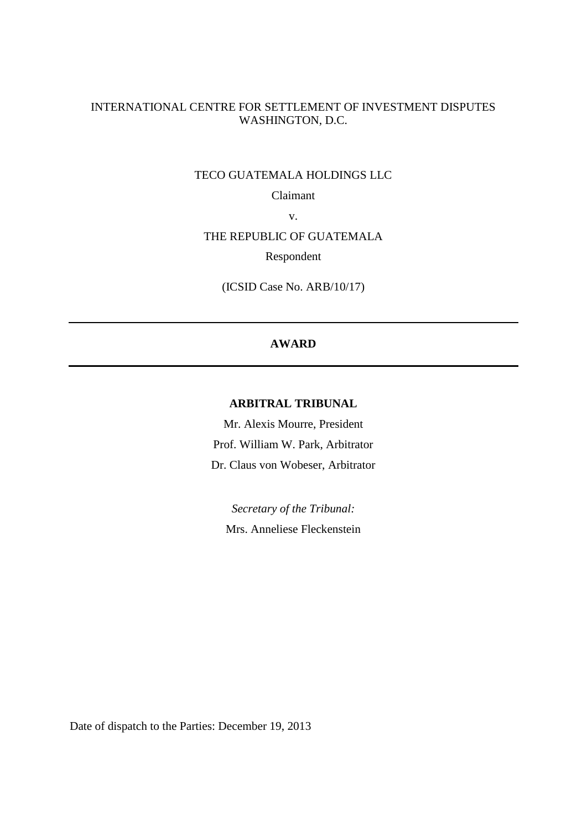# INTERNATIONAL CENTRE FOR SETTLEMENT OF INVESTMENT DISPUTES WASHINGTON, D.C.

## TECO GUATEMALA HOLDINGS LLC

Claimant

v.

# THE REPUBLIC OF GUATEMALA

Respondent

(ICSID Case No. ARB/10/17)

# **AWARD**

# **ARBITRAL TRIBUNAL**

Mr. Alexis Mourre, President Prof. William W. Park, Arbitrator Dr. Claus von Wobeser, Arbitrator

*Secretary of the Tribunal:*  Mrs. Anneliese Fleckenstein

Date of dispatch to the Parties: December 19, 2013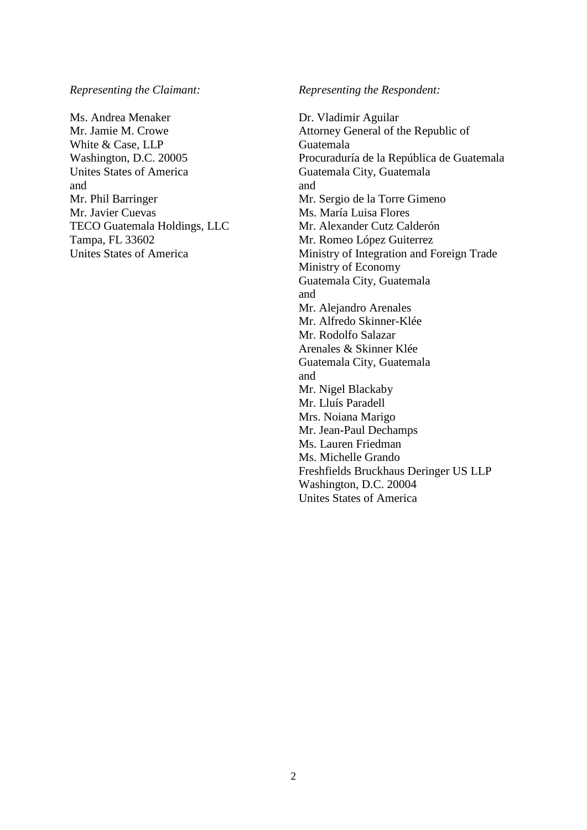*Representing the Claimant:*

Ms. Andrea Menaker Mr. Jamie M. Crowe White & Case, LLP Washington, D.C. 20005 Unites States of America and Mr. Phil Barringer Mr. Javier Cuevas TECO Guatemala Holdings, LLC Tampa, FL 33602 Unites States of America

*Representing the Respondent:*

Dr. Vladimir Aguilar Attorney General of the Republic of Guatemala Procuraduría de la República de Guatemala Guatemala City, Guatemala and Mr. Sergio de la Torre Gimeno Ms. María Luisa Flores Mr. Alexander Cutz Calderón Mr. Romeo López Guiterrez Ministry of Integration and Foreign Trade Ministry of Economy Guatemala City, Guatemala and Mr. Alejandro Arenales Mr. Alfredo Skinner-Klée Mr. Rodolfo Salazar Arenales & Skinner Klée Guatemala City, Guatemala and Mr. Nigel Blackaby Mr. Lluís Paradell Mrs. Noiana Marigo Mr. Jean-Paul Dechamps Ms. Lauren Friedman Ms. Michelle Grando Freshfields Bruckhaus Deringer US LLP Washington, D.C. 20004 Unites States of America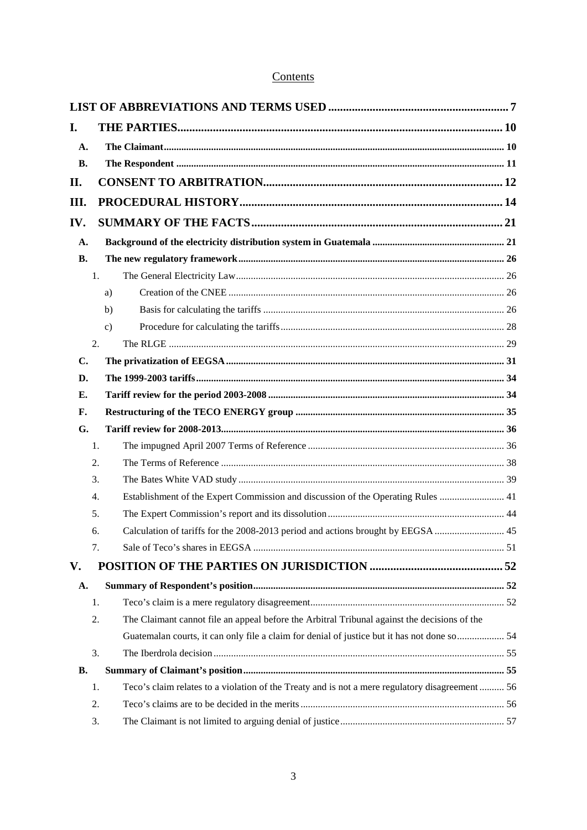# Contents

| I.        |    |                                                                                                 |  |
|-----------|----|-------------------------------------------------------------------------------------------------|--|
| A.        |    |                                                                                                 |  |
| <b>B.</b> |    |                                                                                                 |  |
| II.       |    |                                                                                                 |  |
| III.      |    |                                                                                                 |  |
| IV.       |    |                                                                                                 |  |
| A.        |    |                                                                                                 |  |
| <b>B.</b> |    |                                                                                                 |  |
|           | 1. |                                                                                                 |  |
|           |    | a)                                                                                              |  |
|           |    | b)                                                                                              |  |
|           |    | $\mathbf{c}$ )                                                                                  |  |
|           | 2. |                                                                                                 |  |
| C.        |    |                                                                                                 |  |
| D.        |    |                                                                                                 |  |
| Е.        |    |                                                                                                 |  |
| F.        |    |                                                                                                 |  |
| G.        |    |                                                                                                 |  |
|           | 1. |                                                                                                 |  |
|           | 2. |                                                                                                 |  |
|           | 3. |                                                                                                 |  |
|           | 4. | Establishment of the Expert Commission and discussion of the Operating Rules  41                |  |
|           | 5. |                                                                                                 |  |
|           | 6. | Calculation of tariffs for the 2008-2013 period and actions brought by EEGSA  45                |  |
|           | 7. |                                                                                                 |  |
| V.        |    |                                                                                                 |  |
| A.        |    |                                                                                                 |  |
|           | 1. |                                                                                                 |  |
|           | 2. | The Claimant cannot file an appeal before the Arbitral Tribunal against the decisions of the    |  |
|           |    | Guatemalan courts, it can only file a claim for denial of justice but it has not done so  54    |  |
|           | 3. |                                                                                                 |  |
| В.        |    |                                                                                                 |  |
|           | 1. | Teco's claim relates to a violation of the Treaty and is not a mere regulatory disagreement  56 |  |
|           | 2. |                                                                                                 |  |
|           | 3. |                                                                                                 |  |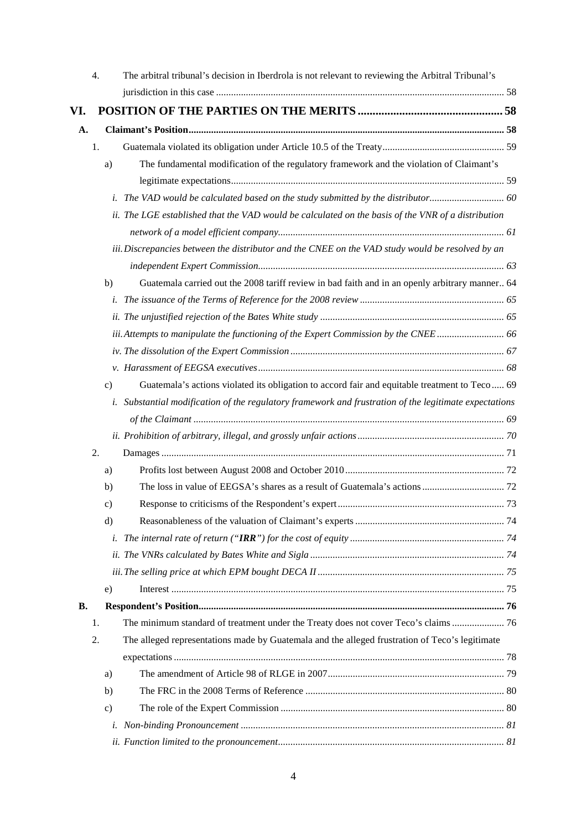|     | 4.            | The arbitral tribunal's decision in Iberdrola is not relevant to reviewing the Arbitral Tribunal's     |  |
|-----|---------------|--------------------------------------------------------------------------------------------------------|--|
|     |               |                                                                                                        |  |
| VI. |               |                                                                                                        |  |
| A.  |               |                                                                                                        |  |
|     | 1.            |                                                                                                        |  |
|     | a)            | The fundamental modification of the regulatory framework and the violation of Claimant's               |  |
|     |               |                                                                                                        |  |
|     |               | i. The VAD would be calculated based on the study submitted by the distributor                         |  |
|     |               | ii. The LGE established that the VAD would be calculated on the basis of the VNR of a distribution     |  |
|     |               |                                                                                                        |  |
|     |               | iii. Discrepancies between the distributor and the CNEE on the VAD study would be resolved by an       |  |
|     |               |                                                                                                        |  |
|     | b)            | Guatemala carried out the 2008 tariff review in bad faith and in an openly arbitrary manner 64         |  |
|     |               |                                                                                                        |  |
|     |               |                                                                                                        |  |
|     |               | iii. Attempts to manipulate the functioning of the Expert Commission by the CNEE 66                    |  |
|     |               |                                                                                                        |  |
|     |               |                                                                                                        |  |
|     | $\mathbf{c})$ | Guatemala's actions violated its obligation to accord fair and equitable treatment to Teco 69          |  |
|     |               | i. Substantial modification of the regulatory framework and frustration of the legitimate expectations |  |
|     |               |                                                                                                        |  |
|     |               |                                                                                                        |  |
|     | 2.            |                                                                                                        |  |
|     | a)            |                                                                                                        |  |
|     | b)            |                                                                                                        |  |
|     | $\mathbf{c})$ |                                                                                                        |  |
|     | d)            |                                                                                                        |  |
|     |               |                                                                                                        |  |
|     |               |                                                                                                        |  |
|     |               |                                                                                                        |  |
|     | e)            |                                                                                                        |  |
| В.  |               |                                                                                                        |  |
|     | 1.            | The minimum standard of treatment under the Treaty does not cover Teco's claims  76                    |  |
|     | 2.            | The alleged representations made by Guatemala and the alleged frustration of Teco's legitimate         |  |
|     |               |                                                                                                        |  |
|     | a)            |                                                                                                        |  |
|     | b)            |                                                                                                        |  |
|     | $\mathbf{c})$ |                                                                                                        |  |
|     | i.            |                                                                                                        |  |
|     |               |                                                                                                        |  |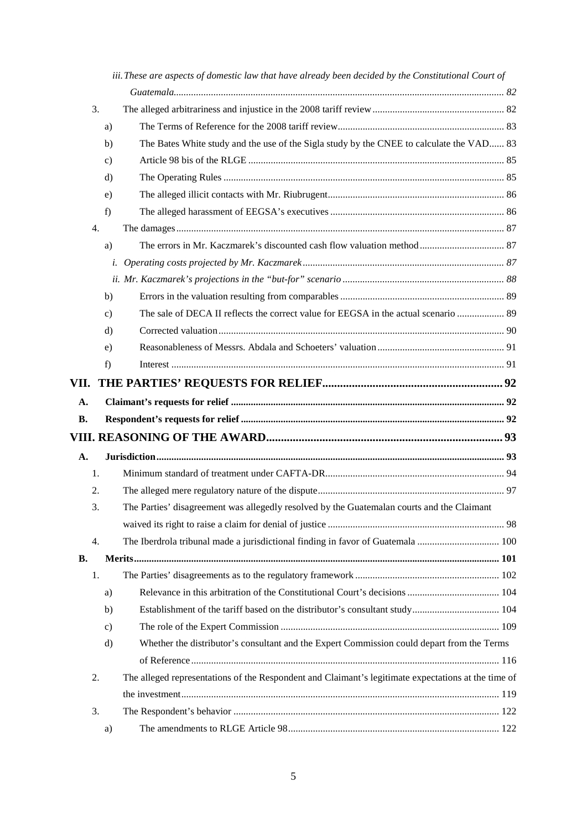|           |               | iii. These are aspects of domestic law that have already been decided by the Constitutional Court of |  |
|-----------|---------------|------------------------------------------------------------------------------------------------------|--|
|           |               |                                                                                                      |  |
| 3.        |               |                                                                                                      |  |
|           | a)            |                                                                                                      |  |
|           | b)            | The Bates White study and the use of the Sigla study by the CNEE to calculate the VAD 83             |  |
|           | $\mathbf{c})$ |                                                                                                      |  |
|           | d)            |                                                                                                      |  |
|           | e)            |                                                                                                      |  |
|           | f)            |                                                                                                      |  |
| 4.        |               |                                                                                                      |  |
|           | a)            |                                                                                                      |  |
|           | i.            |                                                                                                      |  |
|           |               |                                                                                                      |  |
|           | b)            |                                                                                                      |  |
|           | $\mathbf{c})$ | The sale of DECA II reflects the correct value for EEGSA in the actual scenario  89                  |  |
|           | d)            |                                                                                                      |  |
|           | e)            |                                                                                                      |  |
|           | f)            |                                                                                                      |  |
| VII.      |               |                                                                                                      |  |
| A.        |               |                                                                                                      |  |
| <b>B.</b> |               |                                                                                                      |  |
|           |               |                                                                                                      |  |
| A.        |               |                                                                                                      |  |
| 1.        |               |                                                                                                      |  |
| 2.        |               |                                                                                                      |  |
| 3.        |               | The Parties' disagreement was allegedly resolved by the Guatemalan courts and the Claimant           |  |
|           |               |                                                                                                      |  |
| 4.        |               | The Iberdrola tribunal made a jurisdictional finding in favor of Guatemala  100                      |  |
| В.        |               |                                                                                                      |  |
| 1.        |               |                                                                                                      |  |
|           | a)            |                                                                                                      |  |
|           | b)            |                                                                                                      |  |
|           | $\mathbf{c})$ |                                                                                                      |  |
|           | d)            | Whether the distributor's consultant and the Expert Commission could depart from the Terms           |  |
|           |               |                                                                                                      |  |
| 2.        |               | The alleged representations of the Respondent and Claimant's legitimate expectations at the time of  |  |
|           |               |                                                                                                      |  |
| 3.        |               |                                                                                                      |  |
|           | a)            |                                                                                                      |  |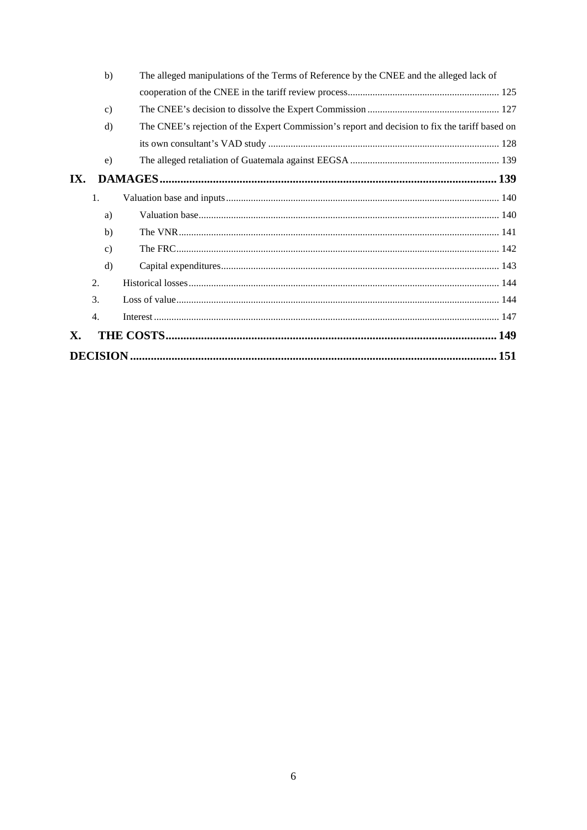|     | b)<br>The alleged manipulations of the Terms of Reference by the CNEE and the alleged lack of |                                                                                                |  |
|-----|-----------------------------------------------------------------------------------------------|------------------------------------------------------------------------------------------------|--|
|     |                                                                                               |                                                                                                |  |
|     | $\mathbf{c}$                                                                                  |                                                                                                |  |
|     | $\rm d$                                                                                       | The CNEE's rejection of the Expert Commission's report and decision to fix the tariff based on |  |
|     |                                                                                               |                                                                                                |  |
|     | e)                                                                                            |                                                                                                |  |
| IX. |                                                                                               |                                                                                                |  |
|     | 1.                                                                                            |                                                                                                |  |
|     | a)                                                                                            |                                                                                                |  |
|     | b)                                                                                            |                                                                                                |  |
|     | $\mathbf{c}$                                                                                  |                                                                                                |  |
|     | $\rm d$                                                                                       |                                                                                                |  |
|     | 2.                                                                                            |                                                                                                |  |
|     | 3.                                                                                            |                                                                                                |  |
|     | 4.                                                                                            |                                                                                                |  |
| X.  |                                                                                               |                                                                                                |  |
|     |                                                                                               |                                                                                                |  |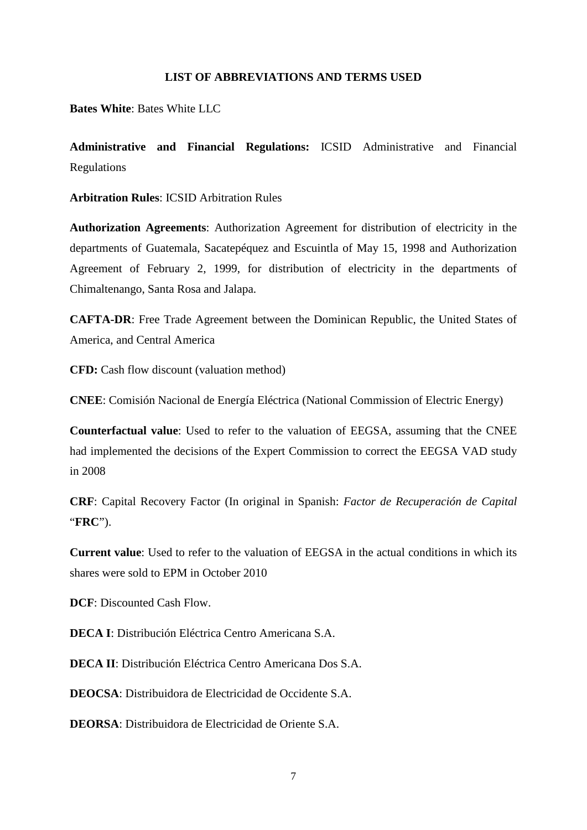# **LIST OF ABBREVIATIONS AND TERMS USED**

<span id="page-6-0"></span>**Bates White**: Bates White LLC

**Administrative and Financial Regulations:** ICSID Administrative and Financial Regulations

**Arbitration Rules**: ICSID Arbitration Rules

**Authorization Agreements**: Authorization Agreement for distribution of electricity in the departments of Guatemala, Sacatepéquez and Escuintla of May 15, 1998 and Authorization Agreement of February 2, 1999, for distribution of electricity in the departments of Chimaltenango, Santa Rosa and Jalapa.

**CAFTA-DR**: Free Trade Agreement between the Dominican Republic, the United States of America, and Central America

**CFD:** Cash flow discount (valuation method)

**CNEE**: Comisión Nacional de Energía Eléctrica (National Commission of Electric Energy)

**Counterfactual value**: Used to refer to the valuation of EEGSA, assuming that the CNEE had implemented the decisions of the Expert Commission to correct the EEGSA VAD study in 2008

**CRF**: Capital Recovery Factor (In original in Spanish: *Factor de Recuperación de Capital* "**FRC**").

**Current value**: Used to refer to the valuation of EEGSA in the actual conditions in which its shares were sold to EPM in October 2010

**DCF**: Discounted Cash Flow.

**DECA I**: Distribución Eléctrica Centro Americana S.A.

**DECA II**: Distribución Eléctrica Centro Americana Dos S.A.

**DEOCSA**: Distribuidora de Electricidad de Occidente S.A.

**DEORSA**: Distribuidora de Electricidad de Oriente S.A.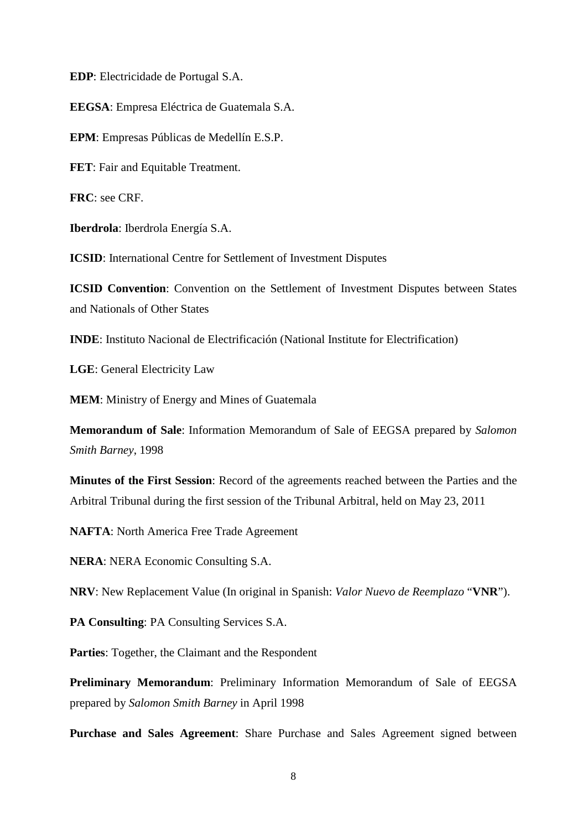**EDP**: Electricidade de Portugal S.A.

**EEGSA**: Empresa Eléctrica de Guatemala S.A.

**EPM**: Empresas Públicas de Medellín E.S.P.

**FET**: Fair and Equitable Treatment.

**FRC**: see CRF.

**Iberdrola**: Iberdrola Energía S.A.

**ICSID**: International Centre for Settlement of Investment Disputes

**ICSID Convention**: Convention on the Settlement of Investment Disputes between States and Nationals of Other States

**INDE**: Instituto Nacional de Electrificación (National Institute for Electrification)

**LGE**: General Electricity Law

**MEM**: Ministry of Energy and Mines of Guatemala

**Memorandum of Sale**: Information Memorandum of Sale of EEGSA prepared by *Salomon Smith Barney*, 1998

**Minutes of the First Session**: Record of the agreements reached between the Parties and the Arbitral Tribunal during the first session of the Tribunal Arbitral, held on May 23, 2011

**NAFTA**: North America Free Trade Agreement

**NERA**: NERA Economic Consulting S.A.

**NRV**: New Replacement Value (In original in Spanish: *Valor Nuevo de Reemplazo* "**VNR**").

**PA Consulting**: PA Consulting Services S.A.

**Parties**: Together, the Claimant and the Respondent

**Preliminary Memorandum**: Preliminary Information Memorandum of Sale of EEGSA prepared by *Salomon Smith Barney* in April 1998

**Purchase and Sales Agreement**: Share Purchase and Sales Agreement signed between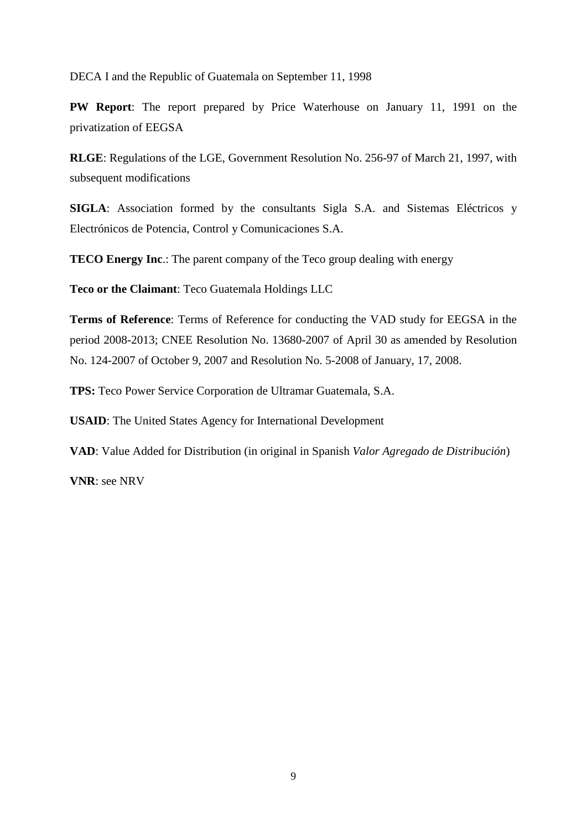DECA I and the Republic of Guatemala on September 11, 1998

**PW Report**: The report prepared by Price Waterhouse on January 11, 1991 on the privatization of EEGSA

**RLGE**: Regulations of the LGE, Government Resolution No. 256-97 of March 21, 1997, with subsequent modifications

**SIGLA**: Association formed by the consultants Sigla S.A. and Sistemas Eléctricos y Electrónicos de Potencia, Control y Comunicaciones S.A.

**TECO Energy Inc.:** The parent company of the Teco group dealing with energy

**Teco or the Claimant**: Teco Guatemala Holdings LLC

**Terms of Reference**: Terms of Reference for conducting the VAD study for EEGSA in the period 2008-2013; CNEE Resolution No. 13680-2007 of April 30 as amended by Resolution No. 124-2007 of October 9, 2007 and Resolution No. 5-2008 of January, 17, 2008.

**TPS:** Teco Power Service Corporation de Ultramar Guatemala, S.A.

**USAID**: The United States Agency for International Development

**VAD**: Value Added for Distribution (in original in Spanish *Valor Agregado de Distribución*)

**VNR**: see NRV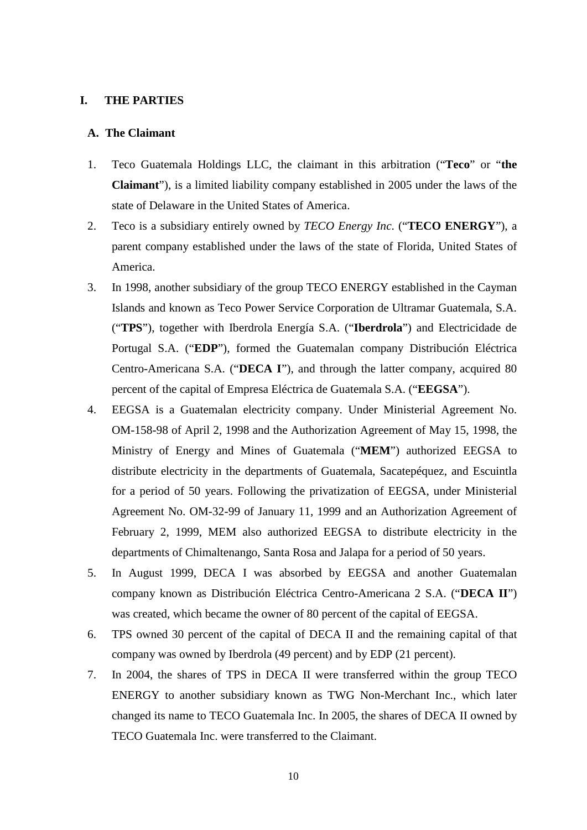#### <span id="page-9-0"></span>**I. THE PARTIES**

#### <span id="page-9-1"></span>**A. The Claimant**

- 1. Teco Guatemala Holdings LLC, the claimant in this arbitration ("**Teco**" or "**the Claimant**"), is a limited liability company established in 2005 under the laws of the state of Delaware in the United States of America.
- 2. Teco is a subsidiary entirely owned by *TECO Energy Inc*. ("**TECO ENERGY**"), a parent company established under the laws of the state of Florida, United States of America.
- 3. In 1998, another subsidiary of the group TECO ENERGY established in the Cayman Islands and known as Teco Power Service Corporation de Ultramar Guatemala, S.A. ("**TPS**"), together with Iberdrola Energía S.A. ("**Iberdrola**") and Electricidade de Portugal S.A. ("**EDP**"), formed the Guatemalan company Distribución Eléctrica Centro-Americana S.A. ("**DECA I**"), and through the latter company, acquired 80 percent of the capital of Empresa Eléctrica de Guatemala S.A. ("**EEGSA**").
- 4. EEGSA is a Guatemalan electricity company. Under Ministerial Agreement No. OM-158-98 of April 2, 1998 and the Authorization Agreement of May 15, 1998, the Ministry of Energy and Mines of Guatemala ("**MEM**") authorized EEGSA to distribute electricity in the departments of Guatemala, Sacatepéquez, and Escuintla for a period of 50 years. Following the privatization of EEGSA, under Ministerial Agreement No. OM-32-99 of January 11, 1999 and an Authorization Agreement of February 2, 1999, MEM also authorized EEGSA to distribute electricity in the departments of Chimaltenango, Santa Rosa and Jalapa for a period of 50 years.
- 5. In August 1999, DECA I was absorbed by EEGSA and another Guatemalan company known as Distribución Eléctrica Centro-Americana 2 S.A. ("**DECA II**") was created, which became the owner of 80 percent of the capital of EEGSA.
- 6. TPS owned 30 percent of the capital of DECA II and the remaining capital of that company was owned by Iberdrola (49 percent) and by EDP (21 percent).
- 7. In 2004, the shares of TPS in DECA II were transferred within the group TECO ENERGY to another subsidiary known as TWG Non-Merchant Inc., which later changed its name to TECO Guatemala Inc. In 2005, the shares of DECA II owned by TECO Guatemala Inc. were transferred to the Claimant.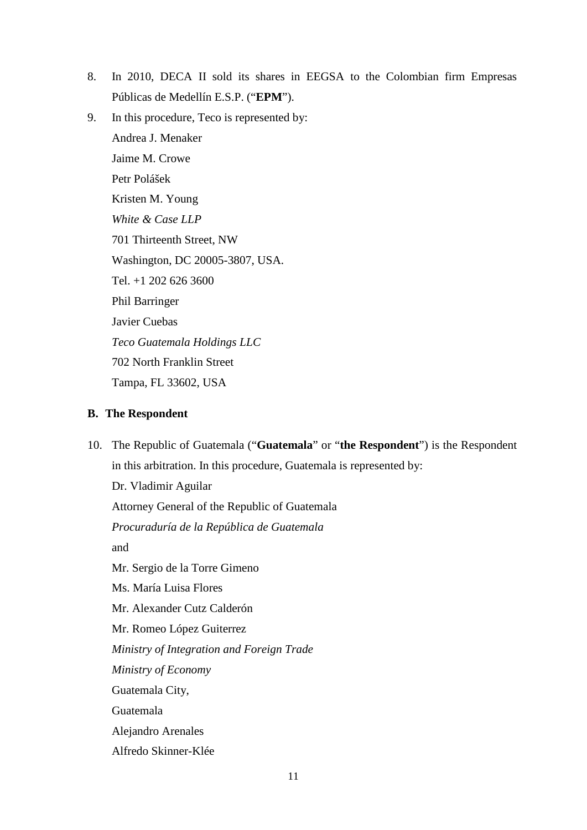- 8. In 2010, DECA II sold its shares in EEGSA to the Colombian firm Empresas Públicas de Medellín E.S.P. ("**EPM**").
- 9. In this procedure, Teco is represented by:

Andrea J. Menaker Jaime M. Crowe Petr Polášek Kristen M. Young *White & Case LLP* 701 Thirteenth Street, NW Washington, DC 20005-3807, USA. Tel. +1 202 626 3600 Phil Barringer Javier Cuebas *Teco Guatemala Holdings LLC* 702 North Franklin Street Tampa, FL 33602, USA

# <span id="page-10-0"></span>**B. The Respondent**

10. The Republic of Guatemala ("**Guatemala**" or "**the Respondent**") is the Respondent in this arbitration. In this procedure, Guatemala is represented by: Dr. Vladimir Aguilar Attorney General of the Republic of Guatemala *Procuraduría de la República de Guatemala* and Mr. Sergio de la Torre Gimeno Ms. María Luisa Flores Mr. Alexander Cutz Calderón Mr. Romeo López Guiterrez *Ministry of Integration and Foreign Trade Ministry of Economy* Guatemala City, Guatemala Alejandro Arenales Alfredo Skinner-Klée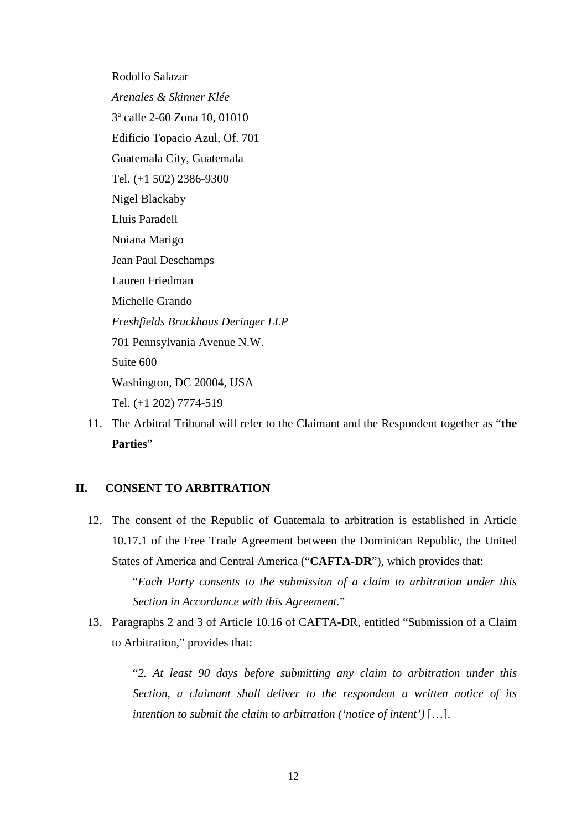Rodolfo Salazar *Arenales & Skinner Klée* 3ª calle 2-60 Zona 10, 01010 Edificio Topacio Azul, Of. 701 Guatemala City, Guatemala Tel. (+1 502) 2386-9300 Nigel Blackaby Lluis Paradell Noiana Marigo Jean Paul Deschamps Lauren Friedman Michelle Grando *Freshfields Bruckhaus Deringer LLP* 701 Pennsylvania Avenue N.W. Suite 600 Washington, DC 20004, USA Tel. (+1 202) 7774-519

11. The Arbitral Tribunal will refer to the Claimant and the Respondent together as "**the Parties**"

# <span id="page-11-0"></span>**II. CONSENT TO ARBITRATION**

12. The consent of the Republic of Guatemala to arbitration is established in Article 10.17.1 of the Free Trade Agreement between the Dominican Republic, the United States of America and Central America ("**CAFTA-DR**"), which provides that:

> "*Each Party consents to the submission of a claim to arbitration under this Section in Accordance with this Agreement.*"

13. Paragraphs 2 and 3 of Article 10.16 of CAFTA-DR, entitled "Submission of a Claim to Arbitration," provides that:

> "*2. At least 90 days before submitting any claim to arbitration under this Section, a claimant shall deliver to the respondent a written notice of its intention to submit the claim to arbitration ('notice of intent')* […].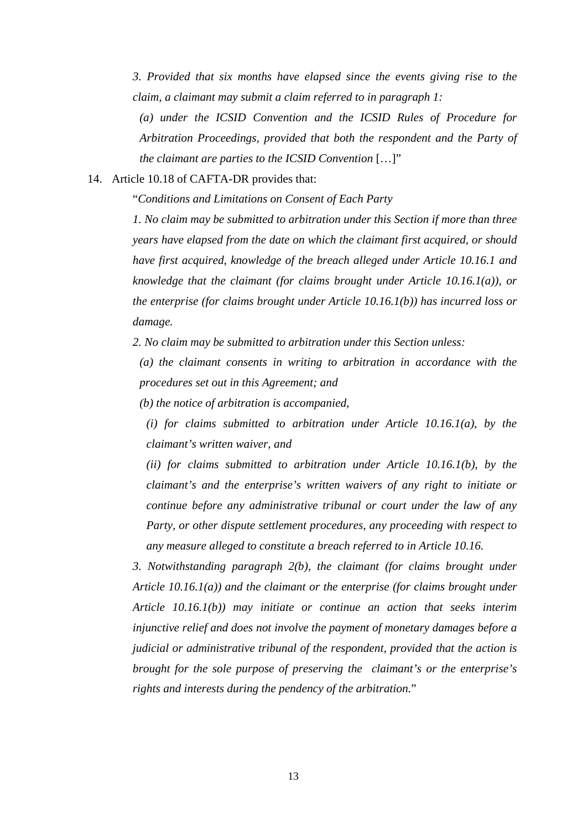*3. Provided that six months have elapsed since the events giving rise to the claim, a claimant may submit a claim referred to in paragraph 1:*

*(a) under the ICSID Convention and the ICSID Rules of Procedure for Arbitration Proceedings, provided that both the respondent and the Party of the claimant are parties to the ICSID Convention* […]"

# 14. Article 10.18 of CAFTA-DR provides that:

"*Conditions and Limitations on Consent of Each Party*

*1. No claim may be submitted to arbitration under this Section if more than three years have elapsed from the date on which the claimant first acquired, or should have first acquired, knowledge of the breach alleged under Article 10.16.1 and knowledge that the claimant (for claims brought under Article 10.16.1(a)), or the enterprise (for claims brought under Article 10.16.1(b)) has incurred loss or damage.*

*2. No claim may be submitted to arbitration under this Section unless:*

*(a) the claimant consents in writing to arbitration in accordance with the procedures set out in this Agreement; and*

*(b) the notice of arbitration is accompanied,*

*(i) for claims submitted to arbitration under Article 10.16.1(a), by the claimant's written waiver, and*

*(ii) for claims submitted to arbitration under Article 10.16.1(b), by the claimant's and the enterprise's written waivers of any right to initiate or continue before any administrative tribunal or court under the law of any Party, or other dispute settlement procedures, any proceeding with respect to any measure alleged to constitute a breach referred to in Article 10.16.*

*3. Notwithstanding paragraph 2(b), the claimant (for claims brought under Article 10.16.1(a)) and the claimant or the enterprise (for claims brought under Article 10.16.1(b)) may initiate or continue an action that seeks interim injunctive relief and does not involve the payment of monetary damages before a judicial or administrative tribunal of the respondent, provided that the action is brought for the sole purpose of preserving the claimant's or the enterprise's rights and interests during the pendency of the arbitration.*"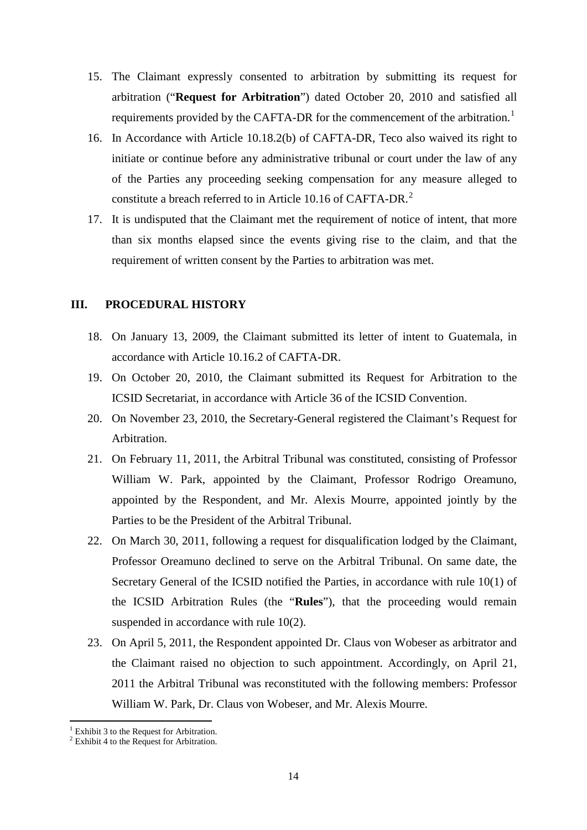- 15. The Claimant expressly consented to arbitration by submitting its request for arbitration ("**Request for Arbitration**") dated October 20, 2010 and satisfied all requirements provided by the CAFTA-DR for the commencement of the arbitration.<sup>[1](#page-13-1)</sup>
- 16. In Accordance with Article 10.18.2(b) of CAFTA-DR, Teco also waived its right to initiate or continue before any administrative tribunal or court under the law of any of the Parties any proceeding seeking compensation for any measure alleged to constitute a breach referred to in Article 10.16 of CAFTA-DR.<sup>[2](#page-13-2)</sup>
- 17. It is undisputed that the Claimant met the requirement of notice of intent, that more than six months elapsed since the events giving rise to the claim, and that the requirement of written consent by the Parties to arbitration was met.

### <span id="page-13-0"></span>**III. PROCEDURAL HISTORY**

- 18. On January 13, 2009, the Claimant submitted its letter of intent to Guatemala, in accordance with Article 10.16.2 of CAFTA-DR.
- 19. On October 20, 2010, the Claimant submitted its Request for Arbitration to the ICSID Secretariat, in accordance with Article 36 of the ICSID Convention.
- 20. On November 23, 2010, the Secretary-General registered the Claimant's Request for Arbitration.
- 21. On February 11, 2011, the Arbitral Tribunal was constituted, consisting of Professor William W. Park, appointed by the Claimant, Professor Rodrigo Oreamuno, appointed by the Respondent, and Mr. Alexis Mourre, appointed jointly by the Parties to be the President of the Arbitral Tribunal.
- 22. On March 30, 2011, following a request for disqualification lodged by the Claimant, Professor Oreamuno declined to serve on the Arbitral Tribunal. On same date, the Secretary General of the ICSID notified the Parties, in accordance with rule 10(1) of the ICSID Arbitration Rules (the "**Rules**"), that the proceeding would remain suspended in accordance with rule 10(2).
- 23. On April 5, 2011, the Respondent appointed Dr. Claus von Wobeser as arbitrator and the Claimant raised no objection to such appointment. Accordingly, on April 21, 2011 the Arbitral Tribunal was reconstituted with the following members: Professor William W. Park, Dr. Claus von Wobeser, and Mr. Alexis Mourre.

 $<sup>1</sup>$  Exhibit 3 to the Request for Arbitration.</sup>

<span id="page-13-2"></span><span id="page-13-1"></span> $2$  Exhibit 4 to the Request for Arbitration.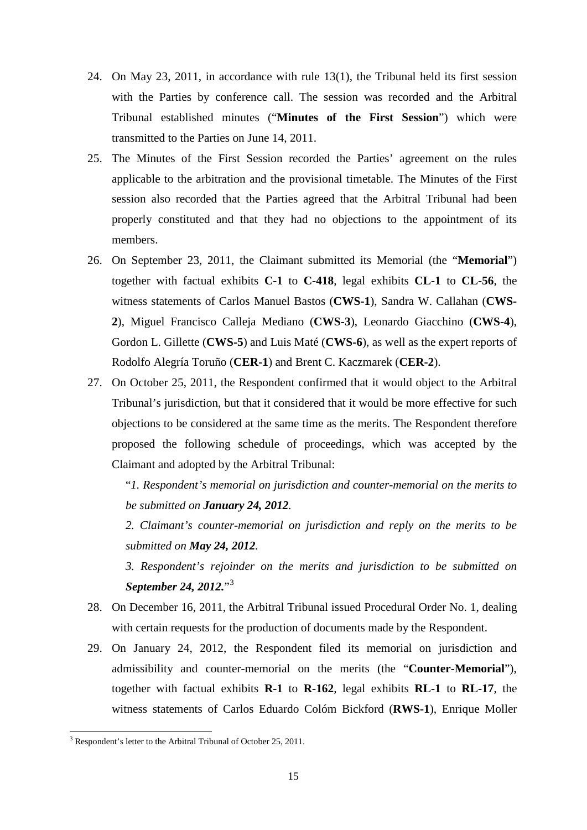- 24. On May 23, 2011, in accordance with rule 13(1), the Tribunal held its first session with the Parties by conference call. The session was recorded and the Arbitral Tribunal established minutes ("**Minutes of the First Session**") which were transmitted to the Parties on June 14, 2011.
- 25. The Minutes of the First Session recorded the Parties' agreement on the rules applicable to the arbitration and the provisional timetable. The Minutes of the First session also recorded that the Parties agreed that the Arbitral Tribunal had been properly constituted and that they had no objections to the appointment of its members.
- 26. On September 23, 2011, the Claimant submitted its Memorial (the "**Memorial**") together with factual exhibits **C-1** to **C-418**, legal exhibits **CL-1** to **CL-56**, the witness statements of Carlos Manuel Bastos (**CWS-1**), Sandra W. Callahan (**CWS-2**), Miguel Francisco Calleja Mediano (**CWS-3**), Leonardo Giacchino (**CWS-4**), Gordon L. Gillette (**CWS-5**) and Luis Maté (**CWS-6**), as well as the expert reports of Rodolfo Alegría Toruño (**CER-1**) and Brent C. Kaczmarek (**CER-2**).
- 27. On October 25, 2011, the Respondent confirmed that it would object to the Arbitral Tribunal's jurisdiction, but that it considered that it would be more effective for such objections to be considered at the same time as the merits. The Respondent therefore proposed the following schedule of proceedings, which was accepted by the Claimant and adopted by the Arbitral Tribunal:

"*1. Respondent's memorial on jurisdiction and counter-memorial on the merits to be submitted on January 24, 2012.*

*2. Claimant's counter-memorial on jurisdiction and reply on the merits to be submitted on May 24, 2012.*

*3. Respondent's rejoinder on the merits and jurisdiction to be submitted on September 24, 2012.*"[3](#page-14-0)

- 28. On December 16, 2011, the Arbitral Tribunal issued Procedural Order No. 1, dealing with certain requests for the production of documents made by the Respondent.
- 29. On January 24, 2012, the Respondent filed its memorial on jurisdiction and admissibility and counter-memorial on the merits (the "**Counter-Memorial**"), together with factual exhibits **R-1** to **R-162**, legal exhibits **RL-1** to **RL-17**, the witness statements of Carlos Eduardo Colóm Bickford (**RWS-1**), Enrique Moller

<span id="page-14-0"></span><sup>&</sup>lt;sup>3</sup> Respondent's letter to the Arbitral Tribunal of October 25, 2011.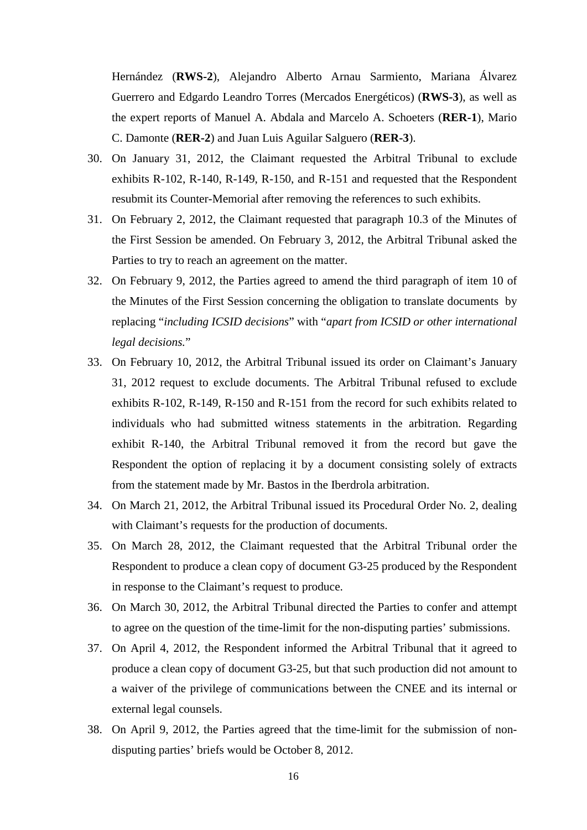Hernández (**RWS-2**), Alejandro Alberto Arnau Sarmiento, Mariana Álvarez Guerrero and Edgardo Leandro Torres (Mercados Energéticos) (**RWS-3**), as well as the expert reports of Manuel A. Abdala and Marcelo A. Schoeters (**RER-1**), Mario C. Damonte (**RER-2**) and Juan Luis Aguilar Salguero (**RER-3**).

- 30. On January 31, 2012, the Claimant requested the Arbitral Tribunal to exclude exhibits R-102, R-140, R-149, R-150, and R-151 and requested that the Respondent resubmit its Counter-Memorial after removing the references to such exhibits.
- 31. On February 2, 2012, the Claimant requested that paragraph 10.3 of the Minutes of the First Session be amended. On February 3, 2012, the Arbitral Tribunal asked the Parties to try to reach an agreement on the matter.
- 32. On February 9, 2012, the Parties agreed to amend the third paragraph of item 10 of the Minutes of the First Session concerning the obligation to translate documents by replacing "*including ICSID decisions*" with "*apart from ICSID or other international legal decisions.*"
- 33. On February 10, 2012, the Arbitral Tribunal issued its order on Claimant's January 31, 2012 request to exclude documents. The Arbitral Tribunal refused to exclude exhibits R-102, R-149, R-150 and R-151 from the record for such exhibits related to individuals who had submitted witness statements in the arbitration. Regarding exhibit R-140, the Arbitral Tribunal removed it from the record but gave the Respondent the option of replacing it by a document consisting solely of extracts from the statement made by Mr. Bastos in the Iberdrola arbitration.
- 34. On March 21, 2012, the Arbitral Tribunal issued its Procedural Order No. 2, dealing with Claimant's requests for the production of documents.
- 35. On March 28, 2012, the Claimant requested that the Arbitral Tribunal order the Respondent to produce a clean copy of document G3-25 produced by the Respondent in response to the Claimant's request to produce.
- 36. On March 30, 2012, the Arbitral Tribunal directed the Parties to confer and attempt to agree on the question of the time-limit for the non-disputing parties' submissions.
- 37. On April 4, 2012, the Respondent informed the Arbitral Tribunal that it agreed to produce a clean copy of document G3-25, but that such production did not amount to a waiver of the privilege of communications between the CNEE and its internal or external legal counsels.
- 38. On April 9, 2012, the Parties agreed that the time-limit for the submission of nondisputing parties' briefs would be October 8, 2012.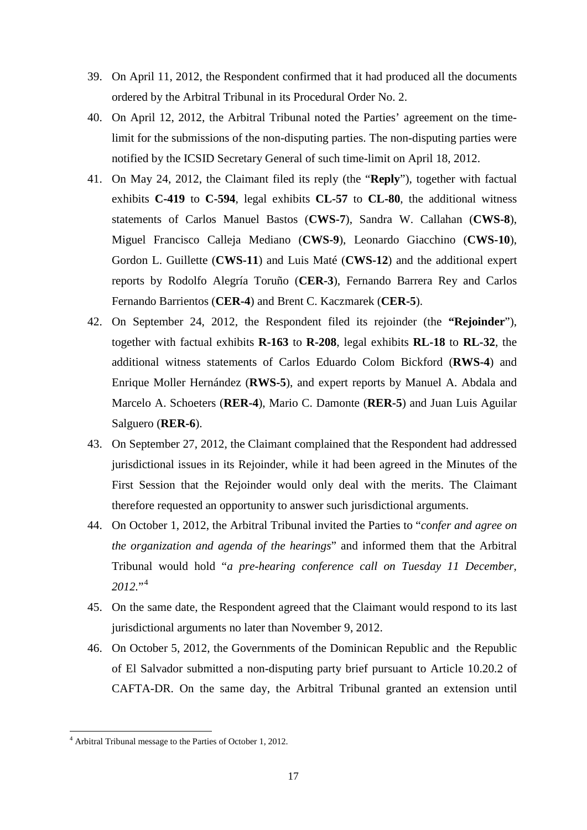- 39. On April 11, 2012, the Respondent confirmed that it had produced all the documents ordered by the Arbitral Tribunal in its Procedural Order No. 2.
- 40. On April 12, 2012, the Arbitral Tribunal noted the Parties' agreement on the timelimit for the submissions of the non-disputing parties. The non-disputing parties were notified by the ICSID Secretary General of such time-limit on April 18, 2012.
- 41. On May 24, 2012, the Claimant filed its reply (the "**Reply**"), together with factual exhibits **C-419** to **C-594**, legal exhibits **CL-57** to **CL-80**, the additional witness statements of Carlos Manuel Bastos (**CWS-7**), Sandra W. Callahan (**CWS-8**), Miguel Francisco Calleja Mediano (**CWS-9**), Leonardo Giacchino (**CWS-10**), Gordon L. Guillette (**CWS-11**) and Luis Maté (**CWS-12**) and the additional expert reports by Rodolfo Alegría Toruño (**CER-3**), Fernando Barrera Rey and Carlos Fernando Barrientos (**CER-4**) and Brent C. Kaczmarek (**CER-5**).
- 42. On September 24, 2012, the Respondent filed its rejoinder (the **"Rejoinder**"), together with factual exhibits **R-163** to **R-208**, legal exhibits **RL-18** to **RL-32**, the additional witness statements of Carlos Eduardo Colom Bickford (**RWS-4**) and Enrique Moller Hernández (**RWS-5**), and expert reports by Manuel A. Abdala and Marcelo A. Schoeters (**RER-4**), Mario C. Damonte (**RER-5**) and Juan Luis Aguilar Salguero (**RER-6**).
- 43. On September 27, 2012, the Claimant complained that the Respondent had addressed jurisdictional issues in its Rejoinder, while it had been agreed in the Minutes of the First Session that the Rejoinder would only deal with the merits. The Claimant therefore requested an opportunity to answer such jurisdictional arguments.
- 44. On October 1, 2012, the Arbitral Tribunal invited the Parties to "*confer and agree on the organization and agenda of the hearings*" and informed them that the Arbitral Tribunal would hold "*a pre-hearing conference call on Tuesday 11 December, 2012.*"[4](#page-16-0)
- 45. On the same date, the Respondent agreed that the Claimant would respond to its last jurisdictional arguments no later than November 9, 2012.
- 46. On October 5, 2012, the Governments of the Dominican Republic and the Republic of El Salvador submitted a non-disputing party brief pursuant to Article 10.20.2 of CAFTA-DR. On the same day, the Arbitral Tribunal granted an extension until

<span id="page-16-0"></span><sup>4</sup> Arbitral Tribunal message to the Parties of October 1, 2012.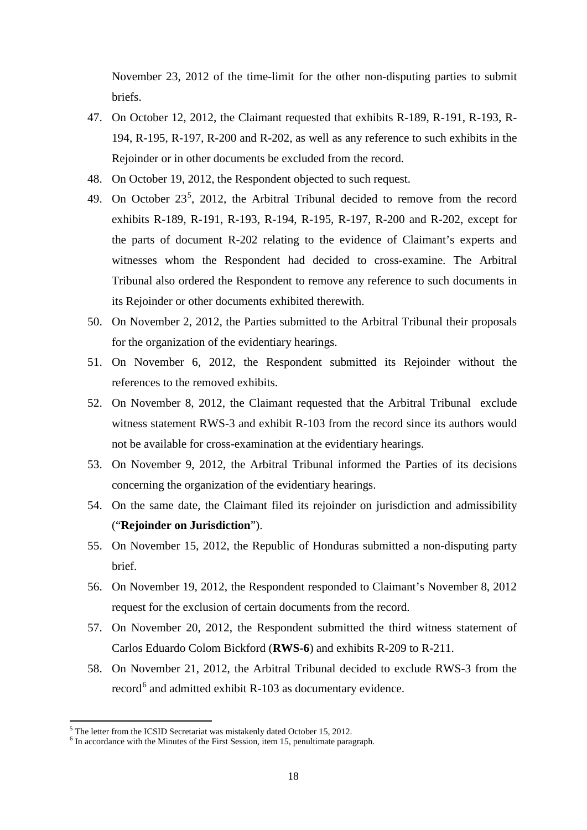November 23, 2012 of the time-limit for the other non-disputing parties to submit briefs.

- 47. On October 12, 2012, the Claimant requested that exhibits R-189, R-191, R-193, R-194, R-195, R-197, R-200 and R-202, as well as any reference to such exhibits in the Rejoinder or in other documents be excluded from the record.
- 48. On October 19, 2012, the Respondent objected to such request.
- 49. On October  $23^5$  $23^5$ , 2012, the Arbitral Tribunal decided to remove from the record exhibits R-189, R-191, R-193, R-194, R-195, R-197, R-200 and R-202, except for the parts of document R-202 relating to the evidence of Claimant's experts and witnesses whom the Respondent had decided to cross-examine. The Arbitral Tribunal also ordered the Respondent to remove any reference to such documents in its Rejoinder or other documents exhibited therewith.
- 50. On November 2, 2012, the Parties submitted to the Arbitral Tribunal their proposals for the organization of the evidentiary hearings.
- 51. On November 6, 2012, the Respondent submitted its Rejoinder without the references to the removed exhibits.
- 52. On November 8, 2012, the Claimant requested that the Arbitral Tribunal exclude witness statement RWS-3 and exhibit R-103 from the record since its authors would not be available for cross-examination at the evidentiary hearings.
- 53. On November 9, 2012, the Arbitral Tribunal informed the Parties of its decisions concerning the organization of the evidentiary hearings.
- 54. On the same date, the Claimant filed its rejoinder on jurisdiction and admissibility ("**Rejoinder on Jurisdiction**").
- 55. On November 15, 2012, the Republic of Honduras submitted a non-disputing party brief.
- 56. On November 19, 2012, the Respondent responded to Claimant's November 8, 2012 request for the exclusion of certain documents from the record.
- 57. On November 20, 2012, the Respondent submitted the third witness statement of Carlos Eduardo Colom Bickford (**RWS-6**) and exhibits R-209 to R-211.
- 58. On November 21, 2012, the Arbitral Tribunal decided to exclude RWS-3 from the record $<sup>6</sup>$  $<sup>6</sup>$  $<sup>6</sup>$  and admitted exhibit R-103 as documentary evidence.</sup>

<span id="page-17-1"></span><span id="page-17-0"></span>

<sup>&</sup>lt;sup>5</sup> The letter from the ICSID Secretariat was mistakenly dated October 15, 2012.<br><sup>6</sup> In accordance with the Minutes of the First Session, item 15, penultimate paragraph.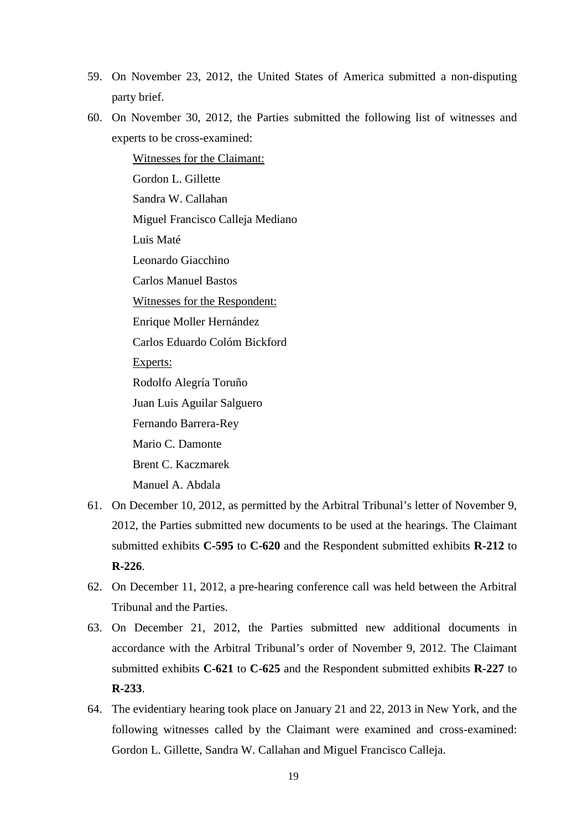- 59. On November 23, 2012, the United States of America submitted a non-disputing party brief.
- 60. On November 30, 2012, the Parties submitted the following list of witnesses and experts to be cross-examined:

Witnesses for the Claimant: Gordon L. Gillette Sandra W. Callahan Miguel Francisco Calleja Mediano Luis Maté Leonardo Giacchino Carlos Manuel Bastos Witnesses for the Respondent: Enrique Moller Hernández Carlos Eduardo Colóm Bickford Experts: Rodolfo Alegría Toruño Juan Luis Aguilar Salguero Fernando Barrera-Rey Mario C. Damonte Brent C. Kaczmarek

Manuel A. Abdala

- 61. On December 10, 2012, as permitted by the Arbitral Tribunal's letter of November 9, 2012, the Parties submitted new documents to be used at the hearings. The Claimant submitted exhibits **C-595** to **C-620** and the Respondent submitted exhibits **R-212** to **R-226**.
- 62. On December 11, 2012, a pre-hearing conference call was held between the Arbitral Tribunal and the Parties.
- 63. On December 21, 2012, the Parties submitted new additional documents in accordance with the Arbitral Tribunal's order of November 9, 2012. The Claimant submitted exhibits **C-621** to **C-625** and the Respondent submitted exhibits **R-227** to **R-233**.
- 64. The evidentiary hearing took place on January 21 and 22, 2013 in New York, and the following witnesses called by the Claimant were examined and cross-examined: Gordon L. Gillette, Sandra W. Callahan and Miguel Francisco Calleja.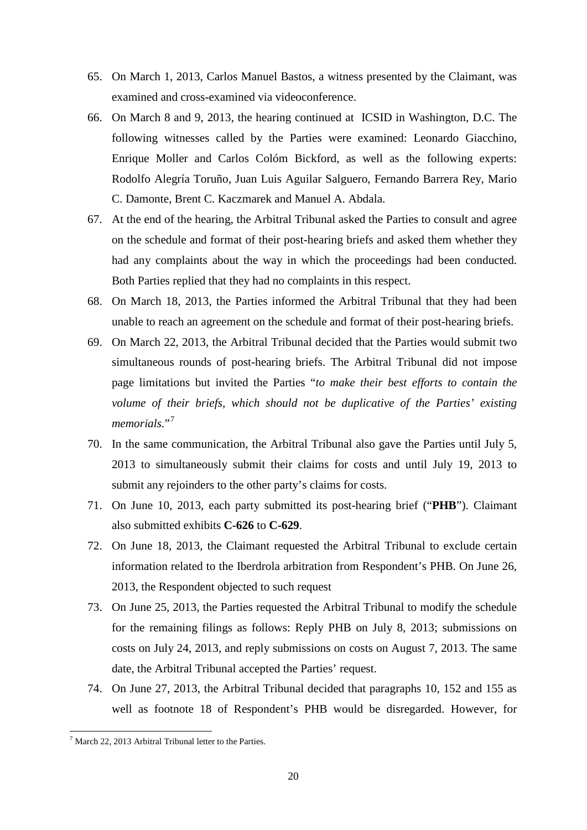- 65. On March 1, 2013, Carlos Manuel Bastos, a witness presented by the Claimant, was examined and cross-examined via videoconference.
- 66. On March 8 and 9, 2013, the hearing continued at ICSID in Washington, D.C. The following witnesses called by the Parties were examined: Leonardo Giacchino, Enrique Moller and Carlos Colóm Bickford, as well as the following experts: Rodolfo Alegría Toruño, Juan Luis Aguilar Salguero, Fernando Barrera Rey, Mario C. Damonte, Brent C. Kaczmarek and Manuel A. Abdala.
- 67. At the end of the hearing, the Arbitral Tribunal asked the Parties to consult and agree on the schedule and format of their post-hearing briefs and asked them whether they had any complaints about the way in which the proceedings had been conducted. Both Parties replied that they had no complaints in this respect.
- 68. On March 18, 2013, the Parties informed the Arbitral Tribunal that they had been unable to reach an agreement on the schedule and format of their post-hearing briefs.
- 69. On March 22, 2013, the Arbitral Tribunal decided that the Parties would submit two simultaneous rounds of post-hearing briefs. The Arbitral Tribunal did not impose page limitations but invited the Parties "*to make their best efforts to contain the volume of their briefs, which should not be duplicative of the Parties' existing*  memorials."<sup>[7](#page-19-0)</sup>
- 70. In the same communication, the Arbitral Tribunal also gave the Parties until July 5, 2013 to simultaneously submit their claims for costs and until July 19, 2013 to submit any rejoinders to the other party's claims for costs.
- 71. On June 10, 2013, each party submitted its post-hearing brief ("**PHB**"). Claimant also submitted exhibits **C-626** to **C-629**.
- 72. On June 18, 2013, the Claimant requested the Arbitral Tribunal to exclude certain information related to the Iberdrola arbitration from Respondent's PHB. On June 26, 2013, the Respondent objected to such request
- 73. On June 25, 2013, the Parties requested the Arbitral Tribunal to modify the schedule for the remaining filings as follows: Reply PHB on July 8, 2013; submissions on costs on July 24, 2013, and reply submissions on costs on August 7, 2013. The same date, the Arbitral Tribunal accepted the Parties' request.
- 74. On June 27, 2013, the Arbitral Tribunal decided that paragraphs 10, 152 and 155 as well as footnote 18 of Respondent's PHB would be disregarded. However, for

<span id="page-19-0"></span> $7$  March 22, 2013 Arbitral Tribunal letter to the Parties.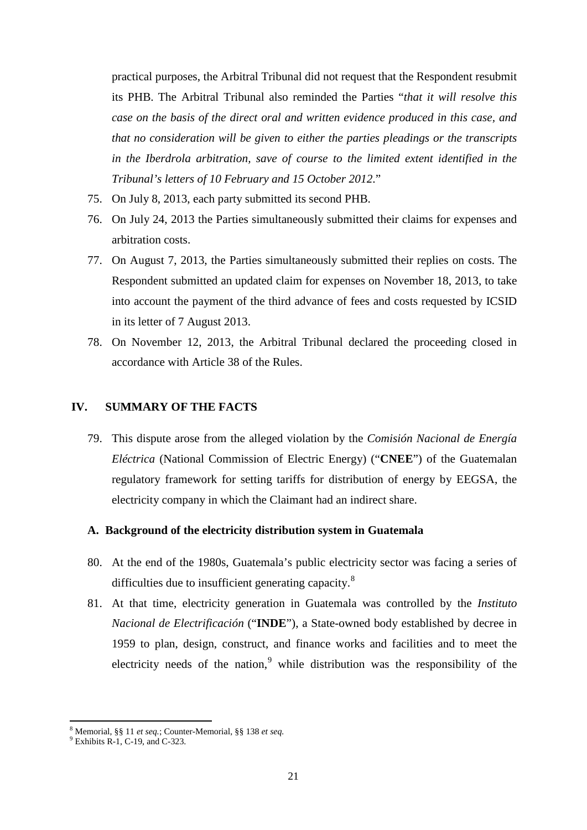practical purposes, the Arbitral Tribunal did not request that the Respondent resubmit its PHB. The Arbitral Tribunal also reminded the Parties "*that it will resolve this case on the basis of the direct oral and written evidence produced in this case, and that no consideration will be given to either the parties pleadings or the transcripts in the Iberdrola arbitration, save of course to the limited extent identified in the Tribunal's letters of 10 February and 15 October 2012*."

- 75. On July 8, 2013, each party submitted its second PHB.
- 76. On July 24, 2013 the Parties simultaneously submitted their claims for expenses and arbitration costs.
- 77. On August 7, 2013, the Parties simultaneously submitted their replies on costs. The Respondent submitted an updated claim for expenses on November 18, 2013, to take into account the payment of the third advance of fees and costs requested by ICSID in its letter of 7 August 2013.
- 78. On November 12, 2013, the Arbitral Tribunal declared the proceeding closed in accordance with Article 38 of the Rules.

#### <span id="page-20-0"></span>**IV. SUMMARY OF THE FACTS**

79. This dispute arose from the alleged violation by the *Comisión Nacional de Energía Eléctrica* (National Commission of Electric Energy) ("**CNEE**") of the Guatemalan regulatory framework for setting tariffs for distribution of energy by EEGSA, the electricity company in which the Claimant had an indirect share.

#### <span id="page-20-1"></span>**A. Background of the electricity distribution system in Guatemala**

- 80. At the end of the 1980s, Guatemala's public electricity sector was facing a series of difficulties due to insufficient generating capacity.<sup>[8](#page-20-2)</sup>
- 81. At that time, electricity generation in Guatemala was controlled by the *Instituto Nacional de Electrificación* ("**INDE**"), a State-owned body established by decree in 1959 to plan, design, construct, and finance works and facilities and to meet the electricity needs of the nation,<sup>[9](#page-20-3)</sup> while distribution was the responsibility of the

<span id="page-20-2"></span><sup>8</sup> Memorial, §§ <sup>11</sup>*et seq.*; Counter-Memorial, §§ 138 *et seq.* <sup>9</sup> Exhibits R-1, C-19, and C-323.

<span id="page-20-3"></span>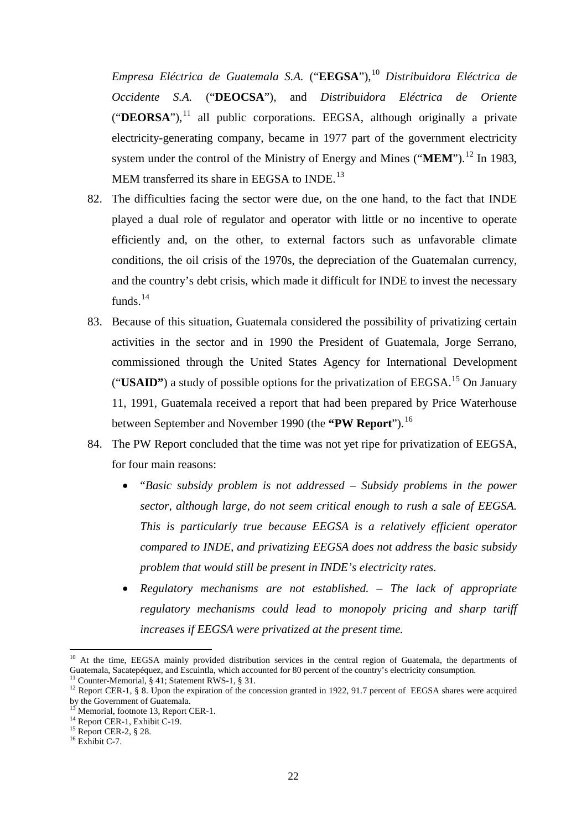*Empresa Eléctrica de Guatemala S.A.* ("**EEGSA**"), [10](#page-21-0) *Distribuidora Eléctrica de Occidente S.A.* ("**DEOCSA**"), and *Distribuidora Eléctrica de Oriente* ("**DEORSA**"), [11](#page-21-1) all public corporations. EEGSA, although originally a private electricity-generating company, became in 1977 part of the government electricity system under the control of the Ministry of Energy and Mines ("**MEM**").<sup>[12](#page-21-2)</sup> In 1983, MEM transferred its share in EEGSA to INDE.<sup>[13](#page-21-3)</sup>

- 82. The difficulties facing the sector were due, on the one hand, to the fact that INDE played a dual role of regulator and operator with little or no incentive to operate efficiently and, on the other, to external factors such as unfavorable climate conditions, the oil crisis of the 1970s, the depreciation of the Guatemalan currency, and the country's debt crisis, which made it difficult for INDE to invest the necessary funds.<sup>[14](#page-21-4)</sup>
- 83. Because of this situation, Guatemala considered the possibility of privatizing certain activities in the sector and in 1990 the President of Guatemala, Jorge Serrano, commissioned through the United States Agency for International Development ("**USAID"**) a study of possible options for the privatization of EEGSA. [15](#page-21-5) On January 11, 1991, Guatemala received a report that had been prepared by Price Waterhouse between September and November 1990 (the **"PW Report**"). [16](#page-21-6)
- 84. The PW Report concluded that the time was not yet ripe for privatization of EEGSA, for four main reasons:
	- "*Basic subsidy problem is not addressed – Subsidy problems in the power sector, although large, do not seem critical enough to rush a sale of EEGSA. This is particularly true because EEGSA is a relatively efficient operator compared to INDE, and privatizing EEGSA does not address the basic subsidy problem that would still be present in INDE's electricity rates.*
	- *Regulatory mechanisms are not established. – The lack of appropriate regulatory mechanisms could lead to monopoly pricing and sharp tariff increases if EEGSA were privatized at the present time.*

<span id="page-21-0"></span><sup>&</sup>lt;sup>10</sup> At the time, EEGSA mainly provided distribution services in the central region of Guatemala, the departments of Guatemala, Sacatepéquez, and Escuintla, which accounted for 80 percent of the country's electricity consumption.<br><sup>11</sup> Counter-Memorial, § 41; Statement RWS-1, § 31.

<span id="page-21-1"></span>

<span id="page-21-2"></span><sup>&</sup>lt;sup>12</sup> Report CER-1, § 8. Upon the expiration of the concession granted in 1922, 91.7 percent of EEGSA shares were acquired by the Government of Guatemala.

<span id="page-21-4"></span><span id="page-21-3"></span><sup>&</sup>lt;sup>13</sup> Memorial, footnote 13, Report CER-1.<br><sup>14</sup> Report CER-1, Exhibit C-19.<br><sup>15</sup> Report CER-2, § 28.<br><sup>16</sup> Exhibit C-7.

<span id="page-21-5"></span>

<span id="page-21-6"></span>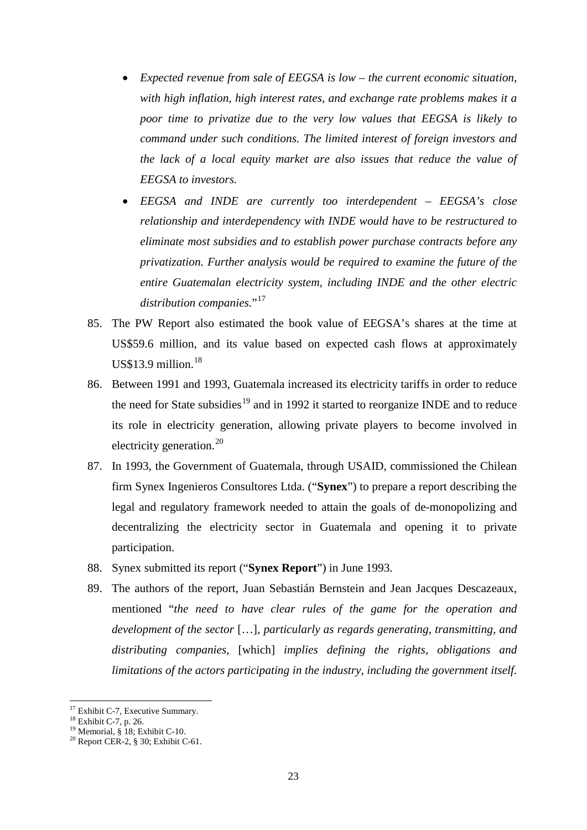- *Expected revenue from sale of EEGSA is low – the current economic situation, with high inflation, high interest rates, and exchange rate problems makes it a poor time to privatize due to the very low values that EEGSA is likely to command under such conditions. The limited interest of foreign investors and the lack of a local equity market are also issues that reduce the value of EEGSA to investors.*
- *EEGSA and INDE are currently too interdependent – EEGSA's close relationship and interdependency with INDE would have to be restructured to eliminate most subsidies and to establish power purchase contracts before any privatization. Further analysis would be required to examine the future of the entire Guatemalan electricity system, including INDE and the other electric*  distribution companies."<sup>[17](#page-22-0)</sup>
- 85. The PW Report also estimated the book value of EEGSA's shares at the time at US\$59.6 million, and its value based on expected cash flows at approximately US\$13.9 million. [18](#page-22-1)
- 86. Between 1991 and 1993, Guatemala increased its electricity tariffs in order to reduce the need for State subsidies<sup>[19](#page-22-2)</sup> and in 1992 it started to reorganize INDE and to reduce its role in electricity generation, allowing private players to become involved in electricity generation.<sup>[20](#page-22-3)</sup>
- 87. In 1993, the Government of Guatemala, through USAID, commissioned the Chilean firm Synex Ingenieros Consultores Ltda. ("**Synex**") to prepare a report describing the legal and regulatory framework needed to attain the goals of de-monopolizing and decentralizing the electricity sector in Guatemala and opening it to private participation.
- 88. Synex submitted its report ("**Synex Report**") in June 1993.
- 89. The authors of the report, Juan Sebastián Bernstein and Jean Jacques Descazeaux, mentioned "*the need to have clear rules of the game for the operation and development of the sector* […]*, particularly as regards generating, transmitting, and distributing companies,* [which] *implies defining the rights, obligations and limitations of the actors participating in the industry, including the government itself.*

<span id="page-22-3"></span><span id="page-22-2"></span>

<span id="page-22-1"></span><span id="page-22-0"></span><sup>&</sup>lt;sup>17</sup> Exhibit C-7, Executive Summary.<br><sup>18</sup> Exhibit C-7, p. 26.<br><sup>19</sup> Memorial, § 18; Exhibit C-10.<br><sup>20</sup> Report CER-2, § 30; Exhibit C-61.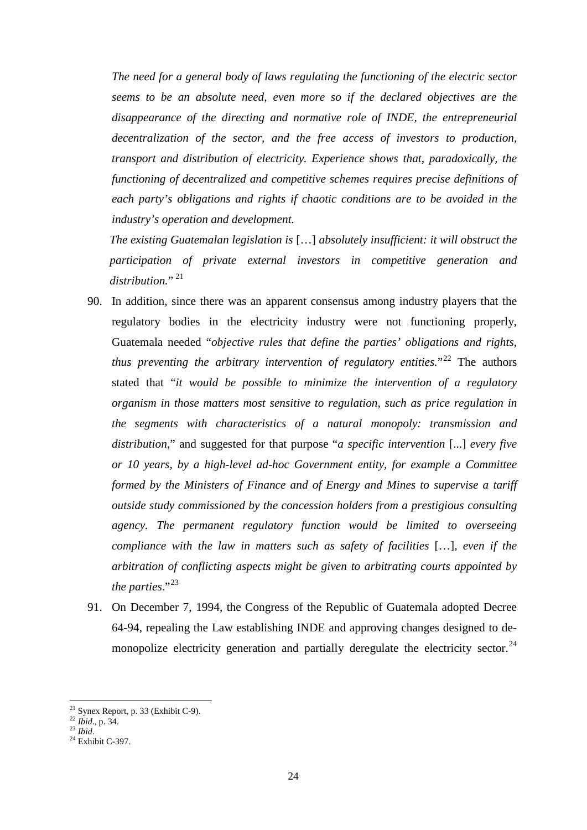*The need for a general body of laws regulating the functioning of the electric sector seems to be an absolute need, even more so if the declared objectives are the disappearance of the directing and normative role of INDE, the entrepreneurial decentralization of the sector, and the free access of investors to production, transport and distribution of electricity. Experience shows that, paradoxically, the functioning of decentralized and competitive schemes requires precise definitions of each party's obligations and rights if chaotic conditions are to be avoided in the industry's operation and development.* 

*The existing Guatemalan legislation is* […] *absolutely insufficient: it will obstruct the participation of private external investors in competitive generation and*  distribution."<sup>[21](#page-23-0)</sup>

- 90. In addition, since there was an apparent consensus among industry players that the regulatory bodies in the electricity industry were not functioning properly, Guatemala needed "*objective rules that define the parties' obligations and rights, thus preventing the arbitrary intervention of regulatory entities.*<sup>[22](#page-23-1)</sup> The authors stated that "*it would be possible to minimize the intervention of a regulatory organism in those matters most sensitive to regulation, such as price regulation in the segments with characteristics of a natural monopoly: transmission and distribution*," and suggested for that purpose "*a specific intervention* [...] *every five or 10 years, by a high-level ad-hoc Government entity, for example a Committee formed by the Ministers of Finance and of Energy and Mines to supervise a tariff outside study commissioned by the concession holders from a prestigious consulting agency. The permanent regulatory function would be limited to overseeing compliance with the law in matters such as safety of facilities* […]*, even if the arbitration of conflicting aspects might be given to arbitrating courts appointed by*  the parties."<sup>[23](#page-23-2)</sup>
- 91. On December 7, 1994, the Congress of the Republic of Guatemala adopted Decree 64-94, repealing the Law establishing INDE and approving changes designed to de-monopolize electricity generation and partially deregulate the electricity sector.<sup>[24](#page-23-3)</sup>

<span id="page-23-0"></span><sup>21</sup> Synex Report, p. 33 (Exhibit C-9). <sup>22</sup> *Ibid*., p. 34. <sup>23</sup> *Ibid*. <sup>24</sup> Exhibit C-397.

<span id="page-23-1"></span>

<span id="page-23-2"></span>

<span id="page-23-3"></span>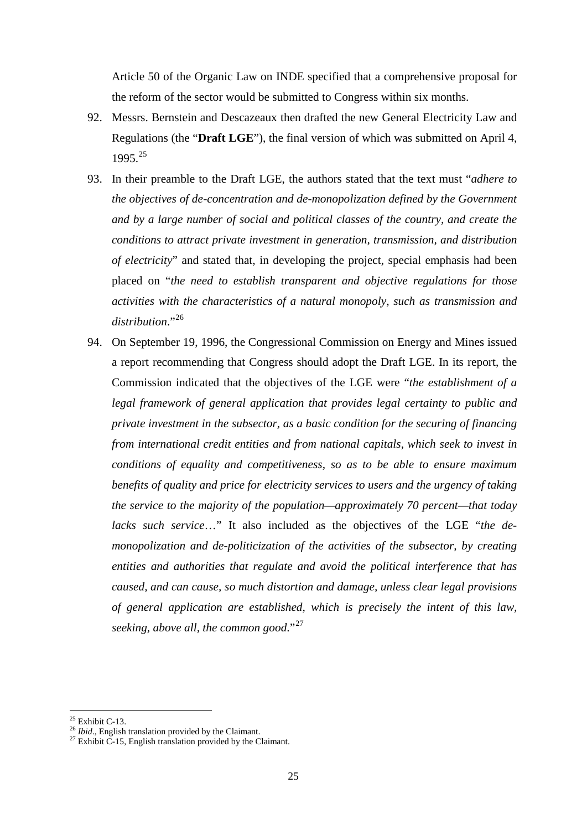Article 50 of the Organic Law on INDE specified that a comprehensive proposal for the reform of the sector would be submitted to Congress within six months.

- 92. Messrs. Bernstein and Descazeaux then drafted the new General Electricity Law and Regulations (the "**Draft LGE**"), the final version of which was submitted on April 4, 1995. [25](#page-24-0)
- 93. In their preamble to the Draft LGE, the authors stated that the text must "*adhere to the objectives of de-concentration and de-monopolization defined by the Government and by a large number of social and political classes of the country, and create the conditions to attract private investment in generation, transmission, and distribution of electricity*" and stated that, in developing the project, special emphasis had been placed on "*the need to establish transparent and objective regulations for those activities with the characteristics of a natural monopoly, such as transmission and*  distribution."<sup>[26](#page-24-1)</sup>
- 94. On September 19, 1996, the Congressional Commission on Energy and Mines issued a report recommending that Congress should adopt the Draft LGE. In its report, the Commission indicated that the objectives of the LGE were "*the establishment of a legal framework of general application that provides legal certainty to public and private investment in the subsector, as a basic condition for the securing of financing from international credit entities and from national capitals, which seek to invest in conditions of equality and competitiveness, so as to be able to ensure maximum benefits of quality and price for electricity services to users and the urgency of taking the service to the majority of the population—approximately 70 percent—that today lacks such service*…" It also included as the objectives of the LGE "*the demonopolization and de-politicization of the activities of the subsector, by creating entities and authorities that regulate and avoid the political interference that has caused, and can cause, so much distortion and damage, unless clear legal provisions of general application are established, which is precisely the intent of this law, seeking, above all, the common good*."[27](#page-24-2)

 $25$  Exhibit C-13.

<span id="page-24-2"></span><span id="page-24-1"></span><span id="page-24-0"></span><sup>&</sup>lt;sup>26</sup> *Ibid*., English translation provided by the Claimant.<br><sup>27</sup> Exhibit C-15, English translation provided by the Claimant.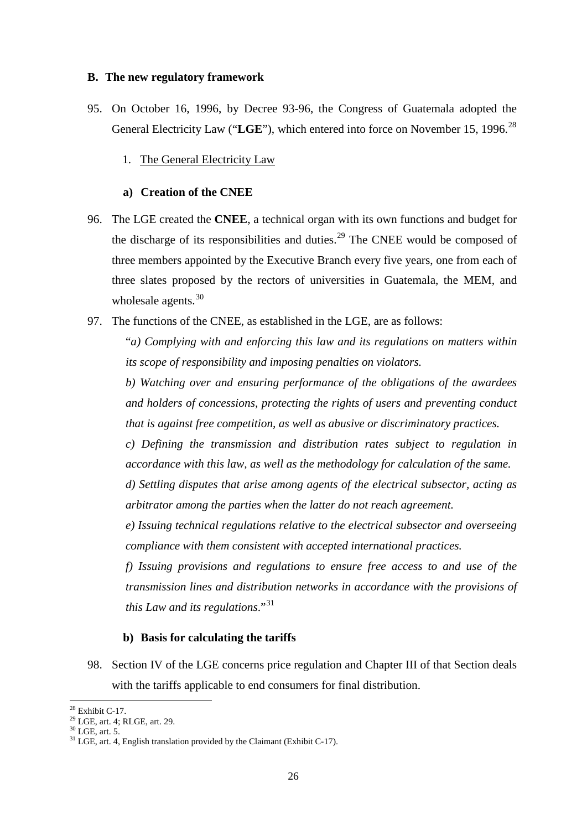#### <span id="page-25-0"></span>**B. The new regulatory framework**

- <span id="page-25-1"></span>95. On October 16, 1996, by Decree 93-96, the Congress of Guatemala adopted the General Electricity Law ("**LGE**"), which entered into force on November 15, 1996. [28](#page-25-4)
	- 1. The General Electricity Law

# **a) Creation of the CNEE**

- <span id="page-25-2"></span>96. The LGE created the **CNEE**, a technical organ with its own functions and budget for the discharge of its responsibilities and duties.<sup>[29](#page-25-5)</sup> The CNEE would be composed of three members appointed by the Executive Branch every five years, one from each of three slates proposed by the rectors of universities in Guatemala, the MEM, and wholesale agents.<sup>[30](#page-25-6)</sup>
- 97. The functions of the CNEE, as established in the LGE, are as follows:

"*a) Complying with and enforcing this law and its regulations on matters within its scope of responsibility and imposing penalties on violators.*

*b) Watching over and ensuring performance of the obligations of the awardees and holders of concessions, protecting the rights of users and preventing conduct that is against free competition, as well as abusive or discriminatory practices.*

*c) Defining the transmission and distribution rates subject to regulation in accordance with this law, as well as the methodology for calculation of the same.*

*d) Settling disputes that arise among agents of the electrical subsector, acting as arbitrator among the parties when the latter do not reach agreement.*

*e) Issuing technical regulations relative to the electrical subsector and overseeing compliance with them consistent with accepted international practices.*

*f) Issuing provisions and regulations to ensure free access to and use of the transmission lines and distribution networks in accordance with the provisions of this Law and its regulations*."[31](#page-25-7)

#### **b) Basis for calculating the tariffs**

<span id="page-25-3"></span>98. Section IV of the LGE concerns price regulation and Chapter III of that Section deals with the tariffs applicable to end consumers for final distribution.

 $28$  Exhibit C-17.

<span id="page-25-7"></span>

<span id="page-25-6"></span><span id="page-25-5"></span><span id="page-25-4"></span><sup>&</sup>lt;sup>29</sup> LGE, art. 4; RLGE, art. 29.  $^{30}$  LGE, art. 5.  $^{31}$  LGE, art. 4, English translation provided by the Claimant (Exhibit C-17).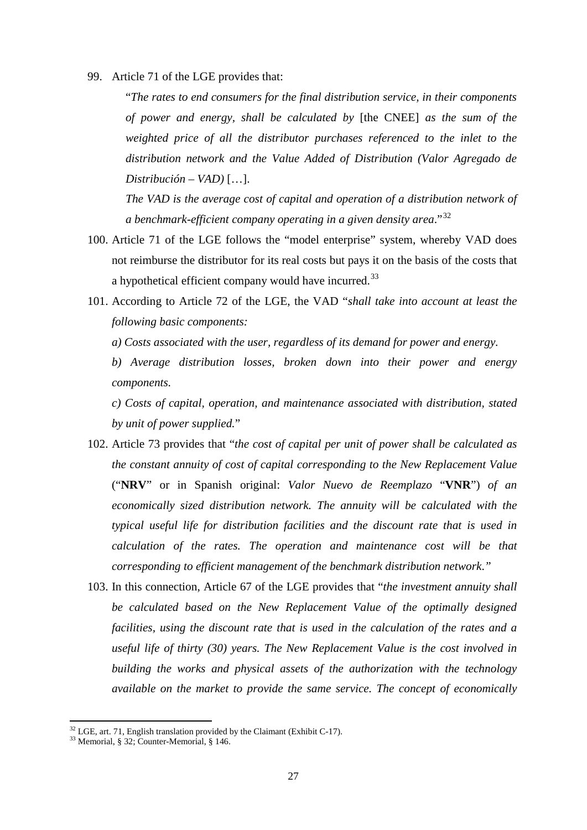99. Article 71 of the LGE provides that:

"*The rates to end consumers for the final distribution service, in their components of power and energy, shall be calculated by* [the CNEE] *as the sum of the weighted price of all the distributor purchases referenced to the inlet to the distribution network and the Value Added of Distribution (Valor Agregado de Distribución – VAD)* […].

*The VAD is the average cost of capital and operation of a distribution network of a benchmark-efficient company operating in a given density area*."[32](#page-26-0)

- 100. Article 71 of the LGE follows the "model enterprise" system, whereby VAD does not reimburse the distributor for its real costs but pays it on the basis of the costs that a hypothetical efficient company would have incurred.<sup>[33](#page-26-1)</sup>
- 101. According to Article 72 of the LGE, the VAD "*shall take into account at least the following basic components:*
	- *a) Costs associated with the user, regardless of its demand for power and energy.*

*b) Average distribution losses, broken down into their power and energy components.*

*c) Costs of capital, operation, and maintenance associated with distribution, stated by unit of power supplied.*"

- 102. Article 73 provides that "*the cost of capital per unit of power shall be calculated as the constant annuity of cost of capital corresponding to the New Replacement Value*  ("**NRV**" or in Spanish original: *Valor Nuevo de Reemplazo* "**VNR**") *of an economically sized distribution network. The annuity will be calculated with the typical useful life for distribution facilities and the discount rate that is used in calculation of the rates. The operation and maintenance cost will be that corresponding to efficient management of the benchmark distribution network*.*"*
- 103. In this connection, Article 67 of the LGE provides that "*the investment annuity shall be calculated based on the New Replacement Value of the optimally designed facilities, using the discount rate that is used in the calculation of the rates and a useful life of thirty (30) years. The New Replacement Value is the cost involved in building the works and physical assets of the authorization with the technology available on the market to provide the same service. The concept of economically*

<span id="page-26-0"></span><sup>&</sup>lt;sup>32</sup> LGE, art. 71, English translation provided by the Claimant (Exhibit C-17).<br><sup>33</sup> Memorial, § 32; Counter-Memorial, § 146.

<span id="page-26-1"></span>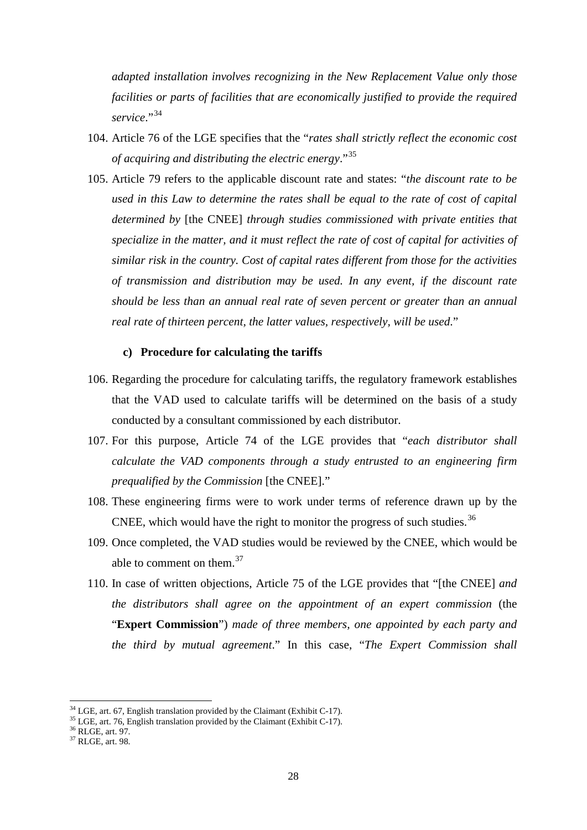*adapted installation involves recognizing in the New Replacement Value only those facilities or parts of facilities that are economically justified to provide the required service*."[34](#page-27-1)

- 104. Article 76 of the LGE specifies that the "*rates shall strictly reflect the economic cost of acquiring and distributing the electric energy*."[35](#page-27-2)
- 105. Article 79 refers to the applicable discount rate and states: "*the discount rate to be used in this Law to determine the rates shall be equal to the rate of cost of capital determined by* [the CNEE] *through studies commissioned with private entities that specialize in the matter, and it must reflect the rate of cost of capital for activities of similar risk in the country. Cost of capital rates different from those for the activities of transmission and distribution may be used. In any event, if the discount rate should be less than an annual real rate of seven percent or greater than an annual real rate of thirteen percent, the latter values, respectively, will be used*."

## **c) Procedure for calculating the tariffs**

- <span id="page-27-0"></span>106. Regarding the procedure for calculating tariffs, the regulatory framework establishes that the VAD used to calculate tariffs will be determined on the basis of a study conducted by a consultant commissioned by each distributor.
- 107. For this purpose, Article 74 of the LGE provides that "*each distributor shall calculate the VAD components through a study entrusted to an engineering firm prequalified by the Commission* [the CNEE]."
- 108. These engineering firms were to work under terms of reference drawn up by the CNEE, which would have the right to monitor the progress of such studies.<sup>[36](#page-27-3)</sup>
- 109. Once completed, the VAD studies would be reviewed by the CNEE, which would be able to comment on them. $37$
- 110. In case of written objections, Article 75 of the LGE provides that "[the CNEE] *and the distributors shall agree on the appointment of an expert commission* (the "**Expert Commission**") *made of three members, one appointed by each party and the third by mutual agreement*." In this case, "*The Expert Commission shall*

<span id="page-27-2"></span><span id="page-27-1"></span><sup>&</sup>lt;sup>34</sup> LGE, art. 67, English translation provided by the Claimant (Exhibit C-17).<br><sup>35</sup> LGE, art. 76, English translation provided by the Claimant (Exhibit C-17).<br><sup>36</sup> RLGE, art. 97. <br><sup>37</sup> RLGE, art. 98.

<span id="page-27-3"></span>

<span id="page-27-4"></span>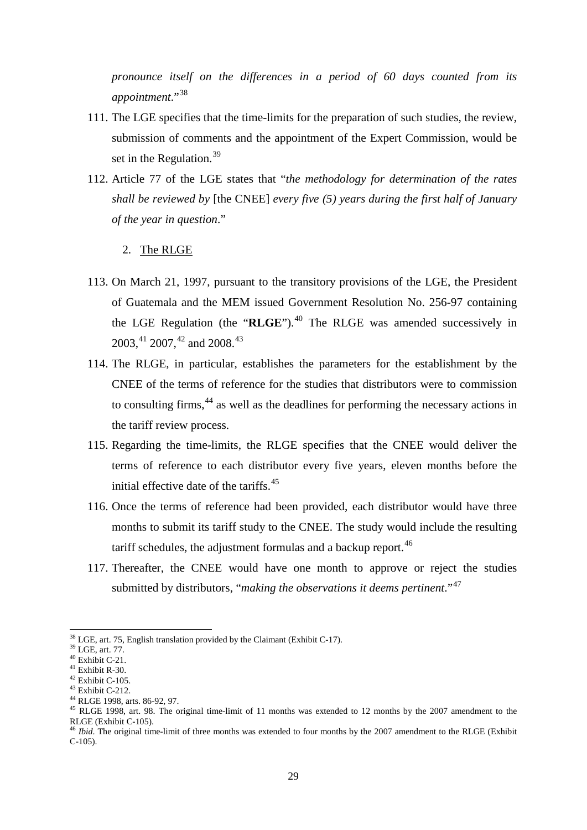*pronounce itself on the differences in a period of 60 days counted from its appointment*."[38](#page-28-1)

- 111. The LGE specifies that the time-limits for the preparation of such studies, the review, submission of comments and the appointment of the Expert Commission, would be set in the Regulation.<sup>[39](#page-28-2)</sup>
- 112. Article 77 of the LGE states that "*the methodology for determination of the rates shall be reviewed by* [the CNEE] *every five (5) years during the first half of January of the year in question*."
	- 2. The RLGE
- <span id="page-28-0"></span>113. On March 21, 1997, pursuant to the transitory provisions of the LGE, the President of Guatemala and the MEM issued Government Resolution No. 256-97 containing the LGE Regulation (the "**RLGE**"). [40](#page-28-3) The RLGE was amended successively in  $2003, ^{41}$  $2003, ^{41}$  $2003, ^{41}$   $2007, ^{42}$  $2007, ^{42}$  $2007, ^{42}$  and  $2008.$ <sup>[43](#page-28-6)</sup>
- 114. The RLGE, in particular, establishes the parameters for the establishment by the CNEE of the terms of reference for the studies that distributors were to commission to consulting firms,<sup>[44](#page-28-7)</sup> as well as the deadlines for performing the necessary actions in the tariff review process.
- 115. Regarding the time-limits, the RLGE specifies that the CNEE would deliver the terms of reference to each distributor every five years, eleven months before the initial effective date of the tariffs. [45](#page-28-8)
- 116. Once the terms of reference had been provided, each distributor would have three months to submit its tariff study to the CNEE. The study would include the resulting tariff schedules, the adjustment formulas and a backup report.<sup>[46](#page-28-9)</sup>
- 117. Thereafter, the CNEE would have one month to approve or reject the studies submitted by distributors, "*making the observations it deems pertinent*."[47](#page-28-6)

<sup>&</sup>lt;sup>38</sup> LGE, art. 75, English translation provided by the Claimant (Exhibit C-17).

<span id="page-28-3"></span>

<span id="page-28-5"></span><span id="page-28-4"></span>

<span id="page-28-7"></span><span id="page-28-6"></span>

<span id="page-28-2"></span><span id="page-28-1"></span><sup>39</sup> LGE, art. 77.<br>  $^{40}$  Exhibit C-21.<br>  $^{41}$  Exhibit C-105.<br>  $^{42}$  Exhibit C-105.<br>  $^{43}$  Exhibit C-105.<br>  $^{44}$  RLGE 1998, art. 86-92, 97.<br>  $^{45}$  RLGE 1998, art. 98. The original time-limit of 11 months was extended

<span id="page-28-9"></span><span id="page-28-8"></span><sup>&</sup>lt;sup>46</sup> *Ibid*. The original time-limit of three months was extended to four months by the 2007 amendment to the RLGE (Exhibit C-105).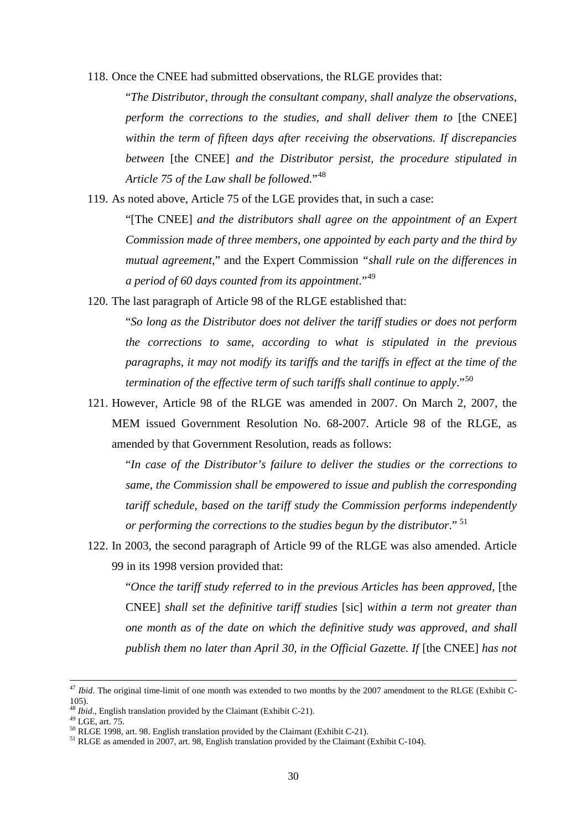118. Once the CNEE had submitted observations, the RLGE provides that:

"*The Distributor, through the consultant company, shall analyze the observations, perform the corrections to the studies, and shall deliver them to* [the CNEE] *within the term of fifteen days after receiving the observations. If discrepancies between* [the CNEE] *and the Distributor persist, the procedure stipulated in Article 75 of the Law shall be followed.*"[48](#page-29-0)

119. As noted above, Article 75 of the LGE provides that, in such a case:

"[The CNEE] *and the distributors shall agree on the appointment of an Expert Commission made of three members, one appointed by each party and the third by mutual agreement*," and the Expert Commission *"shall rule on the differences in a period of 60 days counted from its appointment*."[49](#page-29-1)

120. The last paragraph of Article 98 of the RLGE established that:

"*So long as the Distributor does not deliver the tariff studies or does not perform the corrections to same, according to what is stipulated in the previous paragraphs, it may not modify its tariffs and the tariffs in effect at the time of the termination of the effective term of such tariffs shall continue to apply*."[50](#page-29-2)

121. However, Article 98 of the RLGE was amended in 2007. On March 2, 2007, the MEM issued Government Resolution No. 68-2007. Article 98 of the RLGE, as amended by that Government Resolution, reads as follows:

"*In case of the Distributor's failure to deliver the studies or the corrections to same, the Commission shall be empowered to issue and publish the corresponding tariff schedule, based on the tariff study the Commission performs independently or performing the corrections to the studies begun by the distributor*." [51](#page-29-3)

122. In 2003, the second paragraph of Article 99 of the RLGE was also amended. Article 99 in its 1998 version provided that:

"Once the tariff study referred to in the previous Articles has been approved, [the CNEE] *shall set the definitive tariff studies* [sic] *within a term not greater than one month as of the date on which the definitive study was approved, and shall publish them no later than April 30, in the Official Gazette. If [the CNEE] has not* 

<sup>47</sup> *Ibid*. The original time-limit of one month was extended to two months by the 2007 amendment to the RLGE (Exhibit C-105).<br> $48 \text{ Ibid.}$  English translation provided by the Claimant (Exhibit C-21).

<span id="page-29-3"></span><span id="page-29-2"></span>

<span id="page-29-1"></span><span id="page-29-0"></span><sup>&</sup>lt;sup>49</sup> LGE, art. 75.<br><sup>50</sup> RLGE 1998, art. 98. English translation provided by the Claimant (Exhibit C-21).<br><sup>51</sup> RLGE as amended in 2007, art. 98, English translation provided by the Claimant (Exhibit C-104).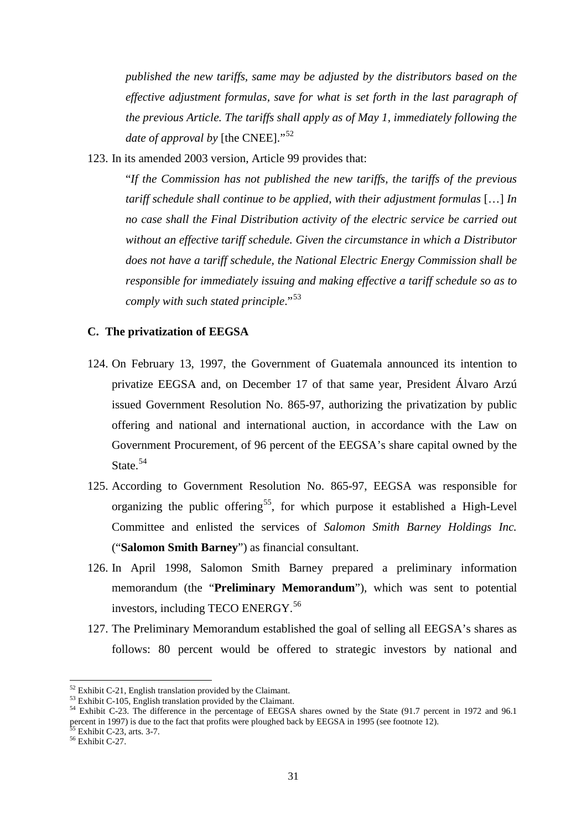*published the new tariffs, same may be adjusted by the distributors based on the effective adjustment formulas, save for what is set forth in the last paragraph of the previous Article. The tariffs shall apply as of May 1, immediately following the date of approval by* [the CNEE]."<sup>[52](#page-30-1)</sup>

123. In its amended 2003 version, Article 99 provides that:

"*If the Commission has not published the new tariffs, the tariffs of the previous tariff schedule shall continue to be applied, with their adjustment formulas* […] *In no case shall the Final Distribution activity of the electric service be carried out without an effective tariff schedule. Given the circumstance in which a Distributor does not have a tariff schedule, the National Electric Energy Commission shall be responsible for immediately issuing and making effective a tariff schedule so as to comply with such stated principle*."[53](#page-30-2)

## <span id="page-30-0"></span>**C. The privatization of EEGSA**

- 124. On February 13, 1997, the Government of Guatemala announced its intention to privatize EEGSA and, on December 17 of that same year, President Álvaro Arzú issued Government Resolution No. 865-97, authorizing the privatization by public offering and national and international auction, in accordance with the Law on Government Procurement, of 96 percent of the EEGSA's share capital owned by the State. [54](#page-30-3)
- 125. According to Government Resolution No. 865-97, EEGSA was responsible for organizing the public offering<sup>55</sup>, for which purpose it established a High-Level Committee and enlisted the services of *Salomon Smith Barney Holdings Inc.* ("**Salomon Smith Barney**") as financial consultant.
- 126. In April 1998, Salomon Smith Barney prepared a preliminary information memorandum (the "**Preliminary Memorandum**"), which was sent to potential investors, including TECO ENERGY.<sup>[56](#page-30-5)</sup>
- 127. The Preliminary Memorandum established the goal of selling all EEGSA's shares as follows: 80 percent would be offered to strategic investors by national and

<span id="page-30-1"></span> $52$  Exhibit C-21, English translation provided by the Claimant.<br> $53$  Exhibit C-105, English translation provided by the Claimant.

<span id="page-30-2"></span>

<span id="page-30-3"></span><sup>&</sup>lt;sup>54</sup> Exhibit C-23. The difference in the percentage of EEGSA shares owned by the State (91.7 percent in 1972 and 96.1) percent in 1997) is due to the fact that profits were ploughed back by EEGSA in 1995 (see footnote 12).<br>
<sup>55</sup> Exhibit C-23, arts. 3-7. <sup>56</sup> Exhibit C-27.

<span id="page-30-5"></span><span id="page-30-4"></span>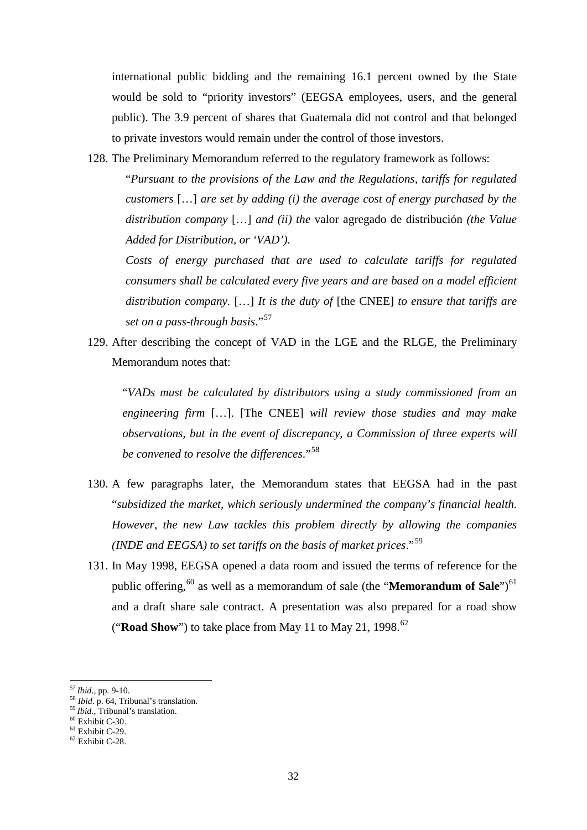international public bidding and the remaining 16.1 percent owned by the State would be sold to "priority investors" (EEGSA employees, users, and the general public). The 3.9 percent of shares that Guatemala did not control and that belonged to private investors would remain under the control of those investors.

128. The Preliminary Memorandum referred to the regulatory framework as follows:

"*Pursuant to the provisions of the Law and the Regulations, tariffs for regulated customers* […] *are set by adding (i) the average cost of energy purchased by the distribution company* […] *and (ii) the* valor agregado de distribución *(the Value Added for Distribution, or 'VAD').*

*Costs of energy purchased that are used to calculate tariffs for regulated consumers shall be calculated every five years and are based on a model efficient distribution company.* […] *It is the duty of* [the CNEE] *to ensure that tariffs are set on a pass-through basis*."[57](#page-31-0)

129. After describing the concept of VAD in the LGE and the RLGE, the Preliminary Memorandum notes that:

"*VADs must be calculated by distributors using a study commissioned from an engineering firm* […]. [The CNEE] *will review those studies and may make observations, but in the event of discrepancy, a Commission of three experts will be convened to resolve the differences*."[58](#page-31-1)

- 130. A few paragraphs later, the Memorandum states that EEGSA had in the past "*subsidized the market, which seriously undermined the company's financial health. However, the new Law tackles this problem directly by allowing the companies (INDE and EEGSA) to set tariffs on the basis of market prices*."[59](#page-31-2)
- 131. In May 1998, EEGSA opened a data room and issued the terms of reference for the public offering,<sup>[60](#page-31-3)</sup> as well as a memorandum of sale (the "**Memorandum of Sale**")<sup>[61](#page-31-4)</sup> and a draft share sale contract. A presentation was also prepared for a road show ("**Road Show**") to take place from May 11 to May 21, 1998.<sup>[62](#page-31-5)</sup>

<span id="page-31-1"></span><span id="page-31-0"></span>

<sup>&</sup>lt;sup>57</sup> *Ibid*., pp. 9-10.<br><sup>58</sup> *Ibid*., p. 64, Tribunal's translation.<br><sup>59</sup> *Ibid*., Tribunal's translation.<br><sup>60</sup> Exhibit C-30.<br><sup>61</sup> Exhibit C-29.<br><sup>62</sup> Exhibit C-28.

<span id="page-31-2"></span>

<span id="page-31-3"></span>

<span id="page-31-4"></span>

<span id="page-31-5"></span>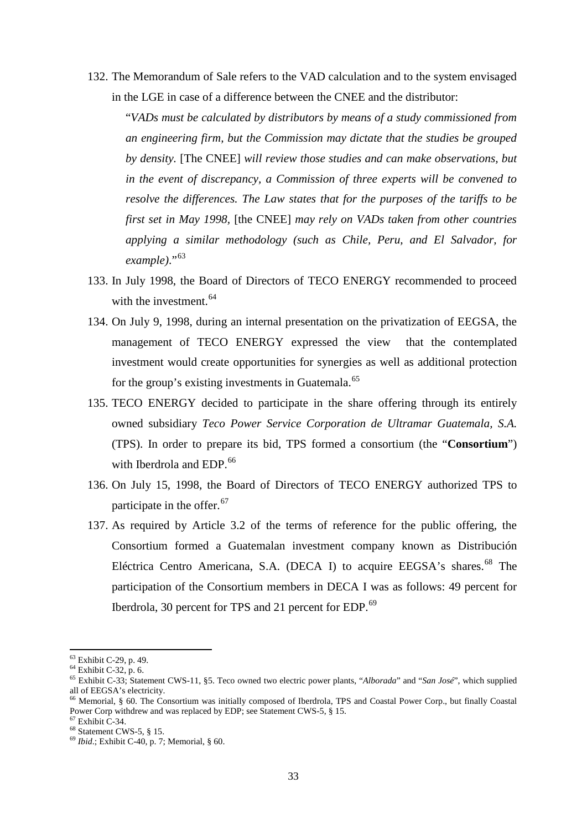132. The Memorandum of Sale refers to the VAD calculation and to the system envisaged in the LGE in case of a difference between the CNEE and the distributor:

"*VADs must be calculated by distributors by means of a study commissioned from an engineering firm, but the Commission may dictate that the studies be grouped by density.* [The CNEE] *will review those studies and can make observations, but in the event of discrepancy, a Commission of three experts will be convened to resolve the differences. The Law states that for the purposes of the tariffs to be first set in May 1998,* [the CNEE] *may rely on VADs taken from other countries applying a similar methodology (such as Chile, Peru, and El Salvador, for*  example)."<sup>[63](#page-32-0)</sup>

- 133. In July 1998, the Board of Directors of TECO ENERGY recommended to proceed with the investment.<sup>[64](#page-32-1)</sup>
- 134. On July 9, 1998, during an internal presentation on the privatization of EEGSA, the management of TECO ENERGY expressed the view that the contemplated investment would create opportunities for synergies as well as additional protection for the group's existing investments in Guatemala.<sup>[65](#page-32-2)</sup>
- 135. TECO ENERGY decided to participate in the share offering through its entirely owned subsidiary *Teco Power Service Corporation de Ultramar Guatemala, S.A.* (TPS). In order to prepare its bid, TPS formed a consortium (the "**Consortium**") with Iberdrola and EDP. [66](#page-32-3)
- 136. On July 15, 1998, the Board of Directors of TECO ENERGY authorized TPS to participate in the offer.<sup>[67](#page-32-4)</sup>
- 137. As required by Article 3.2 of the terms of reference for the public offering, the Consortium formed a Guatemalan investment company known as Distribución Eléctrica Centro Americana, S.A. (DECA I) to acquire EEGSA's shares.<sup>[68](#page-32-5)</sup> The participation of the Consortium members in DECA I was as follows: 49 percent for Iberdrola, 30 percent for TPS and 21 percent for EDP.<sup>[69](#page-32-6)</sup>

<span id="page-32-2"></span>

<span id="page-32-1"></span><span id="page-32-0"></span><sup>&</sup>lt;sup>63</sup> Exhibit C-29, p. 49.<br><sup>64</sup> Exhibit C-32, p. 6.<br><sup>65</sup> Exhibit C-33; Statement CWS-11, §5. Teco owned two electric power plants, "*Alborada*" and "*San José*", which supplied all of EEGSA's electricity.

<span id="page-32-3"></span><sup>&</sup>lt;sup>66</sup> Memorial, § 60. The Consortium was initially composed of Iberdrola, TPS and Coastal Power Corp., but finally Coastal Power Corp withdrew and was replaced by EDP: see Statement CWS-5, § 15.

<span id="page-32-6"></span>

<span id="page-32-5"></span><span id="page-32-4"></span><sup>&</sup>lt;sup>67</sup> Exhibit C-34.<br><sup>68</sup> Statement CWS-5, § 15. <sup>69</sup> *Ibid*.; Exhibit C-40, p. 7; Memorial, § 60.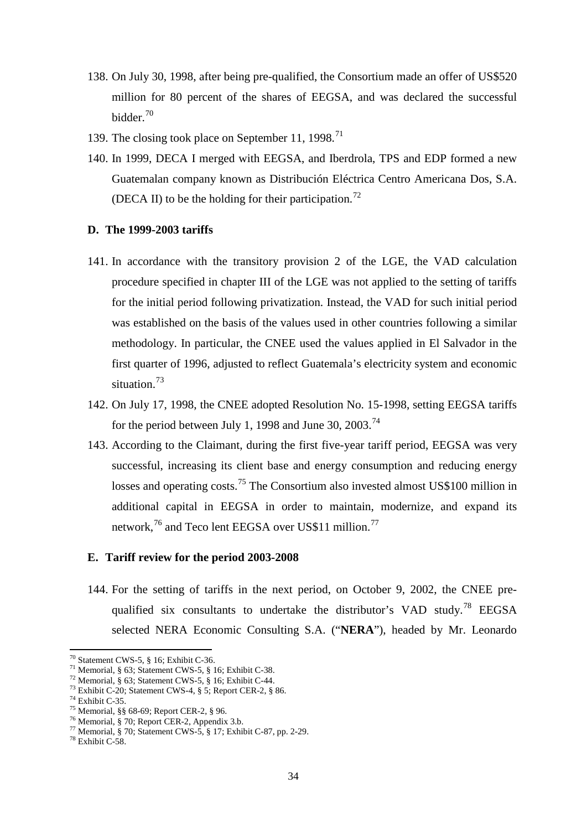- 138. On July 30, 1998, after being pre-qualified, the Consortium made an offer of US\$520 million for 80 percent of the shares of EEGSA, and was declared the successful bidder. [70](#page-33-2)
- 139. The closing took place on September 11, 1998.<sup>[71](#page-33-3)</sup>
- 140. In 1999, DECA I merged with EEGSA, and Iberdrola, TPS and EDP formed a new Guatemalan company known as Distribución Eléctrica Centro Americana Dos, S.A. (DECA II) to be the holding for their participation.<sup>[72](#page-33-4)</sup>

#### <span id="page-33-0"></span>**D. The 1999-2003 tariffs**

- 141. In accordance with the transitory provision 2 of the LGE, the VAD calculation procedure specified in chapter III of the LGE was not applied to the setting of tariffs for the initial period following privatization. Instead, the VAD for such initial period was established on the basis of the values used in other countries following a similar methodology. In particular, the CNEE used the values applied in El Salvador in the first quarter of 1996, adjusted to reflect Guatemala's electricity system and economic situation. [73](#page-33-5)
- 142. On July 17, 1998, the CNEE adopted Resolution No. 15-1998, setting EEGSA tariffs for the period between July 1, 1998 and June 30, 2003.<sup>[74](#page-33-6)</sup>
- 143. According to the Claimant, during the first five-year tariff period, EEGSA was very successful, increasing its client base and energy consumption and reducing energy losses and operating costs.<sup>[75](#page-33-7)</sup> The Consortium also invested almost US\$100 million in additional capital in EEGSA in order to maintain, modernize, and expand its network,<sup>[76](#page-33-8)</sup> and Teco lent EEGSA over US\$11 million.<sup>[77](#page-33-9)</sup>

#### <span id="page-33-1"></span>**E. Tariff review for the period 2003-2008**

144. For the setting of tariffs in the next period, on October 9, 2002, the CNEE pre-qualified six consultants to undertake the distributor's VAD study.<sup>[78](#page-33-10)</sup> EEGSA selected NERA Economic Consulting S.A. ("**NERA**"), headed by Mr. Leonardo

<sup>&</sup>lt;sup>70</sup> Statement CWS-5, § 16; Exhibit C-36.

<span id="page-33-6"></span><span id="page-33-5"></span><span id="page-33-4"></span>

<span id="page-33-7"></span>

<span id="page-33-9"></span><span id="page-33-8"></span>

<span id="page-33-3"></span><span id="page-33-2"></span><sup>&</sup>lt;sup>71</sup> Memorial, § 63; Statement CWS-5, § 16; Exhibit C-38.<br><sup>72</sup> Memorial, § 63; Statement CWS-5, § 16; Exhibit C-44.<br><sup>73</sup> Exhibit C-20; Statement CWS-4, § 5; Report CER-2, § 86.<br><sup>74</sup> Exhibit C-35.<br><sup>75</sup> Memorial, §§ 68-69;

<span id="page-33-10"></span>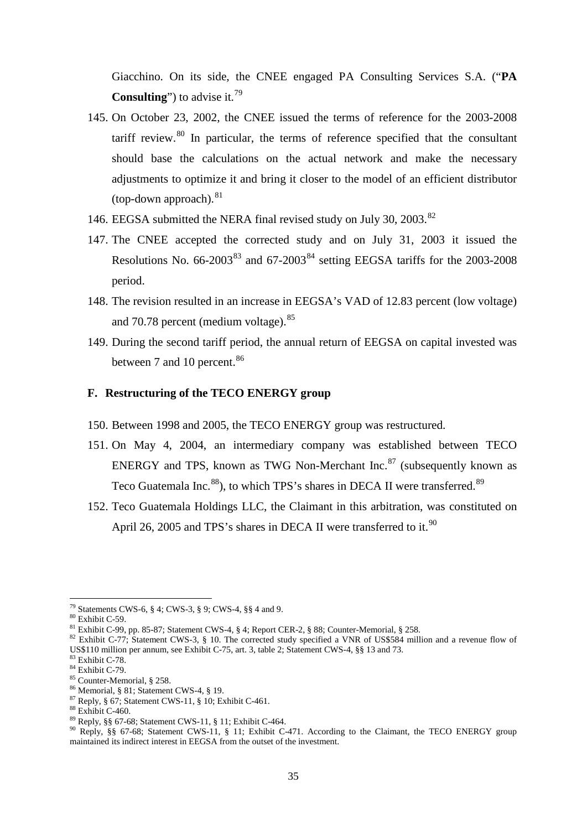Giacchino. On its side, the CNEE engaged PA Consulting Services S.A. ("**PA Consulting**") to advise it. [79](#page-34-1)

- 145. On October 23, 2002, the CNEE issued the terms of reference for the 2003-2008 tariff review.<sup>[80](#page-34-2)</sup> In particular, the terms of reference specified that the consultant should base the calculations on the actual network and make the necessary adjustments to optimize it and bring it closer to the model of an efficient distributor (top-down approach). [81](#page-34-3)
- 146. EEGSA submitted the NERA final revised study on July 30, 2003.<sup>[82](#page-34-4)</sup>
- 147. The CNEE accepted the corrected study and on July 31, 2003 it issued the Resolutions No.  $66-2003^{83}$  $66-2003^{83}$  $66-2003^{83}$  and  $67-2003^{84}$  $67-2003^{84}$  $67-2003^{84}$  setting EEGSA tariffs for the 2003-2008 period.
- 148. The revision resulted in an increase in EEGSA's VAD of 12.83 percent (low voltage) and 70.78 percent (medium voltage). <sup>[85](#page-34-7)</sup>
- 149. During the second tariff period, the annual return of EEGSA on capital invested was between 7 and 10 percent.<sup>[86](#page-34-8)</sup>

### <span id="page-34-0"></span>**F. Restructuring of the TECO ENERGY group**

- 150. Between 1998 and 2005, the TECO ENERGY group was restructured.
- 151. On May 4, 2004, an intermediary company was established between TECO ENERGY and TPS, known as TWG Non-Merchant Inc.<sup>[87](#page-34-9)</sup> (subsequently known as Teco Guatemala Inc.<sup>[88](#page-34-10)</sup>), to which TPS's shares in DECA II were transferred.<sup>[89](#page-34-11)</sup>
- 152. Teco Guatemala Holdings LLC, the Claimant in this arbitration, was constituted on April 26, 2005 and TPS's shares in DECA II were transferred to it.<sup>[90](#page-34-12)</sup>

<sup>79</sup> Statements CWS-6, § 4; CWS-3, § 9; CWS-4, §§ 4 and 9.

<span id="page-34-4"></span>

<span id="page-34-3"></span><span id="page-34-2"></span><span id="page-34-1"></span><sup>&</sup>lt;sup>80</sup> Exhibit C-59.<br><sup>81</sup> Exhibit C-99, pp. 85-87; Statement CWS-4, § 4; Report CER-2, § 88; Counter-Memorial, § 258.<br><sup>82</sup> Exhibit C-77; Statement CWS-3, § 10. The corrected study specified a VNR of US\$584 million and a rev US\$110 million per annum, see Exhibit C-75, art. 3, table 2; Statement CWS-4, §§ 13 and 73.<br>
<sup>83</sup> Exhibit C-78.<br>
<sup>84</sup> Exhibit C-79.<br>
<sup>85</sup> Counter-Memorial, § 258.<br>
<sup>86</sup> Memorial, § 81; Statement CWS-4, § 19.<br>
<sup>87</sup> Reply, §

<span id="page-34-6"></span><span id="page-34-5"></span>

<span id="page-34-8"></span><span id="page-34-7"></span>

<span id="page-34-9"></span>

<span id="page-34-10"></span>

<span id="page-34-12"></span><span id="page-34-11"></span>maintained its indirect interest in EEGSA from the outset of the investment.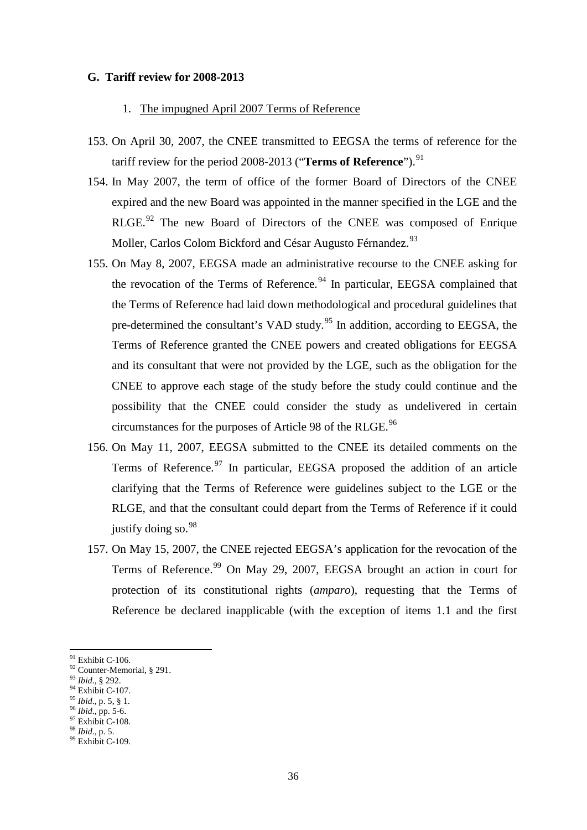## <span id="page-35-1"></span><span id="page-35-0"></span>**G. Tariff review for 2008-2013**

## 1. The impugned April 2007 Terms of Reference

- 153. On April 30, 2007, the CNEE transmitted to EEGSA the terms of reference for the tariff review for the period 2008-2013 ("**Terms of Reference**"). [91](#page-35-2)
- 154. In May 2007, the term of office of the former Board of Directors of the CNEE expired and the new Board was appointed in the manner specified in the LGE and the RLGE.<sup>[92](#page-35-3)</sup> The new Board of Directors of the CNEE was composed of Enrique Moller, Carlos Colom Bickford and César Augusto Férnandez.<sup>[93](#page-35-4)</sup>
- 155. On May 8, 2007, EEGSA made an administrative recourse to the CNEE asking for the revocation of the Terms of Reference.<sup>[94](#page-35-5)</sup> In particular, EEGSA complained that the Terms of Reference had laid down methodological and procedural guidelines that pre-determined the consultant's VAD study.<sup>[95](#page-35-6)</sup> In addition, according to EEGSA, the Terms of Reference granted the CNEE powers and created obligations for EEGSA and its consultant that were not provided by the LGE, such as the obligation for the CNEE to approve each stage of the study before the study could continue and the possibility that the CNEE could consider the study as undelivered in certain circumstances for the purposes of Article 98 of the RLGE.<sup>[96](#page-35-7)</sup>
- 156. On May 11, 2007, EEGSA submitted to the CNEE its detailed comments on the Terms of Reference.<sup>[97](#page-35-8)</sup> In particular, EEGSA proposed the addition of an article clarifying that the Terms of Reference were guidelines subject to the LGE or the RLGE, and that the consultant could depart from the Terms of Reference if it could justify doing so.<sup>[98](#page-35-9)</sup>
- 157. On May 15, 2007, the CNEE rejected EEGSA's application for the revocation of the Terms of Reference.<sup>[99](#page-35-10)</sup> On May 29, 2007, EEGSA brought an action in court for protection of its constitutional rights (*amparo*), requesting that the Terms of Reference be declared inapplicable (with the exception of items 1.1 and the first

<span id="page-35-5"></span>

<span id="page-35-7"></span>

<span id="page-35-2"></span><sup>&</sup>lt;sup>91</sup> Exhibit C-106.

<span id="page-35-3"></span><sup>92</sup> Counter-Memorial, § 291.<br><sup>93</sup> *Ibid.*, § 292.<br><sup>94</sup> Exhibit C-107.<br><sup>95</sup> *Ibid.*, p. 5, § 1.<br><sup>96</sup> *Ibid.*, pp. 5-6.<br><sup>97</sup> Exhibit C-108.<br><sup>98</sup> *Ibid.*, p. 5.<br><sup>99</sup> Exhibit C-109.

<span id="page-35-4"></span>

<span id="page-35-6"></span>

<span id="page-35-8"></span>

<span id="page-35-9"></span>

<span id="page-35-10"></span>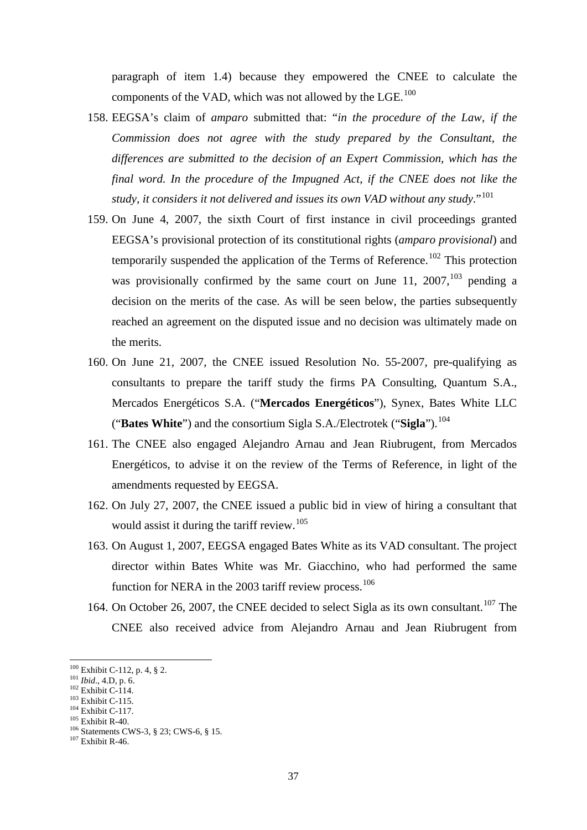paragraph of item 1.4) because they empowered the CNEE to calculate the components of the VAD, which was not allowed by the LGE. $^{100}$  $^{100}$  $^{100}$ 

- 158. EEGSA's claim of *amparo* submitted that: "*in the procedure of the Law, if the Commission does not agree with the study prepared by the Consultant, the differences are submitted to the decision of an Expert Commission, which has the final word. In the procedure of the Impugned Act, if the CNEE does not like the study, it considers it not delivered and issues its own VAD without any study*."[101](#page-36-1)
- 159. On June 4, 2007, the sixth Court of first instance in civil proceedings granted EEGSA's provisional protection of its constitutional rights (*amparo provisional*) and temporarily suspended the application of the Terms of Reference.<sup>[102](#page-36-2)</sup> This protection was provisionally confirmed by the same court on June 11, 2007,  $^{103}$  $^{103}$  $^{103}$  pending a decision on the merits of the case. As will be seen below, the parties subsequently reached an agreement on the disputed issue and no decision was ultimately made on the merits.
- 160. On June 21, 2007, the CNEE issued Resolution No. 55-2007, pre-qualifying as consultants to prepare the tariff study the firms PA Consulting, Quantum S.A., Mercados Energéticos S.A. ("**Mercados Energéticos**"), Synex, Bates White LLC ("**Bates White**") and the consortium Sigla S.A./Electrotek ("**Sigla**"). [104](#page-36-4)
- 161. The CNEE also engaged Alejandro Arnau and Jean Riubrugent, from Mercados Energéticos, to advise it on the review of the Terms of Reference, in light of the amendments requested by EEGSA.
- 162. On July 27, 2007, the CNEE issued a public bid in view of hiring a consultant that would assist it during the tariff review. [105](#page-36-5)
- 163. On August 1, 2007, EEGSA engaged Bates White as its VAD consultant. The project director within Bates White was Mr. Giacchino, who had performed the same function for NERA in the 2003 tariff review process.<sup>[106](#page-36-6)</sup>
- 164. On October 26, 2007, the CNEE decided to select Sigla as its own consultant.<sup>[107](#page-36-7)</sup> The CNEE also received advice from Alejandro Arnau and Jean Riubrugent from

<span id="page-36-0"></span> $100$  Exhibit C-112, p. 4, § 2.

<span id="page-36-3"></span>

<span id="page-36-4"></span>

<span id="page-36-6"></span><span id="page-36-5"></span>

<span id="page-36-2"></span><span id="page-36-1"></span><sup>101</sup> *Ibid.*, 4.D, p. 6.<br>
<sup>102</sup> Exhibit C-114.<br>
<sup>103</sup> Exhibit C-115.<br>
<sup>104</sup> Exhibit C-117.<br>
<sup>105</sup> Exhibit R-40.<br>
<sup>106</sup> Statements CWS-3, § 23; CWS-6, § 15.<br>
<sup>107</sup> Exhibit R-46.

<span id="page-36-7"></span>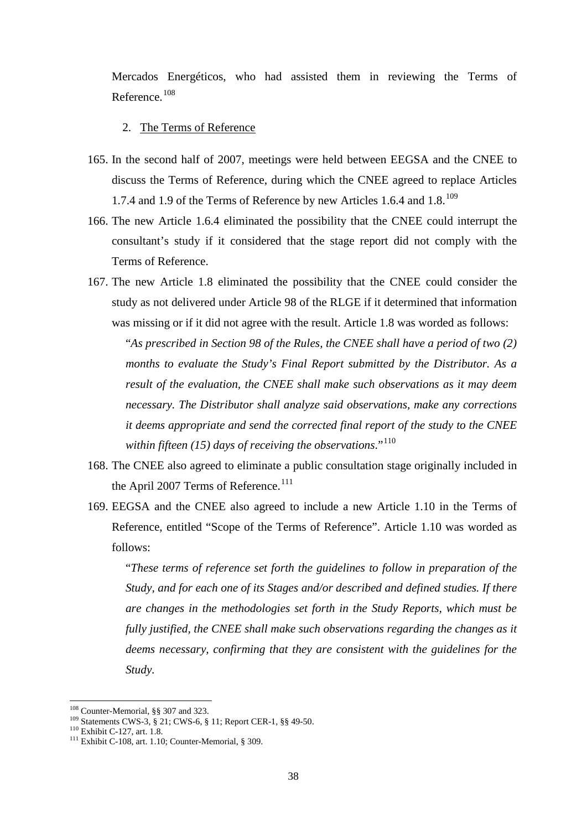Mercados Energéticos, who had assisted them in reviewing the Terms of Reference. [108](#page-37-0)

### 2. The Terms of Reference

- 165. In the second half of 2007, meetings were held between EEGSA and the CNEE to discuss the Terms of Reference, during which the CNEE agreed to replace Articles 1.7.4 and 1.9 of the Terms of Reference by new Articles 1.6.4 and 1.8.<sup>[109](#page-37-1)</sup>
- 166. The new Article 1.6.4 eliminated the possibility that the CNEE could interrupt the consultant's study if it considered that the stage report did not comply with the Terms of Reference.
- 167. The new Article 1.8 eliminated the possibility that the CNEE could consider the study as not delivered under Article 98 of the RLGE if it determined that information was missing or if it did not agree with the result. Article 1.8 was worded as follows:

"*As prescribed in Section 98 of the Rules, the CNEE shall have a period of two (2) months to evaluate the Study's Final Report submitted by the Distributor. As a result of the evaluation, the CNEE shall make such observations as it may deem necessary. The Distributor shall analyze said observations, make any corrections it deems appropriate and send the corrected final report of the study to the CNEE within fifteen (15) days of receiving the observations*."[110](#page-37-2)

- 168. The CNEE also agreed to eliminate a public consultation stage originally included in the April 2007 Terms of Reference.<sup>[111](#page-37-3)</sup>
- 169. EEGSA and the CNEE also agreed to include a new Article 1.10 in the Terms of Reference, entitled "Scope of the Terms of Reference". Article 1.10 was worded as follows:

"*These terms of reference set forth the guidelines to follow in preparation of the Study, and for each one of its Stages and/or described and defined studies. If there are changes in the methodologies set forth in the Study Reports, which must be fully justified, the CNEE shall make such observations regarding the changes as it deems necessary, confirming that they are consistent with the guidelines for the Study.*

<span id="page-37-0"></span><sup>&</sup>lt;sup>108</sup> Counter-Memorial, §§ 307 and 323.

<span id="page-37-2"></span><span id="page-37-1"></span><sup>109</sup> Statements CWS-3, § 21; CWS-6, § 11; Report CER-1, §§ 49-50.<br>
<sup>110</sup> Exhibit C-127, art. 1.8.<br>
<sup>111</sup> Exhibit C-108, art. 1.10; Counter-Memorial, § 309.

<span id="page-37-3"></span>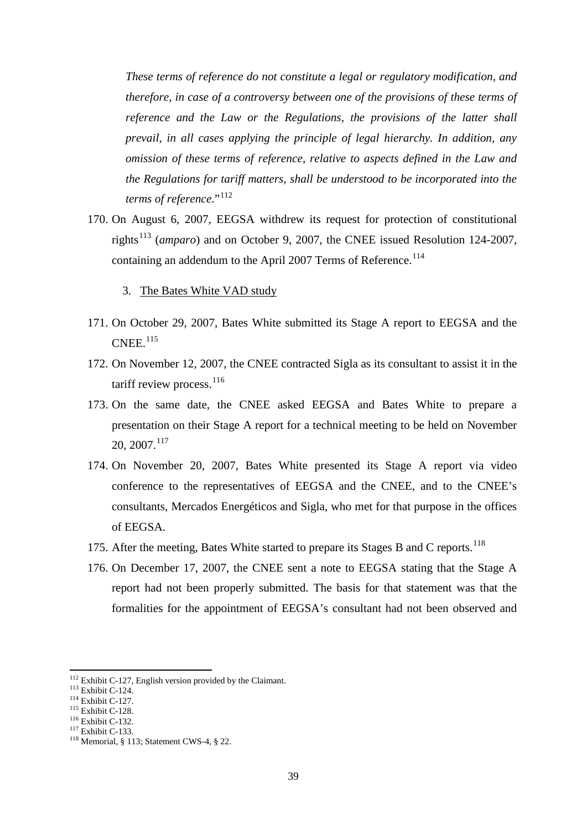*These terms of reference do not constitute a legal or regulatory modification, and therefore, in case of a controversy between one of the provisions of these terms of reference and the Law or the Regulations, the provisions of the latter shall prevail, in all cases applying the principle of legal hierarchy. In addition, any omission of these terms of reference, relative to aspects defined in the Law and the Regulations for tariff matters, shall be understood to be incorporated into the terms of reference.*"<sup>112</sup>

- 170. On August 6, 2007, EEGSA withdrew its request for protection of constitutional rights[113](#page-38-1) (*amparo*) and on October 9, 2007, the CNEE issued Resolution 124-2007, containing an addendum to the April 2007 Terms of Reference.<sup>[114](#page-38-2)</sup>
	- 3. The Bates White VAD study
- 171. On October 29, 2007, Bates White submitted its Stage A report to EEGSA and the  $CNEE.$ <sup>[115](#page-38-3)</sup>
- 172. On November 12, 2007, the CNEE contracted Sigla as its consultant to assist it in the tariff review process.<sup>[116](#page-38-4)</sup>
- 173. On the same date, the CNEE asked EEGSA and Bates White to prepare a presentation on their Stage A report for a technical meeting to be held on November 20, 2007. [117](#page-38-5)
- 174. On November 20, 2007, Bates White presented its Stage A report via video conference to the representatives of EEGSA and the CNEE, and to the CNEE's consultants, Mercados Energéticos and Sigla, who met for that purpose in the offices of EEGSA.
- 175. After the meeting, Bates White started to prepare its Stages B and C reports.<sup>[118](#page-38-6)</sup>
- 176. On December 17, 2007, the CNEE sent a note to EEGSA stating that the Stage A report had not been properly submitted. The basis for that statement was that the formalities for the appointment of EEGSA's consultant had not been observed and

<span id="page-38-0"></span><sup>&</sup>lt;sup>112</sup> Exhibit C-127, English version provided by the Claimant.<br><sup>113</sup> Exhibit C-124.<br><sup>114</sup> Exhibit C-127.<br><sup>115</sup> Exhibit C-132.<br><sup>116</sup> Exhibit C-133. <sup>118</sup> Memorial, § 113; Statement CWS-4, § 22.

<span id="page-38-1"></span>

<span id="page-38-2"></span>

<span id="page-38-3"></span>

<span id="page-38-4"></span>

<span id="page-38-5"></span>

<span id="page-38-6"></span>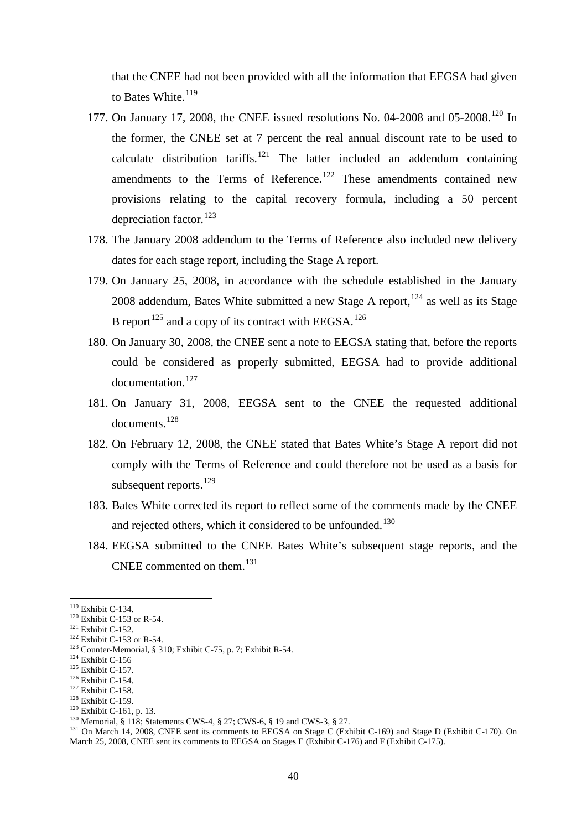that the CNEE had not been provided with all the information that EEGSA had given to Bates White.<sup>[119](#page-39-0)</sup>

- 177. On January 17, 2008, the CNEE issued resolutions No. 04-2008 and 05-2008.<sup>[120](#page-39-1)</sup> In the former, the CNEE set at 7 percent the real annual discount rate to be used to calculate distribution tariffs.<sup>[121](#page-39-2)</sup> The latter included an addendum containing amendments to the Terms of Reference.<sup>[122](#page-39-3)</sup> These amendments contained new provisions relating to the capital recovery formula, including a 50 percent depreciation factor.<sup>[123](#page-39-4)</sup>
- 178. The January 2008 addendum to the Terms of Reference also included new delivery dates for each stage report, including the Stage A report.
- 179. On January 25, 2008, in accordance with the schedule established in the January 2008 addendum, Bates White submitted a new Stage A report,  $^{124}$  $^{124}$  $^{124}$  as well as its Stage B report<sup>[125](#page-39-6)</sup> and a copy of its contract with EEGSA.<sup>[126](#page-39-7)</sup>
- 180. On January 30, 2008, the CNEE sent a note to EEGSA stating that, before the reports could be considered as properly submitted, EEGSA had to provide additional documentation. [127](#page-39-8)
- 181. On January 31, 2008, EEGSA sent to the CNEE the requested additional documents. [128](#page-39-9)
- 182. On February 12, 2008, the CNEE stated that Bates White's Stage A report did not comply with the Terms of Reference and could therefore not be used as a basis for subsequent reports.<sup>[129](#page-39-10)</sup>
- 183. Bates White corrected its report to reflect some of the comments made by the CNEE and rejected others, which it considered to be unfounded.<sup>[130](#page-39-11)</sup>
- 184. EEGSA submitted to the CNEE Bates White's subsequent stage reports, and the CNEE commented on them. [131](#page-39-12)

 $119$  Exhibit C-134.

<span id="page-39-2"></span>

<span id="page-39-3"></span>

<span id="page-39-4"></span>

<span id="page-39-5"></span>

<span id="page-39-6"></span>

<span id="page-39-7"></span>

<span id="page-39-8"></span>

<span id="page-39-10"></span><span id="page-39-9"></span>

<span id="page-39-12"></span><span id="page-39-11"></span>

<span id="page-39-1"></span><span id="page-39-0"></span><sup>&</sup>lt;sup>119</sup> Exhibit C-134.<br><sup>121</sup> Exhibit C-153 or R-54.<br><sup>121</sup> Exhibit C-152.<br><sup>122</sup> Exhibit C-152.<br><sup>123</sup> Exhibit C-156 or R-54.<br><sup>123</sup> Exhibit C-157.<br><sup>125</sup> Exhibit C-157.<br><sup>126</sup> Exhibit C-154.<br><sup>125</sup> Exhibit C-154.<br><sup>127</sup> Exhibit C-1 March 25, 2008, CNEE sent its comments to EEGSA on Stages E (Exhibit C-176) and F (Exhibit C-175).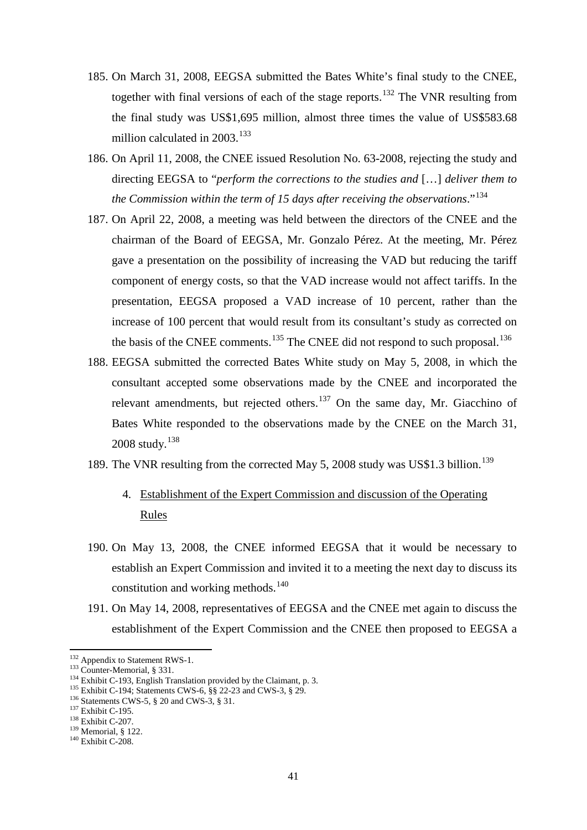- 185. On March 31, 2008, EEGSA submitted the Bates White's final study to the CNEE, together with final versions of each of the stage reports. [132](#page-40-0) The VNR resulting from the final study was US\$1,695 million, almost three times the value of US\$583.68 million calculated in 2003.<sup>[133](#page-40-1)</sup>
- 186. On April 11, 2008, the CNEE issued Resolution No. 63-2008, rejecting the study and directing EEGSA to "*perform the corrections to the studies and* […] *deliver them to the Commission within the term of 15 days after receiving the observations*."[134](#page-40-2)
- 187. On April 22, 2008, a meeting was held between the directors of the CNEE and the chairman of the Board of EEGSA, Mr. Gonzalo Pérez. At the meeting, Mr. Pérez gave a presentation on the possibility of increasing the VAD but reducing the tariff component of energy costs, so that the VAD increase would not affect tariffs. In the presentation, EEGSA proposed a VAD increase of 10 percent, rather than the increase of 100 percent that would result from its consultant's study as corrected on the basis of the CNEE comments.<sup>[135](#page-40-3)</sup> The CNEE did not respond to such proposal.<sup>[136](#page-40-4)</sup>
- 188. EEGSA submitted the corrected Bates White study on May 5, 2008, in which the consultant accepted some observations made by the CNEE and incorporated the relevant amendments, but rejected others.<sup>[137](#page-40-5)</sup> On the same day, Mr. Giacchino of Bates White responded to the observations made by the CNEE on the March 31, 2008 study. [138](#page-40-6)
- 189. The VNR resulting from the corrected May 5, 2008 study was US\$1.3 billion. [139](#page-40-7)
	- 4. Establishment of the Expert Commission and discussion of the Operating Rules
- 190. On May 13, 2008, the CNEE informed EEGSA that it would be necessary to establish an Expert Commission and invited it to a meeting the next day to discuss its constitution and working methods.<sup>[140](#page-40-8)</sup>
- 191. On May 14, 2008, representatives of EEGSA and the CNEE met again to discuss the establishment of the Expert Commission and the CNEE then proposed to EEGSA a

<span id="page-40-0"></span><sup>&</sup>lt;sup>132</sup> Appendix to Statement RWS-1.

<span id="page-40-2"></span><span id="page-40-1"></span><sup>&</sup>lt;sup>133</sup> Counter-Memorial, § 331.<br><sup>134</sup> Exhibit C-193, English Translation provided by the Claimant, p. 3.<br><sup>135</sup> Exhibit C-194; Statements CWS-6, §§ 22-23 and CWS-3, § 29.<br><sup>136</sup> Statements CWS-5, § 20 and CWS-3, § 31.<br><sup>137</sup>

<span id="page-40-4"></span><span id="page-40-3"></span>

<span id="page-40-6"></span><span id="page-40-5"></span>

<span id="page-40-7"></span>

<span id="page-40-8"></span>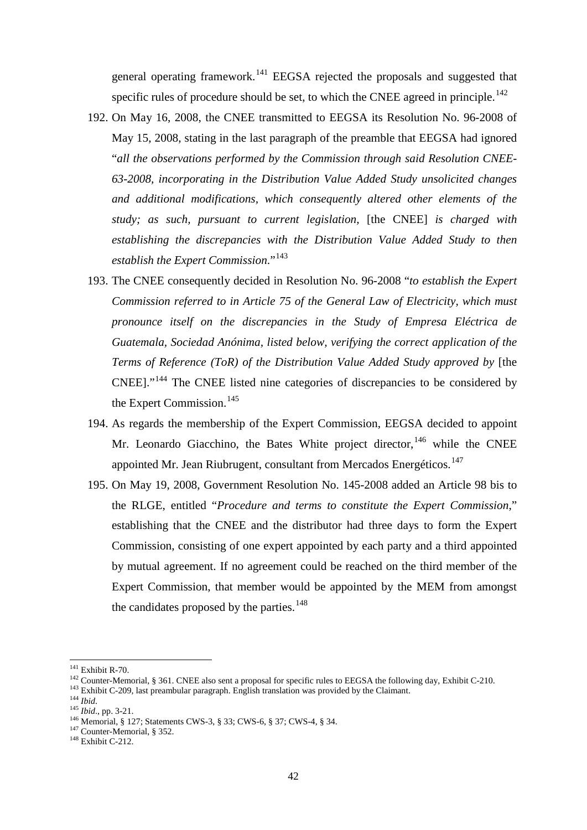general operating framework.<sup>[141](#page-41-0)</sup> EEGSA rejected the proposals and suggested that specific rules of procedure should be set, to which the CNEE agreed in principle.<sup>[142](#page-41-1)</sup>

- 192. On May 16, 2008, the CNEE transmitted to EEGSA its Resolution No. 96-2008 of May 15, 2008, stating in the last paragraph of the preamble that EEGSA had ignored "*all the observations performed by the Commission through said Resolution CNEE-63-2008, incorporating in the Distribution Value Added Study unsolicited changes and additional modifications, which consequently altered other elements of the study; as such, pursuant to current legislation,* [the CNEE] *is charged with establishing the discrepancies with the Distribution Value Added Study to then establish the Expert Commission*."[143](#page-41-2)
- 193. The CNEE consequently decided in Resolution No. 96-2008 "*to establish the Expert Commission referred to in Article 75 of the General Law of Electricity, which must pronounce itself on the discrepancies in the Study of Empresa Eléctrica de Guatemala, Sociedad Anónima, listed below, verifying the correct application of the Terms of Reference (ToR) of the Distribution Value Added Study approved by* [the CNEE]."[144](#page-41-3) The CNEE listed nine categories of discrepancies to be considered by the Expert Commission.<sup>[145](#page-41-4)</sup>
- 194. As regards the membership of the Expert Commission, EEGSA decided to appoint Mr. Leonardo Giacchino, the Bates White project director, <sup>[146](#page-41-5)</sup> while the CNEE appointed Mr. Jean Riubrugent, consultant from Mercados Energéticos.<sup>[147](#page-41-6)</sup>
- 195. On May 19, 2008, Government Resolution No. 145-2008 added an Article 98 bis to the RLGE, entitled "*Procedure and terms to constitute the Expert Commission*," establishing that the CNEE and the distributor had three days to form the Expert Commission, consisting of one expert appointed by each party and a third appointed by mutual agreement. If no agreement could be reached on the third member of the Expert Commission, that member would be appointed by the MEM from amongst the candidates proposed by the parties.<sup>[148](#page-41-7)</sup>

<span id="page-41-3"></span>

<span id="page-41-0"></span> $141$  Exhibit R-70.

<span id="page-41-2"></span><span id="page-41-1"></span><sup>&</sup>lt;sup>142</sup> Counter-Memorial, § 361. CNEE also sent a proposal for specific rules to EEGSA the following day, Exhibit C-210.<br><sup>143</sup> Exhibit C-209, last preambular paragraph. English translation was provided by the Claimant.<br><sup>144</sup>

<span id="page-41-4"></span>

<span id="page-41-5"></span>

<span id="page-41-7"></span><span id="page-41-6"></span>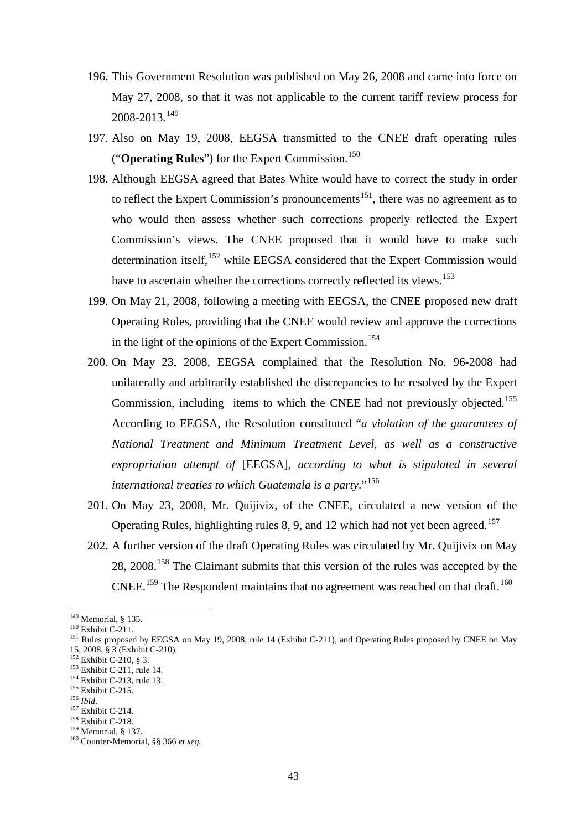- 196. This Government Resolution was published on May 26, 2008 and came into force on May 27, 2008, so that it was not applicable to the current tariff review process for 2008-2013. [149](#page-42-0)
- 197. Also on May 19, 2008, EEGSA transmitted to the CNEE draft operating rules ("**Operating Rules**") for the Expert Commission. [150](#page-42-1)
- 198. Although EEGSA agreed that Bates White would have to correct the study in order to reflect the Expert Commission's pronouncements<sup>[151](#page-42-2)</sup>, there was no agreement as to who would then assess whether such corrections properly reflected the Expert Commission's views. The CNEE proposed that it would have to make such determination itself, <sup>[152](#page-42-3)</sup> while EEGSA considered that the Expert Commission would have to ascertain whether the corrections correctly reflected its views.<sup>[153](#page-42-4)</sup>
- 199. On May 21, 2008, following a meeting with EEGSA, the CNEE proposed new draft Operating Rules, providing that the CNEE would review and approve the corrections in the light of the opinions of the Expert Commission. [154](#page-42-5)
- 200. On May 23, 2008, EEGSA complained that the Resolution No. 96-2008 had unilaterally and arbitrarily established the discrepancies to be resolved by the Expert Commission, including items to which the CNEE had not previously objected.<sup>[155](#page-42-6)</sup> According to EEGSA, the Resolution constituted "*a violation of the guarantees of National Treatment and Minimum Treatment Level, as well as a constructive expropriation attempt of* [EEGSA], *according to what is stipulated in several international treaties to which Guatemala is a party*."[156](#page-42-7)
- 201. On May 23, 2008, Mr. Quijivix, of the CNEE, circulated a new version of the Operating Rules, highlighting rules 8, 9, and 12 which had not yet been agreed.<sup>[157](#page-42-8)</sup>
- 202. A further version of the draft Operating Rules was circulated by Mr. Quijivix on May 28, 2008.<sup>[158](#page-42-9)</sup> The Claimant submits that this version of the rules was accepted by the CNEE.<sup>[159](#page-42-10)</sup> The Respondent maintains that no agreement was reached on that draft.<sup>[160](#page-42-11)</sup>

<span id="page-42-0"></span> $149$  Memorial, § 135.

<span id="page-42-2"></span><span id="page-42-1"></span><sup>&</sup>lt;sup>150</sup> Exhibit C-211.<br><sup>151</sup> Rules proposed by EEGSA on May 19, 2008, rule 14 (Exhibit C-211), and Operating Rules proposed by CNEE on May<br>15, 2008, § 3 (Exhibit C-210).

<span id="page-42-5"></span>

<span id="page-42-7"></span><span id="page-42-6"></span>

<span id="page-42-8"></span>

<span id="page-42-10"></span><span id="page-42-9"></span>

<span id="page-42-11"></span>

<span id="page-42-4"></span><span id="page-42-3"></span><sup>&</sup>lt;sup>152</sup> Exhibit C-210, § 3.<br>
<sup>153</sup> Exhibit C-211, rule 14.<br>
<sup>154</sup> Exhibit C-211, rule 13.<br>
<sup>155</sup> Exhibit C-215.<br>
<sup>156</sup> Ibid.<br>
<sup>157</sup> Exhibit C-214.<br>
<sup>158</sup> Exhibit C-218.<br>
<sup>159</sup> Memorial, § 137.<br>
<sup>160</sup> Counter-Memorial, §§ 36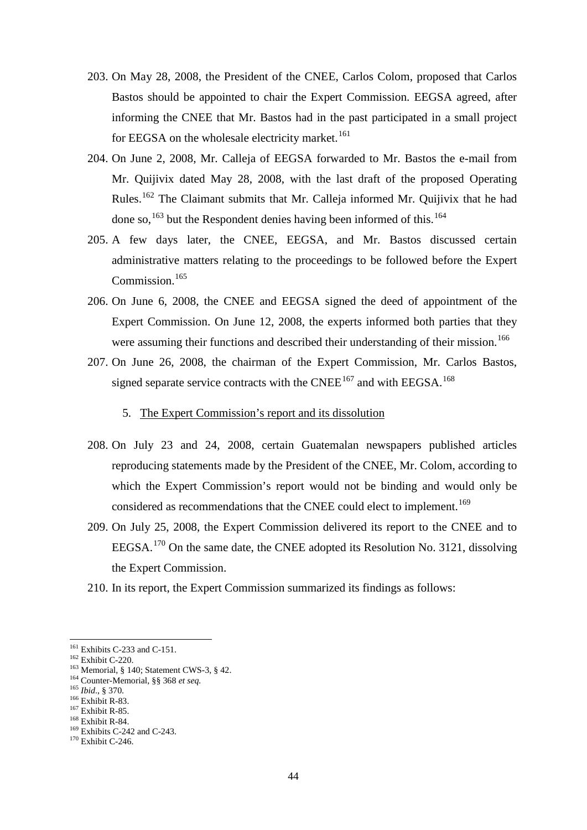- 203. On May 28, 2008, the President of the CNEE, Carlos Colom, proposed that Carlos Bastos should be appointed to chair the Expert Commission. EEGSA agreed, after informing the CNEE that Mr. Bastos had in the past participated in a small project for EEGSA on the wholesale electricity market.<sup>[161](#page-43-0)</sup>
- 204. On June 2, 2008, Mr. Calleja of EEGSA forwarded to Mr. Bastos the e-mail from Mr. Quijivix dated May 28, 2008, with the last draft of the proposed Operating Rules.<sup>[162](#page-43-1)</sup> The Claimant submits that Mr. Calleja informed Mr. Quijivix that he had done so, <sup>[163](#page-43-2)</sup> but the Respondent denies having been informed of this.<sup>[164](#page-43-3)</sup>
- 205. A few days later, the CNEE, EEGSA, and Mr. Bastos discussed certain administrative matters relating to the proceedings to be followed before the Expert Commission. [165](#page-43-4)
- 206. On June 6, 2008, the CNEE and EEGSA signed the deed of appointment of the Expert Commission. On June 12, 2008, the experts informed both parties that they were assuming their functions and described their understanding of their mission.<sup>[166](#page-43-5)</sup>
- 207. On June 26, 2008, the chairman of the Expert Commission, Mr. Carlos Bastos, signed separate service contracts with the CNEE<sup>[167](#page-43-6)</sup> and with EEGSA.<sup>[168](#page-43-7)</sup>
	- 5. The Expert Commission's report and its dissolution
- 208. On July 23 and 24, 2008, certain Guatemalan newspapers published articles reproducing statements made by the President of the CNEE, Mr. Colom, according to which the Expert Commission's report would not be binding and would only be considered as recommendations that the CNEE could elect to implement.<sup>[169](#page-43-8)</sup>
- 209. On July 25, 2008, the Expert Commission delivered its report to the CNEE and to EEGSA.<sup>[170](#page-43-9)</sup> On the same date, the CNEE adopted its Resolution No. 3121, dissolving the Expert Commission.
- 210. In its report, the Expert Commission summarized its findings as follows:

<span id="page-43-0"></span> $161$  Exhibits C-233 and C-151.

<span id="page-43-2"></span><span id="page-43-1"></span><sup>&</sup>lt;sup>162</sup> Exhibit C-220.<br><sup>163</sup> Memorial, § 140; Statement CWS-3, § 42.<br><sup>164</sup> Counter-Memorial, §§ 368 *et seq.*<br><sup>165</sup> *Ibid.*, § 370.<br><sup>166</sup> Exhibit R-83.<br><sup>167</sup> Exhibit R-84.<br><sup>169</sup> Exhibit R-84.<br><sup>169</sup> Exhibits C-242 and C-243.

<span id="page-43-3"></span>

<span id="page-43-5"></span><span id="page-43-4"></span>

<span id="page-43-6"></span>

<span id="page-43-7"></span>

<span id="page-43-9"></span><span id="page-43-8"></span>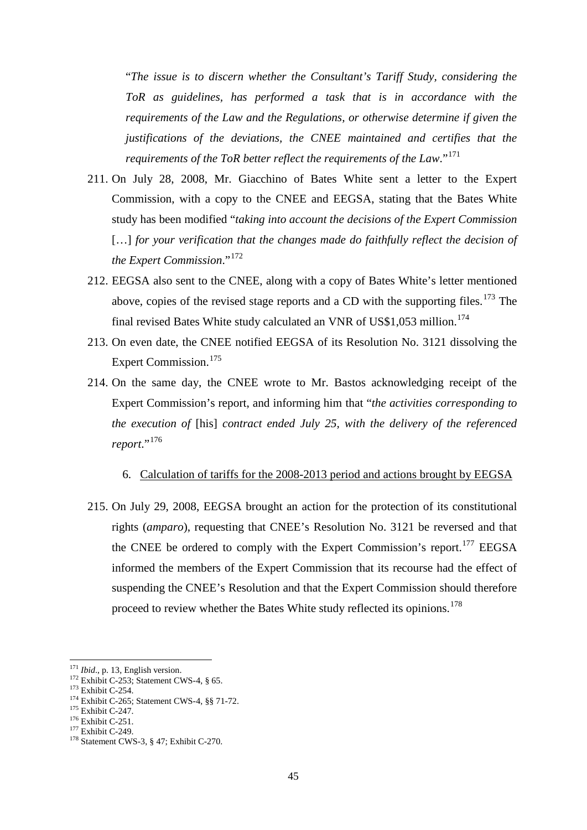"*The issue is to discern whether the Consultant's Tariff Study, considering the ToR as guidelines, has performed a task that is in accordance with the requirements of the Law and the Regulations, or otherwise determine if given the justifications of the deviations, the CNEE maintained and certifies that the requirements of the ToR better reflect the requirements of the Law*."[171](#page-44-0)

- 211. On July 28, 2008, Mr. Giacchino of Bates White sent a letter to the Expert Commission, with a copy to the CNEE and EEGSA, stating that the Bates White study has been modified "*taking into account the decisions of the Expert Commission* [...] *for your verification that the changes made do faithfully reflect the decision of the Expert Commission*."[172](#page-44-1)
- 212. EEGSA also sent to the CNEE, along with a copy of Bates White's letter mentioned above, copies of the revised stage reports and a CD with the supporting files.  $173$  The final revised Bates White study calculated an VNR of US\$1,053 million.<sup>[174](#page-44-3)</sup>
- 213. On even date, the CNEE notified EEGSA of its Resolution No. 3121 dissolving the Expert Commission. [175](#page-44-4)
- 214. On the same day, the CNEE wrote to Mr. Bastos acknowledging receipt of the Expert Commission's report, and informing him that "*the activities corresponding to the execution of* [his] *contract ended July 25, with the delivery of the referenced report*."[176](#page-44-5)

## 6. Calculation of tariffs for the 2008-2013 period and actions brought by EEGSA

215. On July 29, 2008, EEGSA brought an action for the protection of its constitutional rights (*amparo*), requesting that CNEE's Resolution No. 3121 be reversed and that the CNEE be ordered to comply with the Expert Commission's report.<sup>[177](#page-44-6)</sup> EEGSA informed the members of the Expert Commission that its recourse had the effect of suspending the CNEE's Resolution and that the Expert Commission should therefore proceed to review whether the Bates White study reflected its opinions.<sup>[178](#page-44-7)</sup>

<span id="page-44-0"></span><sup>&</sup>lt;sup>171</sup> Ibid., p. 13, English version.

<span id="page-44-3"></span>

<span id="page-44-2"></span><span id="page-44-1"></span><sup>&</sup>lt;sup>172</sup> Exhibit C-253; Statement CWS-4, § 65.<br><sup>173</sup> Exhibit C-254.<br><sup>174</sup> Exhibit C-265; Statement CWS-4, §§ 71-72.<br><sup>175</sup> Exhibit C-247.<br><sup>176</sup> Exhibit C-251.<br><sup>177</sup> Exhibit C-249.<br><sup>178</sup> Statement CWS-3, § 47; Exhibit C-270.

<span id="page-44-4"></span>

<span id="page-44-5"></span>

<span id="page-44-7"></span><span id="page-44-6"></span>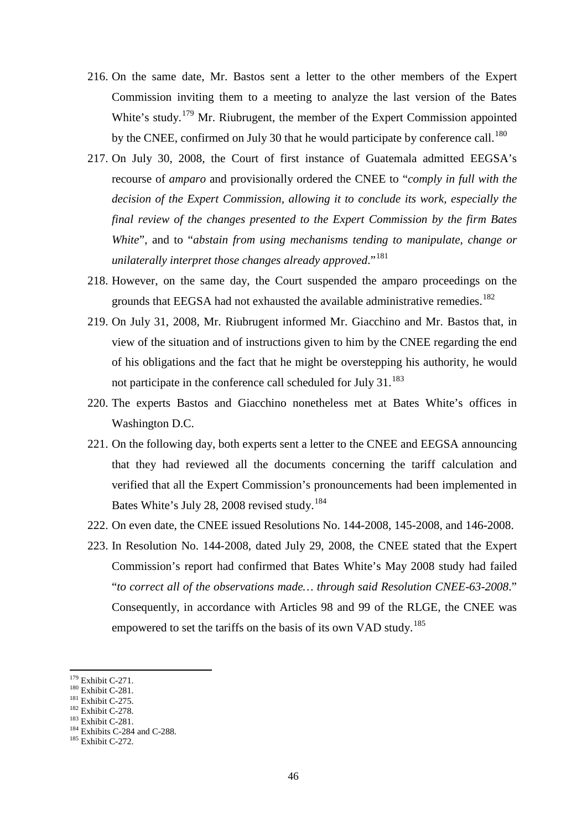- 216. On the same date, Mr. Bastos sent a letter to the other members of the Expert Commission inviting them to a meeting to analyze the last version of the Bates White's study.<sup>[179](#page-45-0)</sup> Mr. Riubrugent, the member of the Expert Commission appointed by the CNEE, confirmed on July 30 that he would participate by conference call.<sup>[180](#page-45-1)</sup>
- 217. On July 30, 2008, the Court of first instance of Guatemala admitted EEGSA's recourse of *amparo* and provisionally ordered the CNEE to "*comply in full with the decision of the Expert Commission, allowing it to conclude its work, especially the final review of the changes presented to the Expert Commission by the firm Bates White*", and to "*abstain from using mechanisms tending to manipulate, change or unilaterally interpret those changes already approved*."[181](#page-45-2)
- 218. However, on the same day, the Court suspended the amparo proceedings on the grounds that EEGSA had not exhausted the available administrative remedies.<sup>[182](#page-45-3)</sup>
- 219. On July 31, 2008, Mr. Riubrugent informed Mr. Giacchino and Mr. Bastos that, in view of the situation and of instructions given to him by the CNEE regarding the end of his obligations and the fact that he might be overstepping his authority, he would not participate in the conference call scheduled for July 31.<sup>[183](#page-45-4)</sup>
- 220. The experts Bastos and Giacchino nonetheless met at Bates White's offices in Washington D.C.
- 221. On the following day, both experts sent a letter to the CNEE and EEGSA announcing that they had reviewed all the documents concerning the tariff calculation and verified that all the Expert Commission's pronouncements had been implemented in Bates White's July 28, 2008 revised study.<sup>[184](#page-45-5)</sup>
- 222. On even date, the CNEE issued Resolutions No. 144-2008, 145-2008, and 146-2008.
- 223. In Resolution No. 144-2008, dated July 29, 2008, the CNEE stated that the Expert Commission's report had confirmed that Bates White's May 2008 study had failed "*to correct all of the observations made… through said Resolution CNEE-63-2008*." Consequently, in accordance with Articles 98 and 99 of the RLGE, the CNEE was empowered to set the tariffs on the basis of its own VAD study.<sup>[185](#page-45-6)</sup>

<span id="page-45-0"></span><sup>&</sup>lt;sup>179</sup> Exhibit C-271.

<span id="page-45-3"></span>

<span id="page-45-5"></span><span id="page-45-4"></span>

<span id="page-45-2"></span><span id="page-45-1"></span><sup>&</sup>lt;sup>180</sup> Exhibit C-281.<br><sup>181</sup> Exhibit C-275.<br><sup>182</sup> Exhibit C-278.<br><sup>183</sup> Exhibit C-281.<br><sup>184</sup> Exhibit C-284 and C-288.<br><sup>185</sup> Exhibit C-272.

<span id="page-45-6"></span>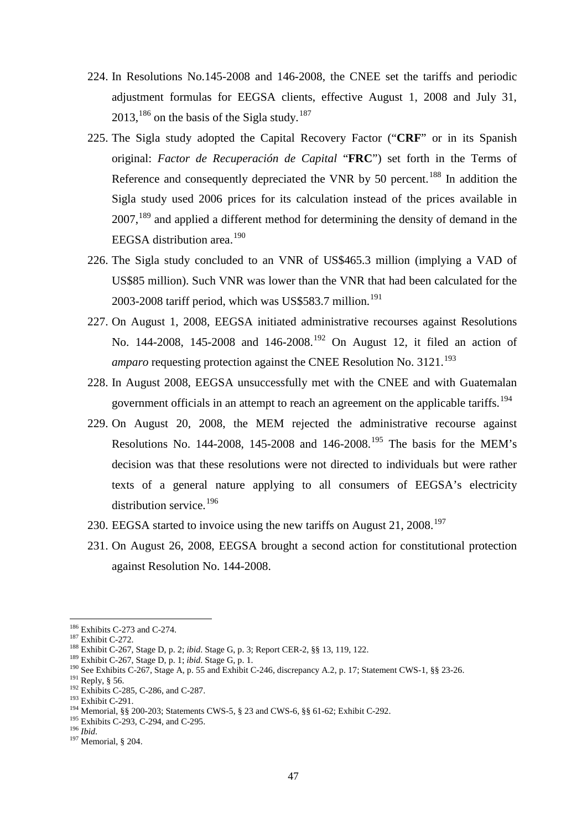- 224. In Resolutions No.145-2008 and 146-2008, the CNEE set the tariffs and periodic adjustment formulas for EEGSA clients, effective August 1, 2008 and July 31,  $2013$ ,  $^{186}$  $^{186}$  $^{186}$  on the basis of the Sigla study.  $^{187}$  $^{187}$  $^{187}$
- 225. The Sigla study adopted the Capital Recovery Factor ("**CRF**" or in its Spanish original: *Factor de Recuperación de Capital* "**FRC**") set forth in the Terms of Reference and consequently depreciated the VNR by 50 percent.<sup>[188](#page-46-2)</sup> In addition the Sigla study used 2006 prices for its calculation instead of the prices available in 2007,<sup>[189](#page-46-3)</sup> and applied a different method for determining the density of demand in the EEGSA distribution area.<sup>[190](#page-46-4)</sup>
- 226. The Sigla study concluded to an VNR of US\$465.3 million (implying a VAD of US\$85 million). Such VNR was lower than the VNR that had been calculated for the 2003-2008 tariff period, which was US\$583.7 million. [191](#page-46-5)
- 227. On August 1, 2008, EEGSA initiated administrative recourses against Resolutions No. 144-2008, 145-2008 and 146-2008.<sup>[192](#page-46-6)</sup> On August 12, it filed an action of *amparo* requesting protection against the CNEE Resolution No. 3121. [193](#page-46-7)
- 228. In August 2008, EEGSA unsuccessfully met with the CNEE and with Guatemalan government officials in an attempt to reach an agreement on the applicable tariffs.<sup>[194](#page-46-8)</sup>
- 229. On August 20, 2008, the MEM rejected the administrative recourse against Resolutions No. 144-2008, 145-2008 and 146-2008.<sup>[195](#page-46-9)</sup> The basis for the MEM's decision was that these resolutions were not directed to individuals but were rather texts of a general nature applying to all consumers of EEGSA's electricity distribution service.<sup>[196](#page-46-10)</sup>
- 230. EEGSA started to invoice using the new tariffs on August 21, 2008.<sup>[197](#page-46-11)</sup>
- 231. On August 26, 2008, EEGSA brought a second action for constitutional protection against Resolution No. 144-2008.

<span id="page-46-1"></span><span id="page-46-0"></span><sup>&</sup>lt;sup>186</sup> Exhibits C-273 and C-274.

<span id="page-46-4"></span><span id="page-46-3"></span><span id="page-46-2"></span>

<sup>&</sup>lt;sup>186</sup> Exhibits C-273 and C-274.<br>
<sup>187</sup> Exhibit C-272.<br>
<sup>187</sup> Exhibit C-267, Stage D, p. 2; *ibid.* Stage G, p. 3; Report CER-2, §§ 13, 119, 122.<br>
<sup>189</sup> Exhibit C-267, Stage D, p. 1; *ibid.* Stage G, p. 1.<br>
<sup>190</sup> See Exhibi

<span id="page-46-5"></span>

<span id="page-46-8"></span><span id="page-46-7"></span><span id="page-46-6"></span>

<span id="page-46-9"></span>

<span id="page-46-11"></span><span id="page-46-10"></span>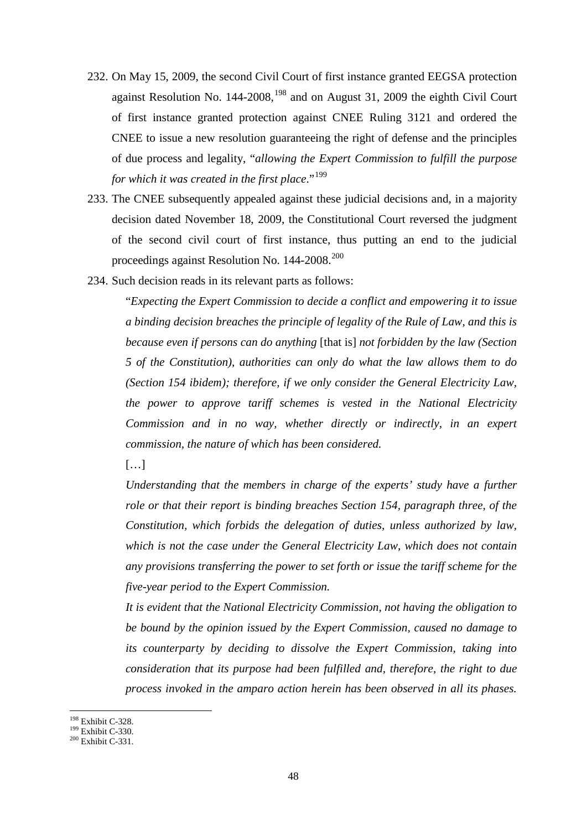- 232. On May 15, 2009, the second Civil Court of first instance granted EEGSA protection against Resolution No. 144-2008, <sup>[198](#page-47-0)</sup> and on August 31, 2009 the eighth Civil Court of first instance granted protection against CNEE Ruling 3121 and ordered the CNEE to issue a new resolution guaranteeing the right of defense and the principles of due process and legality, "*allowing the Expert Commission to fulfill the purpose for which it was created in the first place*."[199](#page-47-1)
- 233. The CNEE subsequently appealed against these judicial decisions and, in a majority decision dated November 18, 2009, the Constitutional Court reversed the judgment of the second civil court of first instance, thus putting an end to the judicial proceedings against Resolution No. 144-[200](#page-47-2)8.<sup>200</sup>
- 234. Such decision reads in its relevant parts as follows:

"*Expecting the Expert Commission to decide a conflict and empowering it to issue a binding decision breaches the principle of legality of the Rule of Law, and this is because even if persons can do anything* [that is] *not forbidden by the law (Section 5 of the Constitution), authorities can only do what the law allows them to do (Section 154 ibidem); therefore, if we only consider the General Electricity Law, the power to approve tariff schemes is vested in the National Electricity Commission and in no way, whether directly or indirectly, in an expert commission, the nature of which has been considered.* 

[…]

*Understanding that the members in charge of the experts' study have a further role or that their report is binding breaches Section 154, paragraph three, of the Constitution, which forbids the delegation of duties, unless authorized by law, which is not the case under the General Electricity Law, which does not contain any provisions transferring the power to set forth or issue the tariff scheme for the five-year period to the Expert Commission.*

*It is evident that the National Electricity Commission, not having the obligation to be bound by the opinion issued by the Expert Commission, caused no damage to its counterparty by deciding to dissolve the Expert Commission, taking into consideration that its purpose had been fulfilled and, therefore, the right to due process invoked in the amparo action herein has been observed in all its phases.* 

<span id="page-47-0"></span><sup>&</sup>lt;sup>198</sup> Exhibit C-328.

<span id="page-47-2"></span>

<span id="page-47-1"></span> $\frac{199}{200}$  Exhibit C-330.<br> $\frac{200}{200}$  Exhibit C-331.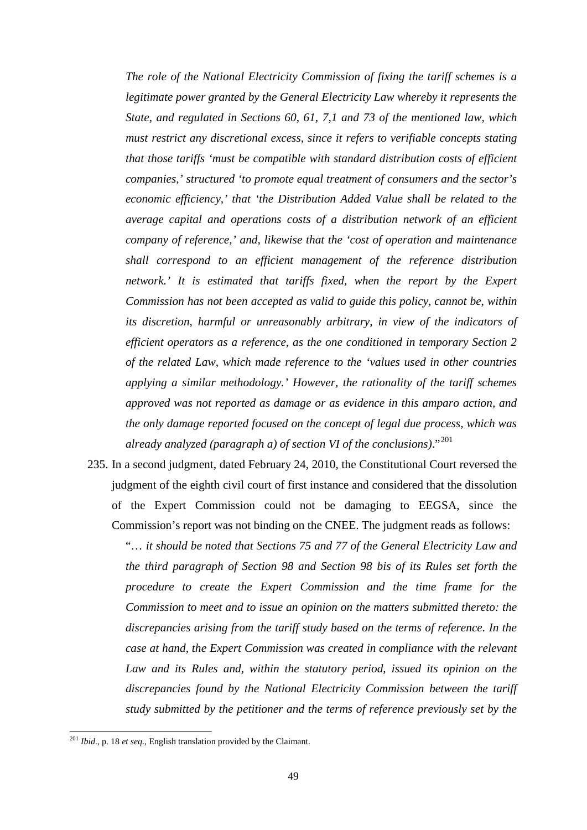*The role of the National Electricity Commission of fixing the tariff schemes is a legitimate power granted by the General Electricity Law whereby it represents the State, and regulated in Sections 60, 61, 7,1 and 73 of the mentioned law, which must restrict any discretional excess, since it refers to verifiable concepts stating that those tariffs 'must be compatible with standard distribution costs of efficient companies,' structured 'to promote equal treatment of consumers and the sector's economic efficiency,' that 'the Distribution Added Value shall be related to the average capital and operations costs of a distribution network of an efficient company of reference,' and, likewise that the 'cost of operation and maintenance shall correspond to an efficient management of the reference distribution network.' It is estimated that tariffs fixed, when the report by the Expert Commission has not been accepted as valid to guide this policy, cannot be, within its discretion, harmful or unreasonably arbitrary, in view of the indicators of efficient operators as a reference, as the one conditioned in temporary Section 2 of the related Law, which made reference to the 'values used in other countries applying a similar methodology.' However, the rationality of the tariff schemes approved was not reported as damage or as evidence in this amparo action, and the only damage reported focused on the concept of legal due process, which was already analyzed (paragraph a) of section VI of the conclusions)*."[201](#page-48-0)

235. In a second judgment, dated February 24, 2010, the Constitutional Court reversed the judgment of the eighth civil court of first instance and considered that the dissolution of the Expert Commission could not be damaging to EEGSA, since the Commission's report was not binding on the CNEE. The judgment reads as follows:

"… *it should be noted that Sections 75 and 77 of the General Electricity Law and the third paragraph of Section 98 and Section 98 bis of its Rules set forth the procedure to create the Expert Commission and the time frame for the Commission to meet and to issue an opinion on the matters submitted thereto: the discrepancies arising from the tariff study based on the terms of reference. In the case at hand, the Expert Commission was created in compliance with the relevant Law and its Rules and, within the statutory period, issued its opinion on the discrepancies found by the National Electricity Commission between the tariff study submitted by the petitioner and the terms of reference previously set by the* 

<span id="page-48-0"></span><sup>201</sup> *Ibid*., p. 18 *et seq*., English translation provided by the Claimant.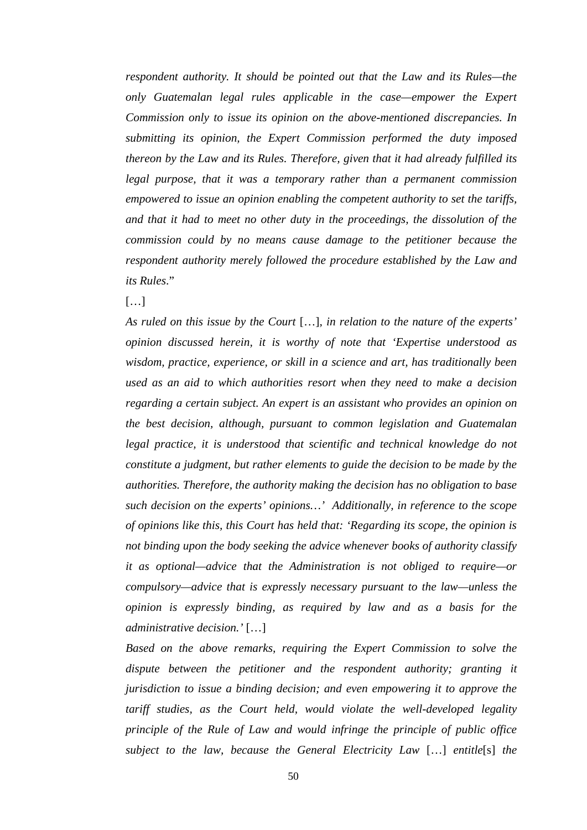*respondent authority. It should be pointed out that the Law and its Rules—the only Guatemalan legal rules applicable in the case—empower the Expert Commission only to issue its opinion on the above-mentioned discrepancies. In submitting its opinion, the Expert Commission performed the duty imposed thereon by the Law and its Rules. Therefore, given that it had already fulfilled its legal purpose, that it was a temporary rather than a permanent commission empowered to issue an opinion enabling the competent authority to set the tariffs, and that it had to meet no other duty in the proceedings, the dissolution of the commission could by no means cause damage to the petitioner because the respondent authority merely followed the procedure established by the Law and its Rules*."

 $[...]$ 

*As ruled on this issue by the Court* […]*, in relation to the nature of the experts' opinion discussed herein, it is worthy of note that 'Expertise understood as wisdom, practice, experience, or skill in a science and art, has traditionally been used as an aid to which authorities resort when they need to make a decision regarding a certain subject. An expert is an assistant who provides an opinion on the best decision, although, pursuant to common legislation and Guatemalan*  legal practice, it is understood that scientific and technical knowledge do not *constitute a judgment, but rather elements to guide the decision to be made by the authorities. Therefore, the authority making the decision has no obligation to base such decision on the experts' opinions…' Additionally, in reference to the scope of opinions like this, this Court has held that: 'Regarding its scope, the opinion is not binding upon the body seeking the advice whenever books of authority classify it as optional—advice that the Administration is not obliged to require—or compulsory—advice that is expressly necessary pursuant to the law—unless the opinion is expressly binding, as required by law and as a basis for the administrative decision.'* […]

*Based on the above remarks, requiring the Expert Commission to solve the dispute between the petitioner and the respondent authority; granting it jurisdiction to issue a binding decision; and even empowering it to approve the tariff studies, as the Court held, would violate the well-developed legality principle of the Rule of Law and would infringe the principle of public office subject to the law, because the General Electricity Law* […] *entitle*[s] *the*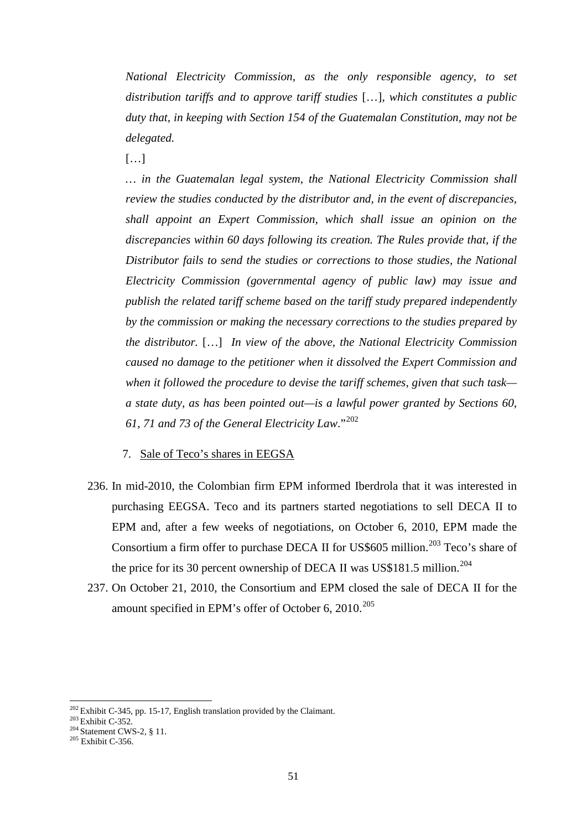*National Electricity Commission, as the only responsible agency, to set distribution tariffs and to approve tariff studies* […]*, which constitutes a public duty that, in keeping with Section 154 of the Guatemalan Constitution, may not be delegated.*

 $[\ldots]$ 

*… in the Guatemalan legal system, the National Electricity Commission shall review the studies conducted by the distributor and, in the event of discrepancies, shall appoint an Expert Commission, which shall issue an opinion on the discrepancies within 60 days following its creation. The Rules provide that, if the Distributor fails to send the studies or corrections to those studies, the National Electricity Commission (governmental agency of public law) may issue and publish the related tariff scheme based on the tariff study prepared independently by the commission or making the necessary corrections to the studies prepared by the distributor.* […] *In view of the above, the National Electricity Commission caused no damage to the petitioner when it dissolved the Expert Commission and when it followed the procedure to devise the tariff schemes, given that such task a state duty, as has been pointed out—is a lawful power granted by Sections 60, 61, 71 and 73 of the General Electricity Law*."[202](#page-50-0)

7. Sale of Teco's shares in EEGSA

- 236. In mid-2010, the Colombian firm EPM informed Iberdrola that it was interested in purchasing EEGSA. Teco and its partners started negotiations to sell DECA II to EPM and, after a few weeks of negotiations, on October 6, 2010, EPM made the Consortium a firm offer to purchase DECA II for US\$605 million. [203](#page-50-1) Teco's share of the price for its 30 percent ownership of DECA II was US\$181.5 million.<sup>[204](#page-50-2)</sup>
- 237. On October 21, 2010, the Consortium and EPM closed the sale of DECA II for the amount specified in EPM's offer of October 6, 2010.<sup>[205](#page-50-3)</sup>

<span id="page-50-1"></span><span id="page-50-0"></span><sup>&</sup>lt;sup>202</sup> Exhibit C-345, pp. 15-17, English translation provided by the Claimant.<br><sup>203</sup> Exhibit C-352.<br><sup>204</sup> Statement CWS-2, § 11.<br><sup>205</sup> Exhibit C-356.

<span id="page-50-2"></span>

<span id="page-50-3"></span>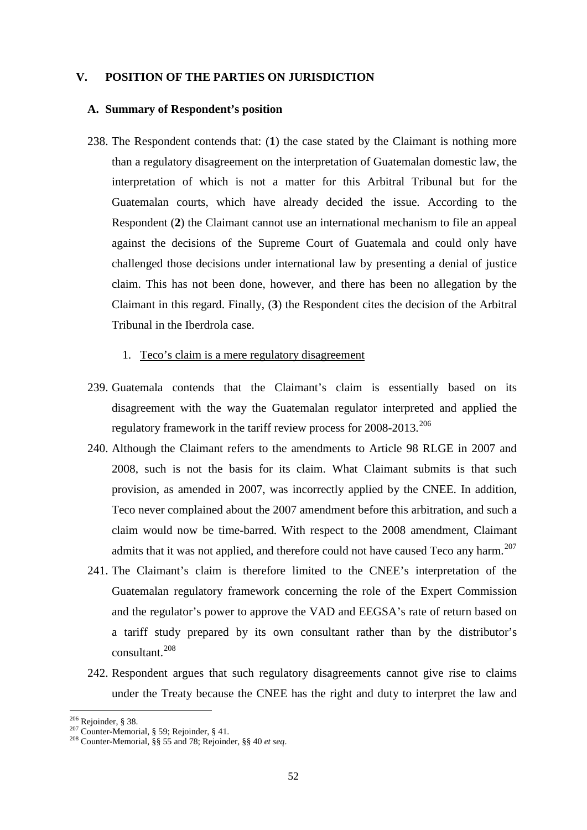## **V. POSITION OF THE PARTIES ON JURISDICTION**

### **A. Summary of Respondent's position**

238. The Respondent contends that: (**1**) the case stated by the Claimant is nothing more than a regulatory disagreement on the interpretation of Guatemalan domestic law, the interpretation of which is not a matter for this Arbitral Tribunal but for the Guatemalan courts, which have already decided the issue. According to the Respondent (**2**) the Claimant cannot use an international mechanism to file an appeal against the decisions of the Supreme Court of Guatemala and could only have challenged those decisions under international law by presenting a denial of justice claim. This has not been done, however, and there has been no allegation by the Claimant in this regard. Finally, (**3**) the Respondent cites the decision of the Arbitral Tribunal in the Iberdrola case.

### 1. Teco's claim is a mere regulatory disagreement

- 239. Guatemala contends that the Claimant's claim is essentially based on its disagreement with the way the Guatemalan regulator interpreted and applied the regulatory framework in the tariff review process for 2008-2013.<sup>[206](#page-51-0)</sup>
- 240. Although the Claimant refers to the amendments to Article 98 RLGE in 2007 and 2008, such is not the basis for its claim. What Claimant submits is that such provision, as amended in 2007, was incorrectly applied by the CNEE. In addition, Teco never complained about the 2007 amendment before this arbitration, and such a claim would now be time-barred. With respect to the 2008 amendment, Claimant admits that it was not applied, and therefore could not have caused Teco any harm.<sup>[207](#page-51-1)</sup>
- 241. The Claimant's claim is therefore limited to the CNEE's interpretation of the Guatemalan regulatory framework concerning the role of the Expert Commission and the regulator's power to approve the VAD and EEGSA's rate of return based on a tariff study prepared by its own consultant rather than by the distributor's consultant.[208](#page-51-2)
- 242. Respondent argues that such regulatory disagreements cannot give rise to claims under the Treaty because the CNEE has the right and duty to interpret the law and

 $206$  Rejoinder, § 38.

<span id="page-51-2"></span><span id="page-51-1"></span><span id="page-51-0"></span><sup>206</sup> Rejoinder, § 38. <sup>207</sup> Counter-Memorial, § 59; Rejoinder, § 41. <sup>208</sup> Counter-Memorial, §§ 55 and 78; Rejoinder, §§ <sup>40</sup>*et seq*.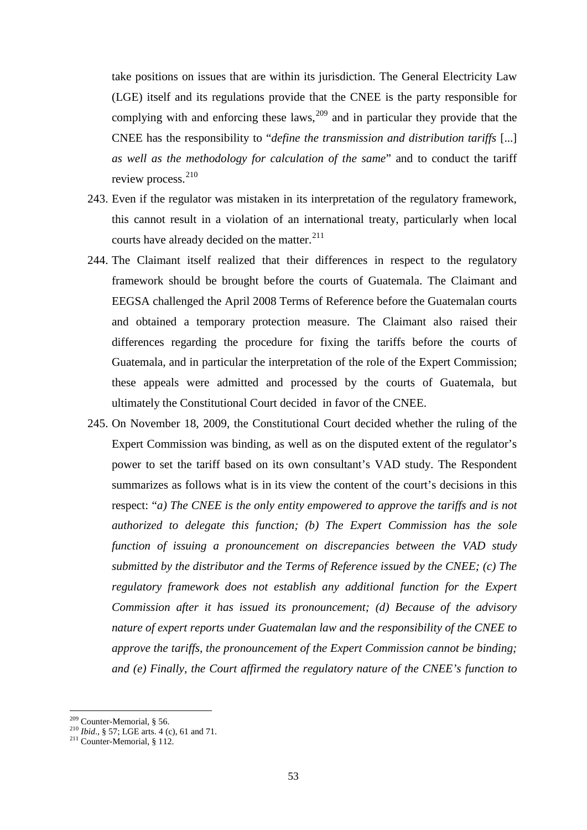take positions on issues that are within its jurisdiction. The General Electricity Law (LGE) itself and its regulations provide that the CNEE is the party responsible for complying with and enforcing these laws,  $209$  and in particular they provide that the CNEE has the responsibility to "*define the transmission and distribution tariffs* [...] *as well as the methodology for calculation of the same*" and to conduct the tariff review process.<sup>[210](#page-52-1)</sup>

- 243. Even if the regulator was mistaken in its interpretation of the regulatory framework, this cannot result in a violation of an international treaty, particularly when local courts have already decided on the matter.<sup>[211](#page-52-2)</sup>
- 244. The Claimant itself realized that their differences in respect to the regulatory framework should be brought before the courts of Guatemala. The Claimant and EEGSA challenged the April 2008 Terms of Reference before the Guatemalan courts and obtained a temporary protection measure. The Claimant also raised their differences regarding the procedure for fixing the tariffs before the courts of Guatemala, and in particular the interpretation of the role of the Expert Commission; these appeals were admitted and processed by the courts of Guatemala, but ultimately the Constitutional Court decided in favor of the CNEE.
- 245. On November 18, 2009, the Constitutional Court decided whether the ruling of the Expert Commission was binding, as well as on the disputed extent of the regulator's power to set the tariff based on its own consultant's VAD study. The Respondent summarizes as follows what is in its view the content of the court's decisions in this respect: "*a) The CNEE is the only entity empowered to approve the tariffs and is not authorized to delegate this function; (b) The Expert Commission has the sole function of issuing a pronouncement on discrepancies between the VAD study submitted by the distributor and the Terms of Reference issued by the CNEE; (c) The regulatory framework does not establish any additional function for the Expert Commission after it has issued its pronouncement; (d) Because of the advisory nature of expert reports under Guatemalan law and the responsibility of the CNEE to approve the tariffs, the pronouncement of the Expert Commission cannot be binding; and (e) Finally, the Court affirmed the regulatory nature of the CNEE's function to*

<sup>&</sup>lt;sup>209</sup> Counter-Memorial, § 56.

<span id="page-52-2"></span><span id="page-52-1"></span><span id="page-52-0"></span><sup>210</sup> *Ibid.*, § 57; LGE arts. 4 (c), 61 and 71.<br><sup>211</sup> Counter-Memorial, § 112.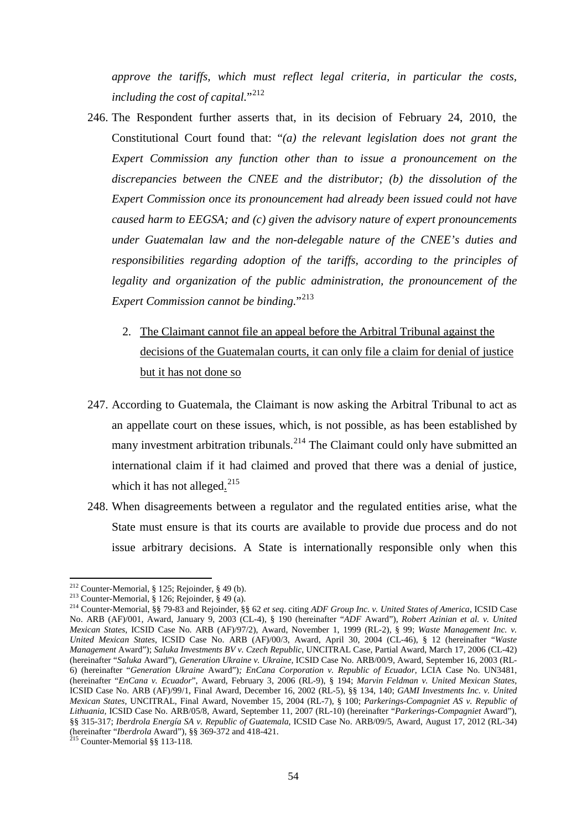*approve the tariffs, which must reflect legal criteria, in particular the costs, including the cost of capital.*"<sup>[212](#page-53-0)</sup>

- 246. The Respondent further asserts that, in its decision of February 24, 2010, the Constitutional Court found that: "*(a) the relevant legislation does not grant the Expert Commission any function other than to issue a pronouncement on the discrepancies between the CNEE and the distributor; (b) the dissolution of the Expert Commission once its pronouncement had already been issued could not have caused harm to EEGSA; and (c) given the advisory nature of expert pronouncements under Guatemalan law and the non-delegable nature of the CNEE's duties and responsibilities regarding adoption of the tariffs, according to the principles of legality and organization of the public administration, the pronouncement of the Expert Commission cannot be binding.*"[213](#page-53-1)
	- 2. The Claimant cannot file an appeal before the Arbitral Tribunal against the decisions of the Guatemalan courts, it can only file a claim for denial of justice but it has not done so
- 247. According to Guatemala, the Claimant is now asking the Arbitral Tribunal to act as an appellate court on these issues, which, is not possible, as has been established by many investment arbitration tribunals.<sup>[214](#page-53-2)</sup> The Claimant could only have submitted an international claim if it had claimed and proved that there was a denial of justice, which it has not alleged.<sup>[215](#page-53-3)</sup>
- 248. When disagreements between a regulator and the regulated entities arise, what the State must ensure is that its courts are available to provide due process and do not issue arbitrary decisions. A State is internationally responsible only when this

<span id="page-53-0"></span><sup>&</sup>lt;sup>212</sup> Counter-Memorial, § 125; Rejoinder, § 49 (b).

<span id="page-53-2"></span><span id="page-53-1"></span><sup>213</sup> Counter-Memorial, § 126; Rejoinder, § 49 (a).<br><sup>213</sup> Counter-Memorial, § 79-83 and Rejoinder, § 62 *et seq.* citing *ADF Group Inc. v. United States of America*, ICSID Case No. ARB (AF)/001, Award, January 9, 2003 (CL-4), § 190 (hereinafter "*ADF* Award"), *Robert Azinian et al. v. United Mexican States*, ICSID Case No. ARB (AF)/97/2), Award, November 1, 1999 (RL-2), § 99; *Waste Management Inc. v. United Mexican States*, ICSID Case No. ARB (AF)/00/3, Award, April 30, 2004 (CL-46), § 12 (hereinafter "*Waste Management* Award"); *Saluka Investments BV v. Czech Republic*, UNCITRAL Case, Partial Award, March 17, 2006 (CL-42) (hereinafter "*Saluka* Award"), *Generation Ukraine v. Ukraine,* ICSID Case No. ARB/00/9, Award, September 16, 2003 (RL-6) (hereinafter "*Generation Ukraine* Award")*; EnCana Corporation v. Republic of Ecuador*, LCIA Case No. UN3481, (hereinafter "*EnCana v. Ecuador*", Award, February 3, 2006 (RL-9), § 194; *Marvin Feldman v. United Mexican States*, ICSID Case No. ARB (AF)/99/1, Final Award, December 16, 2002 (RL-5), §§ 134, 140; *GAMI Investments Inc. v. United Mexican States*, UNCITRAL, Final Award, November 15, 2004 (RL-7), § 100; *Parkerings-Compagniet AS v. Republic of Lithuania,* ICSID Case No. ARB/05/8, Award, September 11, 2007 (RL-10) (hereinafter "*Parkerings-Compagniet* Award"), §§ 315-317; *Iberdrola Energía SA v. Republic of Guatemala*, ICSID Case No. ARB/09/5, Award, August 17, 2012 (RL-34) (hereinafter "*Iberdrola* Award"), §§ 369-372 and 418-421. <sup>215</sup> Counter-Memorial §§ 113-118.

<span id="page-53-3"></span>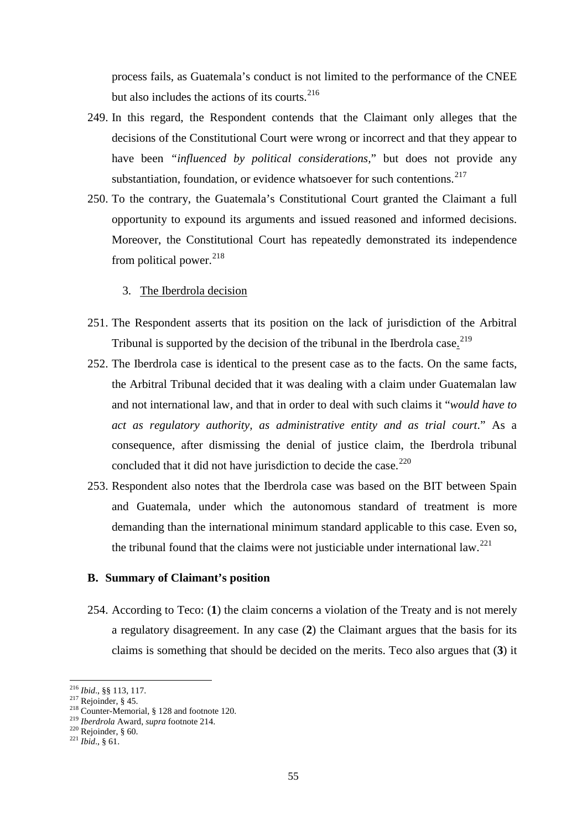process fails, as Guatemala's conduct is not limited to the performance of the CNEE but also includes the actions of its courts.<sup>[216](#page-54-0)</sup>

- 249. In this regard, the Respondent contends that the Claimant only alleges that the decisions of the Constitutional Court were wrong or incorrect and that they appear to have been *"influenced by political considerations,*" but does not provide any substantiation, foundation, or evidence whatsoever for such contentions.<sup>[217](#page-54-1)</sup>
- 250. To the contrary, the Guatemala's Constitutional Court granted the Claimant a full opportunity to expound its arguments and issued reasoned and informed decisions. Moreover, the Constitutional Court has repeatedly demonstrated its independence from political power. $^{218}$  $^{218}$  $^{218}$ 
	- 3. The Iberdrola decision
- 251. The Respondent asserts that its position on the lack of jurisdiction of the Arbitral Tribunal is supported by the decision of the tribunal in the Iberdrola case.<sup>[219](#page-54-3)</sup>
- 252. The Iberdrola case is identical to the present case as to the facts. On the same facts, the Arbitral Tribunal decided that it was dealing with a claim under Guatemalan law and not international law, and that in order to deal with such claims it "*would have to act as regulatory authority, as administrative entity and as trial court*." As a consequence, after dismissing the denial of justice claim, the Iberdrola tribunal concluded that it did not have jurisdiction to decide the case.<sup>[220](#page-54-4)</sup>
- 253. Respondent also notes that the Iberdrola case was based on the BIT between Spain and Guatemala, under which the autonomous standard of treatment is more demanding than the international minimum standard applicable to this case. Even so, the tribunal found that the claims were not justiciable under international law.<sup>[221](#page-54-5)</sup>

#### **B. Summary of Claimant's position**

254. According to Teco: (**1**) the claim concerns a violation of the Treaty and is not merely a regulatory disagreement. In any case (**2**) the Claimant argues that the basis for its claims is something that should be decided on the merits. Teco also argues that (**3**) it

<span id="page-54-0"></span><sup>&</sup>lt;sup>216</sup> *Ibid.*, §§ 113, 117.<br><sup>217</sup> Rejoinder, § 45.

<span id="page-54-3"></span><span id="page-54-2"></span><span id="page-54-1"></span><sup>&</sup>lt;sup>218</sup> Counter-Memorial, § 128 and footnote 120.<br><sup>219</sup> *Iberdrola* Award, *supra* footnote 214.<br><sup>220</sup> Rejoinder, § 60.<br><sup>221</sup> *Ibid.*, § 61.

<span id="page-54-4"></span>

<span id="page-54-5"></span>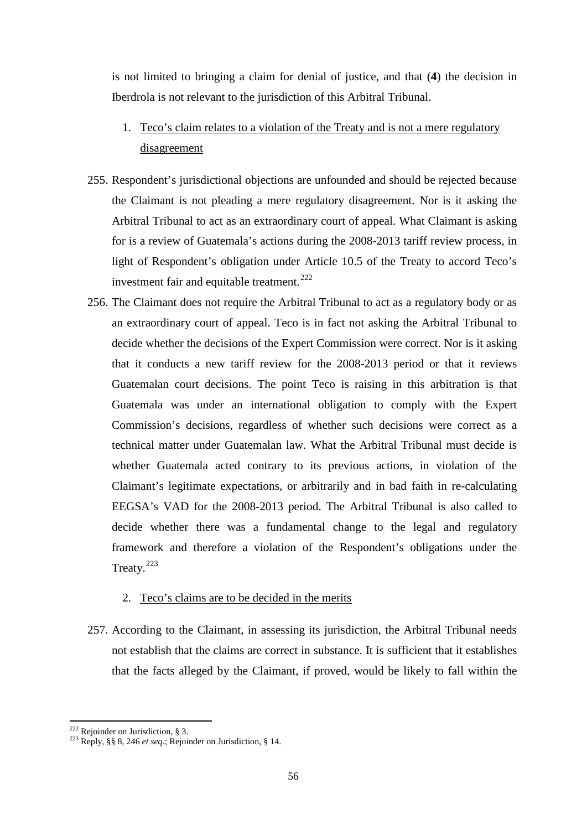is not limited to bringing a claim for denial of justice, and that (**4**) the decision in Iberdrola is not relevant to the jurisdiction of this Arbitral Tribunal.

- 1. Teco's claim relates to a violation of the Treaty and is not a mere regulatory disagreement
- 255. Respondent's jurisdictional objections are unfounded and should be rejected because the Claimant is not pleading a mere regulatory disagreement. Nor is it asking the Arbitral Tribunal to act as an extraordinary court of appeal. What Claimant is asking for is a review of Guatemala's actions during the 2008-2013 tariff review process, in light of Respondent's obligation under Article 10.5 of the Treaty to accord Teco's investment fair and equitable treatment.<sup>[222](#page-55-0)</sup>
- 256. The Claimant does not require the Arbitral Tribunal to act as a regulatory body or as an extraordinary court of appeal. Teco is in fact not asking the Arbitral Tribunal to decide whether the decisions of the Expert Commission were correct. Nor is it asking that it conducts a new tariff review for the 2008-2013 period or that it reviews Guatemalan court decisions. The point Teco is raising in this arbitration is that Guatemala was under an international obligation to comply with the Expert Commission's decisions, regardless of whether such decisions were correct as a technical matter under Guatemalan law. What the Arbitral Tribunal must decide is whether Guatemala acted contrary to its previous actions, in violation of the Claimant's legitimate expectations, or arbitrarily and in bad faith in re-calculating EEGSA's VAD for the 2008-2013 period. The Arbitral Tribunal is also called to decide whether there was a fundamental change to the legal and regulatory framework and therefore a violation of the Respondent's obligations under the Treaty.<sup>[223](#page-55-1)</sup>

## 2. Teco's claims are to be decided in the merits

257. According to the Claimant, in assessing its jurisdiction, the Arbitral Tribunal needs not establish that the claims are correct in substance. It is sufficient that it establishes that the facts alleged by the Claimant, if proved, would be likely to fall within the

<span id="page-55-0"></span><sup>&</sup>lt;sup>222</sup> Rejoinder on Jurisdiction, § 3.

<span id="page-55-1"></span><sup>222</sup> Rejoinder on Jurisdiction, § 3. 223 Reply, §§ 8, 246 *et seq*.; Rejoinder on Jurisdiction, § 14.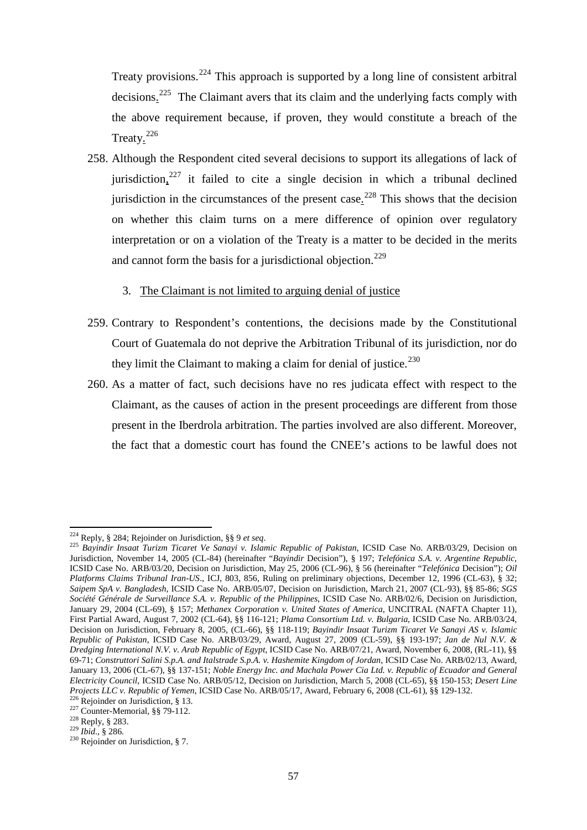Treaty provisions.<sup>[224](#page-56-0)</sup> This approach is supported by a long line of consistent arbitral decisions.<sup>[225](#page-56-1)</sup> The Claimant avers that its claim and the underlying facts comply with the above requirement because, if proven, they would constitute a breach of the Treaty.<sup>[226](#page-56-2)</sup>

- 258. Although the Respondent cited several decisions to support its allegations of lack of jurisdiction,<sup>[227](#page-56-3)</sup> it failed to cite a single decision in which a tribunal declined jurisdiction in the circumstances of the present case.<sup>[228](#page-56-4)</sup> This shows that the decision on whether this claim turns on a mere difference of opinion over regulatory interpretation or on a violation of the Treaty is a matter to be decided in the merits and cannot form the basis for a jurisdictional objection.<sup>[229](#page-56-5)</sup>
	- 3. The Claimant is not limited to arguing denial of justice
- 259. Contrary to Respondent's contentions, the decisions made by the Constitutional Court of Guatemala do not deprive the Arbitration Tribunal of its jurisdiction, nor do they limit the Claimant to making a claim for denial of justice.<sup>[230](#page-56-6)</sup>
- 260. As a matter of fact, such decisions have no res judicata effect with respect to the Claimant, as the causes of action in the present proceedings are different from those present in the Iberdrola arbitration. The parties involved are also different. Moreover, the fact that a domestic court has found the CNEE's actions to be lawful does not

<span id="page-56-1"></span><span id="page-56-0"></span><sup>224</sup> Reply, § 284; Rejoinder on Jurisdiction, §§ 9 *et seq*. 225 *Bayindir Insaat Turizm Ticaret Ve Sanayi v. Islamic Republic of Pakistan*, ICSID Case No. ARB/03/29, Decision on Jurisdiction, November 14, 2005 (CL-84) (hereinafter "*Bayindir* Decision"), § 197; *Telefónica S.A. v. Argentine Republic*, ICSID Case No. ARB/03/20, Decision on Jurisdiction, May 25, 2006 (CL-96), § 56 (hereinafter "*Telefónica* Decision"); *Oil Platforms Claims Tribunal Iran-US*., ICJ, 803, 856, Ruling on preliminary objections, December 12, 1996 (CL-63), § 32; *Saipem SpA v. Bangladesh*, ICSID Case No. ARB/05/07, Decision on Jurisdiction, March 21, 2007 (CL-93), §§ 85-86; *SGS Société Générale de Surveillance S.A. v. Republic of the Philippines*, ICSID Case No. ARB/02/6, Decision on Jurisdiction, January 29, 2004 (CL-69), § 157; *Methanex Corporation v. United States of America*, UNCITRAL (NAFTA Chapter 11), First Partial Award, August 7, 2002 (CL-64), §§ 116-121; *Plama Consortium Ltd. v. Bulgaria*, ICSID Case No. ARB/03/24, Decision on Jurisdiction, February 8, 2005, (CL-66), §§ 118-119; *Bayindir Insaat Turizm Ticaret Ve Sanayi AS v. Islamic Republic of Pakistan*, ICSID Case No. ARB/03/29, Award, August 27, 2009 (CL-59), §§ 193-197; *Jan de Nul N.V. & Dredging International N.V. v. Arab Republic of Egypt*, ICSID Case No. ARB/07/21, Award, November 6, 2008, (RL-11), §§ 69-71; *Construttori Salini S.p.A. and Italstrade S.p.A. v. Hashemite Kingdom of Jordan*, ICSID Case No. ARB/02/13, Award, January 13, 2006 (CL-67), §§ 137-151; *Noble Energy Inc. and Machala Power Cia Ltd. v. Republic of Ecuador and General Electricity Council*, ICSID Case No. ARB/05/12, Decision on Jurisdiction, March 5, 2008 (CL-65), §§ 150-153; *Desert Line Projects LLC v. Republic of Yemen, ICSID Case No. ARB/05/17, Award, February 6, 2008 (CL-61), §§ 129-132.*<br><sup>226</sup> Rejoinder on Jurisdiction, § 13.<br><sup>227</sup> Counter-Memorial, §§ 79-112.<br><sup>228</sup> Reply, § 283.<br><sup>229</sup> Ibid., § 286.

<span id="page-56-3"></span><span id="page-56-2"></span>

<span id="page-56-4"></span>

<span id="page-56-5"></span>

<span id="page-56-6"></span>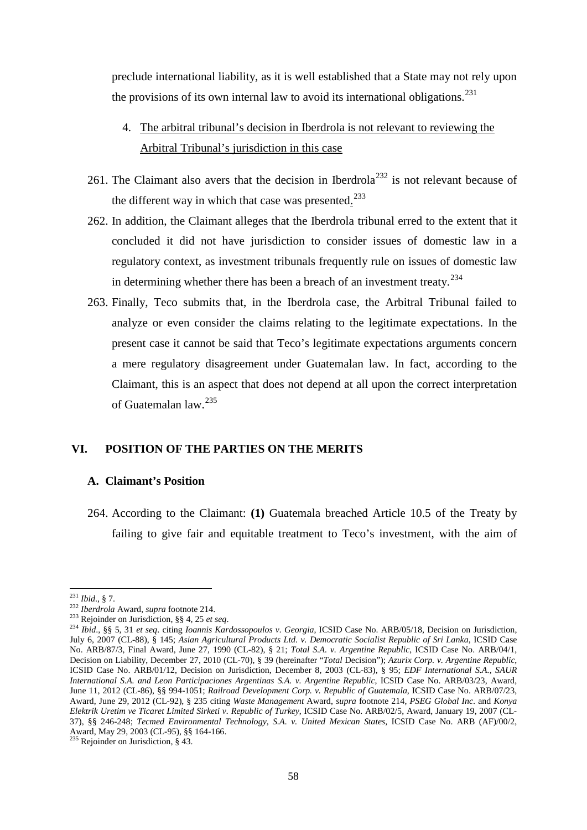preclude international liability, as it is well established that a State may not rely upon the provisions of its own internal law to avoid its international obligations.<sup>[231](#page-57-0)</sup>

- 4. The arbitral tribunal's decision in Iberdrola is not relevant to reviewing the Arbitral Tribunal's jurisdiction in this case
- 261. The Claimant also avers that the decision in Iberdrola<sup>[232](#page-57-1)</sup> is not relevant because of the different way in which that case was presented. $2^{23}$
- 262. In addition, the Claimant alleges that the Iberdrola tribunal erred to the extent that it concluded it did not have jurisdiction to consider issues of domestic law in a regulatory context, as investment tribunals frequently rule on issues of domestic law in determining whether there has been a breach of an investment treaty.<sup>[234](#page-57-3)</sup>
- 263. Finally, Teco submits that, in the Iberdrola case, the Arbitral Tribunal failed to analyze or even consider the claims relating to the legitimate expectations. In the present case it cannot be said that Teco's legitimate expectations arguments concern a mere regulatory disagreement under Guatemalan law. In fact, according to the Claimant, this is an aspect that does not depend at all upon the correct interpretation of Guatemalan law.<sup>[235](#page-57-4)</sup>

## **VI. POSITION OF THE PARTIES ON THE MERITS**

### **A. Claimant's Position**

264. According to the Claimant: **(1)** Guatemala breached Article 10.5 of the Treaty by failing to give fair and equitable treatment to Teco's investment, with the aim of

 $^{231}$  *Ibid.*, § 7.

<span id="page-57-3"></span>

<span id="page-57-2"></span><span id="page-57-1"></span><span id="page-57-0"></span><sup>&</sup>lt;sup>232</sup>*Iberdrola* Award, *supra* footnote 214.<br><sup>233</sup> Rejoinder on Jurisdiction, §§ 4, 25 *et seq.*<br><sup>233</sup> Rejoinder on Jurisdiction, §§ 4, 25 *et seq.*<br><sup>234</sup> Ibid., §§ 5, 31 *et seq.* citing *Ioannis Kardossopoulos v. Georgi* July 6, 2007 (CL-88), § 145; *Asian Agricultural Products Ltd. v. Democratic Socialist Republic of Sri Lanka*, ICSID Case No. ARB/87/3, Final Award, June 27, 1990 (CL-82), § 21; *Total S.A. v. Argentine Republic*, ICSID Case No. ARB/04/1, Decision on Liability, December 27, 2010 (CL-70), § 39 (hereinafter "*Total* Decision"); *Azurix Corp. v. Argentine Republic*, ICSID Case No. ARB/01/12, Decision on Jurisdiction, December 8, 2003 (CL-83), § 95; *EDF International S.A., SAUR International S.A. and Leon Participaciones Argentinas S.A. v. Argentine Republic*, ICSID Case No. ARB/03/23, Award, June 11, 2012 (CL-86), §§ 994-1051; *Railroad Development Corp. v. Republic of Guatemala*, ICSID Case No. ARB/07/23, Award, June 29, 2012 (CL-92), § 235 citing *Waste Management* Award, *supra* footnote 214, *PSEG Global Inc*. and *Konya Elektrik Uretim ve Ticaret Limited Sirketi v. Republic of Turkey*, ICSID Case No. ARB/02/5, Award, January 19, 2007 (CL-37), §§ 246-248; *Tecmed Environmental Technology, S.A. v. United Mexican States*, ICSID Case No. ARB (AF)/00/2, Award, May 29, 2003 (CL-95), §§ 164-166.<br><sup>235</sup> Rejoinder on Jurisdiction, § 43.

<span id="page-57-4"></span>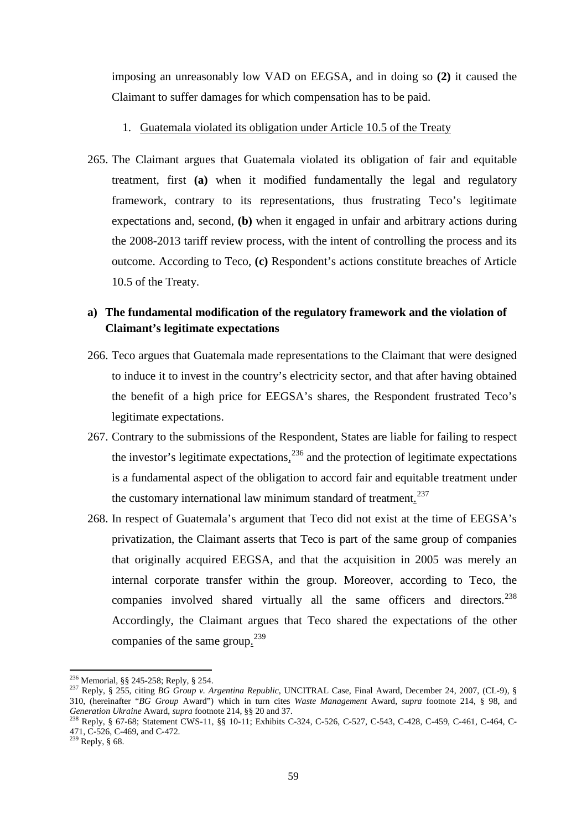imposing an unreasonably low VAD on EEGSA, and in doing so **(2)** it caused the Claimant to suffer damages for which compensation has to be paid.

- 1. Guatemala violated its obligation under Article 10.5 of the Treaty
- 265. The Claimant argues that Guatemala violated its obligation of fair and equitable treatment, first **(a)** when it modified fundamentally the legal and regulatory framework, contrary to its representations, thus frustrating Teco's legitimate expectations and, second, **(b)** when it engaged in unfair and arbitrary actions during the 2008-2013 tariff review process, with the intent of controlling the process and its outcome. According to Teco, **(c)** Respondent's actions constitute breaches of Article 10.5 of the Treaty.

# **a) The fundamental modification of the regulatory framework and the violation of Claimant's legitimate expectations**

- 266. Teco argues that Guatemala made representations to the Claimant that were designed to induce it to invest in the country's electricity sector, and that after having obtained the benefit of a high price for EEGSA's shares, the Respondent frustrated Teco's legitimate expectations.
- 267. Contrary to the submissions of the Respondent, States are liable for failing to respect the investor's legitimate expectations,  $2^{36}$  and the protection of legitimate expectations is a fundamental aspect of the obligation to accord fair and equitable treatment under the customary international law minimum standard of treatment.<sup>[237](#page-58-1)</sup>
- 268. In respect of Guatemala's argument that Teco did not exist at the time of EEGSA's privatization, the Claimant asserts that Teco is part of the same group of companies that originally acquired EEGSA, and that the acquisition in 2005 was merely an internal corporate transfer within the group. Moreover, according to Teco, the companies involved shared virtually all the same officers and directors.<sup>[238](#page-58-2)</sup> Accordingly, the Claimant argues that Teco shared the expectations of the other companies of the same group.<sup>[239](#page-58-3)</sup>

<span id="page-58-0"></span><sup>&</sup>lt;sup>236</sup> Memorial, §§ 245-258; Reply, § 254.

<span id="page-58-1"></span><sup>&</sup>lt;sup>237</sup> Reply, § 255, citing *BG Group v. Argentina Republic*, UNCITRAL Case, Final Award, December 24, 2007, (CL-9), § 310, (hereinafter "*BG Group* Award") which in turn cites *Waste Management* Award, *supra* footnote 214, § 98, and

<span id="page-58-3"></span><span id="page-58-2"></span><sup>&</sup>lt;sup>238</sup> Reply, § 67-68; Statement CWS-11, §§ 10-11; Exhibits C-324, C-526, C-527, C-543, C-428, C-459, C-461, C-464, C-471, C-526, C-469, and C-472.<br><sup>239</sup> Reply, § 68.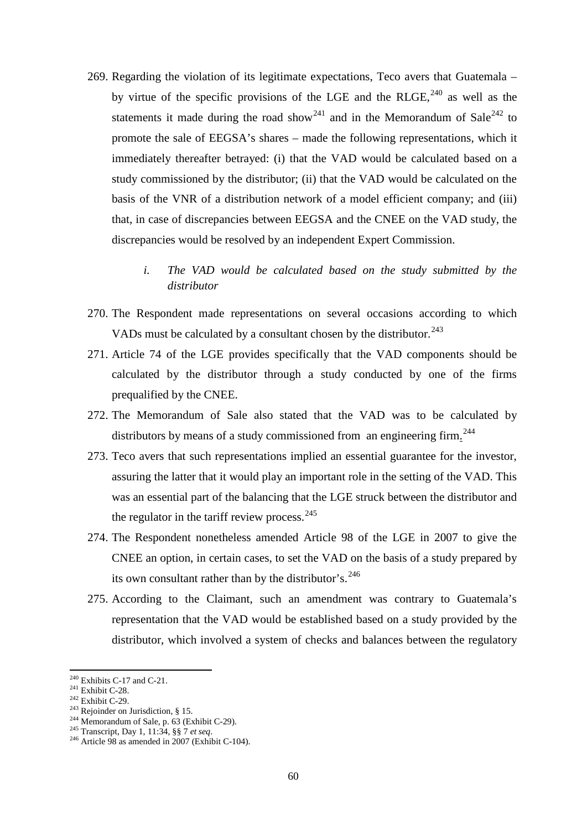- 269. Regarding the violation of its legitimate expectations, Teco avers that Guatemala by virtue of the specific provisions of the LGE and the RLGE,  $240$  as well as the statements it made during the road show<sup>[241](#page-59-1)</sup> and in the Memorandum of Sale<sup>[242](#page-59-2)</sup> to promote the sale of EEGSA's shares – made the following representations, which it immediately thereafter betrayed: (i) that the VAD would be calculated based on a study commissioned by the distributor; (ii) that the VAD would be calculated on the basis of the VNR of a distribution network of a model efficient company; and (iii) that, in case of discrepancies between EEGSA and the CNEE on the VAD study, the discrepancies would be resolved by an independent Expert Commission.
	- *i. The VAD would be calculated based on the study submitted by the distributor*
- 270. The Respondent made representations on several occasions according to which VADs must be calculated by a consultant chosen by the distributor.<sup>[243](#page-59-3)</sup>
- 271. Article 74 of the LGE provides specifically that the VAD components should be calculated by the distributor through a study conducted by one of the firms prequalified by the CNEE.
- 272. The Memorandum of Sale also stated that the VAD was to be calculated by distributors by means of a study commissioned from an engineering firm.<sup>[244](#page-59-4)</sup>
- 273. Teco avers that such representations implied an essential guarantee for the investor, assuring the latter that it would play an important role in the setting of the VAD. This was an essential part of the balancing that the LGE struck between the distributor and the regulator in the tariff review process.  $245$
- 274. The Respondent nonetheless amended Article 98 of the LGE in 2007 to give the CNEE an option, in certain cases, to set the VAD on the basis of a study prepared by its own consultant rather than by the distributor's.<sup>[246](#page-59-6)</sup>
- 275. According to the Claimant, such an amendment was contrary to Guatemala's representation that the VAD would be established based on a study provided by the distributor, which involved a system of checks and balances between the regulatory

- 
- 
- <span id="page-59-3"></span>

 $240$  Exhibits C-17 and C-21.

<span id="page-59-5"></span><span id="page-59-4"></span>

<span id="page-59-6"></span>

<span id="page-59-2"></span><span id="page-59-1"></span><span id="page-59-0"></span><sup>&</sup>lt;sup>241</sup> Exhibit C-28.<br>
<sup>242</sup> Exhibit C-29.<br>
<sup>243</sup> Rejoinder on Jurisdiction, § 15.<br>
<sup>244</sup> Memorandum of Sale, p. 63 (Exhibit C-29).<br>
<sup>245</sup> Transcript, Day 1, 11:34, §§ 7 *et seq.*<br>
<sup>246</sup> Article 98 as amended in 2007 (Exhib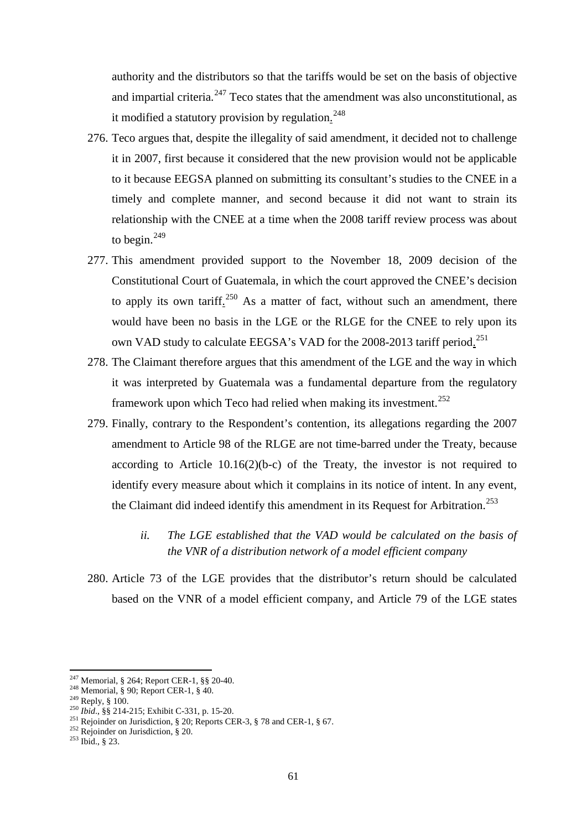authority and the distributors so that the tariffs would be set on the basis of objective and impartial criteria. $247$  Teco states that the amendment was also unconstitutional, as it modified a statutory provision by regulation.<sup>[248](#page-60-1)</sup>

- 276. Teco argues that, despite the illegality of said amendment, it decided not to challenge it in 2007, first because it considered that the new provision would not be applicable to it because EEGSA planned on submitting its consultant's studies to the CNEE in a timely and complete manner, and second because it did not want to strain its relationship with the CNEE at a time when the 2008 tariff review process was about to begin.<sup>[249](#page-60-2)</sup>
- 277. This amendment provided support to the November 18, 2009 decision of the Constitutional Court of Guatemala, in which the court approved the CNEE's decision to apply its own tariff.<sup>[250](#page-60-3)</sup> As a matter of fact, without such an amendment, there would have been no basis in the LGE or the RLGE for the CNEE to rely upon its own VAD study to calculate EEGSA's VAD for the 2008-2013 tariff period.<sup>[251](#page-60-4)</sup>
- 278. The Claimant therefore argues that this amendment of the LGE and the way in which it was interpreted by Guatemala was a fundamental departure from the regulatory framework upon which Teco had relied when making its investment.<sup>[252](#page-60-5)</sup>
- 279. Finally, contrary to the Respondent's contention, its allegations regarding the 2007 amendment to Article 98 of the RLGE are not time-barred under the Treaty, because according to Article 10.16(2)(b-c) of the Treaty, the investor is not required to identify every measure about which it complains in its notice of intent. In any event, the Claimant did indeed identify this amendment in its Request for Arbitration.<sup>[253](#page-60-6)</sup>
	- *ii. The LGE established that the VAD would be calculated on the basis of the VNR of a distribution network of a model efficient company*
- 280. Article 73 of the LGE provides that the distributor's return should be calculated based on the VNR of a model efficient company, and Article 79 of the LGE states

<sup>&</sup>lt;sup>247</sup> Memorial, § 264; Report CER-1, §§ 20-40.

<span id="page-60-3"></span>

<span id="page-60-2"></span><span id="page-60-1"></span><span id="page-60-0"></span><sup>&</sup>lt;sup>248</sup> Memorial, § 90; Report CER-1, § 40.<br><sup>249</sup> Reply, § 100.<br><sup>249</sup> Reply, § 100.<br><sup>250</sup> *Ibid.*, §§ 214-215; Exhibit C-331, p. 15-20.<br><sup>251</sup> Rejoinder on Jurisdiction, § 20; Reports CER-3, § 78 and CER-1, § 67.<br><sup>252</sup> Rejoi

<span id="page-60-6"></span><span id="page-60-5"></span><span id="page-60-4"></span>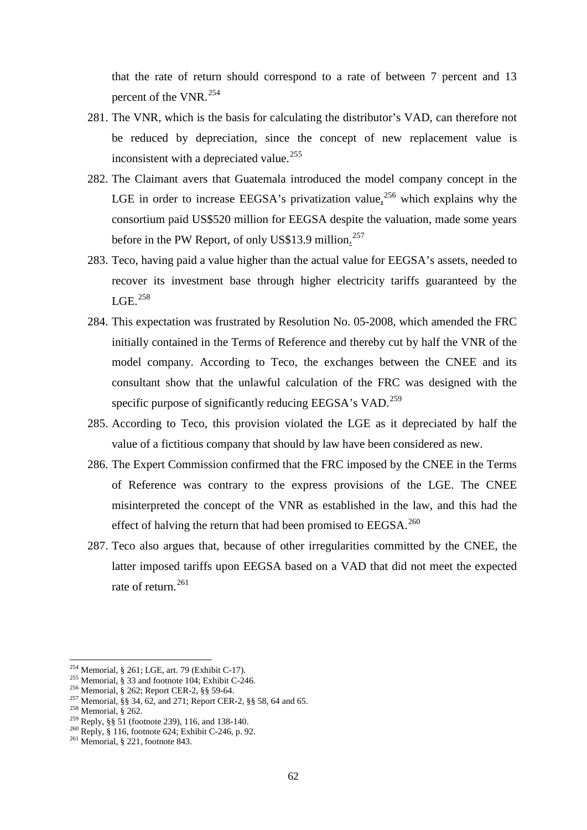that the rate of return should correspond to a rate of between 7 percent and 13 percent of the VNR.<sup>[254](#page-61-0)</sup>

- 281. The VNR, which is the basis for calculating the distributor's VAD, can therefore not be reduced by depreciation, since the concept of new replacement value is inconsistent with a depreciated value.<sup>[255](#page-61-1)</sup>
- 282. The Claimant avers that Guatemala introduced the model company concept in the LGE in order to increase EEGSA's privatization value,  $256$  which explains why the consortium paid US\$520 million for EEGSA despite the valuation, made some years before in the PW Report, of only US\$13.9 million.<sup>[257](#page-61-3)</sup>
- 283. Teco, having paid a value higher than the actual value for EEGSA's assets, needed to recover its investment base through higher electricity tariffs guaranteed by the  $LGE.$ <sup>[258](#page-61-4)</sup>
- 284. This expectation was frustrated by Resolution No. 05-2008, which amended the FRC initially contained in the Terms of Reference and thereby cut by half the VNR of the model company. According to Teco, the exchanges between the CNEE and its consultant show that the unlawful calculation of the FRC was designed with the specific purpose of significantly reducing EEGSA's VAD.<sup>[259](#page-61-5)</sup>
- 285. According to Teco, this provision violated the LGE as it depreciated by half the value of a fictitious company that should by law have been considered as new.
- 286. The Expert Commission confirmed that the FRC imposed by the CNEE in the Terms of Reference was contrary to the express provisions of the LGE. The CNEE misinterpreted the concept of the VNR as established in the law, and this had the effect of halving the return that had been promised to  $EEGSA.<sup>260</sup>$  $EEGSA.<sup>260</sup>$  $EEGSA.<sup>260</sup>$
- 287. Teco also argues that, because of other irregularities committed by the CNEE, the latter imposed tariffs upon EEGSA based on a VAD that did not meet the expected rate of return. [261](#page-61-7)

<span id="page-61-0"></span><sup>&</sup>lt;sup>254</sup> Memorial, § 261; LGE, art. 79 (Exhibit C-17).

<span id="page-61-2"></span><span id="page-61-1"></span><sup>&</sup>lt;sup>255</sup> Memorial, § 33 and footnote 104; Exhibit C-246.<br><sup>256</sup> Memorial, § 262; Report CER-2, §§ 59-64.<br><sup>257</sup> Memorial, §§ 34, 62, and 271; Report CER-2, §§ 58, 64 and 65.<br><sup>258</sup> Memorial, § 262.<br><sup>259</sup> Reply, §§ 51 (footnote

<span id="page-61-4"></span><span id="page-61-3"></span>

<span id="page-61-5"></span>

<span id="page-61-6"></span>

<span id="page-61-7"></span>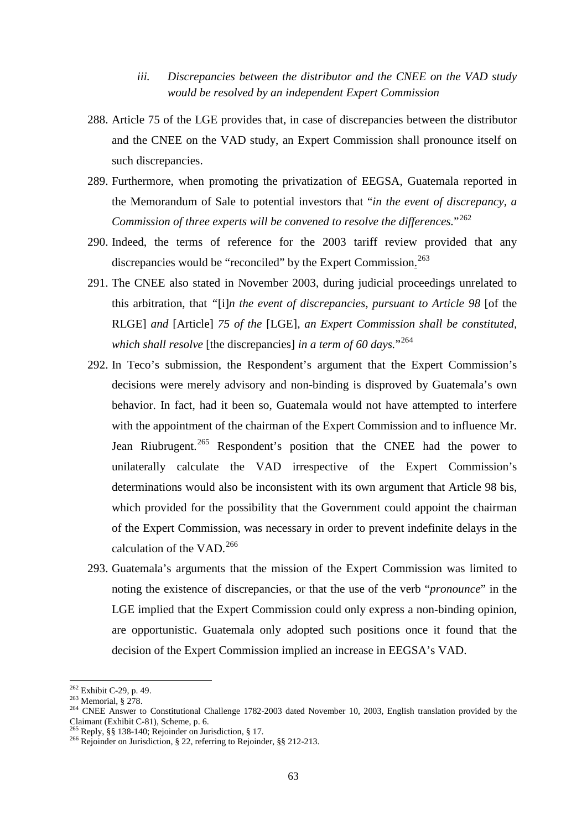- *iii. Discrepancies between the distributor and the CNEE on the VAD study would be resolved by an independent Expert Commission*
- 288. Article 75 of the LGE provides that, in case of discrepancies between the distributor and the CNEE on the VAD study, an Expert Commission shall pronounce itself on such discrepancies.
- 289. Furthermore, when promoting the privatization of EEGSA, Guatemala reported in the Memorandum of Sale to potential investors that "*in the event of discrepancy, a Commission of three experts will be convened to resolve the differences.*"<sup>[262](#page-62-0)</sup>
- 290. Indeed, the terms of reference for the 2003 tariff review provided that any discrepancies would be "reconciled" by the Expert Commission.<sup>[263](#page-62-1)</sup>
- 291. The CNEE also stated in November 2003, during judicial proceedings unrelated to this arbitration, that *"*[i]*n the event of discrepancies, pursuant to Article 98* [of the RLGE] *and* [Article] *75 of the* [LGE]*, an Expert Commission shall be constituted, which shall resolve* [the discrepancies] *in a term of 60 days.*<sup>[264](#page-62-2)</sup>
- 292. In Teco's submission, the Respondent's argument that the Expert Commission's decisions were merely advisory and non-binding is disproved by Guatemala's own behavior. In fact, had it been so, Guatemala would not have attempted to interfere with the appointment of the chairman of the Expert Commission and to influence Mr. Jean Riubrugent.<sup>[265](#page-62-3)</sup> Respondent's position that the CNEE had the power to unilaterally calculate the VAD irrespective of the Expert Commission's determinations would also be inconsistent with its own argument that Article 98 bis, which provided for the possibility that the Government could appoint the chairman of the Expert Commission, was necessary in order to prevent indefinite delays in the calculation of the VAD.<sup>[266](#page-62-4)</sup>
- 293. Guatemala's arguments that the mission of the Expert Commission was limited to noting the existence of discrepancies, or that the use of the verb "*pronounce*" in the LGE implied that the Expert Commission could only express a non-binding opinion, are opportunistic. Guatemala only adopted such positions once it found that the decision of the Expert Commission implied an increase in EEGSA's VAD.

<span id="page-62-0"></span><sup>&</sup>lt;sup>262</sup> Exhibit C-29, p. 49.

<span id="page-62-2"></span><span id="page-62-1"></span><sup>263</sup> Memorial, § 278.<br>
<sup>263</sup> Memorial, § 278.<br>
<sup>264</sup> CNEE Answer to Constitutional Challenge 1782-2003 dated November 10, 2003, English translation provided by the Claimant (Exhibit C-81), Scheme, p. 6.

<span id="page-62-4"></span><span id="page-62-3"></span><sup>&</sup>lt;sup>265</sup> Reply, §§ 138-140; Rejoinder on Jurisdiction, § 17. <sup>266</sup> Rejoinder on Jurisdiction, § 22, referring to Rejoinder, §§ 212-213.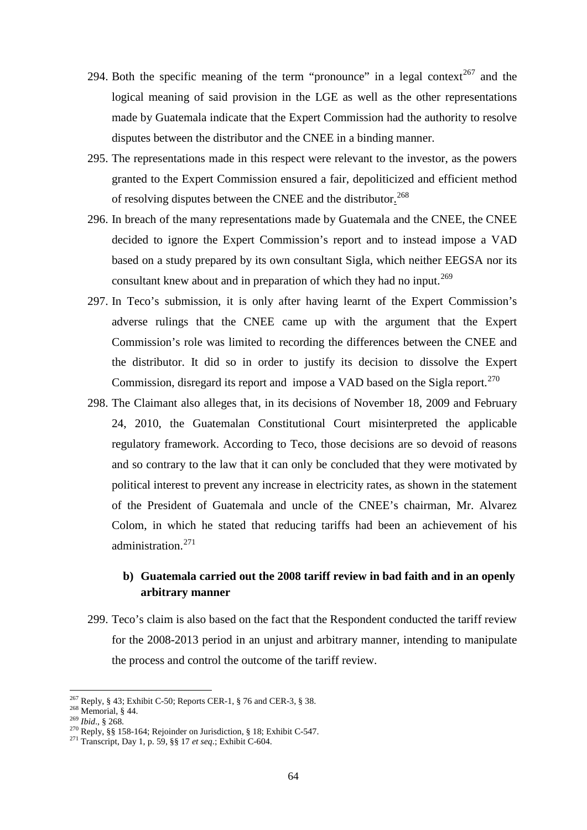- 294. Both the specific meaning of the term "pronounce" in a legal context<sup>[267](#page-63-0)</sup> and the logical meaning of said provision in the LGE as well as the other representations made by Guatemala indicate that the Expert Commission had the authority to resolve disputes between the distributor and the CNEE in a binding manner.
- 295. The representations made in this respect were relevant to the investor, as the powers granted to the Expert Commission ensured a fair, depoliticized and efficient method of resolving disputes between the CNEE and the distributor.<sup>[268](#page-63-1)</sup>
- 296. In breach of the many representations made by Guatemala and the CNEE, the CNEE decided to ignore the Expert Commission's report and to instead impose a VAD based on a study prepared by its own consultant Sigla, which neither EEGSA nor its consultant knew about and in preparation of which they had no input.<sup>[269](#page-63-2)</sup>
- 297. In Teco's submission, it is only after having learnt of the Expert Commission's adverse rulings that the CNEE came up with the argument that the Expert Commission's role was limited to recording the differences between the CNEE and the distributor. It did so in order to justify its decision to dissolve the Expert Commission, disregard its report and impose a VAD based on the Sigla report.<sup>[270](#page-63-3)</sup>
- 298. The Claimant also alleges that, in its decisions of November 18, 2009 and February 24, 2010, the Guatemalan Constitutional Court misinterpreted the applicable regulatory framework. According to Teco, those decisions are so devoid of reasons and so contrary to the law that it can only be concluded that they were motivated by political interest to prevent any increase in electricity rates, as shown in the statement of the President of Guatemala and uncle of the CNEE's chairman, Mr. Alvarez Colom, in which he stated that reducing tariffs had been an achievement of his administration.[271](#page-63-4)

# **b) Guatemala carried out the 2008 tariff review in bad faith and in an openly arbitrary manner**

299. Teco's claim is also based on the fact that the Respondent conducted the tariff review for the 2008-2013 period in an unjust and arbitrary manner, intending to manipulate the process and control the outcome of the tariff review.

<span id="page-63-0"></span><sup>&</sup>lt;sup>267</sup> Reply, § 43; Exhibit C-50; Reports CER-1, § 76 and CER-3, § 38.

<span id="page-63-3"></span><span id="page-63-2"></span>

<span id="page-63-1"></span><sup>&</sup>lt;sup>268</sup> Memorial, § 44.<br><sup>269</sup> *Ibid.*, § 268.<br><sup>270</sup> Reply, §§ 158-164; Rejoinder on Jurisdiction, § 18; Exhibit C-547.<br><sup>271</sup> Transcript, Day 1, p. 59, §§ 17 *et seq.*; Exhibit C-604.

<span id="page-63-4"></span>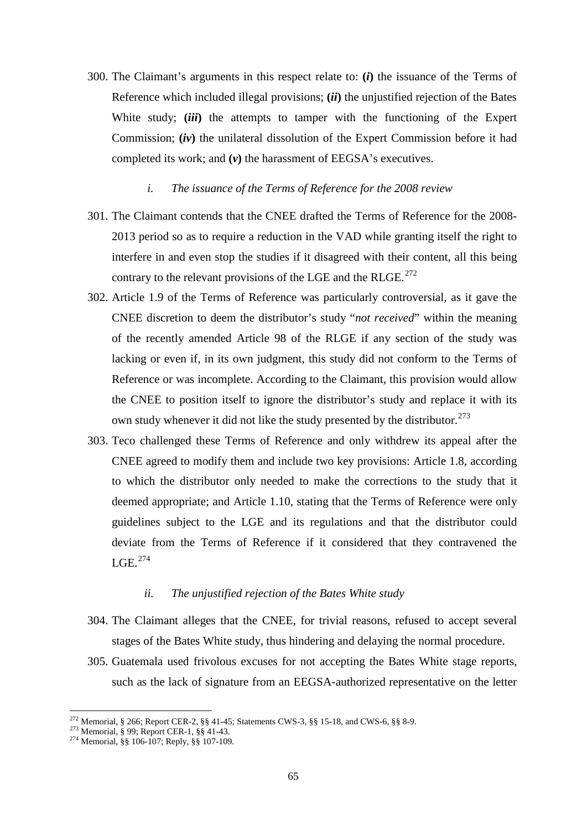- 300. The Claimant's arguments in this respect relate to: **(***i***)** the issuance of the Terms of Reference which included illegal provisions; **(***ii***)** the unjustified rejection of the Bates White study; *(iii)* the attempts to tamper with the functioning of the Expert Commission; **(***iv***)** the unilateral dissolution of the Expert Commission before it had completed its work; and **(***v***)** the harassment of EEGSA's executives.
	- *i. The issuance of the Terms of Reference for the 2008 review*
- 301. The Claimant contends that the CNEE drafted the Terms of Reference for the 2008- 2013 period so as to require a reduction in the VAD while granting itself the right to interfere in and even stop the studies if it disagreed with their content, all this being contrary to the relevant provisions of the LGE and the RLGE. $^{272}$  $^{272}$  $^{272}$
- 302. Article 1.9 of the Terms of Reference was particularly controversial, as it gave the CNEE discretion to deem the distributor's study "*not received*" within the meaning of the recently amended Article 98 of the RLGE if any section of the study was lacking or even if, in its own judgment, this study did not conform to the Terms of Reference or was incomplete. According to the Claimant, this provision would allow the CNEE to position itself to ignore the distributor's study and replace it with its own study whenever it did not like the study presented by the distributor.<sup>[273](#page-64-1)</sup>
- 303. Teco challenged these Terms of Reference and only withdrew its appeal after the CNEE agreed to modify them and include two key provisions: Article 1.8, according to which the distributor only needed to make the corrections to the study that it deemed appropriate; and Article 1.10, stating that the Terms of Reference were only guidelines subject to the LGE and its regulations and that the distributor could deviate from the Terms of Reference if it considered that they contravened the  $LGE.<sup>274</sup>$

### *ii. The unjustified rejection of the Bates White study*

- 304. The Claimant alleges that the CNEE, for trivial reasons, refused to accept several stages of the Bates White study, thus hindering and delaying the normal procedure.
- 305. Guatemala used frivolous excuses for not accepting the Bates White stage reports, such as the lack of signature from an EEGSA-authorized representative on the letter

<span id="page-64-0"></span><sup>&</sup>lt;sup>272</sup> Memorial, § 266; Report CER-2, §§ 41-45; Statements CWS-3, §§ 15-18, and CWS-6, §§ 8-9.<br><sup>273</sup> Memorial, § 99; Report CER-1, §§ 41-43.<br><sup>274</sup> Memorial, §§ 106-107; Reply, §§ 107-109.

<span id="page-64-1"></span>

<span id="page-64-2"></span>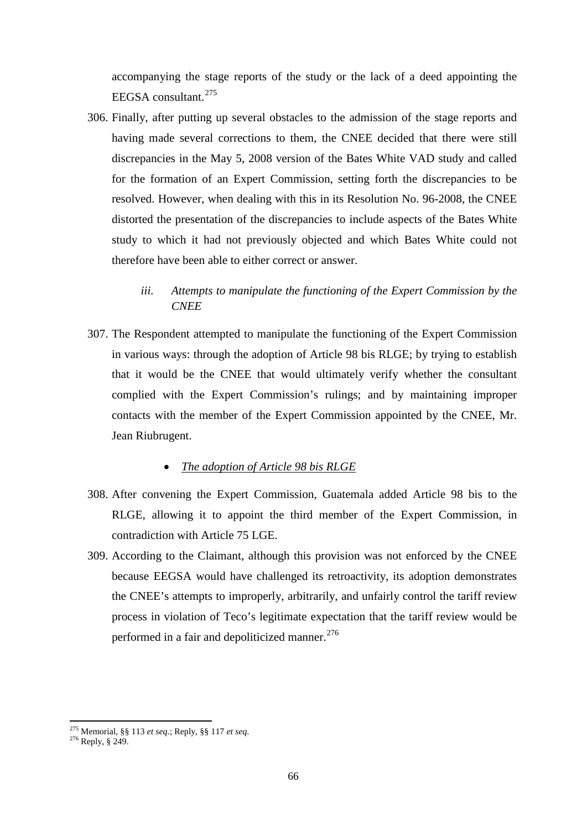accompanying the stage reports of the study or the lack of a deed appointing the EEGSA consultant.[275](#page-65-0)

306. Finally, after putting up several obstacles to the admission of the stage reports and having made several corrections to them, the CNEE decided that there were still discrepancies in the May 5, 2008 version of the Bates White VAD study and called for the formation of an Expert Commission, setting forth the discrepancies to be resolved. However, when dealing with this in its Resolution No. 96-2008, the CNEE distorted the presentation of the discrepancies to include aspects of the Bates White study to which it had not previously objected and which Bates White could not therefore have been able to either correct or answer.

## *iii. Attempts to manipulate the functioning of the Expert Commission by the CNEE*

307. The Respondent attempted to manipulate the functioning of the Expert Commission in various ways: through the adoption of Article 98 bis RLGE; by trying to establish that it would be the CNEE that would ultimately verify whether the consultant complied with the Expert Commission's rulings; and by maintaining improper contacts with the member of the Expert Commission appointed by the CNEE, Mr. Jean Riubrugent.

## • *The adoption of Article 98 bis RLGE*

- 308. After convening the Expert Commission, Guatemala added Article 98 bis to the RLGE, allowing it to appoint the third member of the Expert Commission, in contradiction with Article 75 LGE.
- 309. According to the Claimant, although this provision was not enforced by the CNEE because EEGSA would have challenged its retroactivity, its adoption demonstrates the CNEE's attempts to improperly, arbitrarily, and unfairly control the tariff review process in violation of Teco's legitimate expectation that the tariff review would be performed in a fair and depoliticized manner.<sup>[276](#page-65-1)</sup>

<span id="page-65-0"></span><sup>275</sup> Memorial, §§ 113 *et seq*.; Reply, §§ 117 *et seq*. <sup>276</sup> Reply, § 249.

<span id="page-65-1"></span>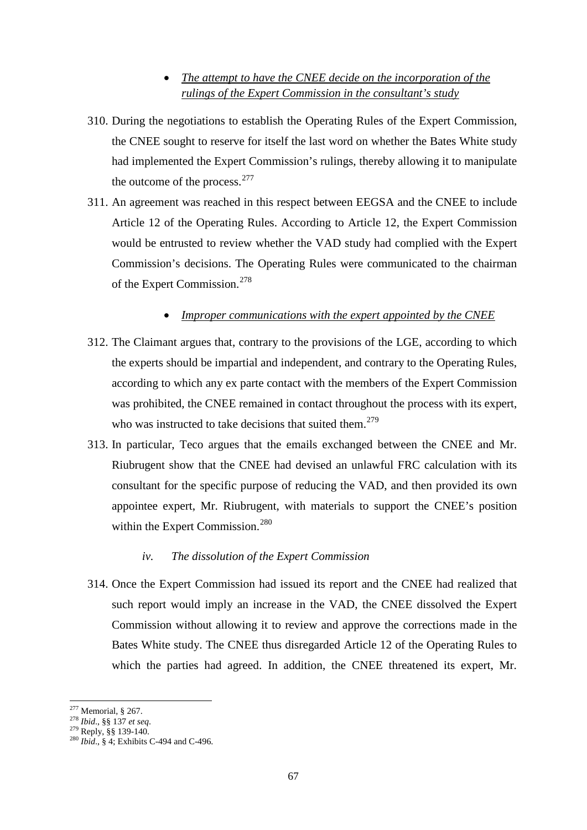## • *The attempt to have the CNEE decide on the incorporation of the rulings of the Expert Commission in the consultant's study*

- 310. During the negotiations to establish the Operating Rules of the Expert Commission, the CNEE sought to reserve for itself the last word on whether the Bates White study had implemented the Expert Commission's rulings, thereby allowing it to manipulate the outcome of the process.<sup>[277](#page-66-0)</sup>
- 311. An agreement was reached in this respect between EEGSA and the CNEE to include Article 12 of the Operating Rules. According to Article 12, the Expert Commission would be entrusted to review whether the VAD study had complied with the Expert Commission's decisions. The Operating Rules were communicated to the chairman of the Expert Commission.<sup>[278](#page-66-1)</sup>

## • *Improper communications with the expert appointed by the CNEE*

- 312. The Claimant argues that, contrary to the provisions of the LGE, according to which the experts should be impartial and independent, and contrary to the Operating Rules, according to which any ex parte contact with the members of the Expert Commission was prohibited, the CNEE remained in contact throughout the process with its expert, who was instructed to take decisions that suited them.<sup>[279](#page-66-2)</sup>
- 313. In particular, Teco argues that the emails exchanged between the CNEE and Mr. Riubrugent show that the CNEE had devised an unlawful FRC calculation with its consultant for the specific purpose of reducing the VAD, and then provided its own appointee expert, Mr. Riubrugent, with materials to support the CNEE's position within the Expert Commission.<sup>[280](#page-66-3)</sup>

### *iv. The dissolution of the Expert Commission*

314. Once the Expert Commission had issued its report and the CNEE had realized that such report would imply an increase in the VAD, the CNEE dissolved the Expert Commission without allowing it to review and approve the corrections made in the Bates White study. The CNEE thus disregarded Article 12 of the Operating Rules to which the parties had agreed. In addition, the CNEE threatened its expert, Mr.

 $277$  Memorial, § 267.

<span id="page-66-3"></span>

<span id="page-66-2"></span><span id="page-66-1"></span><span id="page-66-0"></span><sup>278</sup> *Ibid.*, §§ 137 *et seq.*<br><sup>279</sup> Reply, §§ 139-140.<br><sup>280</sup> *Ibid.*, § 4; Exhibits C-494 and C-496.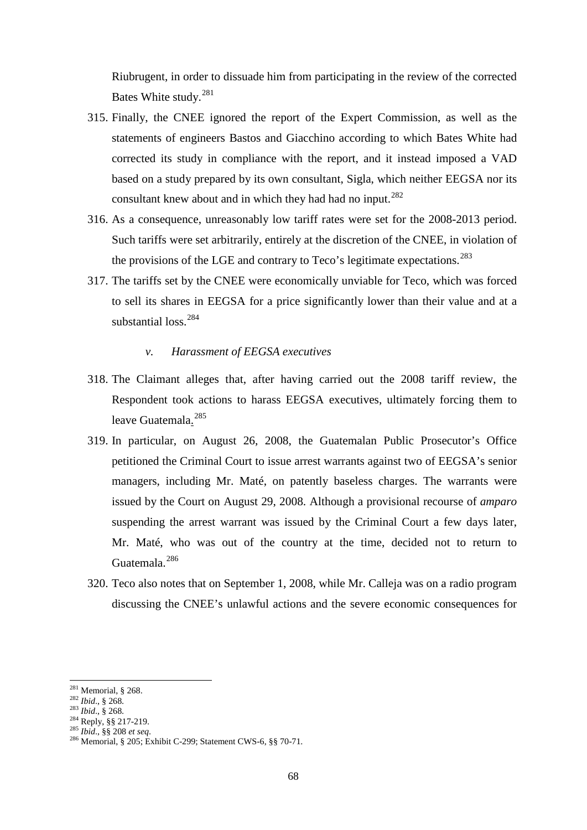Riubrugent, in order to dissuade him from participating in the review of the corrected Bates White study.<sup>[281](#page-67-0)</sup>

- 315. Finally, the CNEE ignored the report of the Expert Commission, as well as the statements of engineers Bastos and Giacchino according to which Bates White had corrected its study in compliance with the report, and it instead imposed a VAD based on a study prepared by its own consultant, Sigla, which neither EEGSA nor its consultant knew about and in which they had had no input.<sup>[282](#page-67-1)</sup>
- 316. As a consequence, unreasonably low tariff rates were set for the 2008-2013 period. Such tariffs were set arbitrarily, entirely at the discretion of the CNEE, in violation of the provisions of the LGE and contrary to Teco's legitimate expectations.<sup>[283](#page-67-2)</sup>
- 317. The tariffs set by the CNEE were economically unviable for Teco, which was forced to sell its shares in EEGSA for a price significantly lower than their value and at a substantial loss.<sup>[284](#page-67-3)</sup>

### *v. Harassment of EEGSA executives*

- 318. The Claimant alleges that, after having carried out the 2008 tariff review, the Respondent took actions to harass EEGSA executives, ultimately forcing them to leave Guatemala.<sup>[285](#page-67-4)</sup>
- 319. In particular, on August 26, 2008, the Guatemalan Public Prosecutor's Office petitioned the Criminal Court to issue arrest warrants against two of EEGSA's senior managers, including Mr. Maté, on patently baseless charges. The warrants were issued by the Court on August 29, 2008. Although a provisional recourse of *amparo* suspending the arrest warrant was issued by the Criminal Court a few days later, Mr. Maté, who was out of the country at the time, decided not to return to Guatemala.<sup>[286](#page-67-5)</sup>
- 320. Teco also notes that on September 1, 2008, while Mr. Calleja was on a radio program discussing the CNEE's unlawful actions and the severe economic consequences for

 $281$  Memorial, § 268.

<span id="page-67-3"></span>

<span id="page-67-5"></span><span id="page-67-4"></span>

<span id="page-67-2"></span><span id="page-67-1"></span><span id="page-67-0"></span><sup>282</sup> *Ibid.*, § 268.<br>
<sup>283</sup> *Ibid.*, § 268.<br>
<sup>284</sup> Reply, §§ 217-219.<br>
<sup>285</sup> *Ibid.*, §§ 208 *et seq.*<br>
<sup>286</sup> Memorial, § 205; Exhibit C-299; Statement CWS-6, §§ 70-71.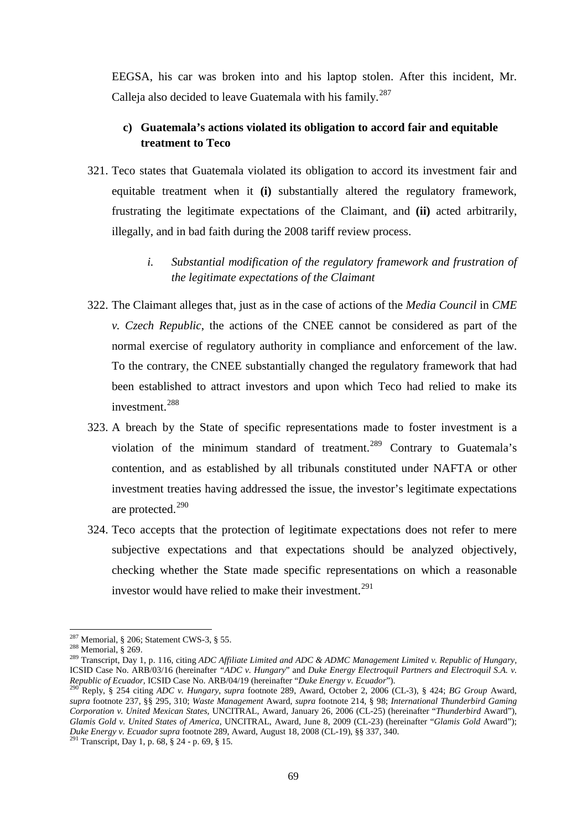EEGSA, his car was broken into and his laptop stolen. After this incident, Mr. Calleja also decided to leave Guatemala with his family.<sup>[287](#page-68-0)</sup>

## **c) Guatemala's actions violated its obligation to accord fair and equitable treatment to Teco**

- 321. Teco states that Guatemala violated its obligation to accord its investment fair and equitable treatment when it **(i)** substantially altered the regulatory framework, frustrating the legitimate expectations of the Claimant, and **(ii)** acted arbitrarily, illegally, and in bad faith during the 2008 tariff review process.
	- *i. Substantial modification of the regulatory framework and frustration of the legitimate expectations of the Claimant*
- 322. The Claimant alleges that, just as in the case of actions of the *Media Council* in *CME v. Czech Republic*, the actions of the CNEE cannot be considered as part of the normal exercise of regulatory authority in compliance and enforcement of the law. To the contrary, the CNEE substantially changed the regulatory framework that had been established to attract investors and upon which Teco had relied to make its investment.[288](#page-68-1)
- 323. A breach by the State of specific representations made to foster investment is a violation of the minimum standard of treatment.<sup>[289](#page-68-2)</sup> Contrary to Guatemala's contention, and as established by all tribunals constituted under NAFTA or other investment treaties having addressed the issue, the investor's legitimate expectations are protected. [290](#page-68-3)
- 324. Teco accepts that the protection of legitimate expectations does not refer to mere subjective expectations and that expectations should be analyzed objectively, checking whether the State made specific representations on which a reasonable investor would have relied to make their investment.<sup>[291](#page-68-4)</sup>

<sup>&</sup>lt;sup>287</sup> Memorial, § 206; Statement CWS-3, § 55.

<span id="page-68-2"></span><span id="page-68-1"></span><span id="page-68-0"></span><sup>288</sup> Memorial, § 200, Statement CWS-3, § 55.<br><sup>288</sup> Memorial, § 269.<br><sup>289</sup> Transcript, Day 1, p. 116, citing *ADC Affiliate Limited and ADC & ADMC Management Limited v. Republic of Hungary,* ICSID Case No. ARB/03/16 (hereinafter *"ADC v. Hungary"* and *Duke Energy Electroquil Partners and Electroquil S.A. v. <br>Republic of Ecuador*, ICSID Case No. ARB/04/19 (hereinafter *"Duke Energy v. Ecuador"*).

<span id="page-68-3"></span>Reply, § 254 citing ADC v. Hungary, supra footnote 289, Award, October 2, 2006 (CL-3), § 424; BG Group Award, *supra* footnote 237, §§ 295, 310; *Waste Management* Award, *supra* footnote 214, § 98; *International Thunderbird Gaming Corporation v. United Mexican States,* UNCITRAL, Award, January 26, 2006 (CL-25) (hereinafter "*Thunderbird* Award")*, Glamis Gold v. United States of America*, UNCITRAL, Award, June 8, 2009 (CL-23) (hereinafter "*Glamis Gold* Award"); *Duke Energy v. Ecuador supra* footnote 289, Award, August 18, 2008 (CL-19), §§ 337, 340. <sup>291</sup> Transcript, Day 1, p. 68, § 24 - p. 69, § 15.

<span id="page-68-4"></span>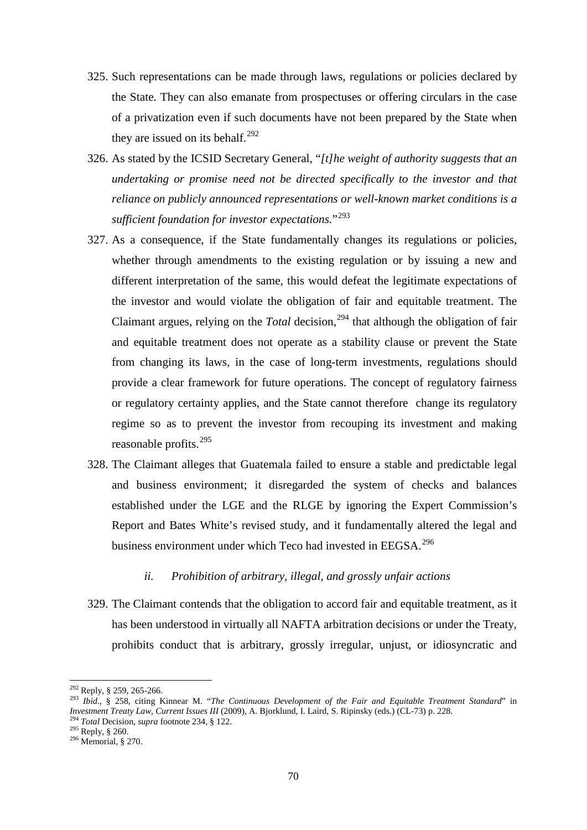- 325. Such representations can be made through laws, regulations or policies declared by the State. They can also emanate from prospectuses or offering circulars in the case of a privatization even if such documents have not been prepared by the State when they are issued on its behalf. $292$
- 326. As stated by the ICSID Secretary General, "*[t]he weight of authority suggests that an undertaking or promise need not be directed specifically to the investor and that reliance on publicly announced representations or well-known market conditions is a sufficient foundation for investor expectations.*"[293](#page-69-1)
- 327. As a consequence, if the State fundamentally changes its regulations or policies, whether through amendments to the existing regulation or by issuing a new and different interpretation of the same, this would defeat the legitimate expectations of the investor and would violate the obligation of fair and equitable treatment. The Claimant argues, relying on the *Total* decision,<sup>[294](#page-69-2)</sup> that although the obligation of fair and equitable treatment does not operate as a stability clause or prevent the State from changing its laws, in the case of long-term investments, regulations should provide a clear framework for future operations. The concept of regulatory fairness or regulatory certainty applies, and the State cannot therefore change its regulatory regime so as to prevent the investor from recouping its investment and making reasonable profits.<sup>295</sup>
- 328. The Claimant alleges that Guatemala failed to ensure a stable and predictable legal and business environment; it disregarded the system of checks and balances established under the LGE and the RLGE by ignoring the Expert Commission's Report and Bates White's revised study, and it fundamentally altered the legal and business environment under which Teco had invested in EEGSA.<sup>[296](#page-69-4)</sup>

## *ii. Prohibition of arbitrary, illegal, and grossly unfair actions*

329. The Claimant contends that the obligation to accord fair and equitable treatment, as it has been understood in virtually all NAFTA arbitration decisions or under the Treaty, prohibits conduct that is arbitrary, grossly irregular, unjust, or idiosyncratic and

<span id="page-69-1"></span><span id="page-69-0"></span><sup>292</sup> Reply, § 259, 265-266. <sup>293</sup> *Ibid*., § 258, citing Kinnear M. "*The Continuous Development of the Fair and Equitable Treatment Standard*" in *Investment Treaty Law, Current Issues III* (2009), A. Bjorklund, I. Laird, S. Ripinsky (eds.) (CL-73) p. 228. <sup>294</sup> *Total* Decision, *supra* footnote 234, § 122. <sup>295</sup> Reply, § 260. 296 Memorial, § 270.

<span id="page-69-3"></span><span id="page-69-2"></span>

<span id="page-69-4"></span>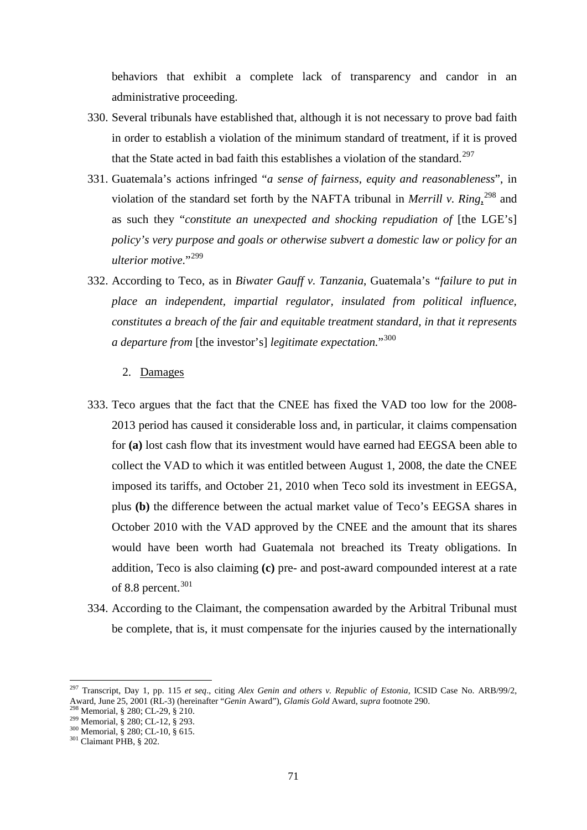behaviors that exhibit a complete lack of transparency and candor in an administrative proceeding.

- 330. Several tribunals have established that, although it is not necessary to prove bad faith in order to establish a violation of the minimum standard of treatment, if it is proved that the State acted in bad faith this establishes a violation of the standard.<sup>[297](#page-70-0)</sup>
- 331. Guatemala's actions infringed "*a sense of fairness, equity and reasonableness*", in violation of the standard set forth by the NAFTA tribunal in *Merrill v. Ring*, [298](#page-70-1) and as such they "*constitute an unexpected and shocking repudiation of* [the LGE's] *policy's very purpose and goals or otherwise subvert a domestic law or policy for an ulterior motive*."[299](#page-70-2)
- 332. According to Teco, as in *Biwater Gauff v. Tanzania*, Guatemala's *"failure to put in place an independent, impartial regulator, insulated from political influence, constitutes a breach of the fair and equitable treatment standard, in that it represents a departure from* [the investor's] *legitimate expectation.*"[300](#page-70-3)

### 2. Damages

- 333. Teco argues that the fact that the CNEE has fixed the VAD too low for the 2008- 2013 period has caused it considerable loss and, in particular, it claims compensation for **(a)** lost cash flow that its investment would have earned had EEGSA been able to collect the VAD to which it was entitled between August 1, 2008, the date the CNEE imposed its tariffs, and October 21, 2010 when Teco sold its investment in EEGSA, plus **(b)** the difference between the actual market value of Teco's EEGSA shares in October 2010 with the VAD approved by the CNEE and the amount that its shares would have been worth had Guatemala not breached its Treaty obligations. In addition, Teco is also claiming **(c)** pre- and post-award compounded interest at a rate of 8.8 percent. [301](#page-70-4)
- 334. According to the Claimant, the compensation awarded by the Arbitral Tribunal must be complete, that is, it must compensate for the injuries caused by the internationally

<span id="page-70-0"></span><sup>297</sup> Transcript, Day 1, pp. 115 *et seq*., citing *Alex Genin and others v. Republic of Estonia,* ICSID Case No. ARB/99/2, Award, June 25, 2001 (RL-3) (hereinafter "*Genin* Award"), *Glamis Gold* Award, *supra* footnote 290.<br><sup>298</sup> Memorial, § 280; CL-29, § 210.<br><sup>299</sup> Memorial, § 280; CL-12, § 293.<br><sup>300</sup> Memorial, § 280; CL-10, § 615.<br><sup>301</sup> Cl

<span id="page-70-1"></span>

<span id="page-70-2"></span>

<span id="page-70-3"></span>

<span id="page-70-4"></span>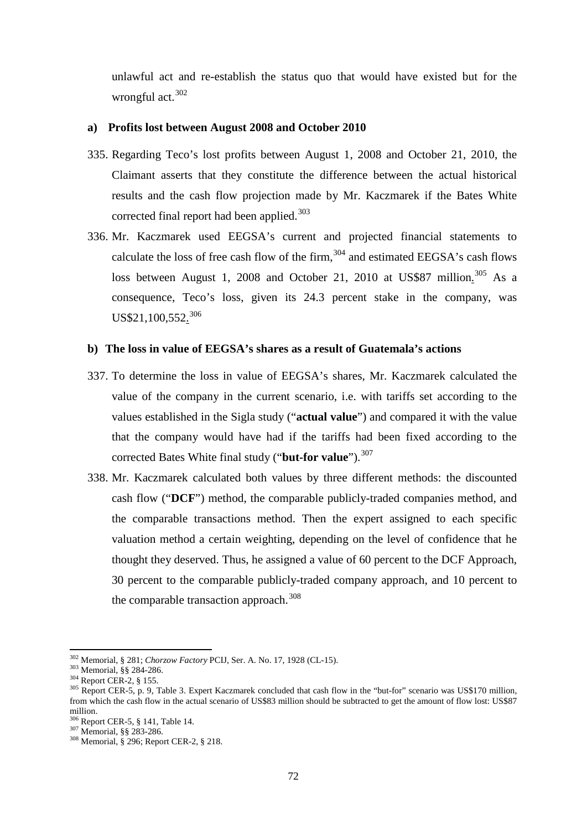unlawful act and re-establish the status quo that would have existed but for the wrongful act.<sup>[302](#page-71-0)</sup>

#### **a) Profits lost between August 2008 and October 2010**

- 335. Regarding Teco's lost profits between August 1, 2008 and October 21, 2010, the Claimant asserts that they constitute the difference between the actual historical results and the cash flow projection made by Mr. Kaczmarek if the Bates White corrected final report had been applied.<sup>[303](#page-71-1)</sup>
- 336. Mr. Kaczmarek used EEGSA's current and projected financial statements to calculate the loss of free cash flow of the firm,  $304$  and estimated EEGSA's cash flows loss between August 1, 2008 and October 21, 2010 at US\$87 million.<sup>[305](#page-71-3)</sup> As a consequence, Teco's loss, given its 24.3 percent stake in the company, was US\$21,100,552.<sup>[306](#page-71-4)</sup>

#### **b) The loss in value of EEGSA's shares as a result of Guatemala's actions**

- 337. To determine the loss in value of EEGSA's shares, Mr. Kaczmarek calculated the value of the company in the current scenario, i.e. with tariffs set according to the values established in the Sigla study ("**actual value**") and compared it with the value that the company would have had if the tariffs had been fixed according to the corrected Bates White final study ("**but-for value**").<sup>[307](#page-71-5)</sup>
- 338. Mr. Kaczmarek calculated both values by three different methods: the discounted cash flow ("**DCF**") method, the comparable publicly-traded companies method, and the comparable transactions method. Then the expert assigned to each specific valuation method a certain weighting, depending on the level of confidence that he thought they deserved. Thus, he assigned a value of 60 percent to the DCF Approach, 30 percent to the comparable publicly-traded company approach, and 10 percent to the comparable transaction approach.<sup>[308](#page-71-6)</sup>

<span id="page-71-0"></span><sup>&</sup>lt;sup>302</sup> Memorial, § 281; Chorzow Factory PCIJ, Ser. A. No. 17, 1928 (CL-15).

<span id="page-71-3"></span>

<span id="page-71-2"></span><span id="page-71-1"></span><sup>&</sup>lt;sup>303</sup> Memorial, §§ 284-286.<br><sup>304</sup> Report CER-2, § 155.<br><sup>304</sup> Report CER-5, p. 9, Table 3. Expert Kaczmarek concluded that cash flow in the "but-for" scenario was US\$170 million, from which the cash flow in the actual scenario of US\$83 million should be subtracted to get the amount of flow lost: US\$87 million.<br><sup>306</sup> Report CER-5, § 141, Table 14.

<span id="page-71-6"></span><span id="page-71-5"></span><span id="page-71-4"></span><sup>&</sup>lt;sup>307</sup> Memorial, §§ 283-286.<br><sup>308</sup> Memorial, § 296; Report CER-2, § 218.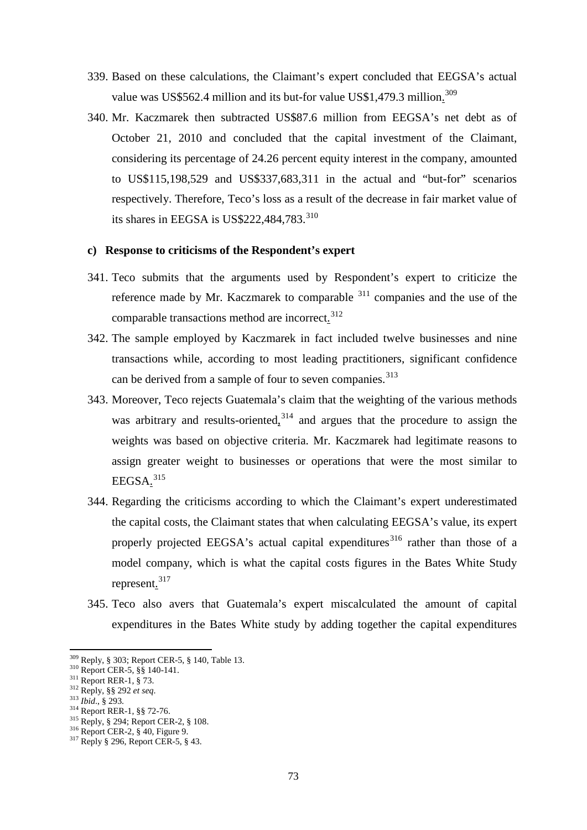- 339. Based on these calculations, the Claimant's expert concluded that EEGSA's actual value was US\$562.4 million and its but-for value US\$1,479.3 million.<sup>[309](#page-72-0)</sup>
- 340. Mr. Kaczmarek then subtracted US\$87.6 million from EEGSA's net debt as of October 21, 2010 and concluded that the capital investment of the Claimant, considering its percentage of 24.26 percent equity interest in the company, amounted to US\$115,198,529 and US\$337,683,311 in the actual and "but-for" scenarios respectively. Therefore, Teco's loss as a result of the decrease in fair market value of its shares in EEGSA is US\$222,484,783. $^{310}$  $^{310}$  $^{310}$

#### **c) Response to criticisms of the Respondent's expert**

- 341. Teco submits that the arguments used by Respondent's expert to criticize the reference made by Mr. Kaczmarek to comparable <sup>[311](#page-72-2)</sup> companies and the use of the comparable transactions method are incorrect.<sup>[312](#page-72-3)</sup>
- 342. The sample employed by Kaczmarek in fact included twelve businesses and nine transactions while, according to most leading practitioners, significant confidence can be derived from a sample of four to seven companies.<sup>[313](#page-72-4)</sup>
- 343. Moreover, Teco rejects Guatemala's claim that the weighting of the various methods was arbitrary and results-oriented,  $3^{314}$  $3^{314}$  $3^{314}$  and argues that the procedure to assign the weights was based on objective criteria. Mr. Kaczmarek had legitimate reasons to assign greater weight to businesses or operations that were the most similar to  $EEGSA.<sup>315</sup>$  $EEGSA.<sup>315</sup>$  $EEGSA.<sup>315</sup>$
- 344. Regarding the criticisms according to which the Claimant's expert underestimated the capital costs, the Claimant states that when calculating EEGSA's value, its expert properly projected EEGSA's actual capital expenditures<sup>[316](#page-72-7)</sup> rather than those of a model company, which is what the capital costs figures in the Bates White Study represent.<sup>[317](#page-72-8)</sup>
- 345. Teco also avers that Guatemala's expert miscalculated the amount of capital expenditures in the Bates White study by adding together the capital expenditures

<span id="page-72-4"></span>

<span id="page-72-1"></span><span id="page-72-0"></span><sup>&</sup>lt;sup>309</sup> Reply, § 303; Report CER-5, § 140, Table 13.<br><sup>310</sup> Report CER-5, §§ 140-141.<br><sup>311</sup> Report RER-1, § 73.<br><sup>312</sup> Reply, §§ 292 *et seq.*<br><sup>313</sup> Ibid., § 293.<br><sup>314</sup> Report RER-1, §§ 72-76.<br><sup>315</sup> Reply, § 294; Report CER-2,

<span id="page-72-2"></span>

<span id="page-72-3"></span>

<span id="page-72-5"></span>

<span id="page-72-7"></span><span id="page-72-6"></span>

<span id="page-72-8"></span>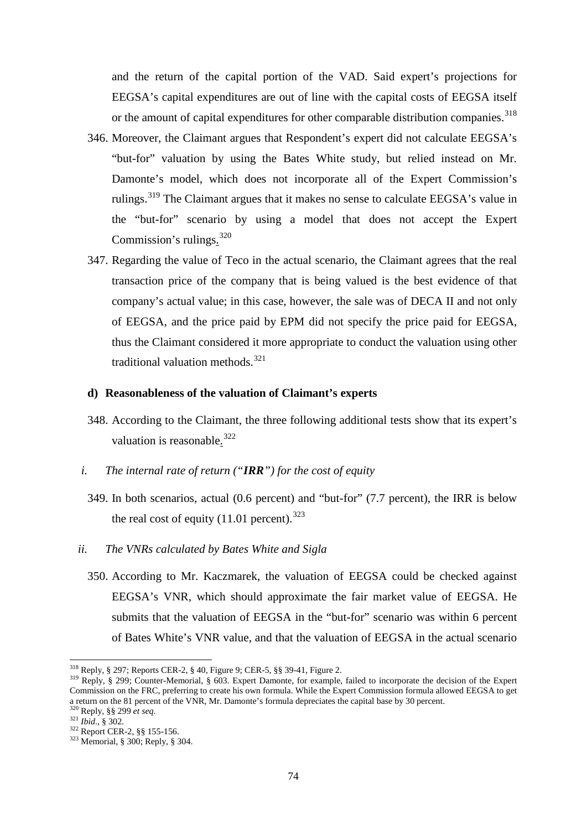and the return of the capital portion of the VAD. Said expert's projections for EEGSA's capital expenditures are out of line with the capital costs of EEGSA itself or the amount of capital expenditures for other comparable distribution companies.<sup>[318](#page-73-0)</sup>

- 346. Moreover, the Claimant argues that Respondent's expert did not calculate EEGSA's "but-for" valuation by using the Bates White study, but relied instead on Mr. Damonte's model, which does not incorporate all of the Expert Commission's rulings.<sup>[319](#page-73-1)</sup> The Claimant argues that it makes no sense to calculate EEGSA's value in the "but-for" scenario by using a model that does not accept the Expert Commission's rulings.<sup>[320](#page-73-2)</sup>
- 347. Regarding the value of Teco in the actual scenario, the Claimant agrees that the real transaction price of the company that is being valued is the best evidence of that company's actual value; in this case, however, the sale was of DECA II and not only of EEGSA, and the price paid by EPM did not specify the price paid for EEGSA, thus the Claimant considered it more appropriate to conduct the valuation using other traditional valuation methods.<sup>[321](#page-73-3)</sup>

#### **d) Reasonableness of the valuation of Claimant's experts**

- 348. According to the Claimant, the three following additional tests show that its expert's valuation is reasonable.<sup>[322](#page-73-4)</sup>
- *i. The internal rate of return ("IRR") for the cost of equity* 
	- 349. In both scenarios, actual (0.6 percent) and "but-for" (7.7 percent), the IRR is below the real cost of equity  $(11.01 \text{ percent.}^{323})$  $(11.01 \text{ percent.}^{323})$  $(11.01 \text{ percent.}^{323})$
- *ii. The VNRs calculated by Bates White and Sigla*
	- 350. According to Mr. Kaczmarek, the valuation of EEGSA could be checked against EEGSA's VNR, which should approximate the fair market value of EEGSA. He submits that the valuation of EEGSA in the "but-for" scenario was within 6 percent of Bates White's VNR value, and that the valuation of EEGSA in the actual scenario

<span id="page-73-0"></span><sup>&</sup>lt;sup>318</sup> Reply, § 297; Reports CER-2, § 40, Figure 9; CER-5, §§ 39-41, Figure 2.

<span id="page-73-1"></span><sup>&</sup>lt;sup>319</sup> Reply, § 299; Counter-Memorial, § 603. Expert Damonte, for example, failed to incorporate the decision of the Expert Commission on the FRC, preferring to create his own formula. While the Expert Commission formula allowed EEGSA to get a return on the 81 percent of the VNR, Mr. Damonte's formula depreciates the capital base by 30 percent.<br><sup>320</sup> Reply, §§ 299 *et seq*.<br><sup>321</sup> *Ibid.*, § 302.<br><sup>322</sup> Report CER-2, §§ 155-156.<br><sup>323</sup> Memorial, § 300; Reply, §

<span id="page-73-3"></span><span id="page-73-2"></span>

<span id="page-73-4"></span>

<span id="page-73-5"></span>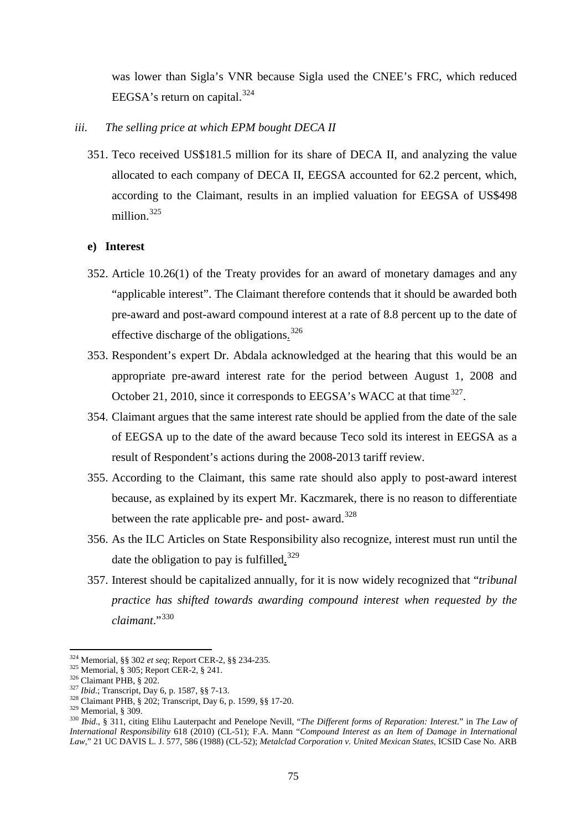was lower than Sigla's VNR because Sigla used the CNEE's FRC, which reduced EEGSA's return on capital. $324$ 

- *iii. The selling price at which EPM bought DECA II* 
	- 351. Teco received US\$181.5 million for its share of DECA II, and analyzing the value allocated to each company of DECA II, EEGSA accounted for 62.2 percent, which, according to the Claimant, results in an implied valuation for EEGSA of US\$498 million.<sup>[325](#page-74-1)</sup>

### **e) Interest**

- 352. Article 10.26(1) of the Treaty provides for an award of monetary damages and any "applicable interest". The Claimant therefore contends that it should be awarded both pre-award and post-award compound interest at a rate of 8.8 percent up to the date of effective discharge of the obligations.<sup>[326](#page-74-2)</sup>
- 353. Respondent's expert Dr. Abdala acknowledged at the hearing that this would be an appropriate pre-award interest rate for the period between August 1, 2008 and October 21, 2010, since it corresponds to EEGSA's WACC at that time<sup>327</sup>.
- 354. Claimant argues that the same interest rate should be applied from the date of the sale of EEGSA up to the date of the award because Teco sold its interest in EEGSA as a result of Respondent's actions during the 2008-2013 tariff review.
- 355. According to the Claimant, this same rate should also apply to post-award interest because, as explained by its expert Mr. Kaczmarek, there is no reason to differentiate between the rate applicable pre- and post- award.<sup>[328](#page-74-4)</sup>
- 356. As the ILC Articles on State Responsibility also recognize, interest must run until the date the obligation to pay is fulfilled.<sup>[329](#page-74-5)</sup>
- 357. Interest should be capitalized annually, for it is now widely recognized that "*tribunal practice has shifted towards awarding compound interest when requested by the claimant*."[330](#page-74-6)

<span id="page-74-0"></span><sup>324</sup> Memorial, §§ 302 et seq; Report CER-2, §§ 234-235.

<span id="page-74-3"></span>

<span id="page-74-4"></span>

<span id="page-74-6"></span><span id="page-74-5"></span>

<span id="page-74-2"></span><span id="page-74-1"></span><sup>&</sup>lt;sup>325</sup> Memorial, § 305; Report CER-2, § 241.<br><sup>326</sup> Claimant PHB, § 202.<br><sup>327</sup> *Ibid*.; Transcript, Day 6, p. 1587, §§ 7-13.<br><sup>328</sup> Claimant PHB, § 202; Transcript, Day 6, p. 1599, §§ 17-20.<br><sup>329</sup> Memorial, § 309.<br><sup>330</sup> *Ibi International Responsibility* 618 (2010) (CL-51); F.A. Mann "*Compound Interest as an Item of Damage in International Law*," 21 UC DAVIS L. J. 577, 586 (1988) (CL-52); *Metalclad Corporation v. United Mexican States*, ICSID Case No. ARB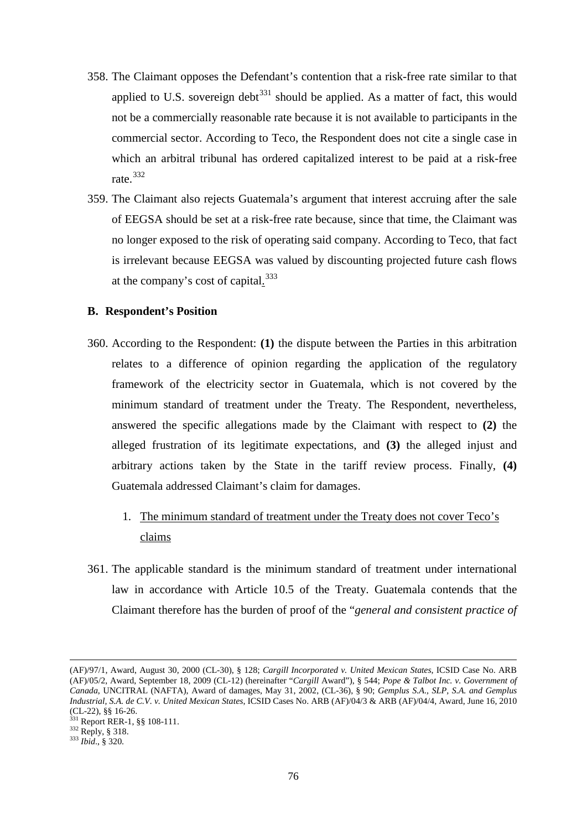- 358. The Claimant opposes the Defendant's contention that a risk-free rate similar to that applied to U.S. sovereign debt<sup>[331](#page-75-0)</sup> should be applied. As a matter of fact, this would not be a commercially reasonable rate because it is not available to participants in the commercial sector. According to Teco, the Respondent does not cite a single case in which an arbitral tribunal has ordered capitalized interest to be paid at a risk-free rate.[332](#page-75-1)
- 359. The Claimant also rejects Guatemala's argument that interest accruing after the sale of EEGSA should be set at a risk-free rate because, since that time, the Claimant was no longer exposed to the risk of operating said company. According to Teco, that fact is irrelevant because EEGSA was valued by discounting projected future cash flows at the company's cost of capital.<sup>[333](#page-75-2)</sup>

### **B. Respondent's Position**

- 360. According to the Respondent: **(1)** the dispute between the Parties in this arbitration relates to a difference of opinion regarding the application of the regulatory framework of the electricity sector in Guatemala, which is not covered by the minimum standard of treatment under the Treaty. The Respondent, nevertheless, answered the specific allegations made by the Claimant with respect to **(2)** the alleged frustration of its legitimate expectations, and **(3)** the alleged injust and arbitrary actions taken by the State in the tariff review process. Finally, **(4)** Guatemala addressed Claimant's claim for damages.
	- 1. The minimum standard of treatment under the Treaty does not cover Teco's claims
- 361. The applicable standard is the minimum standard of treatment under international law in accordance with Article 10.5 of the Treaty. Guatemala contends that the Claimant therefore has the burden of proof of the "*general and consistent practice of*

<sup>(</sup>AF)/97/1, Award, August 30, 2000 (CL-30), § 128; *Cargill Incorporated v. United Mexican States*, ICSID Case No. ARB (AF)/05/2, Award, September 18, 2009 (CL-12) (hereinafter "*Cargill* Award"), § 544; *Pope & Talbot Inc. v. Government of Canada*, UNCITRAL (NAFTA), Award of damages, May 31, 2002, (CL-36), § 90; *Gemplus S.A., SLP, S.A. and Gemplus Industrial, S.A. de C.V. v. United Mexican States*, ICSID Cases No. ARB (AF)/04/3 & ARB (AF)/04/4, Award, June 16, 2010

<span id="page-75-1"></span><span id="page-75-0"></span><sup>(</sup>CL-22), §§ 16-26. <sup>331</sup> Report RER-1, §§ 108-111. <sup>332</sup> Reply, § 318. <sup>333</sup> *Ibid*., § 320.

<span id="page-75-2"></span>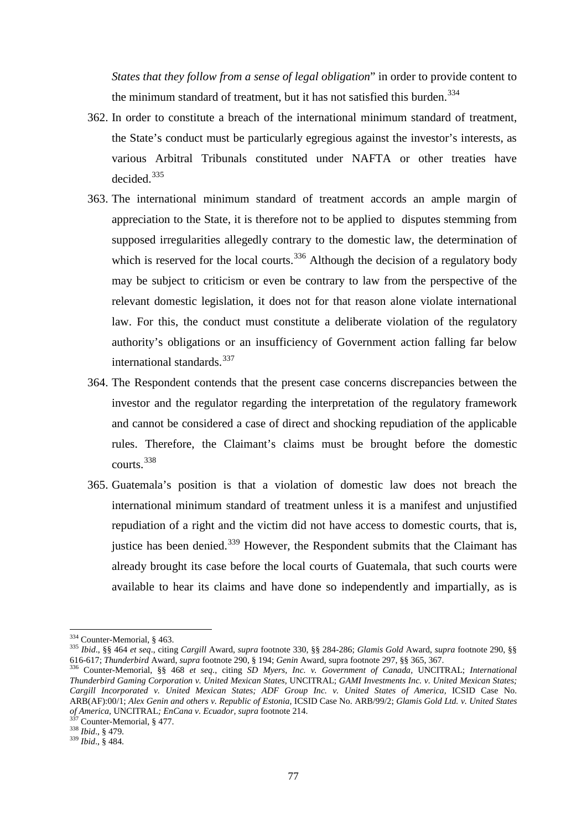*States that they follow from a sense of legal obligation*" in order to provide content to the minimum standard of treatment, but it has not satisfied this burden. [334](#page-76-0)

- 362. In order to constitute a breach of the international minimum standard of treatment, the State's conduct must be particularly egregious against the investor's interests, as various Arbitral Tribunals constituted under NAFTA or other treaties have decided.[335](#page-76-1)
- 363. The international minimum standard of treatment accords an ample margin of appreciation to the State, it is therefore not to be applied to disputes stemming from supposed irregularities allegedly contrary to the domestic law, the determination of which is reserved for the local courts.<sup>[336](#page-76-2)</sup> Although the decision of a regulatory body may be subject to criticism or even be contrary to law from the perspective of the relevant domestic legislation, it does not for that reason alone violate international law. For this, the conduct must constitute a deliberate violation of the regulatory authority's obligations or an insufficiency of Government action falling far below international standards.<sup>[337](#page-76-3)</sup>
- 364. The Respondent contends that the present case concerns discrepancies between the investor and the regulator regarding the interpretation of the regulatory framework and cannot be considered a case of direct and shocking repudiation of the applicable rules. Therefore, the Claimant's claims must be brought before the domestic courts.[338](#page-76-4)
- 365. Guatemala's position is that a violation of domestic law does not breach the international minimum standard of treatment unless it is a manifest and unjustified repudiation of a right and the victim did not have access to domestic courts, that is, justice has been denied.<sup>[339](#page-76-5)</sup> However, the Respondent submits that the Claimant has already brought its case before the local courts of Guatemala, that such courts were available to hear its claims and have done so independently and impartially, as is

<span id="page-76-0"></span><sup>&</sup>lt;sup>334</sup> Counter-Memorial, § 463.

<span id="page-76-1"></span><sup>&</sup>lt;sup>335</sup> Ibid., §§ 464 et seq., citing *Cargill Award, supra* footnote 330, §§ 284-286; *Glamis Gold Award, supra* footnote 290, §§<br>616-617; *Thunderbird Award, supra* footnote 290, § 194; *Genin Award, supra* footnote 297, §

<span id="page-76-2"></span><sup>336</sup> Counter-Memorial, §§ 468 et seq., citing SD Myers, Inc. v. Government of Canada, UNCITRAL; International *Thunderbird Gaming Corporation v. United Mexican States,* UNCITRAL; *GAMI Investments Inc. v. United Mexican States; Cargill Incorporated v. United Mexican States; ADF Group Inc. v. United States of America,* ICSID Case No. ARB(AF):00/1; *Alex Genin and others v. Republic of Estonia,* ICSID Case No. ARB/99/2; *Glamis Gold Ltd. v. United States of America,* UNCITRAL*; EnCana v. Ecuador, supra* footnote 214. 337 Counter-Memorial, § 477. <sup>338</sup> *Ibid*., § 479. <sup>339</sup> *Ibid*., § 484.

<span id="page-76-3"></span>

<span id="page-76-4"></span>

<span id="page-76-5"></span>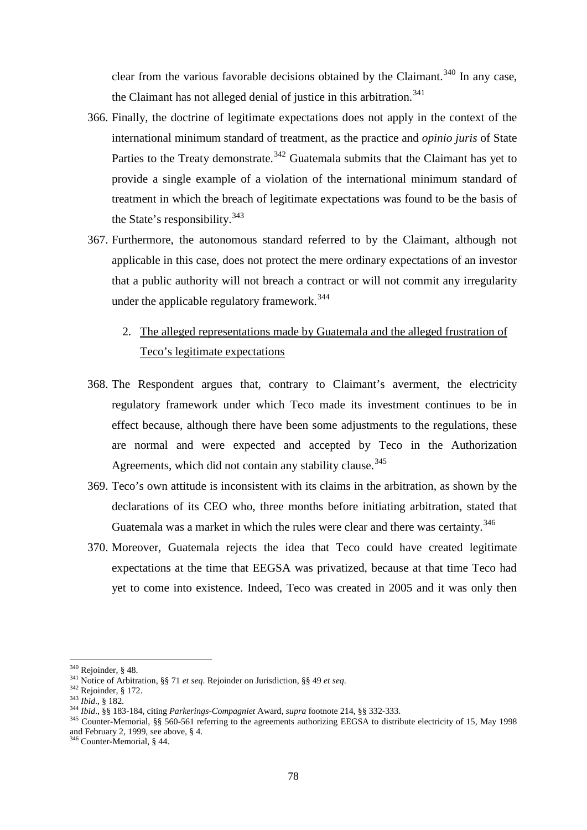clear from the various favorable decisions obtained by the Claimant.<sup>[340](#page-77-0)</sup> In any case, the Claimant has not alleged denial of justice in this arbitration.<sup>[341](#page-77-1)</sup>

- 366. Finally, the doctrine of legitimate expectations does not apply in the context of the international minimum standard of treatment, as the practice and *opinio juris* of State Parties to the Treaty demonstrate.<sup>[342](#page-77-2)</sup> Guatemala submits that the Claimant has yet to provide a single example of a violation of the international minimum standard of treatment in which the breach of legitimate expectations was found to be the basis of the State's responsibility.<sup>[343](#page-77-3)</sup>
- 367. Furthermore, the autonomous standard referred to by the Claimant, although not applicable in this case, does not protect the mere ordinary expectations of an investor that a public authority will not breach a contract or will not commit any irregularity under the applicable regulatory framework.<sup>[344](#page-77-4)</sup>
	- 2. The alleged representations made by Guatemala and the alleged frustration of Teco's legitimate expectations
- 368. The Respondent argues that, contrary to Claimant's averment, the electricity regulatory framework under which Teco made its investment continues to be in effect because, although there have been some adjustments to the regulations, these are normal and were expected and accepted by Teco in the Authorization Agreements, which did not contain any stability clause.<sup>[345](#page-77-5)</sup>
- 369. Teco's own attitude is inconsistent with its claims in the arbitration, as shown by the declarations of its CEO who, three months before initiating arbitration, stated that Guatemala was a market in which the rules were clear and there was certainty.<sup>[346](#page-77-6)</sup>
- 370. Moreover, Guatemala rejects the idea that Teco could have created legitimate expectations at the time that EEGSA was privatized, because at that time Teco had yet to come into existence. Indeed, Teco was created in 2005 and it was only then

<span id="page-77-0"></span> $340$  Rejoinder, § 48.

<span id="page-77-3"></span>

<span id="page-77-5"></span><span id="page-77-4"></span>

<span id="page-77-2"></span><span id="page-77-1"></span><sup>&</sup>lt;sup>341</sup> Notice of Arbitration, §§ 71 *et seq*. Rejoinder on Jurisdiction, §§ 49 *et seq*.<br><sup>342</sup> Rejoinder, § 172.<br><sup>343</sup> Ibid., § 182.<br><sup>343</sup> Ibid., §§ 183-184, citing *Parkerings-Compagniet* Award, *supra* footnote 214, §§ 3 and February 2, 1999, see above,  $§$  4.<br><sup>346</sup> Counter-Memorial,  $§$  44.

<span id="page-77-6"></span>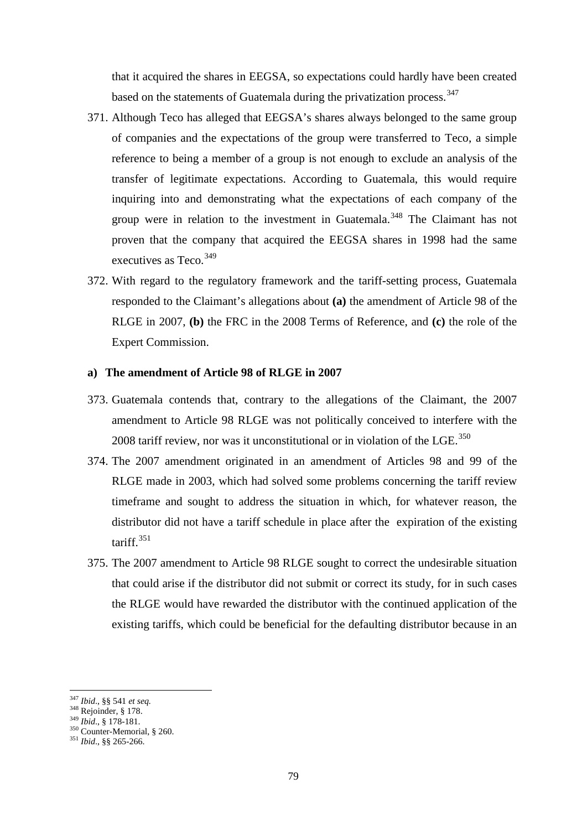that it acquired the shares in EEGSA, so expectations could hardly have been created based on the statements of Guatemala during the privatization process.<sup>[347](#page-78-0)</sup>

- 371. Although Teco has alleged that EEGSA's shares always belonged to the same group of companies and the expectations of the group were transferred to Teco, a simple reference to being a member of a group is not enough to exclude an analysis of the transfer of legitimate expectations. According to Guatemala, this would require inquiring into and demonstrating what the expectations of each company of the group were in relation to the investment in Guatemala.<sup>[348](#page-78-1)</sup> The Claimant has not proven that the company that acquired the EEGSA shares in 1998 had the same executives as Teco.<sup>349</sup>
- 372. With regard to the regulatory framework and the tariff-setting process, Guatemala responded to the Claimant's allegations about **(a)** the amendment of Article 98 of the RLGE in 2007, **(b)** the FRC in the 2008 Terms of Reference, and **(c)** the role of the Expert Commission.

### **a) The amendment of Article 98 of RLGE in 2007**

- 373. Guatemala contends that, contrary to the allegations of the Claimant, the 2007 amendment to Article 98 RLGE was not politically conceived to interfere with the 2008 tariff review, nor was it unconstitutional or in violation of the LGE. $^{350}$  $^{350}$  $^{350}$
- 374. The 2007 amendment originated in an amendment of Articles 98 and 99 of the RLGE made in 2003, which had solved some problems concerning the tariff review timeframe and sought to address the situation in which, for whatever reason, the distributor did not have a tariff schedule in place after the expiration of the existing tariff.[351](#page-78-4)
- 375. The 2007 amendment to Article 98 RLGE sought to correct the undesirable situation that could arise if the distributor did not submit or correct its study, for in such cases the RLGE would have rewarded the distributor with the continued application of the existing tariffs, which could be beneficial for the defaulting distributor because in an

<span id="page-78-0"></span><sup>347</sup> Ibid., §§ 541 et seq.

<span id="page-78-3"></span>

<span id="page-78-2"></span><span id="page-78-1"></span><sup>347</sup> *Ibid*., §§ 541 *et seq.* <sup>348</sup> Rejoinder, § 178. <sup>349</sup> *Ibid*., § 178-181. <sup>350</sup> Counter-Memorial, § 260. <sup>351</sup> *Ibid*., §§ 265-266.

<span id="page-78-4"></span>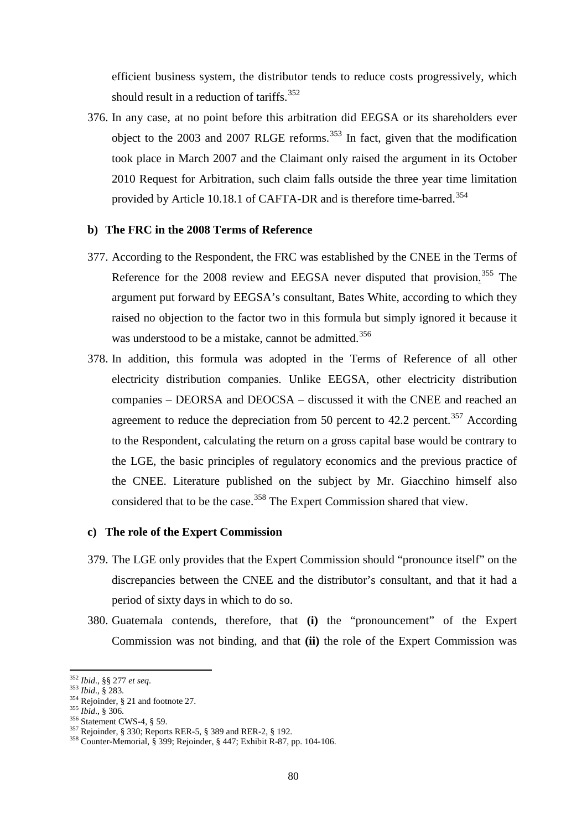efficient business system, the distributor tends to reduce costs progressively, which should result in a reduction of tariffs.<sup>[352](#page-79-0)</sup>

376. In any case, at no point before this arbitration did EEGSA or its shareholders ever object to the 2003 and 2007 RLGE reforms.<sup>[353](#page-79-1)</sup> In fact, given that the modification took place in March 2007 and the Claimant only raised the argument in its October 2010 Request for Arbitration, such claim falls outside the three year time limitation provided by Article 10.18.1 of CAFTA-DR and is therefore time-barred.<sup>[354](#page-79-2)</sup>

#### **b) The FRC in the 2008 Terms of Reference**

- 377. According to the Respondent, the FRC was established by the CNEE in the Terms of Reference for the 2008 review and EEGSA never disputed that provision.<sup>[355](#page-79-3)</sup> The argument put forward by EEGSA's consultant, Bates White, according to which they raised no objection to the factor two in this formula but simply ignored it because it was understood to be a mistake, cannot be admitted.<sup>[356](#page-79-4)</sup>
- 378. In addition, this formula was adopted in the Terms of Reference of all other electricity distribution companies. Unlike EEGSA, other electricity distribution companies – DEORSA and DEOCSA – discussed it with the CNEE and reached an agreement to reduce the depreciation from 50 percent to 42.2 percent.<sup>[357](#page-79-5)</sup> According to the Respondent, calculating the return on a gross capital base would be contrary to the LGE, the basic principles of regulatory economics and the previous practice of the CNEE. Literature published on the subject by Mr. Giacchino himself also considered that to be the case.<sup>[358](#page-79-6)</sup> The Expert Commission shared that view.

#### **c) The role of the Expert Commission**

- 379. The LGE only provides that the Expert Commission should "pronounce itself" on the discrepancies between the CNEE and the distributor's consultant, and that it had a period of sixty days in which to do so.
- 380. Guatemala contends, therefore, that **(i)** the "pronouncement" of the Expert Commission was not binding, and that **(ii)** the role of the Expert Commission was

<span id="page-79-0"></span><sup>352</sup> Ibid., §§ 277 et seq.

<span id="page-79-3"></span>

<span id="page-79-4"></span>

<span id="page-79-6"></span><span id="page-79-5"></span>

<span id="page-79-2"></span><span id="page-79-1"></span><sup>353</sup> *Ibid.*, § 283.<br>
354 *Rejoinder*, § 21 and footnote 27.<br>
355 *Ibid.*, § 306.<br>
356 Statement CWS-4, § 59.<br>
357 Rejoinder, § 330; Reports RER-5, § 389 and RER-2, § 192.<br>
358 Counter-Memorial, § 399; Rejoinder, § 447; Exh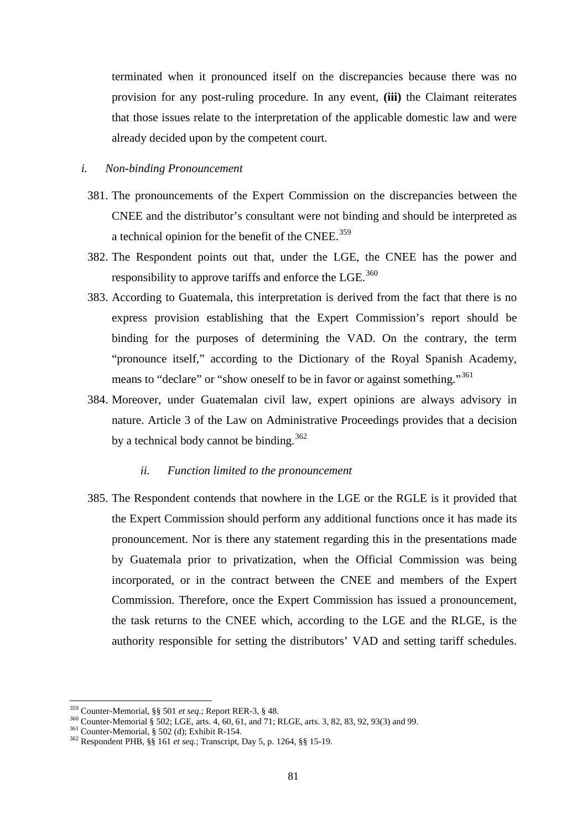terminated when it pronounced itself on the discrepancies because there was no provision for any post-ruling procedure. In any event, **(iii)** the Claimant reiterates that those issues relate to the interpretation of the applicable domestic law and were already decided upon by the competent court.

#### *i. Non-binding Pronouncement*

- 381. The pronouncements of the Expert Commission on the discrepancies between the CNEE and the distributor's consultant were not binding and should be interpreted as a technical opinion for the benefit of the CNEE.<sup>[359](#page-80-0)</sup>
- 382. The Respondent points out that, under the LGE, the CNEE has the power and responsibility to approve tariffs and enforce the  $LGE$ .<sup>[360](#page-80-1)</sup>
- 383. According to Guatemala, this interpretation is derived from the fact that there is no express provision establishing that the Expert Commission's report should be binding for the purposes of determining the VAD. On the contrary, the term "pronounce itself," according to the Dictionary of the Royal Spanish Academy, means to "declare" or "show oneself to be in favor or against something."<sup>[361](#page-80-2)</sup>
- 384. Moreover, under Guatemalan civil law, expert opinions are always advisory in nature. Article 3 of the Law on Administrative Proceedings provides that a decision by a technical body cannot be binding.<sup>[362](#page-80-3)</sup>

#### *ii. Function limited to the pronouncement*

385. The Respondent contends that nowhere in the LGE or the RGLE is it provided that the Expert Commission should perform any additional functions once it has made its pronouncement. Nor is there any statement regarding this in the presentations made by Guatemala prior to privatization, when the Official Commission was being incorporated, or in the contract between the CNEE and members of the Expert Commission. Therefore, once the Expert Commission has issued a pronouncement, the task returns to the CNEE which, according to the LGE and the RLGE, is the authority responsible for setting the distributors' VAD and setting tariff schedules.

<span id="page-80-1"></span><span id="page-80-0"></span><sup>&</sup>lt;sup>359</sup> Counter-Memorial, §§ 501 *et seq*.; Report RER-3, § 48.<br><sup>360</sup> Counter-Memorial § 502; LGE, arts. 4, 60, 61, and 71; RLGE, arts. 3, 82, 83, 92, 93(3) and 99.<br><sup>361</sup> Counter-Memorial, § 502 (d); Exhibit R-154.<br><sup>362</sup> Re

<span id="page-80-3"></span><span id="page-80-2"></span>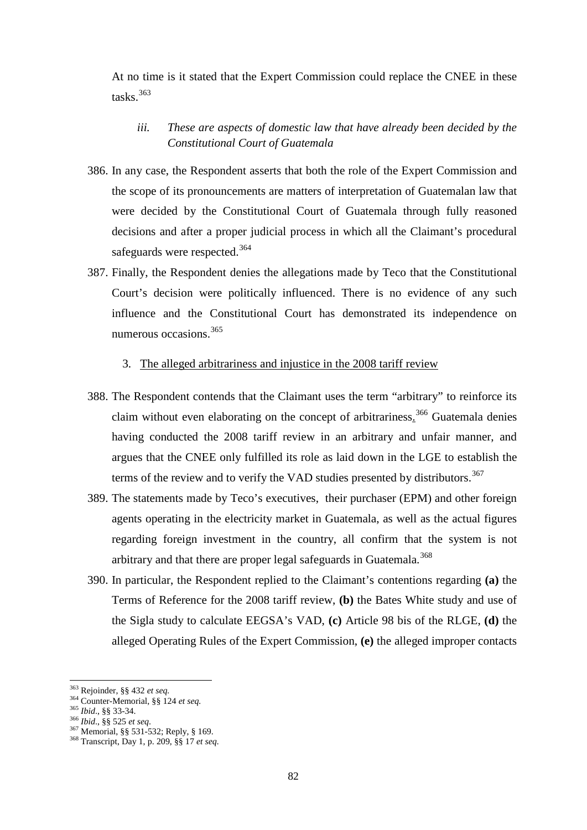At no time is it stated that the Expert Commission could replace the CNEE in these tasks. $363$ 

# *iii. These are aspects of domestic law that have already been decided by the Constitutional Court of Guatemala*

- 386. In any case, the Respondent asserts that both the role of the Expert Commission and the scope of its pronouncements are matters of interpretation of Guatemalan law that were decided by the Constitutional Court of Guatemala through fully reasoned decisions and after a proper judicial process in which all the Claimant's procedural safeguards were respected.<sup>[364](#page-81-1)</sup>
- 387. Finally, the Respondent denies the allegations made by Teco that the Constitutional Court's decision were politically influenced. There is no evidence of any such influence and the Constitutional Court has demonstrated its independence on numerous occasions.<sup>[365](#page-81-2)</sup>

## 3. The alleged arbitrariness and injustice in the 2008 tariff review

- 388. The Respondent contends that the Claimant uses the term "arbitrary" to reinforce its claim without even elaborating on the concept of arbitrariness.<sup>[366](#page-81-3)</sup> Guatemala denies having conducted the 2008 tariff review in an arbitrary and unfair manner, and argues that the CNEE only fulfilled its role as laid down in the LGE to establish the terms of the review and to verify the VAD studies presented by distributors.<sup>[367](#page-81-4)</sup>
- 389. The statements made by Teco's executives, their purchaser (EPM) and other foreign agents operating in the electricity market in Guatemala, as well as the actual figures regarding foreign investment in the country, all confirm that the system is not arbitrary and that there are proper legal safeguards in Guatemala.<sup>[368](#page-81-5)</sup>
- 390. In particular, the Respondent replied to the Claimant's contentions regarding **(a)** the Terms of Reference for the 2008 tariff review, **(b)** the Bates White study and use of the Sigla study to calculate EEGSA's VAD, **(c)** Article 98 bis of the RLGE, **(d)** the alleged Operating Rules of the Expert Commission, **(e)** the alleged improper contacts

<sup>363</sup> Rejoinder, §§ 432 et seq.

<span id="page-81-3"></span>

<span id="page-81-5"></span><span id="page-81-4"></span>

<span id="page-81-2"></span><span id="page-81-1"></span><span id="page-81-0"></span><sup>&</sup>lt;sup>364</sup> Counter-Memorial, §§ 124 *et seq.*<br><sup>365</sup> *Ibid.*, §§ 33-34.<br><sup>366</sup> *Ibid.*, §§ 525 *et seq.*<br><sup>367</sup> Memorial, §§ 531-532; Reply, § 169.<br><sup>368</sup> Transcript, Day 1, p. 209, §§ 17 *et seq.*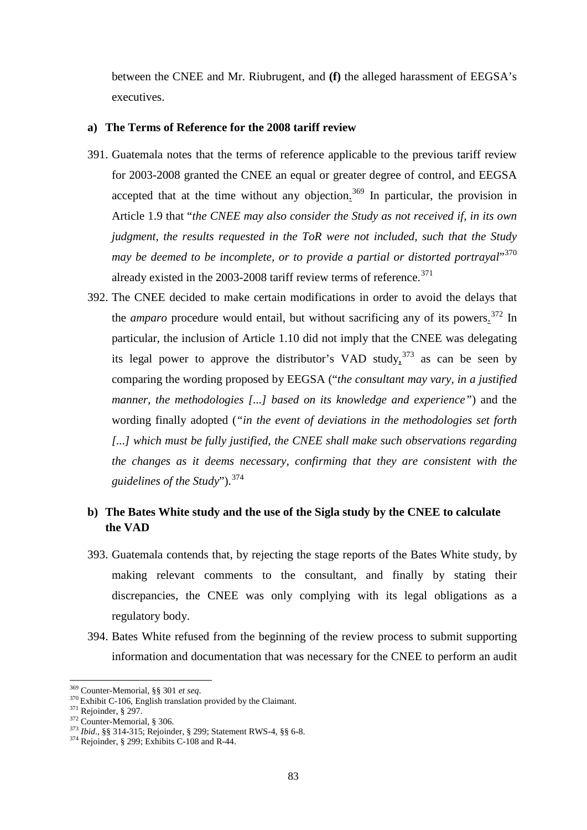between the CNEE and Mr. Riubrugent, and **(f)** the alleged harassment of EEGSA's executives.

#### **a) The Terms of Reference for the 2008 tariff review**

- 391. Guatemala notes that the terms of reference applicable to the previous tariff review for 2003-2008 granted the CNEE an equal or greater degree of control, and EEGSA accepted that at the time without any objection.<sup>[369](#page-82-0)</sup> In particular, the provision in Article 1.9 that "*the CNEE may also consider the Study as not received if, in its own judgment, the results requested in the ToR were not included, such that the Study may be deemed to be incomplete, or to provide a partial or distorted portrayal*" [370](#page-82-1) already existed in the 2003-2008 tariff review terms of reference.<sup>[371](#page-82-2)</sup>
- 392. The CNEE decided to make certain modifications in order to avoid the delays that the *amparo* procedure would entail, but without sacrificing any of its powers.<sup>[372](#page-82-3)</sup> In particular, the inclusion of Article 1.10 did not imply that the CNEE was delegating its legal power to approve the distributor's VAD study,  $373$  as can be seen by comparing the wording proposed by EEGSA ("*the consultant may vary, in a justified manner, the methodologies [...] based on its knowledge and experience"*) and the wording finally adopted (*"in the event of deviations in the methodologies set forth* [...] which must be fully justified, the CNEE shall make such observations regarding *the changes as it deems necessary, confirming that they are consistent with the guidelines of the Study*").[374](#page-82-5)

# **b) The Bates White study and the use of the Sigla study by the CNEE to calculate the VAD**

- 393. Guatemala contends that, by rejecting the stage reports of the Bates White study, by making relevant comments to the consultant, and finally by stating their discrepancies, the CNEE was only complying with its legal obligations as a regulatory body.
- 394. Bates White refused from the beginning of the review process to submit supporting information and documentation that was necessary for the CNEE to perform an audit

<span id="page-82-1"></span>

<span id="page-82-2"></span>

<span id="page-82-4"></span><span id="page-82-3"></span>

<span id="page-82-0"></span><sup>&</sup>lt;sup>369</sup> Counter-Memorial, §§ 301 *et seq.*<br><sup>370</sup> Exhibit C-106, English translation provided by the Claimant.<br><sup>371</sup> Rejoinder, § 297.<br><sup>372</sup> Counter-Memorial, § 306.<br><sup>373</sup> Ibid., §§ 314-315; Rejoinder, § 299; Statement RWS-4

<span id="page-82-5"></span>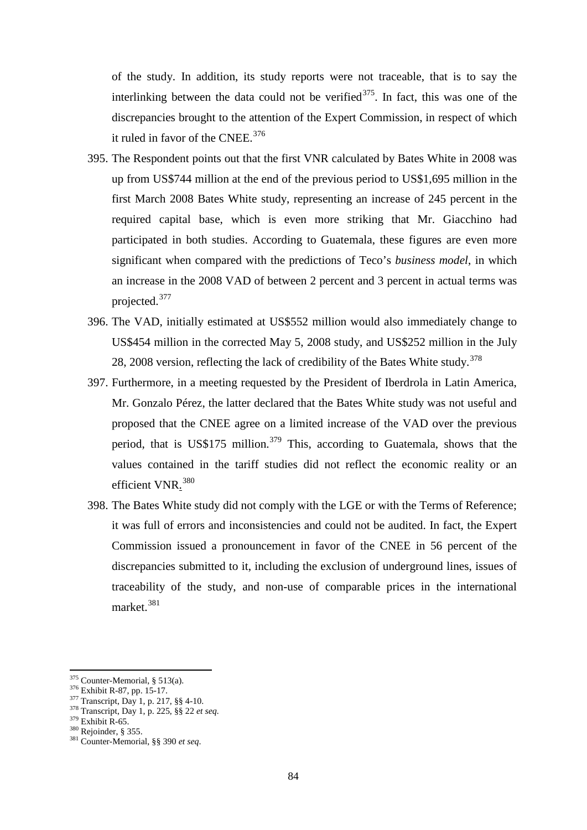of the study. In addition, its study reports were not traceable, that is to say the interlinking between the data could not be verified $375$ . In fact, this was one of the discrepancies brought to the attention of the Expert Commission, in respect of which it ruled in favor of the CNEE.<sup>[376](#page-83-1)</sup>

- 395. The Respondent points out that the first VNR calculated by Bates White in 2008 was up from US\$744 million at the end of the previous period to US\$1,695 million in the first March 2008 Bates White study, representing an increase of 245 percent in the required capital base, which is even more striking that Mr. Giacchino had participated in both studies. According to Guatemala, these figures are even more significant when compared with the predictions of Teco's *business model*, in which an increase in the 2008 VAD of between 2 percent and 3 percent in actual terms was projected.[377](#page-83-2)
- 396. The VAD, initially estimated at US\$552 million would also immediately change to US\$454 million in the corrected May 5, 2008 study, and US\$252 million in the July 28, 2008 version, reflecting the lack of credibility of the Bates White study.<sup>[378](#page-83-3)</sup>
- 397. Furthermore, in a meeting requested by the President of Iberdrola in Latin America, Mr. Gonzalo Pérez, the latter declared that the Bates White study was not useful and proposed that the CNEE agree on a limited increase of the VAD over the previous period, that is US\$175 million.<sup>[379](#page-83-4)</sup> This, according to Guatemala, shows that the values contained in the tariff studies did not reflect the economic reality or an efficient VNR.<sup>[380](#page-83-5)</sup>
- 398. The Bates White study did not comply with the LGE or with the Terms of Reference; it was full of errors and inconsistencies and could not be audited. In fact, the Expert Commission issued a pronouncement in favor of the CNEE in 56 percent of the discrepancies submitted to it, including the exclusion of underground lines, issues of traceability of the study, and non-use of comparable prices in the international market.<sup>[381](#page-83-6)</sup>

<span id="page-83-0"></span> $375$  Counter-Memorial, § 513(a).

<span id="page-83-2"></span><span id="page-83-1"></span><sup>&</sup>lt;sup>376</sup> Exhibit R-87, pp. 15-17.<br><sup>377</sup> Transcript, Day 1, p. 217, §§ 4-10.<br><sup>378</sup> Transcript, Day 1, p. 225, §§ 22 *et seq.*<br><sup>379</sup> Exhibit R-65.<br><sup>380</sup> Rejoinder, § 355.<br><sup>381</sup> Counter-Memorial, §§ 390 *et seq.* 

<span id="page-83-4"></span><span id="page-83-3"></span>

<span id="page-83-5"></span>

<span id="page-83-6"></span>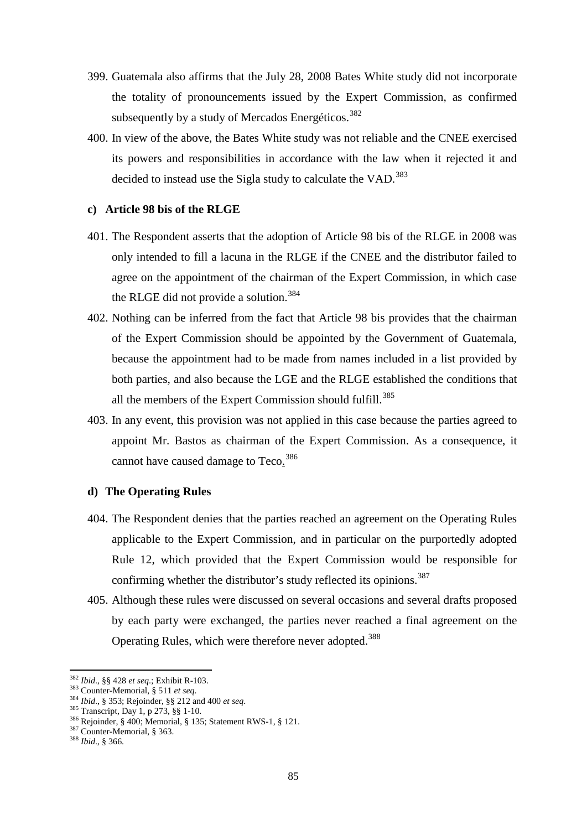- 399. Guatemala also affirms that the July 28, 2008 Bates White study did not incorporate the totality of pronouncements issued by the Expert Commission, as confirmed subsequently by a study of Mercados Energéticos.<sup>[382](#page-84-0)</sup>
- 400. In view of the above, the Bates White study was not reliable and the CNEE exercised its powers and responsibilities in accordance with the law when it rejected it and decided to instead use the Sigla study to calculate the VAD.<sup>[383](#page-84-1)</sup>

#### **c) Article 98 bis of the RLGE**

- 401. The Respondent asserts that the adoption of Article 98 bis of the RLGE in 2008 was only intended to fill a lacuna in the RLGE if the CNEE and the distributor failed to agree on the appointment of the chairman of the Expert Commission, in which case the RLGE did not provide a solution.<sup>[384](#page-84-2)</sup>
- 402. Nothing can be inferred from the fact that Article 98 bis provides that the chairman of the Expert Commission should be appointed by the Government of Guatemala, because the appointment had to be made from names included in a list provided by both parties, and also because the LGE and the RLGE established the conditions that all the members of the Expert Commission should fulfill.<sup>[385](#page-84-3)</sup>
- 403. In any event, this provision was not applied in this case because the parties agreed to appoint Mr. Bastos as chairman of the Expert Commission. As a consequence, it cannot have caused damage to Teco.<sup>[386](#page-84-4)</sup>

#### **d) The Operating Rules**

- 404. The Respondent denies that the parties reached an agreement on the Operating Rules applicable to the Expert Commission, and in particular on the purportedly adopted Rule 12, which provided that the Expert Commission would be responsible for confirming whether the distributor's study reflected its opinions.<sup>[387](#page-84-5)</sup>
- 405. Although these rules were discussed on several occasions and several drafts proposed by each party were exchanged, the parties never reached a final agreement on the Operating Rules, which were therefore never adopted.<sup>[388](#page-84-6)</sup>

<span id="page-84-0"></span><sup>&</sup>lt;sup>382</sup> Ibid., §§ 428 et seq.; Exhibit R-103.

<span id="page-84-4"></span><span id="page-84-3"></span>

<span id="page-84-2"></span><span id="page-84-1"></span><sup>383</sup> Counter-Memorial, § 511 *et seq.*<br>
384 *Ibid.*, § 353; Rejoinder, § § 212 and 400 *et seq.*<br>
<sup>385</sup> Transcript, Day 1, p 273, § § 1-10.<br>
<sup>386</sup> Rejoinder, § 400; Memorial, § 135; Statement RWS-1, § 121.<br>
<sup>387</sup> Counter-M

<span id="page-84-6"></span><span id="page-84-5"></span>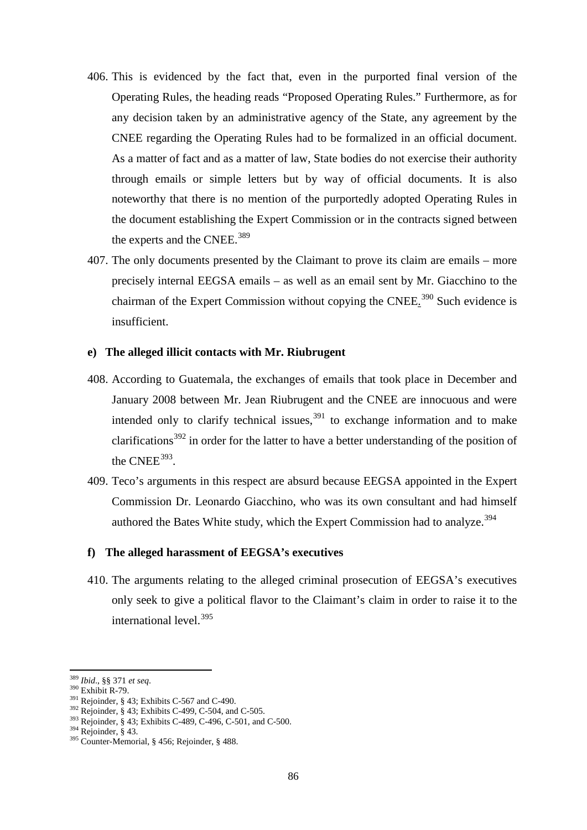- 406. This is evidenced by the fact that, even in the purported final version of the Operating Rules, the heading reads "Proposed Operating Rules." Furthermore, as for any decision taken by an administrative agency of the State, any agreement by the CNEE regarding the Operating Rules had to be formalized in an official document. As a matter of fact and as a matter of law, State bodies do not exercise their authority through emails or simple letters but by way of official documents. It is also noteworthy that there is no mention of the purportedly adopted Operating Rules in the document establishing the Expert Commission or in the contracts signed between the experts and the CNEE.<sup>[389](#page-85-0)</sup>
- 407. The only documents presented by the Claimant to prove its claim are emails more precisely internal EEGSA emails – as well as an email sent by Mr. Giacchino to the chairman of the Expert Commission without copying the CNEE.<sup>[390](#page-85-1)</sup> Such evidence is insufficient.

### **e) The alleged illicit contacts with Mr. Riubrugent**

- 408. According to Guatemala, the exchanges of emails that took place in December and January 2008 between Mr. Jean Riubrugent and the CNEE are innocuous and were intended only to clarify technical issues,  $391$  to exchange information and to make clarifications<sup>[392](#page-85-3)</sup> in order for the latter to have a better understanding of the position of the CNEE $^{393}$  $^{393}$  $^{393}$ .
- 409. Teco's arguments in this respect are absurd because EEGSA appointed in the Expert Commission Dr. Leonardo Giacchino, who was its own consultant and had himself authored the Bates White study, which the Expert Commission had to analyze.<sup>[394](#page-85-5)</sup>

#### **f) The alleged harassment of EEGSA's executives**

410. The arguments relating to the alleged criminal prosecution of EEGSA's executives only seek to give a political flavor to the Claimant's claim in order to raise it to the international level. [395](#page-85-6)

<span id="page-85-2"></span>

<span id="page-85-4"></span><span id="page-85-3"></span>

<span id="page-85-1"></span><span id="page-85-0"></span><sup>&</sup>lt;sup>389</sup> *Ibid.*, §§ 371 *et seq.*<br><sup>390</sup> Exhibit R-79.<br><sup>391</sup> Rejoinder, § 43; Exhibits C-567 and C-490.<br><sup>392</sup> Rejoinder, § 43; Exhibits C-499, C-504, and C-505.<br><sup>393</sup> Rejoinder, § 43; Exhibits C-489, C-496, C-501, and C-500.

<span id="page-85-6"></span><span id="page-85-5"></span>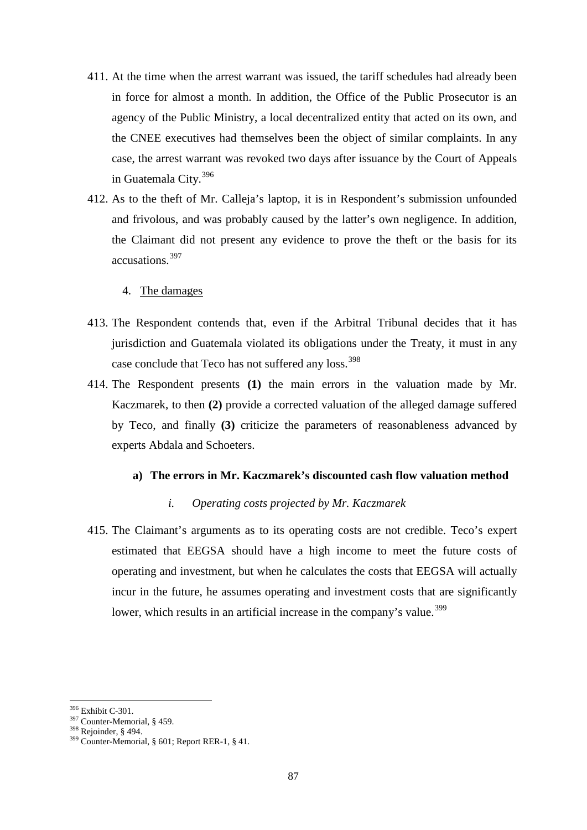- 411. At the time when the arrest warrant was issued, the tariff schedules had already been in force for almost a month. In addition, the Office of the Public Prosecutor is an agency of the Public Ministry, a local decentralized entity that acted on its own, and the CNEE executives had themselves been the object of similar complaints. In any case, the arrest warrant was revoked two days after issuance by the Court of Appeals in Guatemala City.[396](#page-86-0)
- 412. As to the theft of Mr. Calleja's laptop, it is in Respondent's submission unfounded and frivolous, and was probably caused by the latter's own negligence. In addition, the Claimant did not present any evidence to prove the theft or the basis for its accusations.[397](#page-86-1)
	- 4. The damages
- 413. The Respondent contends that, even if the Arbitral Tribunal decides that it has jurisdiction and Guatemala violated its obligations under the Treaty, it must in any case conclude that Teco has not suffered any loss.<sup>[398](#page-86-2)</sup>
- 414. The Respondent presents **(1)** the main errors in the valuation made by Mr. Kaczmarek, to then **(2)** provide a corrected valuation of the alleged damage suffered by Teco, and finally **(3)** criticize the parameters of reasonableness advanced by experts Abdala and Schoeters.

#### **a) The errors in Mr. Kaczmarek's discounted cash flow valuation method**

#### *i. Operating costs projected by Mr. Kaczmarek*

415. The Claimant's arguments as to its operating costs are not credible. Teco's expert estimated that EEGSA should have a high income to meet the future costs of operating and investment, but when he calculates the costs that EEGSA will actually incur in the future, he assumes operating and investment costs that are significantly lower, which results in an artificial increase in the company's value.<sup>[399](#page-86-3)</sup>

<sup>&</sup>lt;sup>396</sup> Exhibit C-301.

<span id="page-86-3"></span>

<span id="page-86-2"></span><span id="page-86-1"></span><span id="page-86-0"></span><sup>&</sup>lt;sup>397</sup> Counter-Memorial, § 459.<br><sup>398</sup> Rejoinder, § 494.<br><sup>399</sup> Counter-Memorial, § 601; Report RER-1, § 41.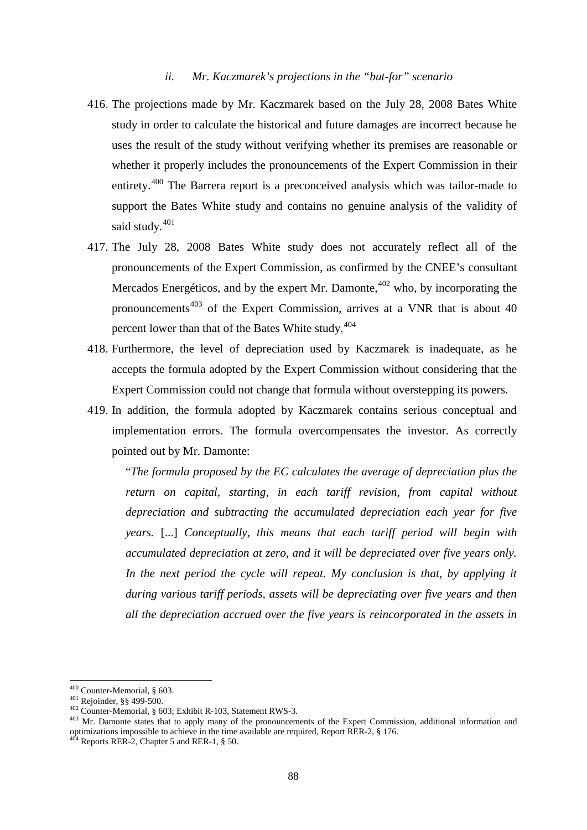#### *ii. Mr. Kaczmarek's projections in the "but-for" scenario*

- 416. The projections made by Mr. Kaczmarek based on the July 28, 2008 Bates White study in order to calculate the historical and future damages are incorrect because he uses the result of the study without verifying whether its premises are reasonable or whether it properly includes the pronouncements of the Expert Commission in their entirety.[400](#page-87-0) The Barrera report is a preconceived analysis which was tailor-made to support the Bates White study and contains no genuine analysis of the validity of said study.<sup>[401](#page-87-1)</sup>
- 417. The July 28, 2008 Bates White study does not accurately reflect all of the pronouncements of the Expert Commission, as confirmed by the CNEE's consultant Mercados Energéticos, and by the expert Mr. Damonte, $402$  who, by incorporating the pronouncements<sup>[403](#page-87-3)</sup> of the Expert Commission, arrives at a VNR that is about 40 percent lower than that of the Bates White study.<sup>[404](#page-87-4)</sup>
- 418. Furthermore, the level of depreciation used by Kaczmarek is inadequate, as he accepts the formula adopted by the Expert Commission without considering that the Expert Commission could not change that formula without overstepping its powers.
- 419. In addition, the formula adopted by Kaczmarek contains serious conceptual and implementation errors. The formula overcompensates the investor. As correctly pointed out by Mr. Damonte:

"*The formula proposed by the EC calculates the average of depreciation plus the return on capital, starting, in each tariff revision, from capital without depreciation and subtracting the accumulated depreciation each year for five years.* [...] *Conceptually, this means that each tariff period will begin with accumulated depreciation at zero, and it will be depreciated over five years only. In the next period the cycle will repeat. My conclusion is that, by applying it during various tariff periods, assets will be depreciating over five years and then all the depreciation accrued over the five years is reincorporated in the assets in* 

<span id="page-87-3"></span><span id="page-87-2"></span>

<span id="page-87-1"></span><span id="page-87-0"></span><sup>&</sup>lt;sup>400</sup> Counter-Memorial, § 603.<br><sup>401</sup> Rejoinder, §§ 499-500.<br><sup>402</sup> Counter-Memorial, § 603; Exhibit R-103, Statement RWS-3.<br><sup>403</sup> Mr. Damonte states that to apply many of the pronouncements of the Expert Commission, additi optimizations impossible to achieve in the time available are required, Report RER-2, § 176. 404 Reports RER-2, Chapter 5 and RER-1, § 50.

<span id="page-87-4"></span>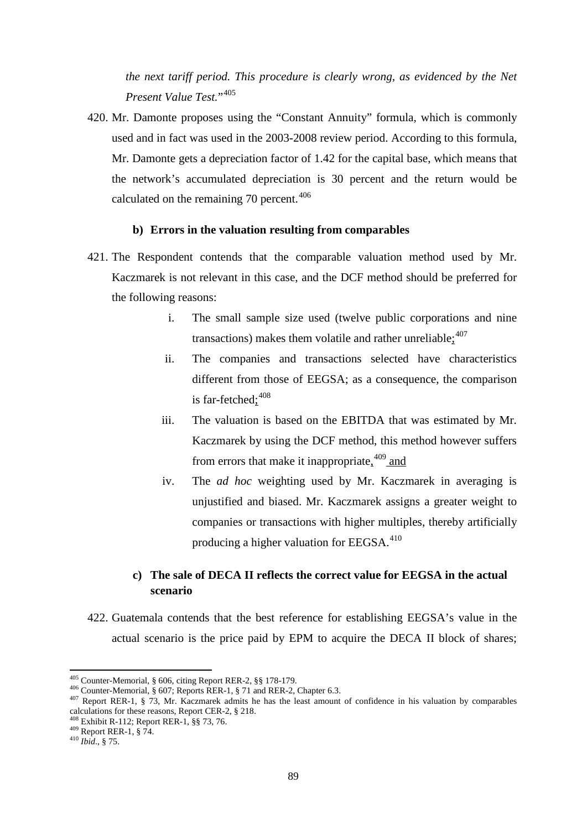*the next tariff period. This procedure is clearly wrong, as evidenced by the Net Present Value Test.*"[405](#page-88-0)

420. Mr. Damonte proposes using the "Constant Annuity" formula, which is commonly used and in fact was used in the 2003-2008 review period. According to this formula, Mr. Damonte gets a depreciation factor of 1.42 for the capital base, which means that the network's accumulated depreciation is 30 percent and the return would be calculated on the remaining 70 percent.<sup>[406](#page-88-1)</sup>

#### **b) Errors in the valuation resulting from comparables**

- 421. The Respondent contends that the comparable valuation method used by Mr. Kaczmarek is not relevant in this case, and the DCF method should be preferred for the following reasons:
	- i. The small sample size used (twelve public corporations and nine transactions) makes them volatile and rather unreliable $\frac{1}{2}^{407}$  $\frac{1}{2}^{407}$  $\frac{1}{2}^{407}$
	- ii. The companies and transactions selected have characteristics different from those of EEGSA; as a consequence, the comparison is far-fetched;<sup>[408](#page-88-3)</sup>
	- iii. The valuation is based on the EBITDA that was estimated by Mr. Kaczmarek by using the DCF method, this method however suffers from errors that make it inappropriate, <sup>[409](#page-88-4)</sup> and
	- iv. The *ad hoc* weighting used by Mr. Kaczmarek in averaging is unjustified and biased. Mr. Kaczmarek assigns a greater weight to companies or transactions with higher multiples, thereby artificially producing a higher valuation for EEGSA.<sup>[410](#page-88-5)</sup>

# **c) The sale of DECA II reflects the correct value for EEGSA in the actual scenario**

422. Guatemala contends that the best reference for establishing EEGSA's value in the actual scenario is the price paid by EPM to acquire the DECA II block of shares;

<span id="page-88-0"></span><sup>&</sup>lt;sup>405</sup> Counter-Memorial, § 606, citing Report RER-2, §§ 178-179.

<span id="page-88-2"></span><span id="page-88-1"></span><sup>&</sup>lt;sup>406</sup> Counter-Memorial, § 607; Reports RER-1, § 71 and RER-2, Chapter 6.3.<br><sup>407</sup> Report RER-1, § 73, Mr. Kaczmarek admits he has the least amount of confidence in his valuation by comparables calculations for these reason

<span id="page-88-4"></span><span id="page-88-3"></span><sup>&</sup>lt;sup>408</sup> Exhibit R-112; Report RER-1, §§ 73, 76. <sup>409</sup> Report RER-1, § 74. <sup>410</sup> *Ibid.*, § 75.

<span id="page-88-5"></span>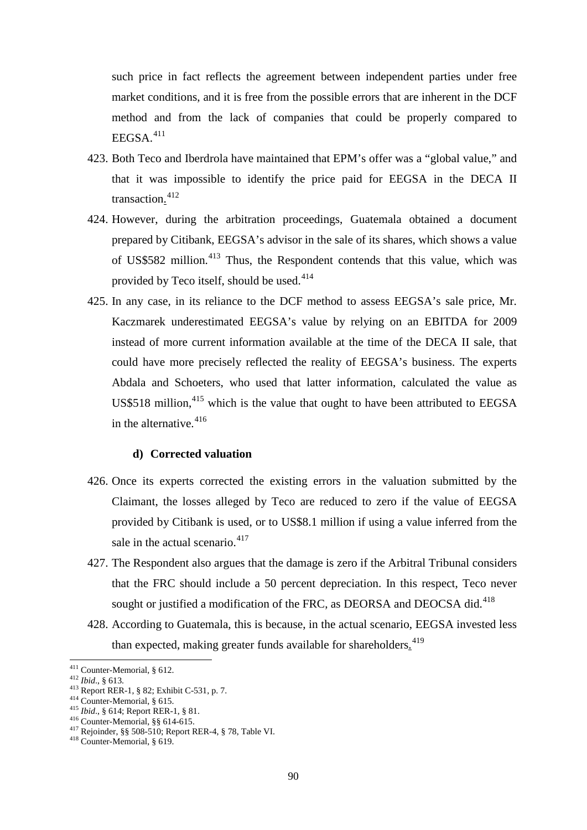such price in fact reflects the agreement between independent parties under free market conditions, and it is free from the possible errors that are inherent in the DCF method and from the lack of companies that could be properly compared to  $EEGSA.<sup>411</sup>$  $EEGSA.<sup>411</sup>$  $EEGSA.<sup>411</sup>$ 

- 423. Both Teco and Iberdrola have maintained that EPM's offer was a "global value," and that it was impossible to identify the price paid for EEGSA in the DECA II transaction.<sup>[412](#page-89-1)</sup>
- 424. However, during the arbitration proceedings, Guatemala obtained a document prepared by Citibank, EEGSA's advisor in the sale of its shares, which shows a value of US\$582 million.[413](#page-89-2) Thus, the Respondent contends that this value, which was provided by Teco itself, should be used.<sup>[414](#page-89-3)</sup>
- 425. In any case, in its reliance to the DCF method to assess EEGSA's sale price, Mr. Kaczmarek underestimated EEGSA's value by relying on an EBITDA for 2009 instead of more current information available at the time of the DECA II sale, that could have more precisely reflected the reality of EEGSA's business. The experts Abdala and Schoeters, who used that latter information, calculated the value as US\$518 million,<sup>[415](#page-89-4)</sup> which is the value that ought to have been attributed to EEGSA in the alternative.<sup>[416](#page-89-5)</sup>

#### **d) Corrected valuation**

- 426. Once its experts corrected the existing errors in the valuation submitted by the Claimant, the losses alleged by Teco are reduced to zero if the value of EEGSA provided by Citibank is used, or to US\$8.1 million if using a value inferred from the sale in the actual scenario. $417$
- 427. The Respondent also argues that the damage is zero if the Arbitral Tribunal considers that the FRC should include a 50 percent depreciation. In this respect, Teco never sought or justified a modification of the FRC, as DEORSA and DEOCSA did.<sup>[418](#page-89-7)</sup>
- 428. According to Guatemala, this is because, in the actual scenario, EEGSA invested less than expected, making greater funds available for shareholders.<sup>[419](#page-89-3)</sup>

<span id="page-89-0"></span><sup>&</sup>lt;sup>411</sup> Counter-Memorial, § 612.

<span id="page-89-3"></span>

<span id="page-89-4"></span>

<span id="page-89-6"></span><span id="page-89-5"></span>

<span id="page-89-2"></span><span id="page-89-1"></span><sup>&</sup>lt;sup>412</sup> *Ibid.*, § 613.<br>
<sup>413</sup> Report RER-1, § 82; Exhibit C-531, p. 7.<br>
<sup>414</sup> Counter-Memorial, § 615.<br>
<sup>415</sup> *Ibid.*, § 614; Report RER-1, § 81.<br>
<sup>416</sup> Counter-Memorial, §§ 614-615.<br>
<sup>417</sup> Rejoinder, §§ 508-510; Report RE

<span id="page-89-7"></span>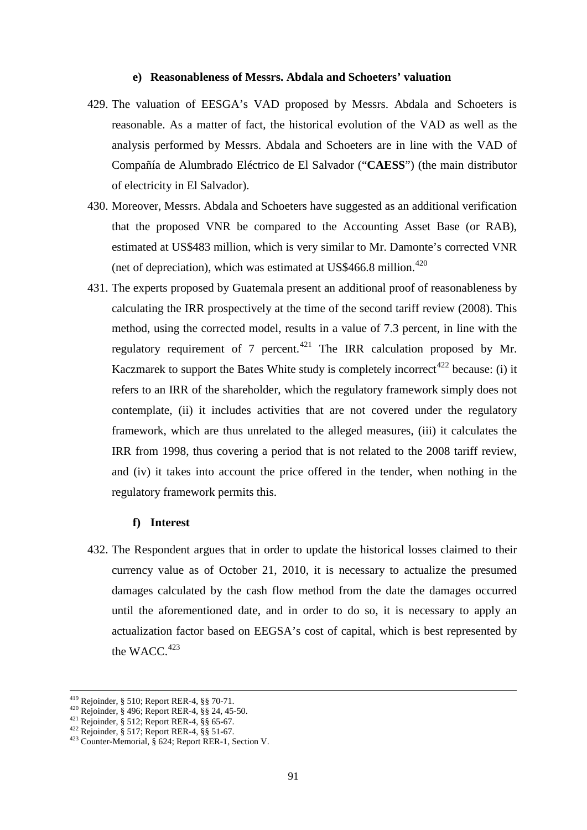#### **e) Reasonableness of Messrs. Abdala and Schoeters' valuation**

- 429. The valuation of EESGA's VAD proposed by Messrs. Abdala and Schoeters is reasonable. As a matter of fact, the historical evolution of the VAD as well as the analysis performed by Messrs. Abdala and Schoeters are in line with the VAD of Compañía de Alumbrado Eléctrico de El Salvador ("**CAESS**") (the main distributor of electricity in El Salvador).
- 430. Moreover, Messrs. Abdala and Schoeters have suggested as an additional verification that the proposed VNR be compared to the Accounting Asset Base (or RAB), estimated at US\$483 million, which is very similar to Mr. Damonte's corrected VNR (net of depreciation), which was estimated at US\$466.8 million. $420$
- 431. The experts proposed by Guatemala present an additional proof of reasonableness by calculating the IRR prospectively at the time of the second tariff review (2008). This method, using the corrected model, results in a value of 7.3 percent, in line with the regulatory requirement of 7 percent.<sup>[421](#page-90-1)</sup> The IRR calculation proposed by Mr. Kaczmarek to support the Bates White study is completely incorrect<sup>[422](#page-90-2)</sup> because: (i) it refers to an IRR of the shareholder, which the regulatory framework simply does not contemplate, (ii) it includes activities that are not covered under the regulatory framework, which are thus unrelated to the alleged measures, (iii) it calculates the IRR from 1998, thus covering a period that is not related to the 2008 tariff review, and (iv) it takes into account the price offered in the tender, when nothing in the regulatory framework permits this.

#### **f) Interest**

432. The Respondent argues that in order to update the historical losses claimed to their currency value as of October 21, 2010, it is necessary to actualize the presumed damages calculated by the cash flow method from the date the damages occurred until the aforementioned date, and in order to do so, it is necessary to apply an actualization factor based on EEGSA's cost of capital, which is best represented by the WACC. $423$ 

<sup>&</sup>lt;sup>419</sup> Rejoinder, § 510; Report RER-4, §§ 70-71.

<span id="page-90-3"></span><span id="page-90-2"></span>

<span id="page-90-1"></span><span id="page-90-0"></span><sup>420</sup> Rejoinder, § 496; Report RER-4, §§ 24, 45-50.<br>
421 Rejoinder, § 512; Report RER-4, §§ 65-67.<br>
422 Rejoinder, § 517; Report RER-4, §§ 51-67.<br>
423 Counter-Memorial, § 624; Report RER-1, Section V.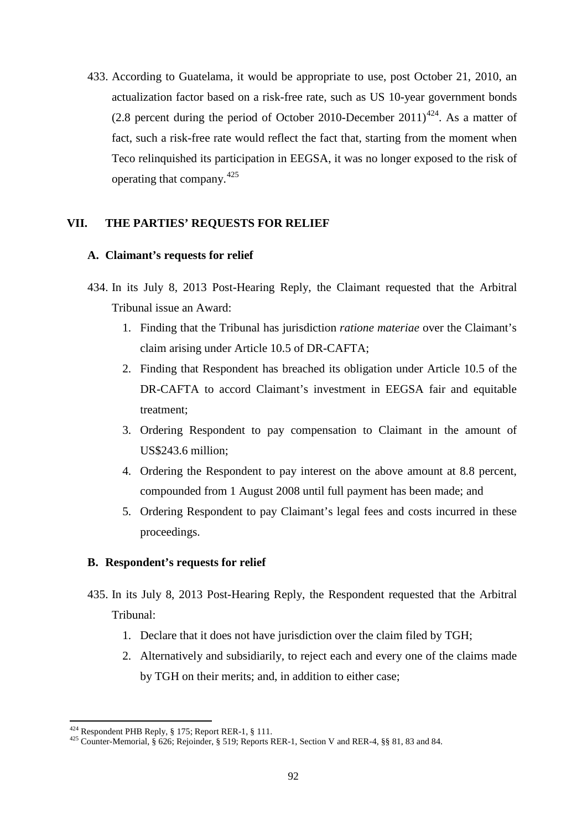433. According to Guatelama, it would be appropriate to use, post October 21, 2010, an actualization factor based on a risk-free rate, such as US 10-year government bonds (2.8 percent during the period of October 2010-December 2011)<sup>[424](#page-91-0)</sup>. As a matter of fact, such a risk-free rate would reflect the fact that, starting from the moment when Teco relinquished its participation in EEGSA, it was no longer exposed to the risk of operating that company.[425](#page-91-1)

### **VII. THE PARTIES' REQUESTS FOR RELIEF**

### **A. Claimant's requests for relief**

- 434. In its July 8, 2013 Post-Hearing Reply, the Claimant requested that the Arbitral Tribunal issue an Award:
	- 1. Finding that the Tribunal has jurisdiction *ratione materiae* over the Claimant's claim arising under Article 10.5 of DR-CAFTA;
	- 2. Finding that Respondent has breached its obligation under Article 10.5 of the DR-CAFTA to accord Claimant's investment in EEGSA fair and equitable treatment;
	- 3. Ordering Respondent to pay compensation to Claimant in the amount of US\$243.6 million;
	- 4. Ordering the Respondent to pay interest on the above amount at 8.8 percent, compounded from 1 August 2008 until full payment has been made; and
	- 5. Ordering Respondent to pay Claimant's legal fees and costs incurred in these proceedings.

### **B. Respondent's requests for relief**

- 435. In its July 8, 2013 Post-Hearing Reply, the Respondent requested that the Arbitral Tribunal:
	- 1. Declare that it does not have jurisdiction over the claim filed by TGH;
	- 2. Alternatively and subsidiarily, to reject each and every one of the claims made by TGH on their merits; and, in addition to either case;

 $\overline{a}$ 

<span id="page-91-1"></span><span id="page-91-0"></span><sup>&</sup>lt;sup>424</sup> Respondent PHB Reply, § 175; Report RER-1, § 111.<br><sup>425</sup> Counter-Memorial, § 626; Rejoinder, § 519; Reports RER-1, Section V and RER-4, §§ 81, 83 and 84.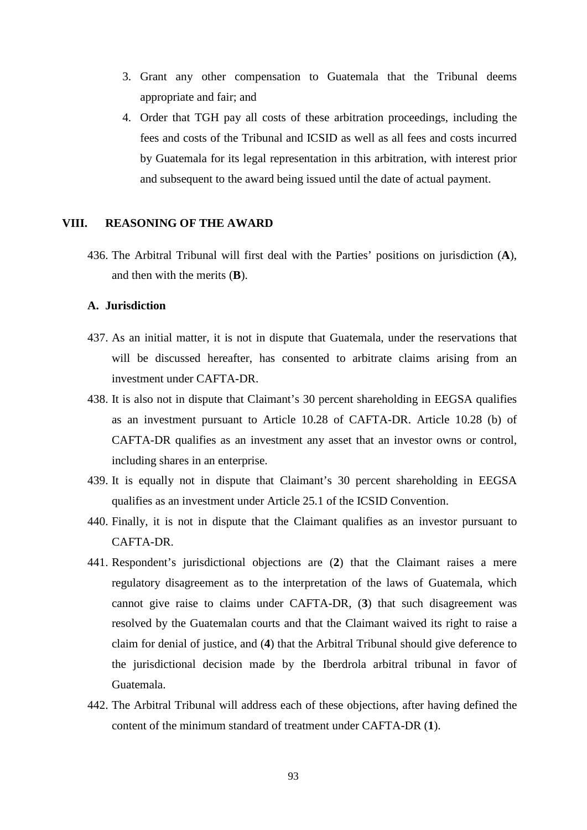- 3. Grant any other compensation to Guatemala that the Tribunal deems appropriate and fair; and
- 4. Order that TGH pay all costs of these arbitration proceedings, including the fees and costs of the Tribunal and ICSID as well as all fees and costs incurred by Guatemala for its legal representation in this arbitration, with interest prior and subsequent to the award being issued until the date of actual payment.

### **VIII. REASONING OF THE AWARD**

436. The Arbitral Tribunal will first deal with the Parties' positions on jurisdiction (**A**), and then with the merits (**B**).

#### **A. Jurisdiction**

- 437. As an initial matter, it is not in dispute that Guatemala, under the reservations that will be discussed hereafter, has consented to arbitrate claims arising from an investment under CAFTA-DR.
- 438. It is also not in dispute that Claimant's 30 percent shareholding in EEGSA qualifies as an investment pursuant to Article 10.28 of CAFTA-DR. Article 10.28 (b) of CAFTA-DR qualifies as an investment any asset that an investor owns or control, including shares in an enterprise.
- 439. It is equally not in dispute that Claimant's 30 percent shareholding in EEGSA qualifies as an investment under Article 25.1 of the ICSID Convention.
- 440. Finally, it is not in dispute that the Claimant qualifies as an investor pursuant to CAFTA-DR.
- 441. Respondent's jurisdictional objections are (**2**) that the Claimant raises a mere regulatory disagreement as to the interpretation of the laws of Guatemala, which cannot give raise to claims under CAFTA-DR, (**3**) that such disagreement was resolved by the Guatemalan courts and that the Claimant waived its right to raise a claim for denial of justice, and (**4**) that the Arbitral Tribunal should give deference to the jurisdictional decision made by the Iberdrola arbitral tribunal in favor of Guatemala.
- 442. The Arbitral Tribunal will address each of these objections, after having defined the content of the minimum standard of treatment under CAFTA-DR (**1**).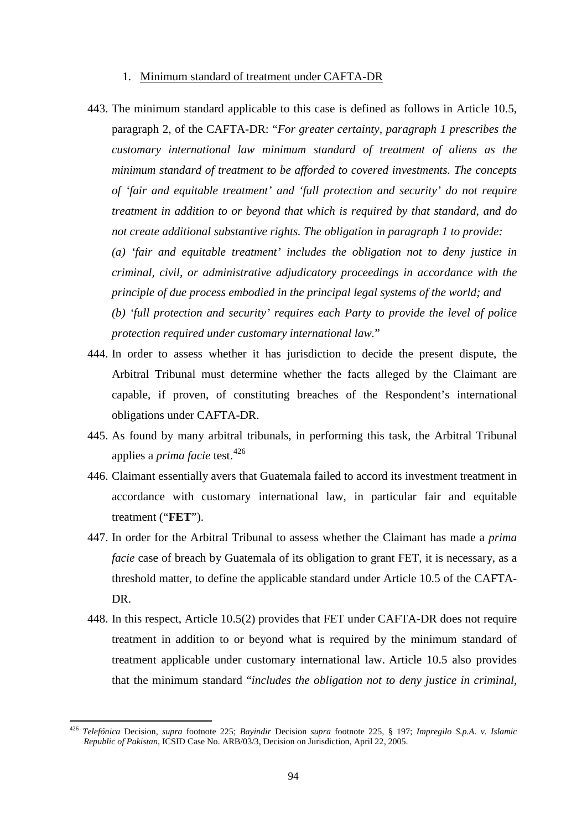#### 1. Minimum standard of treatment under CAFTA-DR

443. The minimum standard applicable to this case is defined as follows in Article 10.5, paragraph 2, of the CAFTA-DR: "*For greater certainty, paragraph 1 prescribes the customary international law minimum standard of treatment of aliens as the minimum standard of treatment to be afforded to covered investments. The concepts of 'fair and equitable treatment' and 'full protection and security' do not require treatment in addition to or beyond that which is required by that standard, and do not create additional substantive rights. The obligation in paragraph 1 to provide:*

*(a) 'fair and equitable treatment' includes the obligation not to deny justice in criminal, civil, or administrative adjudicatory proceedings in accordance with the principle of due process embodied in the principal legal systems of the world; and*

*(b) 'full protection and security' requires each Party to provide the level of police protection required under customary international law.*"

- 444. In order to assess whether it has jurisdiction to decide the present dispute, the Arbitral Tribunal must determine whether the facts alleged by the Claimant are capable, if proven, of constituting breaches of the Respondent's international obligations under CAFTA-DR.
- 445. As found by many arbitral tribunals, in performing this task, the Arbitral Tribunal applies a *prima facie* test. [426](#page-93-0)
- 446. Claimant essentially avers that Guatemala failed to accord its investment treatment in accordance with customary international law, in particular fair and equitable treatment ("**FET**").
- 447. In order for the Arbitral Tribunal to assess whether the Claimant has made a *prima facie* case of breach by Guatemala of its obligation to grant FET, it is necessary, as a threshold matter, to define the applicable standard under Article 10.5 of the CAFTA-DR.
- 448. In this respect, Article 10.5(2) provides that FET under CAFTA-DR does not require treatment in addition to or beyond what is required by the minimum standard of treatment applicable under customary international law. Article 10.5 also provides that the minimum standard "*includes the obligation not to deny justice in criminal,*

<span id="page-93-0"></span><sup>426</sup> *Telefónica* Decision, *supra* footnote 225; *Bayindir* Decision *supra* footnote 225, § 197; *Impregilo S.p.A. v. Islamic Republic of Pakistan*, ICSID Case No. ARB/03/3, Decision on Jurisdiction, April 22, 2005.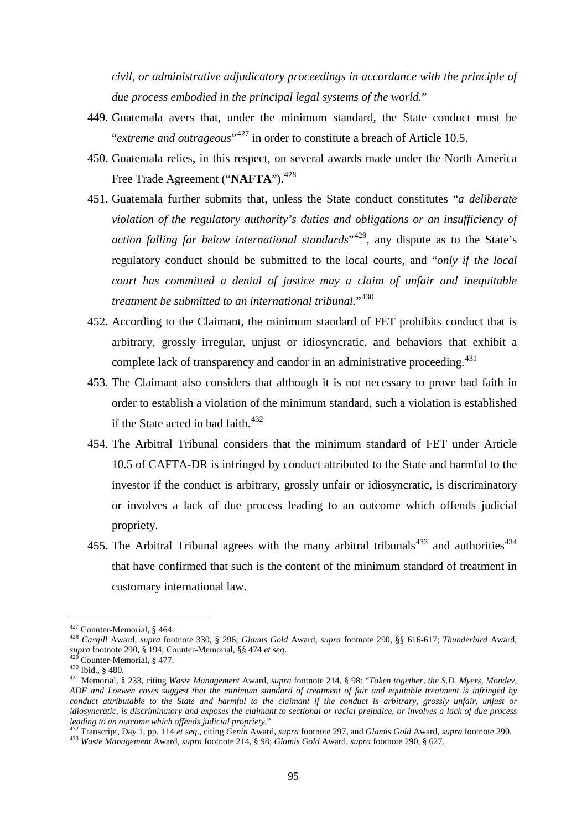*civil, or administrative adjudicatory proceedings in accordance with the principle of due process embodied in the principal legal systems of the world.*"

- 449. Guatemala avers that, under the minimum standard, the State conduct must be "*extreme and outrageous*"<sup>[427](#page-94-0)</sup> in order to constitute a breach of Article 10.5.
- 450. Guatemala relies, in this respect, on several awards made under the North America Free Trade Agreement ("NAFTA").<sup>[428](#page-94-1)</sup>
- 451. Guatemala further submits that, unless the State conduct constitutes "*a deliberate violation of the regulatory authority's duties and obligations or an insufficiency of action falling far below international standards*<sup>"429</sup>, any dispute as to the State's regulatory conduct should be submitted to the local courts, and "*only if the local court has committed a denial of justice may a claim of unfair and inequitable treatment be submitted to an international tribunal.*"[430](#page-94-3)
- 452. According to the Claimant, the minimum standard of FET prohibits conduct that is arbitrary, grossly irregular, unjust or idiosyncratic, and behaviors that exhibit a complete lack of transparency and candor in an administrative proceeding.<sup>[431](#page-94-4)</sup>
- 453. The Claimant also considers that although it is not necessary to prove bad faith in order to establish a violation of the minimum standard, such a violation is established if the State acted in bad faith. [432](#page-94-5)
- 454. The Arbitral Tribunal considers that the minimum standard of FET under Article 10.5 of CAFTA-DR is infringed by conduct attributed to the State and harmful to the investor if the conduct is arbitrary, grossly unfair or idiosyncratic, is discriminatory or involves a lack of due process leading to an outcome which offends judicial propriety.
- <span id="page-94-7"></span>455. The Arbitral Tribunal agrees with the many arbitral tribunals<sup>[433](#page-94-6)</sup> and authorities<sup>[434](#page-94-7)</sup> that have confirmed that such is the content of the minimum standard of treatment in customary international law.

<span id="page-94-0"></span><sup>&</sup>lt;sup>427</sup> Counter-Memorial, § 464.

<span id="page-94-1"></span><sup>427</sup> Counter-Memorial, § 464. <sup>428</sup> *Cargill* Award, *supra* footnote 330, § 296; *Glamis Gold* Award, *supra* footnote 290, §§ 616-617; *Thunderbird* Award, supra footnote 290, § 194; Counter-Memorial, §§ 474 *et seq.*<br><sup>429</sup> Counter-Memorial, § 477.<br><sup>430</sup> Ibid., § 480.<br><sup>431</sup> Memorial, § 233, citing *Waste Management* Award, *supra* footnote 214, § 98: "*Taken together, the S.D* 

<span id="page-94-2"></span>

<span id="page-94-4"></span><span id="page-94-3"></span>*ADF and Loewen cases suggest that the minimum standard of treatment of fair and equitable treatment is infringed by conduct attributable to the State and harmful to the claimant if the conduct is arbitrary, grossly unfair, unjust or idiosyncratic, is discriminatory and exposes the claimant to sectional or racial prejudice, or involves a lack of due process*

<span id="page-94-6"></span><span id="page-94-5"></span><sup>&</sup>lt;sup>432</sup> Transcript, Day 1, pp. 114 et seq., citing Genin Award, supra footnote 297, and Glamis Gold Award, supra footnote 290.<br><sup>433</sup> Waste Management Award, supra footnote 214, § 98; Glamis Gold Award, supra footnote 290, §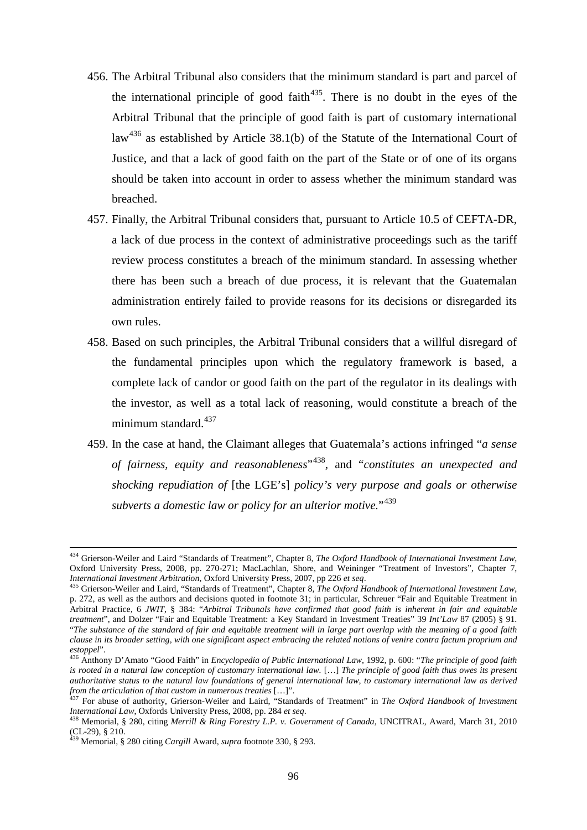- 456. The Arbitral Tribunal also considers that the minimum standard is part and parcel of the international principle of good faith<sup> $435$ </sup>. There is no doubt in the eyes of the Arbitral Tribunal that the principle of good faith is part of customary international law<sup>[436](#page-95-1)</sup> as established by Article 38.1(b) of the Statute of the International Court of Justice, and that a lack of good faith on the part of the State or of one of its organs should be taken into account in order to assess whether the minimum standard was breached.
- 457. Finally, the Arbitral Tribunal considers that, pursuant to Article 10.5 of CEFTA-DR, a lack of due process in the context of administrative proceedings such as the tariff review process constitutes a breach of the minimum standard. In assessing whether there has been such a breach of due process, it is relevant that the Guatemalan administration entirely failed to provide reasons for its decisions or disregarded its own rules.
- 458. Based on such principles, the Arbitral Tribunal considers that a willful disregard of the fundamental principles upon which the regulatory framework is based, a complete lack of candor or good faith on the part of the regulator in its dealings with the investor, as well as a total lack of reasoning, would constitute a breach of the minimum standard.<sup>[437](#page-95-2)</sup>
- 459. In the case at hand, the Claimant alleges that Guatemala's actions infringed "*a sense of fairness, equity and reasonableness*"[438](#page-95-3), and "*constitutes an unexpected and shocking repudiation of* [the LGE's] *policy's very purpose and goals or otherwise subverts a domestic law or policy for an ulterior motive.*"[439](#page-95-4)

<sup>434</sup> Grierson-Weiler and Laird "Standards of Treatment", Chapter 8, *The Oxford Handbook of International Investment Law*, Oxford University Press, 2008, pp. 270-271; MacLachlan, Shore, and Weininger "Treatment of Investors", Chapter 7, International Investment Arbitration, Oxford University Press, 2007, pp 226 et seq.<br>
<sup>435</sup> Grierson-Weiler and Laird, "Standards of Treatment", Chapter 8, *The Oxford Handbook of International Investment Law*,

<span id="page-95-0"></span>p. 272, as well as the authors and decisions quoted in footnote 31; in particular, Schreuer "Fair and Equitable Treatment in Arbitral Practice, 6 *JWIT*, § 384: "*Arbitral Tribunals have confirmed that good faith is inherent in fair and equitable treatment*", and Dolzer "Fair and Equitable Treatment: a Key Standard in Investment Treaties" 39 *Int'Law* 87 (2005) § 91. "*The substance of the standard of fair and equitable treatment will in large part overlap with the meaning of a good faith clause in its broader setting, with one significant aspect embracing the related notions of venire contra factum proprium and*

<span id="page-95-1"></span>*estoppel*". <sup>436</sup> Anthony D'Amato "Good Faith" in *Encyclopedia of Public International Law,* 1992, p. 600: "*The principle of good faith is rooted in a natural law conception of customary international law.* […] *The principle of good faith thus owes its present authoritative status to the natural law foundations of general international law, to customary international law as derived* 

<span id="page-95-2"></span>*from the articulation of that custom in numerous treaties* [...]".<br><sup>437</sup> For abuse of authority, Grierson-Weiler and Laird, "Standards of Treatment" in *The Oxford Handbook of Investment*<br>International Law. Oxfords Univer

<span id="page-95-3"></span><sup>&</sup>lt;sup>438</sup> Memorial, § 280, citing *Merrill & Ring Forestry L.P. v. Government of Canada*, UNCITRAL, Award, March 31, 2010<br>(CL-29), § 210.<br><sup>439</sup>

<span id="page-95-4"></span>Memorial, § 280 citing *Cargill* Award, *supra* footnote 330, § 293.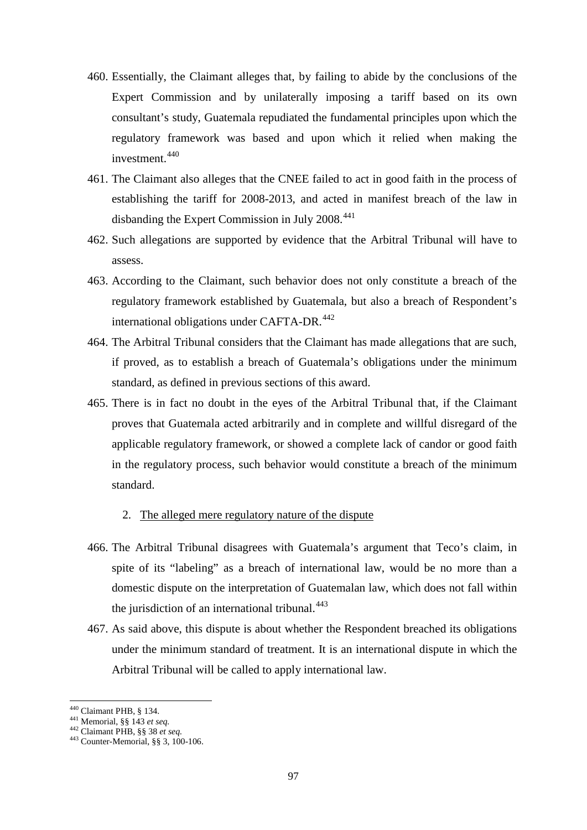- 460. Essentially, the Claimant alleges that, by failing to abide by the conclusions of the Expert Commission and by unilaterally imposing a tariff based on its own consultant's study, Guatemala repudiated the fundamental principles upon which the regulatory framework was based and upon which it relied when making the investment. [440](#page-96-0)
- 461. The Claimant also alleges that the CNEE failed to act in good faith in the process of establishing the tariff for 2008-2013, and acted in manifest breach of the law in disbanding the Expert Commission in July 2008.<sup>[441](#page-96-1)</sup>
- 462. Such allegations are supported by evidence that the Arbitral Tribunal will have to assess.
- 463. According to the Claimant, such behavior does not only constitute a breach of the regulatory framework established by Guatemala, but also a breach of Respondent's international obligations under CAFTA-DR.<sup>[442](#page-96-2)</sup>
- 464. The Arbitral Tribunal considers that the Claimant has made allegations that are such, if proved, as to establish a breach of Guatemala's obligations under the minimum standard, as defined in previous sections of this award.
- 465. There is in fact no doubt in the eyes of the Arbitral Tribunal that, if the Claimant proves that Guatemala acted arbitrarily and in complete and willful disregard of the applicable regulatory framework, or showed a complete lack of candor or good faith in the regulatory process, such behavior would constitute a breach of the minimum standard.

#### 2. The alleged mere regulatory nature of the dispute

- 466. The Arbitral Tribunal disagrees with Guatemala's argument that Teco's claim, in spite of its "labeling" as a breach of international law, would be no more than a domestic dispute on the interpretation of Guatemalan law, which does not fall within the jurisdiction of an international tribunal.<sup>[443](#page-96-3)</sup>
- 467. As said above, this dispute is about whether the Respondent breached its obligations under the minimum standard of treatment. It is an international dispute in which the Arbitral Tribunal will be called to apply international law.

<sup>440</sup> Claimant PHB, § 134.

<span id="page-96-3"></span>

<span id="page-96-2"></span><span id="page-96-1"></span><span id="page-96-0"></span><sup>441</sup> Memorial, §§ 143 *et seq.*<br><sup>442</sup> Claimant PHB, §§ 38 *et seq.* 443 Counter-Memorial, §§ 3, 100-106.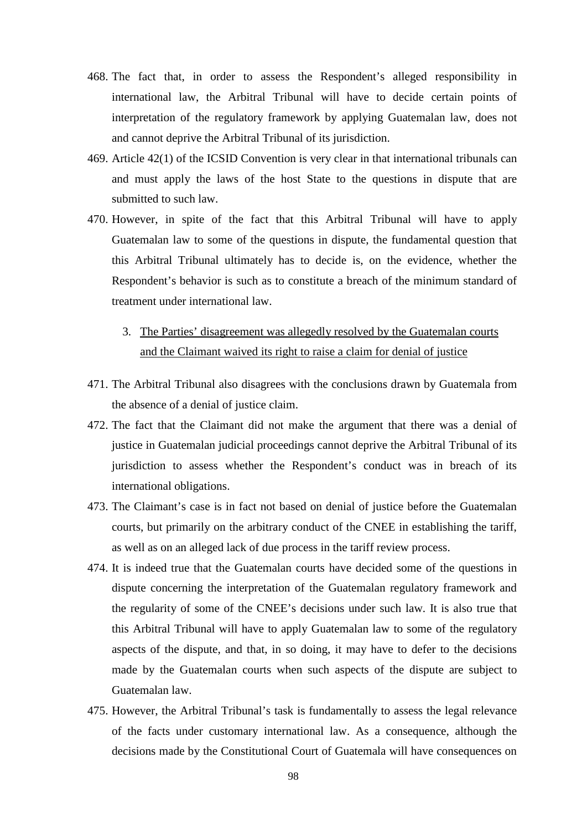- 468. The fact that, in order to assess the Respondent's alleged responsibility in international law, the Arbitral Tribunal will have to decide certain points of interpretation of the regulatory framework by applying Guatemalan law, does not and cannot deprive the Arbitral Tribunal of its jurisdiction.
- 469. Article 42(1) of the ICSID Convention is very clear in that international tribunals can and must apply the laws of the host State to the questions in dispute that are submitted to such law.
- 470. However, in spite of the fact that this Arbitral Tribunal will have to apply Guatemalan law to some of the questions in dispute, the fundamental question that this Arbitral Tribunal ultimately has to decide is, on the evidence, whether the Respondent's behavior is such as to constitute a breach of the minimum standard of treatment under international law.
	- 3. The Parties' disagreement was allegedly resolved by the Guatemalan courts and the Claimant waived its right to raise a claim for denial of justice
- 471. The Arbitral Tribunal also disagrees with the conclusions drawn by Guatemala from the absence of a denial of justice claim.
- 472. The fact that the Claimant did not make the argument that there was a denial of justice in Guatemalan judicial proceedings cannot deprive the Arbitral Tribunal of its jurisdiction to assess whether the Respondent's conduct was in breach of its international obligations.
- 473. The Claimant's case is in fact not based on denial of justice before the Guatemalan courts, but primarily on the arbitrary conduct of the CNEE in establishing the tariff, as well as on an alleged lack of due process in the tariff review process.
- 474. It is indeed true that the Guatemalan courts have decided some of the questions in dispute concerning the interpretation of the Guatemalan regulatory framework and the regularity of some of the CNEE's decisions under such law. It is also true that this Arbitral Tribunal will have to apply Guatemalan law to some of the regulatory aspects of the dispute, and that, in so doing, it may have to defer to the decisions made by the Guatemalan courts when such aspects of the dispute are subject to Guatemalan law.
- 475. However, the Arbitral Tribunal's task is fundamentally to assess the legal relevance of the facts under customary international law. As a consequence, although the decisions made by the Constitutional Court of Guatemala will have consequences on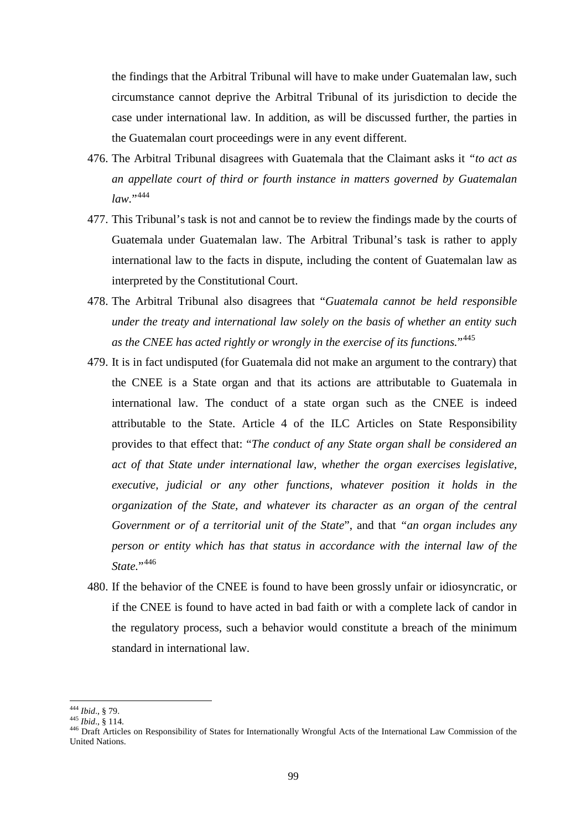the findings that the Arbitral Tribunal will have to make under Guatemalan law, such circumstance cannot deprive the Arbitral Tribunal of its jurisdiction to decide the case under international law. In addition, as will be discussed further, the parties in the Guatemalan court proceedings were in any event different.

- 476. The Arbitral Tribunal disagrees with Guatemala that the Claimant asks it *"to act as an appellate court of third or fourth instance in matters governed by Guatemalan law.*"<sup>[444](#page-98-0)</sup>
- 477. This Tribunal's task is not and cannot be to review the findings made by the courts of Guatemala under Guatemalan law. The Arbitral Tribunal's task is rather to apply international law to the facts in dispute, including the content of Guatemalan law as interpreted by the Constitutional Court.
- 478. The Arbitral Tribunal also disagrees that "*Guatemala cannot be held responsible under the treaty and international law solely on the basis of whether an entity such as the CNEE has acted rightly or wrongly in the exercise of its functions.*"[445](#page-98-1)
- 479. It is in fact undisputed (for Guatemala did not make an argument to the contrary) that the CNEE is a State organ and that its actions are attributable to Guatemala in international law. The conduct of a state organ such as the CNEE is indeed attributable to the State. Article 4 of the ILC Articles on State Responsibility provides to that effect that: "*The conduct of any State organ shall be considered an act of that State under international law, whether the organ exercises legislative, executive, judicial or any other functions, whatever position it holds in the organization of the State, and whatever its character as an organ of the central Government or of a territorial unit of the State*", and that *"an organ includes any person or entity which has that status in accordance with the internal law of the State.*"[446](#page-98-2)
- 480. If the behavior of the CNEE is found to have been grossly unfair or idiosyncratic, or if the CNEE is found to have acted in bad faith or with a complete lack of candor in the regulatory process, such a behavior would constitute a breach of the minimum standard in international law.

<sup>&</sup>lt;sup>444</sup> Ibid., § 79.

<span id="page-98-2"></span><span id="page-98-1"></span><span id="page-98-0"></span><sup>444</sup> *Ibid*., § 79. <sup>445</sup> *Ibid*., § 114. <sup>446</sup> Draft Articles on Responsibility of States for Internationally Wrongful Acts of the International Law Commission of the United Nations.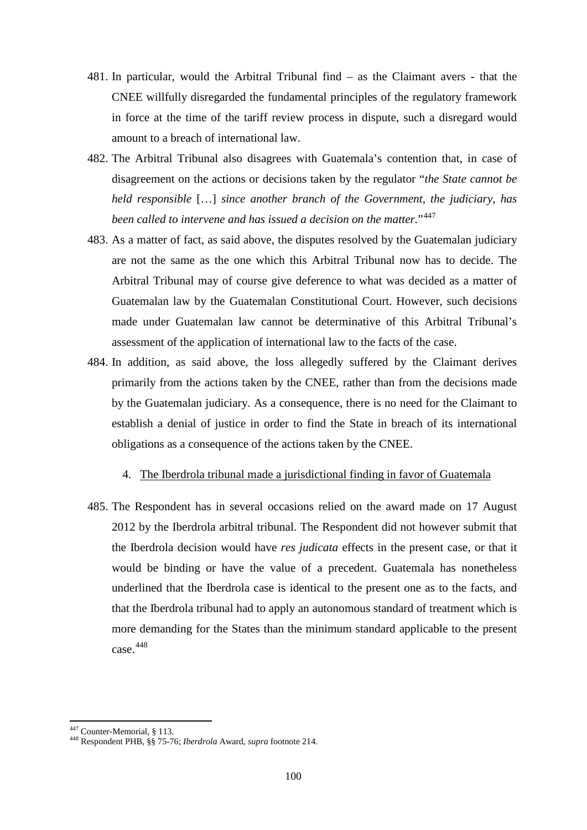- 481. In particular, would the Arbitral Tribunal find as the Claimant avers that the CNEE willfully disregarded the fundamental principles of the regulatory framework in force at the time of the tariff review process in dispute, such a disregard would amount to a breach of international law.
- 482. The Arbitral Tribunal also disagrees with Guatemala's contention that, in case of disagreement on the actions or decisions taken by the regulator "*the State cannot be held responsible* […] *since another branch of the Government, the judiciary, has been called to intervene and has issued a decision on the matter.*"[447](#page-99-0)
- 483. As a matter of fact, as said above, the disputes resolved by the Guatemalan judiciary are not the same as the one which this Arbitral Tribunal now has to decide. The Arbitral Tribunal may of course give deference to what was decided as a matter of Guatemalan law by the Guatemalan Constitutional Court. However, such decisions made under Guatemalan law cannot be determinative of this Arbitral Tribunal's assessment of the application of international law to the facts of the case.
- 484. In addition, as said above, the loss allegedly suffered by the Claimant derives primarily from the actions taken by the CNEE, rather than from the decisions made by the Guatemalan judiciary. As a consequence, there is no need for the Claimant to establish a denial of justice in order to find the State in breach of its international obligations as a consequence of the actions taken by the CNEE.

### 4. The Iberdrola tribunal made a jurisdictional finding in favor of Guatemala

485. The Respondent has in several occasions relied on the award made on 17 August 2012 by the Iberdrola arbitral tribunal. The Respondent did not however submit that the Iberdrola decision would have *res judicata* effects in the present case, or that it would be binding or have the value of a precedent. Guatemala has nonetheless underlined that the Iberdrola case is identical to the present one as to the facts, and that the Iberdrola tribunal had to apply an autonomous standard of treatment which is more demanding for the States than the minimum standard applicable to the present case.<sup>[448](#page-99-1)</sup>

<span id="page-99-0"></span><sup>&</sup>lt;sup>447</sup> Counter-Memorial, § 113.

<span id="page-99-1"></span><sup>447</sup> Counter-Memorial, § 113. <sup>448</sup> Respondent PHB, §§ 75-76; *Iberdrola* Award, *supra* footnote 214.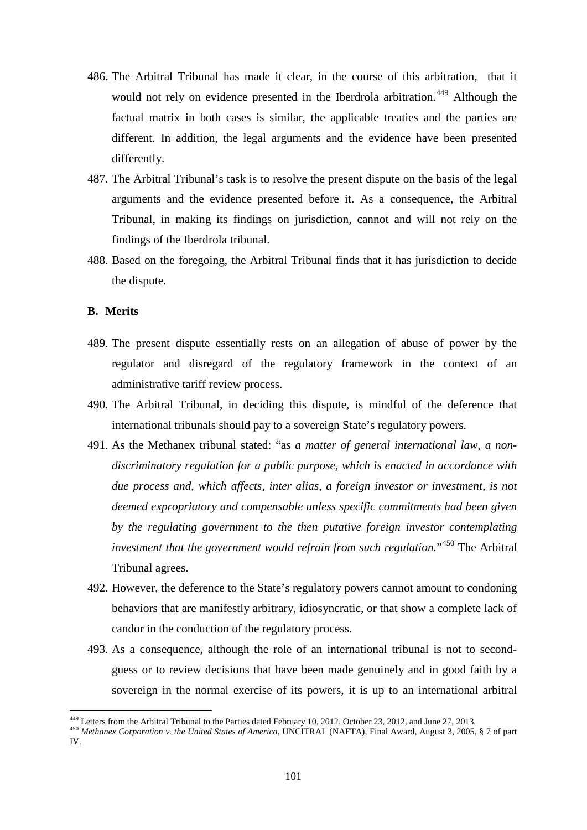- 486. The Arbitral Tribunal has made it clear, in the course of this arbitration, that it would not rely on evidence presented in the Iberdrola arbitration.<sup>[449](#page-100-0)</sup> Although the factual matrix in both cases is similar, the applicable treaties and the parties are different. In addition, the legal arguments and the evidence have been presented differently.
- 487. The Arbitral Tribunal's task is to resolve the present dispute on the basis of the legal arguments and the evidence presented before it. As a consequence, the Arbitral Tribunal, in making its findings on jurisdiction, cannot and will not rely on the findings of the Iberdrola tribunal.
- 488. Based on the foregoing, the Arbitral Tribunal finds that it has jurisdiction to decide the dispute.

## **B. Merits**

- 489. The present dispute essentially rests on an allegation of abuse of power by the regulator and disregard of the regulatory framework in the context of an administrative tariff review process.
- 490. The Arbitral Tribunal, in deciding this dispute, is mindful of the deference that international tribunals should pay to a sovereign State's regulatory powers.
- 491. As the Methanex tribunal stated: "a*s a matter of general international law, a nondiscriminatory regulation for a public purpose, which is enacted in accordance with [due](http://www.kluwerarbitration.com/document.aspx?id=KLI-KA-1235598&query=AND%28content:%22regulatory%22,content:%22due%22,content:%22process%22%29#match5) process and, which affects, inter alias, a foreign investor or investment, is not deemed expropriatory and compensable unless specific commitments had been given by the regulating government to the then putative foreign investor contemplating investment that the government would refrain from such regulation.*"[450](#page-100-1) The Arbitral Tribunal agrees.
- 492. However, the deference to the State's regulatory powers cannot amount to condoning behaviors that are manifestly arbitrary, idiosyncratic, or that show a complete lack of candor in the conduction of the regulatory process.
- 493. As a consequence, although the role of an international tribunal is not to secondguess or to review decisions that have been made genuinely and in good faith by a sovereign in the normal exercise of its powers, it is up to an international arbitral

<span id="page-100-0"></span><sup>&</sup>lt;sup>449</sup> Letters from the Arbitral Tribunal to the Parties dated February 10, 2012, October 23, 2012, and June 27, 2013.

<span id="page-100-1"></span><sup>450</sup> Methanex Corporation v. the United States of America, UNCITRAL (NAFTA), Final Award, August 3, 2005, § 7 of part IV.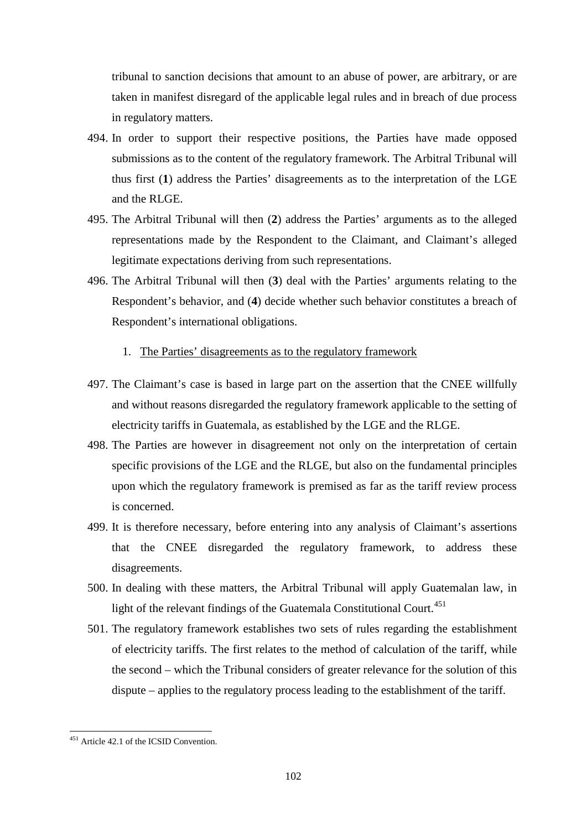tribunal to sanction decisions that amount to an abuse of power, are arbitrary, or are taken in manifest disregard of the applicable legal rules and in breach of due process in regulatory matters.

- 494. In order to support their respective positions, the Parties have made opposed submissions as to the content of the regulatory framework. The Arbitral Tribunal will thus first (**1**) address the Parties' disagreements as to the interpretation of the LGE and the RLGE.
- 495. The Arbitral Tribunal will then (**2**) address the Parties' arguments as to the alleged representations made by the Respondent to the Claimant, and Claimant's alleged legitimate expectations deriving from such representations.
- 496. The Arbitral Tribunal will then (**3**) deal with the Parties' arguments relating to the Respondent's behavior, and (**4**) decide whether such behavior constitutes a breach of Respondent's international obligations.

#### 1. The Parties' disagreements as to the regulatory framework

- 497. The Claimant's case is based in large part on the assertion that the CNEE willfully and without reasons disregarded the regulatory framework applicable to the setting of electricity tariffs in Guatemala, as established by the LGE and the RLGE.
- 498. The Parties are however in disagreement not only on the interpretation of certain specific provisions of the LGE and the RLGE, but also on the fundamental principles upon which the regulatory framework is premised as far as the tariff review process is concerned.
- 499. It is therefore necessary, before entering into any analysis of Claimant's assertions that the CNEE disregarded the regulatory framework, to address these disagreements.
- 500. In dealing with these matters, the Arbitral Tribunal will apply Guatemalan law, in light of the relevant findings of the Guatemala Constitutional Court.<sup>[451](#page-101-0)</sup>
- 501. The regulatory framework establishes two sets of rules regarding the establishment of electricity tariffs. The first relates to the method of calculation of the tariff, while the second – which the Tribunal considers of greater relevance for the solution of this dispute – applies to the regulatory process leading to the establishment of the tariff.

<span id="page-101-0"></span> $\overline{a}$ <sup>451</sup> Article 42.1 of the ICSID Convention.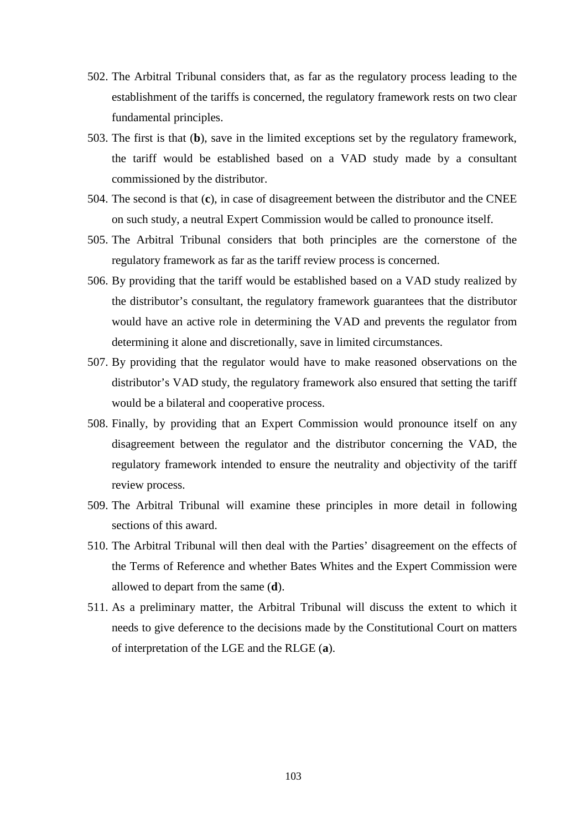- 502. The Arbitral Tribunal considers that, as far as the regulatory process leading to the establishment of the tariffs is concerned, the regulatory framework rests on two clear fundamental principles.
- 503. The first is that (**b**), save in the limited exceptions set by the regulatory framework, the tariff would be established based on a VAD study made by a consultant commissioned by the distributor.
- 504. The second is that (**c**), in case of disagreement between the distributor and the CNEE on such study, a neutral Expert Commission would be called to pronounce itself.
- 505. The Arbitral Tribunal considers that both principles are the cornerstone of the regulatory framework as far as the tariff review process is concerned.
- 506. By providing that the tariff would be established based on a VAD study realized by the distributor's consultant, the regulatory framework guarantees that the distributor would have an active role in determining the VAD and prevents the regulator from determining it alone and discretionally, save in limited circumstances.
- 507. By providing that the regulator would have to make reasoned observations on the distributor's VAD study, the regulatory framework also ensured that setting the tariff would be a bilateral and cooperative process.
- 508. Finally, by providing that an Expert Commission would pronounce itself on any disagreement between the regulator and the distributor concerning the VAD, the regulatory framework intended to ensure the neutrality and objectivity of the tariff review process.
- 509. The Arbitral Tribunal will examine these principles in more detail in following sections of this award.
- 510. The Arbitral Tribunal will then deal with the Parties' disagreement on the effects of the Terms of Reference and whether Bates Whites and the Expert Commission were allowed to depart from the same (**d**).
- 511. As a preliminary matter, the Arbitral Tribunal will discuss the extent to which it needs to give deference to the decisions made by the Constitutional Court on matters of interpretation of the LGE and the RLGE (**a**).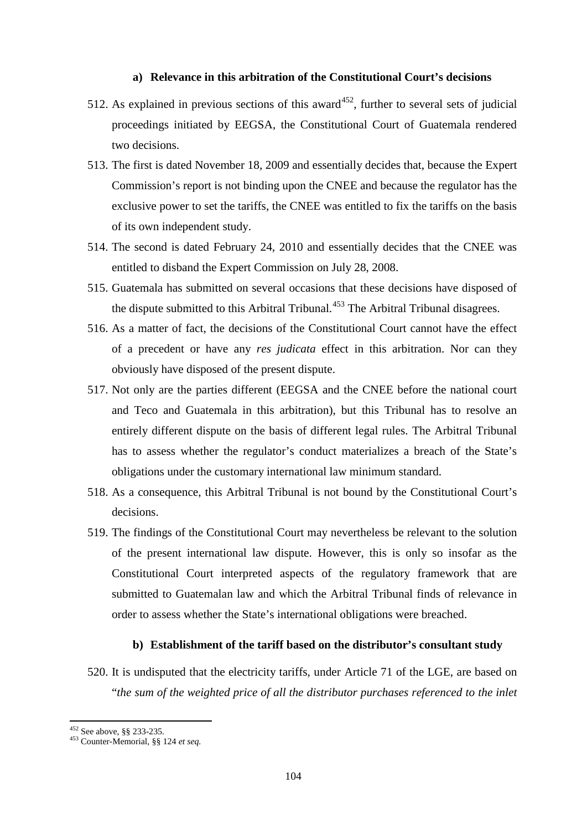### **a) Relevance in this arbitration of the Constitutional Court's decisions**

- 512. As explained in previous sections of this award<sup>452</sup>, further to several sets of judicial proceedings initiated by EEGSA, the Constitutional Court of Guatemala rendered two decisions.
- 513. The first is dated November 18, 2009 and essentially decides that, because the Expert Commission's report is not binding upon the CNEE and because the regulator has the exclusive power to set the tariffs, the CNEE was entitled to fix the tariffs on the basis of its own independent study.
- 514. The second is dated February 24, 2010 and essentially decides that the CNEE was entitled to disband the Expert Commission on July 28, 2008.
- 515. Guatemala has submitted on several occasions that these decisions have disposed of the dispute submitted to this Arbitral Tribunal.<sup>[453](#page-103-1)</sup> The Arbitral Tribunal disagrees.
- 516. As a matter of fact, the decisions of the Constitutional Court cannot have the effect of a precedent or have any *res judicata* effect in this arbitration. Nor can they obviously have disposed of the present dispute.
- 517. Not only are the parties different (EEGSA and the CNEE before the national court and Teco and Guatemala in this arbitration), but this Tribunal has to resolve an entirely different dispute on the basis of different legal rules. The Arbitral Tribunal has to assess whether the regulator's conduct materializes a breach of the State's obligations under the customary international law minimum standard.
- 518. As a consequence, this Arbitral Tribunal is not bound by the Constitutional Court's decisions.
- 519. The findings of the Constitutional Court may nevertheless be relevant to the solution of the present international law dispute. However, this is only so insofar as the Constitutional Court interpreted aspects of the regulatory framework that are submitted to Guatemalan law and which the Arbitral Tribunal finds of relevance in order to assess whether the State's international obligations were breached.

#### **b) Establishment of the tariff based on the distributor's consultant study**

520. It is undisputed that the electricity tariffs, under Article 71 of the LGE, are based on "*the sum of the weighted price of all the distributor purchases referenced to the inlet* 

<span id="page-103-1"></span><span id="page-103-0"></span>

<sup>452</sup> See above, §§ 233-235*.* <sup>453</sup> Counter-Memorial, §§ 124 *et seq.*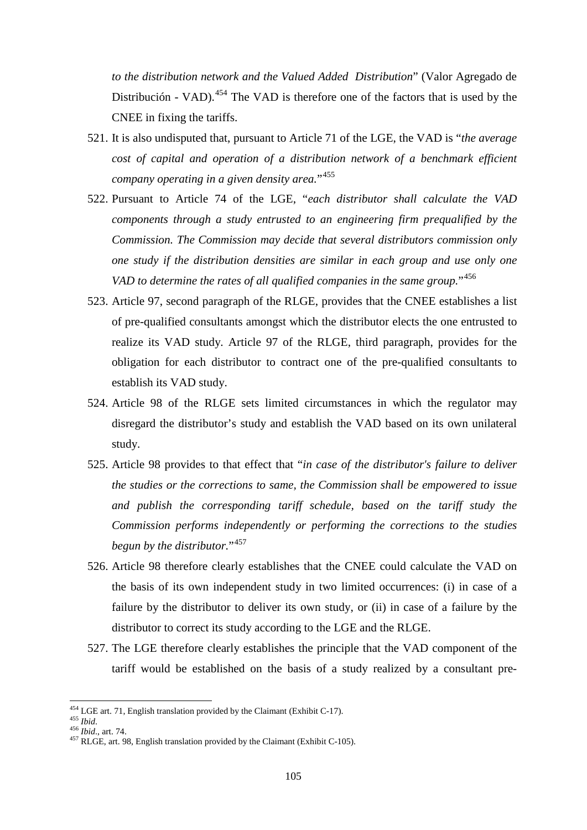*to the distribution network and the Valued Added Distribution*" (Valor Agregado de Distribución - VAD).<sup>[454](#page-104-0)</sup> The VAD is therefore one of the factors that is used by the CNEE in fixing the tariffs.

- 521. It is also undisputed that, pursuant to Article 71 of the LGE, the VAD is "*the average cost of capital and operation of a distribution network of a benchmark efficient company operating in a given density area.*"[455](#page-104-1)
- 522. Pursuant to Article 74 of the LGE, "*each distributor shall calculate the VAD components through a study entrusted to an engineering firm prequalified by the Commission. The Commission may decide that several distributors commission only one study if the distribution densities are similar in each group and use only one VAD to determine the rates of all qualified companies in the same group.*"[456](#page-104-2)
- 523. Article 97, second paragraph of the RLGE, provides that the CNEE establishes a list of pre-qualified consultants amongst which the distributor elects the one entrusted to realize its VAD study. Article 97 of the RLGE, third paragraph, provides for the obligation for each distributor to contract one of the pre-qualified consultants to establish its VAD study.
- 524. Article 98 of the RLGE sets limited circumstances in which the regulator may disregard the distributor's study and establish the VAD based on its own unilateral study.
- 525. Article 98 provides to that effect that "*in case of the distributor's failure to deliver the studies or the corrections to same, the Commission shall be empowered to issue and publish the corresponding tariff schedule, based on the tariff study the Commission performs independently or performing the corrections to the studies begun by the distributor.*"<sup>[457](#page-104-3)</sup>
- 526. Article 98 therefore clearly establishes that the CNEE could calculate the VAD on the basis of its own independent study in two limited occurrences: (i) in case of a failure by the distributor to deliver its own study, or (ii) in case of a failure by the distributor to correct its study according to the LGE and the RLGE.
- 527. The LGE therefore clearly establishes the principle that the VAD component of the tariff would be established on the basis of a study realized by a consultant pre-

 $454$  LGE art. 71. English translation provided by the Claimant (Exhibit C-17).

<span id="page-104-3"></span>

<span id="page-104-2"></span><span id="page-104-1"></span><span id="page-104-0"></span><sup>454</sup> LGE art. 71, English translation provided by the Claimant (Exhibit C-17). 455 *Ibid*. 456 *Ibid*., art. 74. <sup>457</sup> RLGE, art. 98, English translation provided by the Claimant (Exhibit C-105).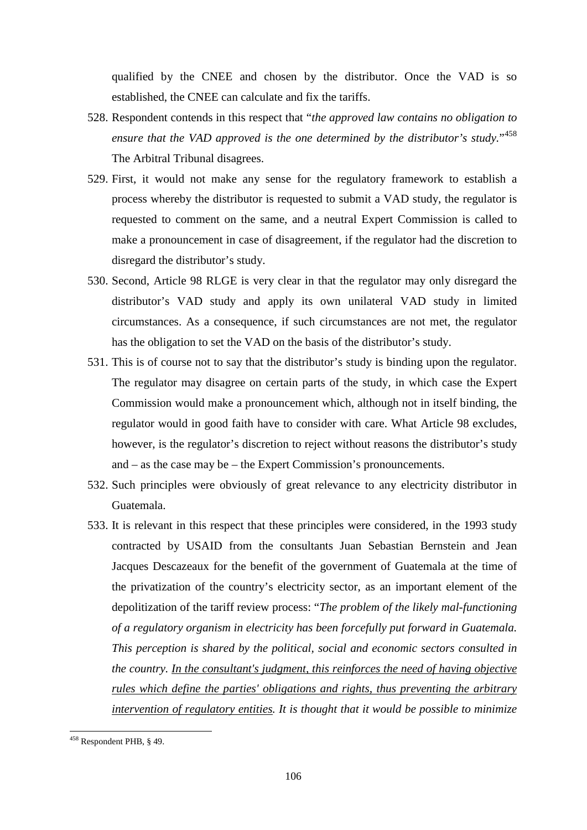qualified by the CNEE and chosen by the distributor. Once the VAD is so established, the CNEE can calculate and fix the tariffs.

- 528. Respondent contends in this respect that "*the approved law contains no obligation to ensure that the VAD approved is the one determined by the distributor's study.*"[458](#page-105-0) The Arbitral Tribunal disagrees.
- 529. First, it would not make any sense for the regulatory framework to establish a process whereby the distributor is requested to submit a VAD study, the regulator is requested to comment on the same, and a neutral Expert Commission is called to make a pronouncement in case of disagreement, if the regulator had the discretion to disregard the distributor's study.
- 530. Second, Article 98 RLGE is very clear in that the regulator may only disregard the distributor's VAD study and apply its own unilateral VAD study in limited circumstances. As a consequence, if such circumstances are not met, the regulator has the obligation to set the VAD on the basis of the distributor's study.
- 531. This is of course not to say that the distributor's study is binding upon the regulator. The regulator may disagree on certain parts of the study, in which case the Expert Commission would make a pronouncement which, although not in itself binding, the regulator would in good faith have to consider with care. What Article 98 excludes, however, is the regulator's discretion to reject without reasons the distributor's study and – as the case may be – the Expert Commission's pronouncements.
- 532. Such principles were obviously of great relevance to any electricity distributor in Guatemala.
- 533. It is relevant in this respect that these principles were considered, in the 1993 study contracted by USAID from the consultants Juan Sebastian Bernstein and Jean Jacques Descazeaux for the benefit of the government of Guatemala at the time of the privatization of the country's electricity sector, as an important element of the depolitization of the tariff review process: "*The problem of the likely mal-functioning of a regulatory organism in electricity has been forcefully put forward in Guatemala. This perception is shared by the political, social and economic sectors consulted in the country. In the consultant's judgment, this reinforces the need of having objective rules which define the parties' obligations and rights, thus preventing the arbitrary intervention of regulatory entities. It is thought that it would be possible to minimize*

<span id="page-105-0"></span><sup>&</sup>lt;sup>458</sup> Respondent PHB, § 49.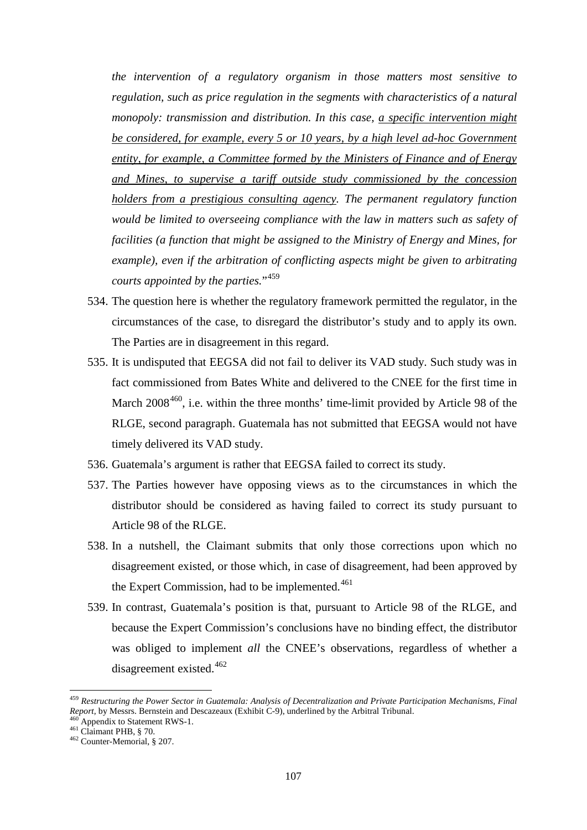*the intervention of a regulatory organism in those matters most sensitive to regulation, such as price regulation in the segments with characteristics of a natural monopoly: transmission and distribution. In this case, a specific intervention might be considered, for example, every 5 or 10 years, by a high level ad-hoc Government entity, for example, a Committee formed by the Ministers of Finance and of Energy and Mines, to supervise a tariff outside study commissioned by the concession holders from a prestigious consulting agency. The permanent regulatory function would be limited to overseeing compliance with the law in matters such as safety of facilities (a function that might be assigned to the Ministry of Energy and Mines, for example), even if the arbitration of conflicting aspects might be given to arbitrating courts appointed by the parties.*"[459](#page-106-0)

- 534. The question here is whether the regulatory framework permitted the regulator, in the circumstances of the case, to disregard the distributor's study and to apply its own. The Parties are in disagreement in this regard.
- 535. It is undisputed that EEGSA did not fail to deliver its VAD study. Such study was in fact commissioned from Bates White and delivered to the CNEE for the first time in March 2008<sup>460</sup>, i.e. within the three months' time-limit provided by Article 98 of the RLGE, second paragraph. Guatemala has not submitted that EEGSA would not have timely delivered its VAD study.
- 536. Guatemala's argument is rather that EEGSA failed to correct its study.
- 537. The Parties however have opposing views as to the circumstances in which the distributor should be considered as having failed to correct its study pursuant to Article 98 of the RLGE.
- 538. In a nutshell, the Claimant submits that only those corrections upon which no disagreement existed, or those which, in case of disagreement, had been approved by the Expert Commission, had to be implemented.<sup>[461](#page-106-2)</sup>
- 539. In contrast, Guatemala's position is that, pursuant to Article 98 of the RLGE, and because the Expert Commission's conclusions have no binding effect, the distributor was obliged to implement *all* the CNEE's observations, regardless of whether a disagreement existed.<sup>[462](#page-106-3)</sup>

<span id="page-106-0"></span><sup>459</sup> *Restructuring the Power Sector in Guatemala: Analysis of Decentralization and Private Participation Mechanisms, Final Report,* by Messrs. Bernstein and Descazeaux (Exhibit C-9), underlined by the Arbitral Tribunal. 460 Appendix to Statement RWS-1.<br><sup>460</sup> Claimant PHB, § 70.<br><sup>462</sup> Counter-Memorial, § 207.

<span id="page-106-1"></span>

<span id="page-106-2"></span>

<span id="page-106-3"></span>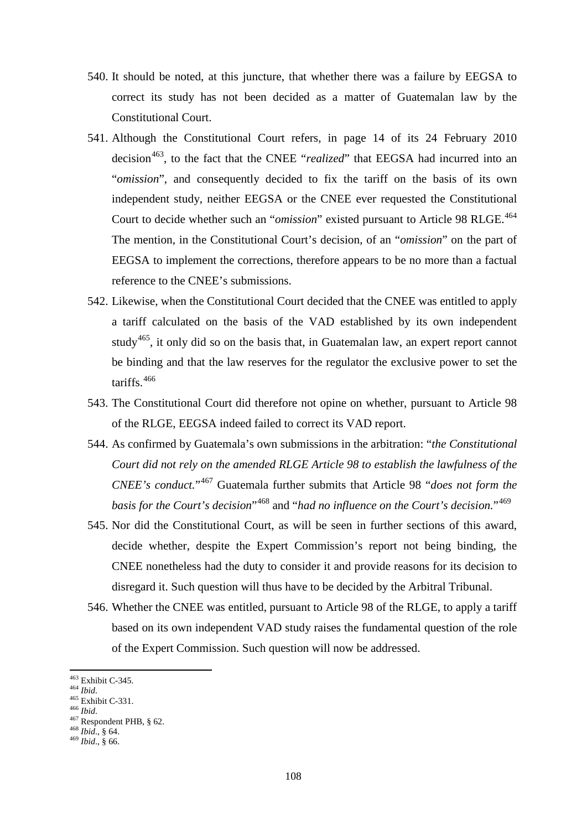- 540. It should be noted, at this juncture, that whether there was a failure by EEGSA to correct its study has not been decided as a matter of Guatemalan law by the Constitutional Court.
- 541. Although the Constitutional Court refers, in page 14 of its 24 February 2010 decision<sup>[463](#page-107-0)</sup>, to the fact that the CNEE "*realized*" that EEGSA had incurred into an "*omission*", and consequently decided to fix the tariff on the basis of its own independent study, neither EEGSA or the CNEE ever requested the Constitutional Court to decide whether such an "*omission*" existed pursuant to Article 98 RLGE. [464](#page-107-1) The mention, in the Constitutional Court's decision, of an "*omission*" on the part of EEGSA to implement the corrections, therefore appears to be no more than a factual reference to the CNEE's submissions.
- 542. Likewise, when the Constitutional Court decided that the CNEE was entitled to apply a tariff calculated on the basis of the VAD established by its own independent study<sup>[465](#page-107-2)</sup>, it only did so on the basis that, in Guatemalan law, an expert report cannot be binding and that the law reserves for the regulator the exclusive power to set the tariffs. [466](#page-107-3)
- 543. The Constitutional Court did therefore not opine on whether, pursuant to Article 98 of the RLGE, EEGSA indeed failed to correct its VAD report.
- 544. As confirmed by Guatemala's own submissions in the arbitration: "*the Constitutional Court did not rely on the amended RLGE Article 98 to establish the lawfulness of the CNEE's conduct.*"[467](#page-107-4) Guatemala further submits that Article 98 "*does not form the basis for the Court's decision*"[468](#page-107-5) and "*had no influence on the Court's decision.*"[469](#page-107-6)
- 545. Nor did the Constitutional Court, as will be seen in further sections of this award, decide whether, despite the Expert Commission's report not being binding, the CNEE nonetheless had the duty to consider it and provide reasons for its decision to disregard it. Such question will thus have to be decided by the Arbitral Tribunal.
- 546. Whether the CNEE was entitled, pursuant to Article 98 of the RLGE, to apply a tariff based on its own independent VAD study raises the fundamental question of the role of the Expert Commission. Such question will now be addressed.

<sup>&</sup>lt;sup>463</sup> Exhibit C-345.

<span id="page-107-4"></span><span id="page-107-3"></span>

<span id="page-107-2"></span><span id="page-107-1"></span><span id="page-107-0"></span><sup>463</sup> Exhibit C-345. <sup>464</sup> *Ibid*. <sup>465</sup> Exhibit C-331. <sup>466</sup> *Ibid*. <sup>467</sup> Respondent PHB, § 62. <sup>468</sup> *Ibid*., § 64. <sup>469</sup> *Ibid*., § 66.

<span id="page-107-5"></span>

<span id="page-107-6"></span>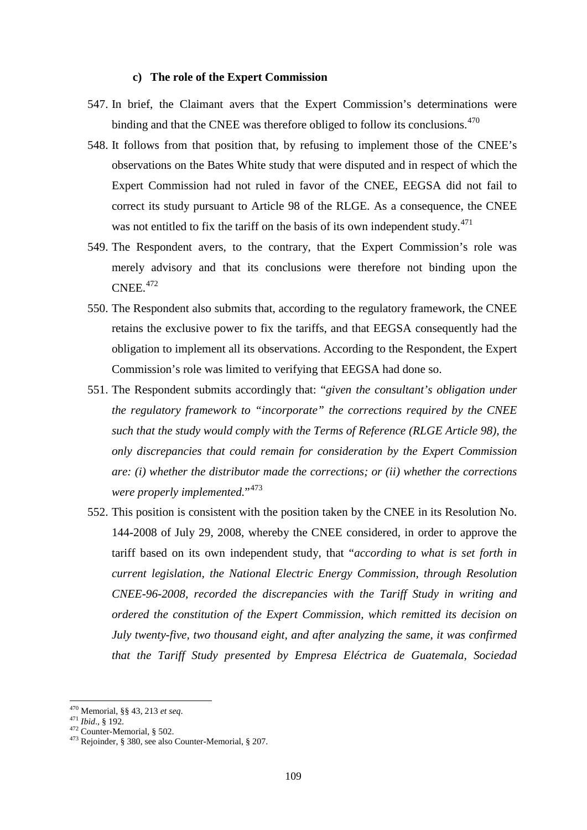#### **c) The role of the Expert Commission**

- 547. In brief, the Claimant avers that the Expert Commission's determinations were binding and that the CNEE was therefore obliged to follow its conclusions.<sup>[470](#page-108-0)</sup>
- 548. It follows from that position that, by refusing to implement those of the CNEE's observations on the Bates White study that were disputed and in respect of which the Expert Commission had not ruled in favor of the CNEE, EEGSA did not fail to correct its study pursuant to Article 98 of the RLGE. As a consequence, the CNEE was not entitled to fix the tariff on the basis of its own independent study. $471$
- 549. The Respondent avers, to the contrary, that the Expert Commission's role was merely advisory and that its conclusions were therefore not binding upon the CNEE. [472](#page-108-2)
- 550. The Respondent also submits that, according to the regulatory framework, the CNEE retains the exclusive power to fix the tariffs, and that EEGSA consequently had the obligation to implement all its observations. According to the Respondent, the Expert Commission's role was limited to verifying that EEGSA had done so.
- 551. The Respondent submits accordingly that: "*given the consultant's obligation under the regulatory framework to "incorporate" the corrections required by the CNEE such that the study would comply with the Terms of Reference (RLGE Article 98), the only discrepancies that could remain for consideration by the Expert Commission are: (i) whether the distributor made the corrections; or (ii) whether the corrections*  were properly implemented."<sup>[473](#page-108-3)</sup>
- 552. This position is consistent with the position taken by the CNEE in its Resolution No. 144-2008 of July 29, 2008, whereby the CNEE considered, in order to approve the tariff based on its own independent study, that "*according to what is set forth in current legislation, the National Electric Energy Commission, through Resolution CNEE-96-2008, recorded the discrepancies with the Tariff Study in writing and ordered the constitution of the Expert Commission, which remitted its decision on July twenty-five, two thousand eight, and after analyzing the same, it was confirmed that the Tariff Study presented by Empresa Eléctrica de Guatemala, Sociedad*

<sup>470</sup> Memorial, §§ 43, 213 et seq.

<span id="page-108-3"></span><span id="page-108-2"></span>

<span id="page-108-1"></span><span id="page-108-0"></span><sup>471</sup> *Ibid.*, § 192.<br><sup>472</sup> Counter-Memorial, § 502.<br><sup>473</sup> Rejoinder, § 380, see also Counter-Memorial, § 207.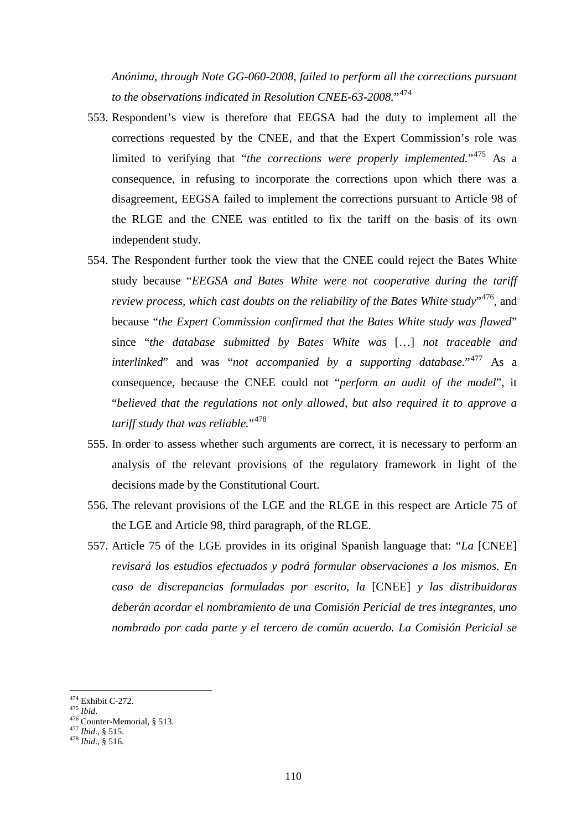*Anónima, through Note GG-060-2008, failed to perform all the corrections pursuant to the observations indicated in Resolution CNEE-63-2008.*"[474](#page-109-0)

- 553. Respondent's view is therefore that EEGSA had the duty to implement all the corrections requested by the CNEE, and that the Expert Commission's role was limited to verifying that "*the corrections were properly implemented.*"[475](#page-109-1) As a consequence, in refusing to incorporate the corrections upon which there was a disagreement, EEGSA failed to implement the corrections pursuant to Article 98 of the RLGE and the CNEE was entitled to fix the tariff on the basis of its own independent study.
- 554. The Respondent further took the view that the CNEE could reject the Bates White study because "*EEGSA and Bates White were not cooperative during the tariff review process, which cast doubts on the reliability of the Bates White study*"[476](#page-109-2), and because "*the Expert Commission confirmed that the Bates White study was flawed*" since "*the database submitted by Bates White was* […] *not traceable and interlinked*" and was "*not accompanied by a supporting database.*"[477](#page-109-3) As a consequence, because the CNEE could not "*perform an audit of the model*", it "*believed that the regulations not only allowed, but also required it to approve a tariff study that was reliable.*"<sup>[478](#page-109-4)</sup>
- 555. In order to assess whether such arguments are correct, it is necessary to perform an analysis of the relevant provisions of the regulatory framework in light of the decisions made by the Constitutional Court.
- 556. The relevant provisions of the LGE and the RLGE in this respect are Article 75 of the LGE and Article 98, third paragraph, of the RLGE.
- 557. Article 75 of the LGE provides in its original Spanish language that: "*La* [CNEE] *revisará los estudios efectuados y podrá formular observaciones a los mismos. En caso de discrepancias formuladas por escrito, la* [CNEE] *y las distribuidoras deberán acordar el nombramiento de una Comisión Pericial de tres integrantes, uno nombrado por cada parte y el tercero de común acuerdo. La Comisión Pericial se*

<sup>&</sup>lt;sup>474</sup> Exhibit C-272.

<span id="page-109-2"></span><span id="page-109-1"></span><span id="page-109-0"></span><sup>475</sup> *Ibid.*<br>476 Counter-Memorial, § 513.<br><sup>477</sup> *Ibid.*, § 515. 478 *Ibid.*, § 516.

<span id="page-109-3"></span>

<span id="page-109-4"></span>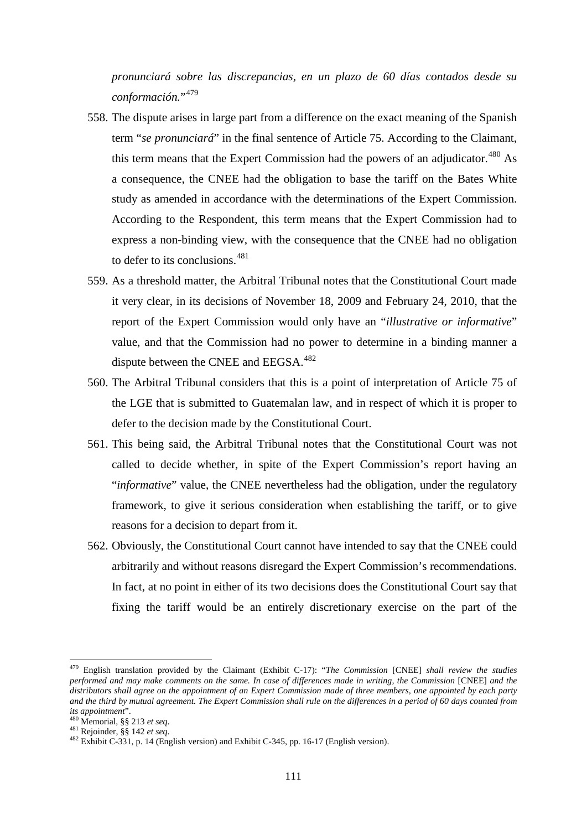*pronunciará sobre las discrepancias, en un plazo de 60 días contados desde su conformación.*"[479](#page-110-0)

- 558. The dispute arises in large part from a difference on the exact meaning of the Spanish term "*se pronunciará*" in the final sentence of Article 75. According to the Claimant, this term means that the Expert Commission had the powers of an adjudicator.<sup>[480](#page-110-1)</sup> As a consequence, the CNEE had the obligation to base the tariff on the Bates White study as amended in accordance with the determinations of the Expert Commission. According to the Respondent, this term means that the Expert Commission had to express a non-binding view, with the consequence that the CNEE had no obligation to defer to its conclusions. [481](#page-110-2)
- 559. As a threshold matter, the Arbitral Tribunal notes that the Constitutional Court made it very clear, in its decisions of November 18, 2009 and February 24, 2010, that the report of the Expert Commission would only have an "*illustrative or informative*" value, and that the Commission had no power to determine in a binding manner a dispute between the CNEE and EEGSA.<sup>[482](#page-110-3)</sup>
- 560. The Arbitral Tribunal considers that this is a point of interpretation of Article 75 of the LGE that is submitted to Guatemalan law, and in respect of which it is proper to defer to the decision made by the Constitutional Court.
- 561. This being said, the Arbitral Tribunal notes that the Constitutional Court was not called to decide whether, in spite of the Expert Commission's report having an "*informative*" value, the CNEE nevertheless had the obligation, under the regulatory framework, to give it serious consideration when establishing the tariff, or to give reasons for a decision to depart from it.
- 562. Obviously, the Constitutional Court cannot have intended to say that the CNEE could arbitrarily and without reasons disregard the Expert Commission's recommendations. In fact, at no point in either of its two decisions does the Constitutional Court say that fixing the tariff would be an entirely discretionary exercise on the part of the

<span id="page-110-0"></span><sup>479</sup> English translation provided by the Claimant (Exhibit C-17): "*The Commission* [CNEE] *shall review the studies performed and may make comments on the same. In case of differences made in writing, the Commission* [CNEE] *and the distributors shall agree on the appointment of an Expert Commission made of three members, one appointed by each party and the third by mutual agreement. The Expert Commission shall rule on the differences in a period of 60 days counted from* 

<span id="page-110-3"></span>

<span id="page-110-2"></span><span id="page-110-1"></span>*its appointment*". <sup>480</sup> Memorial, §§ <sup>213</sup>*et seq*. <sup>481</sup> Rejoinder, §§ 142 *et seq*. <sup>482</sup> Exhibit C-331, p. 14 (English version) and Exhibit C-345, pp. 16-17 (English version).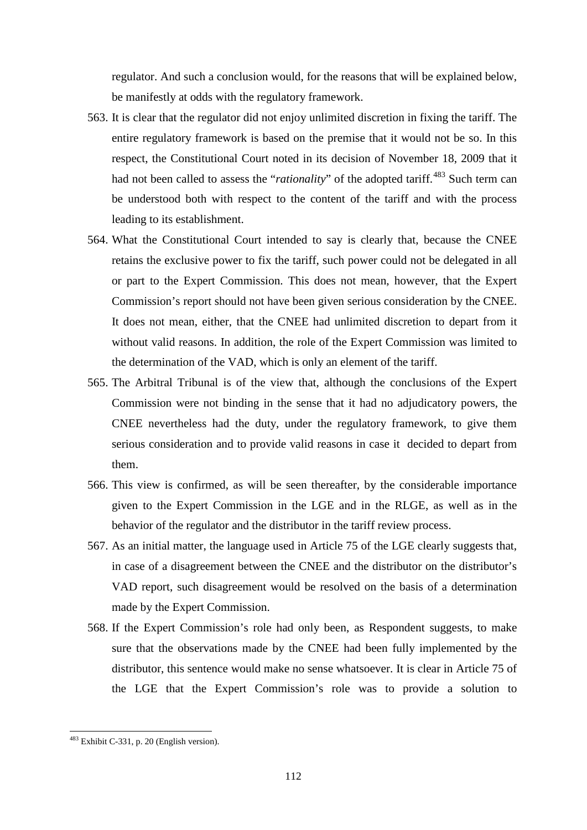regulator. And such a conclusion would, for the reasons that will be explained below, be manifestly at odds with the regulatory framework.

- 563. It is clear that the regulator did not enjoy unlimited discretion in fixing the tariff. The entire regulatory framework is based on the premise that it would not be so. In this respect, the Constitutional Court noted in its decision of November 18, 2009 that it had not been called to assess the "*rationality*" of the adopted tariff.<sup>[483](#page-111-0)</sup> Such term can be understood both with respect to the content of the tariff and with the process leading to its establishment.
- 564. What the Constitutional Court intended to say is clearly that, because the CNEE retains the exclusive power to fix the tariff, such power could not be delegated in all or part to the Expert Commission. This does not mean, however, that the Expert Commission's report should not have been given serious consideration by the CNEE. It does not mean, either, that the CNEE had unlimited discretion to depart from it without valid reasons. In addition, the role of the Expert Commission was limited to the determination of the VAD, which is only an element of the tariff.
- 565. The Arbitral Tribunal is of the view that, although the conclusions of the Expert Commission were not binding in the sense that it had no adjudicatory powers, the CNEE nevertheless had the duty, under the regulatory framework, to give them serious consideration and to provide valid reasons in case it decided to depart from them.
- 566. This view is confirmed, as will be seen thereafter, by the considerable importance given to the Expert Commission in the LGE and in the RLGE, as well as in the behavior of the regulator and the distributor in the tariff review process.
- 567. As an initial matter, the language used in Article 75 of the LGE clearly suggests that, in case of a disagreement between the CNEE and the distributor on the distributor's VAD report, such disagreement would be resolved on the basis of a determination made by the Expert Commission.
- 568. If the Expert Commission's role had only been, as Respondent suggests, to make sure that the observations made by the CNEE had been fully implemented by the distributor, this sentence would make no sense whatsoever. It is clear in Article 75 of the LGE that the Expert Commission's role was to provide a solution to

<span id="page-111-0"></span><sup>&</sup>lt;sup>483</sup> Exhibit C-331, p. 20 (English version).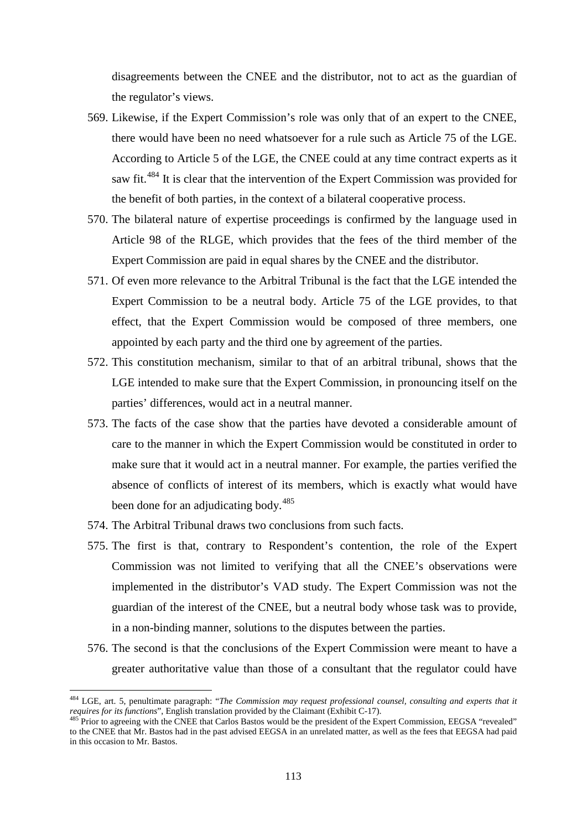disagreements between the CNEE and the distributor, not to act as the guardian of the regulator's views.

- 569. Likewise, if the Expert Commission's role was only that of an expert to the CNEE, there would have been no need whatsoever for a rule such as Article 75 of the LGE. According to Article 5 of the LGE, the CNEE could at any time contract experts as it saw fit.<sup>[484](#page-112-0)</sup> It is clear that the intervention of the Expert Commission was provided for the benefit of both parties, in the context of a bilateral cooperative process.
- 570. The bilateral nature of expertise proceedings is confirmed by the language used in Article 98 of the RLGE, which provides that the fees of the third member of the Expert Commission are paid in equal shares by the CNEE and the distributor.
- 571. Of even more relevance to the Arbitral Tribunal is the fact that the LGE intended the Expert Commission to be a neutral body. Article 75 of the LGE provides, to that effect, that the Expert Commission would be composed of three members, one appointed by each party and the third one by agreement of the parties.
- 572. This constitution mechanism, similar to that of an arbitral tribunal, shows that the LGE intended to make sure that the Expert Commission, in pronouncing itself on the parties' differences, would act in a neutral manner.
- 573. The facts of the case show that the parties have devoted a considerable amount of care to the manner in which the Expert Commission would be constituted in order to make sure that it would act in a neutral manner. For example, the parties verified the absence of conflicts of interest of its members, which is exactly what would have been done for an adjudicating body.<sup>[485](#page-112-1)</sup>
- 574. The Arbitral Tribunal draws two conclusions from such facts.

- 575. The first is that, contrary to Respondent's contention, the role of the Expert Commission was not limited to verifying that all the CNEE's observations were implemented in the distributor's VAD study. The Expert Commission was not the guardian of the interest of the CNEE, but a neutral body whose task was to provide, in a non-binding manner, solutions to the disputes between the parties.
- 576. The second is that the conclusions of the Expert Commission were meant to have a greater authoritative value than those of a consultant that the regulator could have

<span id="page-112-0"></span><sup>484</sup> LGE, art. 5, penultimate paragraph: "*The Commission may request professional counsel, consulting and experts that it requires for its functions*", English translation provided by the Claimant (Exhibit C-17).<br><sup>485</sup> Prior to agreeing with the CNEE that Carlos Bastos would be the president of the Expert Commission, EEGSA "revealed"

<span id="page-112-1"></span>to the CNEE that Mr. Bastos had in the past advised EEGSA in an unrelated matter, as well as the fees that EEGSA had paid in this occasion to Mr. Bastos.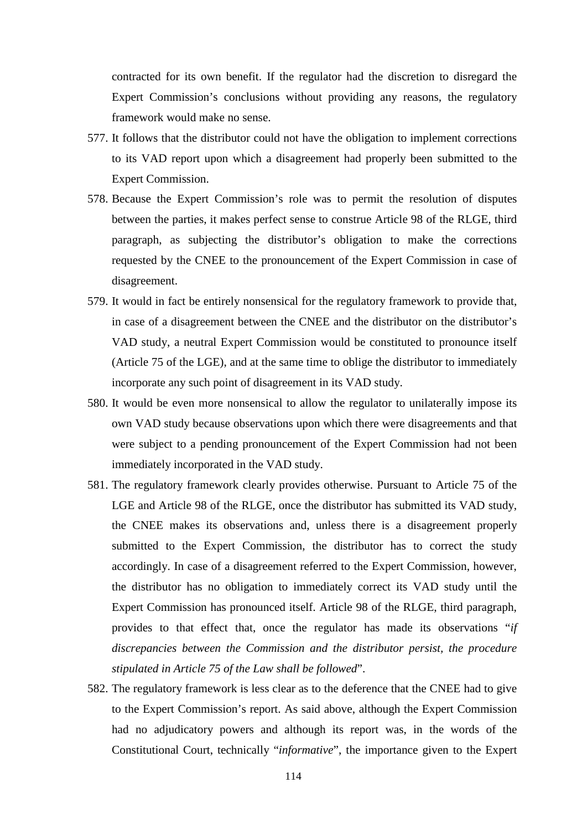contracted for its own benefit. If the regulator had the discretion to disregard the Expert Commission's conclusions without providing any reasons, the regulatory framework would make no sense.

- 577. It follows that the distributor could not have the obligation to implement corrections to its VAD report upon which a disagreement had properly been submitted to the Expert Commission.
- 578. Because the Expert Commission's role was to permit the resolution of disputes between the parties, it makes perfect sense to construe Article 98 of the RLGE, third paragraph, as subjecting the distributor's obligation to make the corrections requested by the CNEE to the pronouncement of the Expert Commission in case of disagreement.
- 579. It would in fact be entirely nonsensical for the regulatory framework to provide that, in case of a disagreement between the CNEE and the distributor on the distributor's VAD study, a neutral Expert Commission would be constituted to pronounce itself (Article 75 of the LGE), and at the same time to oblige the distributor to immediately incorporate any such point of disagreement in its VAD study.
- 580. It would be even more nonsensical to allow the regulator to unilaterally impose its own VAD study because observations upon which there were disagreements and that were subject to a pending pronouncement of the Expert Commission had not been immediately incorporated in the VAD study.
- 581. The regulatory framework clearly provides otherwise. Pursuant to Article 75 of the LGE and Article 98 of the RLGE, once the distributor has submitted its VAD study, the CNEE makes its observations and, unless there is a disagreement properly submitted to the Expert Commission, the distributor has to correct the study accordingly. In case of a disagreement referred to the Expert Commission, however, the distributor has no obligation to immediately correct its VAD study until the Expert Commission has pronounced itself. Article 98 of the RLGE, third paragraph, provides to that effect that, once the regulator has made its observations "*if discrepancies between the Commission and the distributor persist, the procedure stipulated in Article 75 of the Law shall be followed*".
- 582. The regulatory framework is less clear as to the deference that the CNEE had to give to the Expert Commission's report. As said above, although the Expert Commission had no adjudicatory powers and although its report was, in the words of the Constitutional Court, technically "*informative*", the importance given to the Expert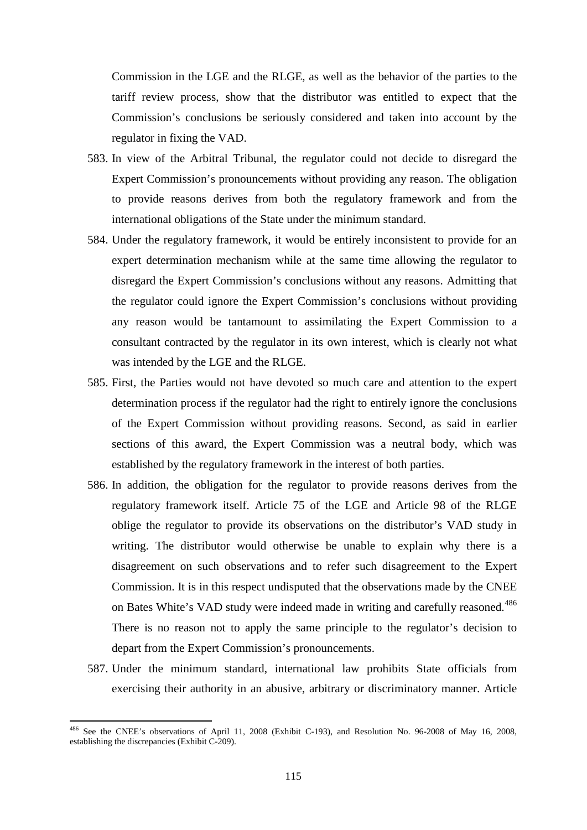Commission in the LGE and the RLGE, as well as the behavior of the parties to the tariff review process, show that the distributor was entitled to expect that the Commission's conclusions be seriously considered and taken into account by the regulator in fixing the VAD.

- 583. In view of the Arbitral Tribunal, the regulator could not decide to disregard the Expert Commission's pronouncements without providing any reason. The obligation to provide reasons derives from both the regulatory framework and from the international obligations of the State under the minimum standard.
- 584. Under the regulatory framework, it would be entirely inconsistent to provide for an expert determination mechanism while at the same time allowing the regulator to disregard the Expert Commission's conclusions without any reasons. Admitting that the regulator could ignore the Expert Commission's conclusions without providing any reason would be tantamount to assimilating the Expert Commission to a consultant contracted by the regulator in its own interest, which is clearly not what was intended by the LGE and the RLGE.
- 585. First, the Parties would not have devoted so much care and attention to the expert determination process if the regulator had the right to entirely ignore the conclusions of the Expert Commission without providing reasons. Second, as said in earlier sections of this award, the Expert Commission was a neutral body, which was established by the regulatory framework in the interest of both parties.
- 586. In addition, the obligation for the regulator to provide reasons derives from the regulatory framework itself. Article 75 of the LGE and Article 98 of the RLGE oblige the regulator to provide its observations on the distributor's VAD study in writing. The distributor would otherwise be unable to explain why there is a disagreement on such observations and to refer such disagreement to the Expert Commission. It is in this respect undisputed that the observations made by the CNEE on Bates White's VAD study were indeed made in writing and carefully reasoned.<sup>[486](#page-114-0)</sup> There is no reason not to apply the same principle to the regulator's decision to depart from the Expert Commission's pronouncements.
- 587. Under the minimum standard, international law prohibits State officials from exercising their authority in an abusive, arbitrary or discriminatory manner. Article

<span id="page-114-0"></span><sup>&</sup>lt;sup>486</sup> See the CNEE's observations of April 11, 2008 (Exhibit C-193), and Resolution No. 96-2008 of May 16, 2008, establishing the discrepancies (Exhibit C-209).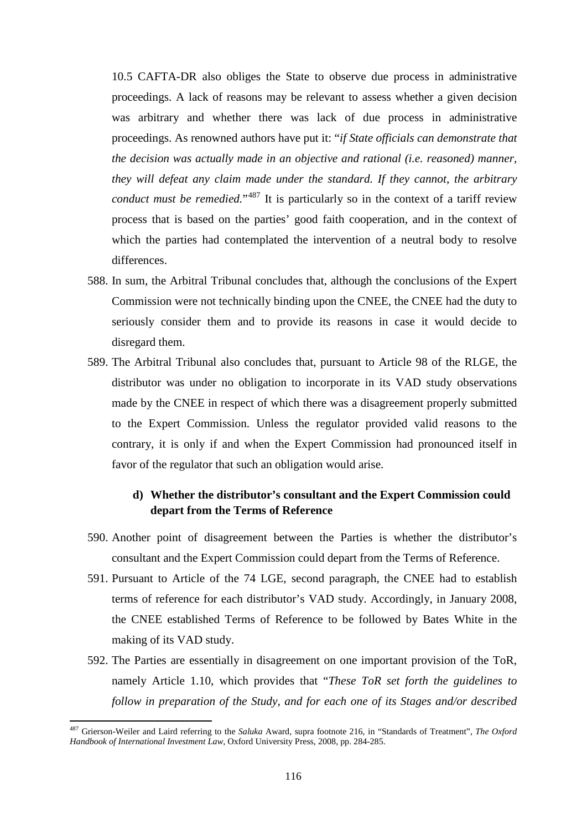10.5 CAFTA-DR also obliges the State to observe due process in administrative proceedings. A lack of reasons may be relevant to assess whether a given decision was arbitrary and whether there was lack of due process in administrative proceedings. As renowned authors have put it: "*if State officials can demonstrate that the decision was actually made in an objective and rational (i.e. reasoned) manner, they will defeat any claim made under the standard. If they cannot, the arbitrary conduct must be remedied.*<sup>"[487](#page-115-0)</sup> It is particularly so in the context of a tariff review process that is based on the parties' good faith cooperation, and in the context of which the parties had contemplated the intervention of a neutral body to resolve differences.

- 588. In sum, the Arbitral Tribunal concludes that, although the conclusions of the Expert Commission were not technically binding upon the CNEE, the CNEE had the duty to seriously consider them and to provide its reasons in case it would decide to disregard them.
- 589. The Arbitral Tribunal also concludes that, pursuant to Article 98 of the RLGE, the distributor was under no obligation to incorporate in its VAD study observations made by the CNEE in respect of which there was a disagreement properly submitted to the Expert Commission. Unless the regulator provided valid reasons to the contrary, it is only if and when the Expert Commission had pronounced itself in favor of the regulator that such an obligation would arise.

# **d) Whether the distributor's consultant and the Expert Commission could depart from the Terms of Reference**

- 590. Another point of disagreement between the Parties is whether the distributor's consultant and the Expert Commission could depart from the Terms of Reference.
- 591. Pursuant to Article of the 74 LGE, second paragraph, the CNEE had to establish terms of reference for each distributor's VAD study. Accordingly, in January 2008, the CNEE established Terms of Reference to be followed by Bates White in the making of its VAD study.
- 592. The Parties are essentially in disagreement on one important provision of the ToR, namely Article 1.10, which provides that "*These ToR set forth the guidelines to follow in preparation of the Study, and for each one of its Stages and/or described*

<span id="page-115-0"></span><sup>487</sup> Grierson-Weiler and Laird referring to the *Saluka* Award, supra footnote 216, in "Standards of Treatment", *The Oxford Handbook of International Investment Law*, Oxford University Press, 2008, pp. 284-285.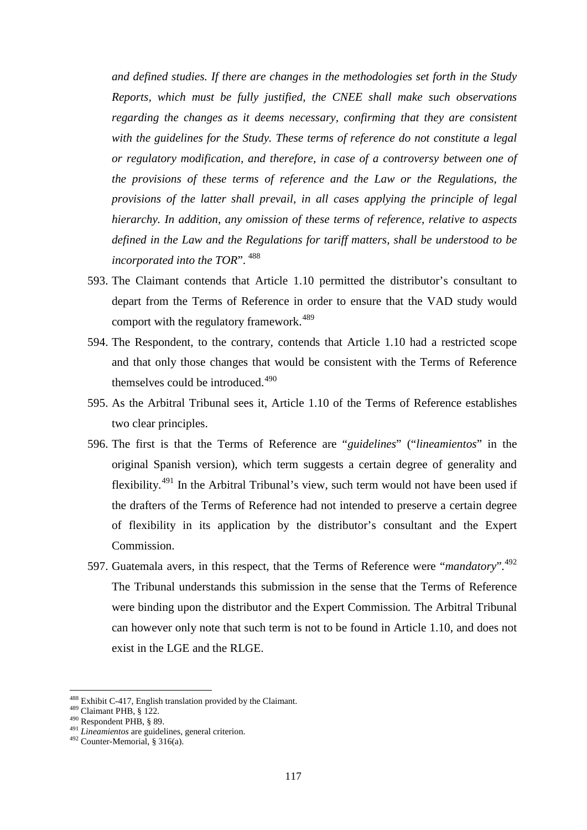*and defined studies. If there are changes in the methodologies set forth in the Study Reports, which must be fully justified, the CNEE shall make such observations regarding the changes as it deems necessary, confirming that they are consistent with the guidelines for the Study. These terms of reference do not constitute a legal or regulatory modification, and therefore, in case of a controversy between one of the provisions of these terms of reference and the Law or the Regulations, the provisions of the latter shall prevail, in all cases applying the principle of legal hierarchy. In addition, any omission of these terms of reference, relative to aspects defined in the Law and the Regulations for tariff matters, shall be understood to be incorporated into the TOR*". [488](#page-116-0)

- 593. The Claimant contends that Article 1.10 permitted the distributor's consultant to depart from the Terms of Reference in order to ensure that the VAD study would comport with the regulatory framework.<sup>[489](#page-116-1)</sup>
- 594. The Respondent, to the contrary, contends that Article 1.10 had a restricted scope and that only those changes that would be consistent with the Terms of Reference themselves could be introduced.<sup>[490](#page-116-2)</sup>
- 595. As the Arbitral Tribunal sees it, Article 1.10 of the Terms of Reference establishes two clear principles.
- 596. The first is that the Terms of Reference are "*guidelines*" ("*lineamientos*" in the original Spanish version), which term suggests a certain degree of generality and flexibility.<sup>[491](#page-116-3)</sup> In the Arbitral Tribunal's view, such term would not have been used if the drafters of the Terms of Reference had not intended to preserve a certain degree of flexibility in its application by the distributor's consultant and the Expert Commission.
- 597. Guatemala avers, in this respect, that the Terms of Reference were "*mandatory*". [492](#page-116-4) The Tribunal understands this submission in the sense that the Terms of Reference were binding upon the distributor and the Expert Commission. The Arbitral Tribunal can however only note that such term is not to be found in Article 1.10, and does not exist in the LGE and the RLGE.

<span id="page-116-1"></span><span id="page-116-0"></span><sup>488</sup> Exhibit C-417, English translation provided by the Claimant.<br><sup>489</sup> Claimant PHB, § 122.<br><sup>490</sup> Respondent PHB, § 89.<br><sup>491</sup> *Lineamientos* are guidelines, general criterion.<br><sup>492</sup> Counter-Memorial, § 316(a).

<span id="page-116-2"></span>

<span id="page-116-4"></span><span id="page-116-3"></span>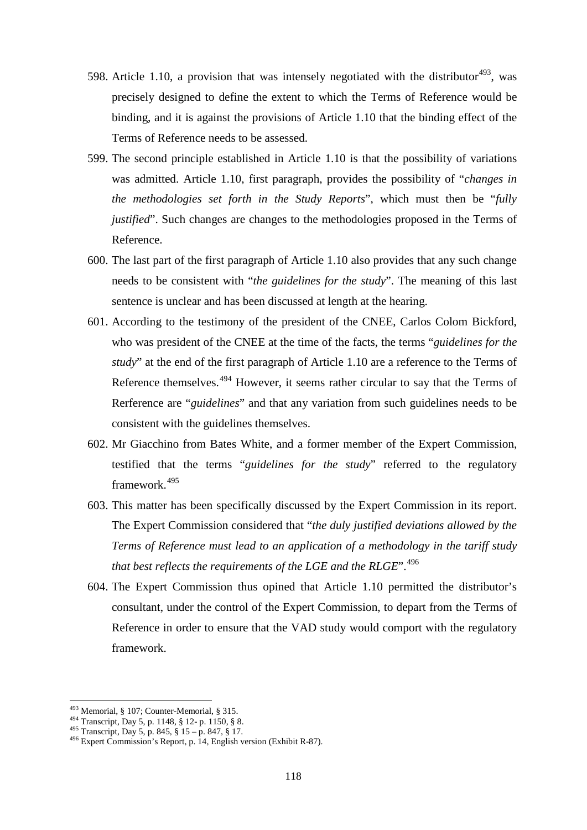- 598. Article 1.10, a provision that was intensely negotiated with the distributor<sup>[493](#page-117-0)</sup>, was precisely designed to define the extent to which the Terms of Reference would be binding, and it is against the provisions of Article 1.10 that the binding effect of the Terms of Reference needs to be assessed.
- 599. The second principle established in Article 1.10 is that the possibility of variations was admitted. Article 1.10, first paragraph, provides the possibility of "*changes in the methodologies set forth in the Study Reports*", which must then be "*fully justified*". Such changes are changes to the methodologies proposed in the Terms of Reference.
- 600. The last part of the first paragraph of Article 1.10 also provides that any such change needs to be consistent with "*the guidelines for the study*". The meaning of this last sentence is unclear and has been discussed at length at the hearing.
- 601. According to the testimony of the president of the CNEE, Carlos Colom Bickford, who was president of the CNEE at the time of the facts, the terms "*guidelines for the study*" at the end of the first paragraph of Article 1.10 are a reference to the Terms of Reference themselves.<sup>[494](#page-117-1)</sup> However, it seems rather circular to say that the Terms of Rerference are "*guidelines*" and that any variation from such guidelines needs to be consistent with the guidelines themselves.
- 602. Mr Giacchino from Bates White, and a former member of the Expert Commission, testified that the terms "*guidelines for the study*" referred to the regulatory framework. [495](#page-117-2)
- 603. This matter has been specifically discussed by the Expert Commission in its report. The Expert Commission considered that "*the duly justified deviations allowed by the Terms of Reference must lead to an application of a methodology in the tariff study that best reflects the requirements of the LGE and the RLGE*". [496](#page-117-3)
- 604. The Expert Commission thus opined that Article 1.10 permitted the distributor's consultant, under the control of the Expert Commission, to depart from the Terms of Reference in order to ensure that the VAD study would comport with the regulatory framework.

<span id="page-117-1"></span>

<span id="page-117-3"></span><span id="page-117-2"></span>

<span id="page-117-0"></span><sup>&</sup>lt;sup>493</sup> Memorial, § 107; Counter-Memorial, § 315.<br><sup>494</sup> Transcript, Day 5, p. 1148, § 12- p. 1150, § 8.<br><sup>495</sup> Transcript, Day 5, p. 845, § 15 – p. 847, § 17.<br><sup>496</sup> Expert Commission's Report, p. 14, English version (Exhibit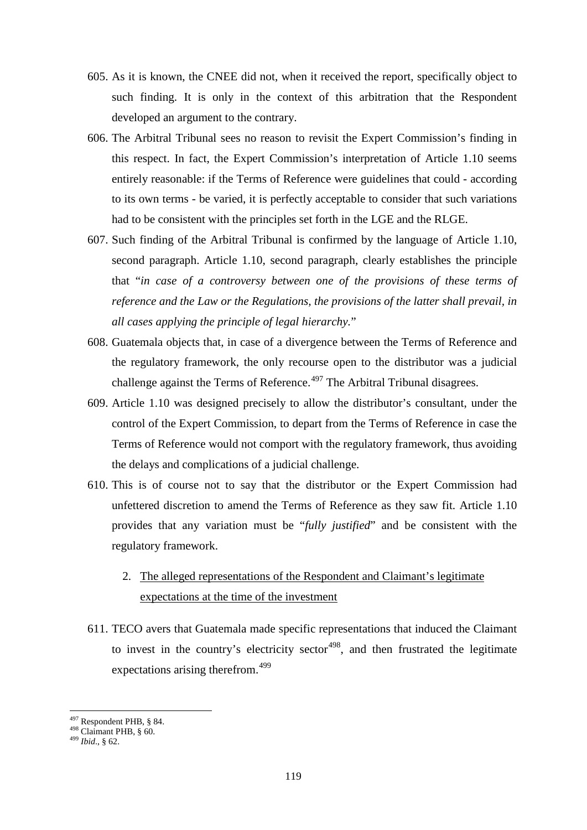- 605. As it is known, the CNEE did not, when it received the report, specifically object to such finding. It is only in the context of this arbitration that the Respondent developed an argument to the contrary.
- 606. The Arbitral Tribunal sees no reason to revisit the Expert Commission's finding in this respect. In fact, the Expert Commission's interpretation of Article 1.10 seems entirely reasonable: if the Terms of Reference were guidelines that could - according to its own terms - be varied, it is perfectly acceptable to consider that such variations had to be consistent with the principles set forth in the LGE and the RLGE.
- 607. Such finding of the Arbitral Tribunal is confirmed by the language of Article 1.10, second paragraph. Article 1.10, second paragraph, clearly establishes the principle that "*in case of a controversy between one of the provisions of these terms of reference and the Law or the Regulations, the provisions of the latter shall prevail, in all cases applying the principle of legal hierarchy.*"
- 608. Guatemala objects that, in case of a divergence between the Terms of Reference and the regulatory framework, the only recourse open to the distributor was a judicial challenge against the Terms of Reference.<sup>[497](#page-118-0)</sup> The Arbitral Tribunal disagrees.
- 609. Article 1.10 was designed precisely to allow the distributor's consultant, under the control of the Expert Commission, to depart from the Terms of Reference in case the Terms of Reference would not comport with the regulatory framework, thus avoiding the delays and complications of a judicial challenge.
- 610. This is of course not to say that the distributor or the Expert Commission had unfettered discretion to amend the Terms of Reference as they saw fit. Article 1.10 provides that any variation must be "*fully justified*" and be consistent with the regulatory framework.
	- 2. The alleged representations of the Respondent and Claimant's legitimate expectations at the time of the investment
- 611. TECO avers that Guatemala made specific representations that induced the Claimant to invest in the country's electricity sector<sup> $498$ </sup>, and then frustrated the legitimate expectations arising therefrom.<sup>[499](#page-118-2)</sup>

<span id="page-118-0"></span><sup>497</sup> Respondent PHB, § 84. <sup>498</sup> Claimant PHB, § 60. <sup>499</sup> *Ibid*., § 62.

<span id="page-118-2"></span><span id="page-118-1"></span>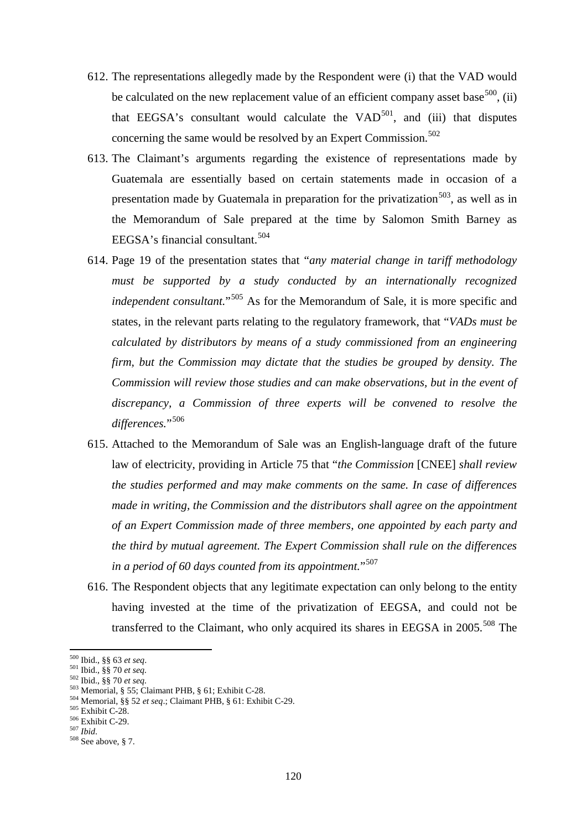- 612. The representations allegedly made by the Respondent were (i) that the VAD would be calculated on the new replacement value of an efficient company asset base<sup>[500](#page-119-0)</sup>, (ii) that EEGSA's consultant would calculate the  $VAD<sup>501</sup>$  $VAD<sup>501</sup>$  $VAD<sup>501</sup>$ , and (iii) that disputes concerning the same would be resolved by an Expert Commission. [502](#page-119-2)
- 613. The Claimant's arguments regarding the existence of representations made by Guatemala are essentially based on certain statements made in occasion of a presentation made by Guatemala in preparation for the privatization<sup>[503](#page-119-3)</sup>, as well as in the Memorandum of Sale prepared at the time by Salomon Smith Barney as EEGSA's financial consultant. [504](#page-119-4)
- 614. Page 19 of the presentation states that "*any material change in tariff methodology must be supported by a study conducted by an internationally recognized independent consultant.*"[505](#page-119-5) As for the Memorandum of Sale, it is more specific and states, in the relevant parts relating to the regulatory framework, that "*VADs must be calculated by distributors by means of a study commissioned from an engineering firm, but the Commission may dictate that the studies be grouped by density. The Commission will review those studies and can make observations, but in the event of discrepancy, a Commission of three experts will be convened to resolve the*  differences."<sup>[506](#page-119-6)</sup>
- 615. Attached to the Memorandum of Sale was an English-language draft of the future law of electricity, providing in Article 75 that "*the Commission* [CNEE] *shall review the studies performed and may make comments on the same. In case of differences made in writing, the Commission and the distributors shall agree on the appointment of an Expert Commission made of three members, one appointed by each party and the third by mutual agreement. The Expert Commission shall rule on the differences in a period of 60 days counted from its appointment.*"[507](#page-119-7)
- 616. The Respondent objects that any legitimate expectation can only belong to the entity having invested at the time of the privatization of EEGSA, and could not be transferred to the Claimant, who only acquired its shares in EEGSA in 2005.<sup>[508](#page-119-8)</sup> The

<span id="page-119-0"></span><sup>&</sup>lt;sup>500</sup> Ibid., §§ 63 et seq.

<span id="page-119-2"></span>

<span id="page-119-4"></span><span id="page-119-3"></span>

<span id="page-119-1"></span><sup>&</sup>lt;sup>501</sup> Ibid., §§ 70 *et seq.*<br>
<sup>502</sup> Ibid., §§ 70 *et seq.*<br>
<sup>503</sup> Memorial, § 55; Claimant PHB, § 61; Exhibit C-28.<br>
<sup>504</sup> Memorial, §§ 52 *et seq*.; Claimant PHB, § 61: Exhibit C-29.<br>
<sup>505</sup> Exhibit C-28.<br>
<sup>505</sup> Exhibit C

<span id="page-119-6"></span><span id="page-119-5"></span>

<span id="page-119-8"></span><span id="page-119-7"></span>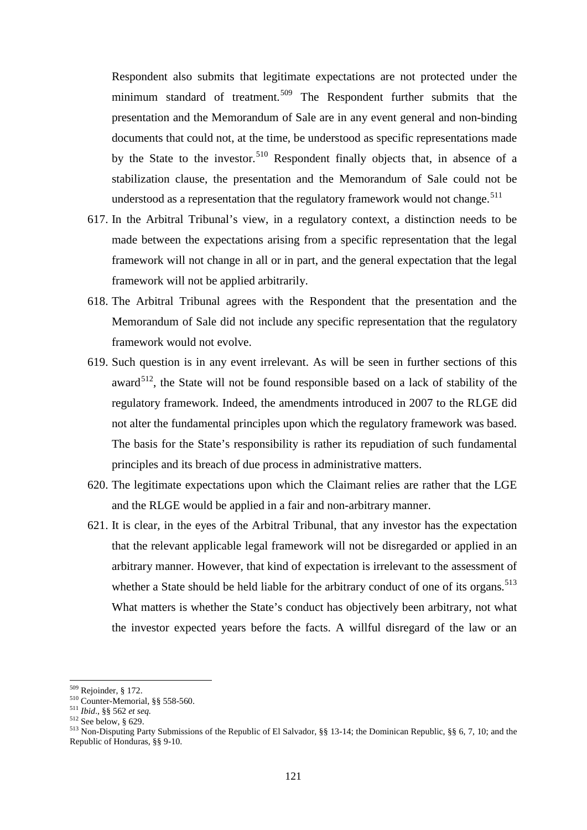Respondent also submits that legitimate expectations are not protected under the minimum standard of treatment.<sup>[509](#page-120-0)</sup> The Respondent further submits that the presentation and the Memorandum of Sale are in any event general and non-binding documents that could not, at the time, be understood as specific representations made by the State to the investor.<sup>[510](#page-120-1)</sup> Respondent finally objects that, in absence of a stabilization clause, the presentation and the Memorandum of Sale could not be understood as a representation that the regulatory framework would not change.<sup>[511](#page-120-2)</sup>

- 617. In the Arbitral Tribunal's view, in a regulatory context, a distinction needs to be made between the expectations arising from a specific representation that the legal framework will not change in all or in part, and the general expectation that the legal framework will not be applied arbitrarily.
- 618. The Arbitral Tribunal agrees with the Respondent that the presentation and the Memorandum of Sale did not include any specific representation that the regulatory framework would not evolve.
- 619. Such question is in any event irrelevant. As will be seen in further sections of this award<sup>512</sup>, the State will not be found responsible based on a lack of stability of the regulatory framework. Indeed, the amendments introduced in 2007 to the RLGE did not alter the fundamental principles upon which the regulatory framework was based. The basis for the State's responsibility is rather its repudiation of such fundamental principles and its breach of due process in administrative matters.
- 620. The legitimate expectations upon which the Claimant relies are rather that the LGE and the RLGE would be applied in a fair and non-arbitrary manner.
- 621. It is clear, in the eyes of the Arbitral Tribunal, that any investor has the expectation that the relevant applicable legal framework will not be disregarded or applied in an arbitrary manner. However, that kind of expectation is irrelevant to the assessment of whether a State should be held liable for the arbitrary conduct of one of its organs.<sup>[513](#page-120-4)</sup> What matters is whether the State's conduct has objectively been arbitrary, not what the investor expected years before the facts. A willful disregard of the law or an

<span id="page-120-2"></span>

<span id="page-120-4"></span><span id="page-120-3"></span>

<span id="page-120-1"></span><span id="page-120-0"></span><sup>&</sup>lt;sup>509</sup> Rejoinder, § 172.<br><sup>510</sup> Counter-Memorial, §§ 558-560.<br><sup>511</sup> *Ibid.*, §§ 562 *et seq.*<br><sup>512</sup> See below, § 629.<br><sup>513</sup> Non-Disputing Party Submissions of the Republic of El Salvador, §§ 13-14; the Dominican Republic, § Republic of Honduras, §§ 9-10.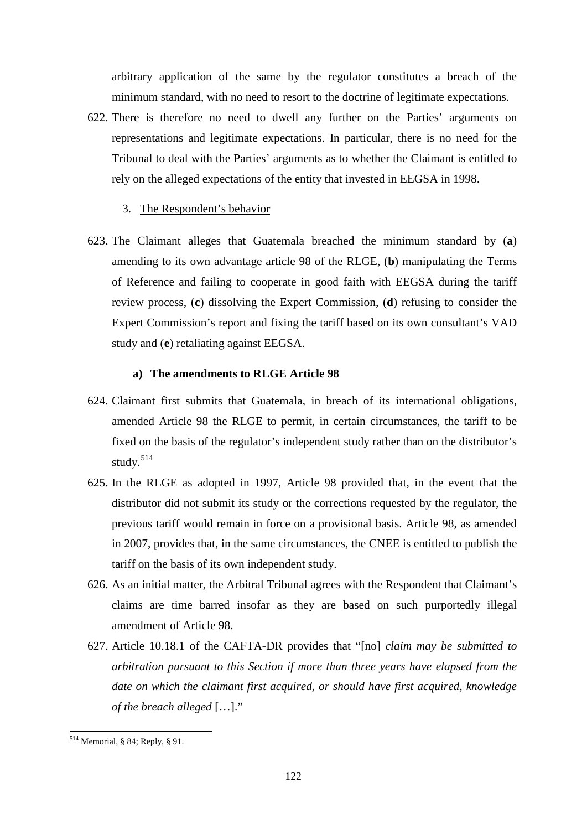arbitrary application of the same by the regulator constitutes a breach of the minimum standard, with no need to resort to the doctrine of legitimate expectations.

- 622. There is therefore no need to dwell any further on the Parties' arguments on representations and legitimate expectations. In particular, there is no need for the Tribunal to deal with the Parties' arguments as to whether the Claimant is entitled to rely on the alleged expectations of the entity that invested in EEGSA in 1998.
	- 3. The Respondent's behavior
- 623. The Claimant alleges that Guatemala breached the minimum standard by (**a**) amending to its own advantage article 98 of the RLGE, (**b**) manipulating the Terms of Reference and failing to cooperate in good faith with EEGSA during the tariff review process, (**c**) dissolving the Expert Commission, (**d**) refusing to consider the Expert Commission's report and fixing the tariff based on its own consultant's VAD study and (**e**) retaliating against EEGSA.

#### **a) The amendments to RLGE Article 98**

- 624. Claimant first submits that Guatemala, in breach of its international obligations, amended Article 98 the RLGE to permit, in certain circumstances, the tariff to be fixed on the basis of the regulator's independent study rather than on the distributor's study. [514](#page-121-0)
- 625. In the RLGE as adopted in 1997, Article 98 provided that, in the event that the distributor did not submit its study or the corrections requested by the regulator, the previous tariff would remain in force on a provisional basis. Article 98, as amended in 2007, provides that, in the same circumstances, the CNEE is entitled to publish the tariff on the basis of its own independent study.
- 626. As an initial matter, the Arbitral Tribunal agrees with the Respondent that Claimant's claims are time barred insofar as they are based on such purportedly illegal amendment of Article 98.
- 627. Article 10.18.1 of the CAFTA-DR provides that "[no] *claim may be submitted to arbitration pursuant to this Section if more than three years have elapsed from the date on which the claimant first acquired, or should have first acquired, knowledge of the breach alleged* […]."

<span id="page-121-0"></span><sup>514</sup> Memorial, § 84; Reply, § 91.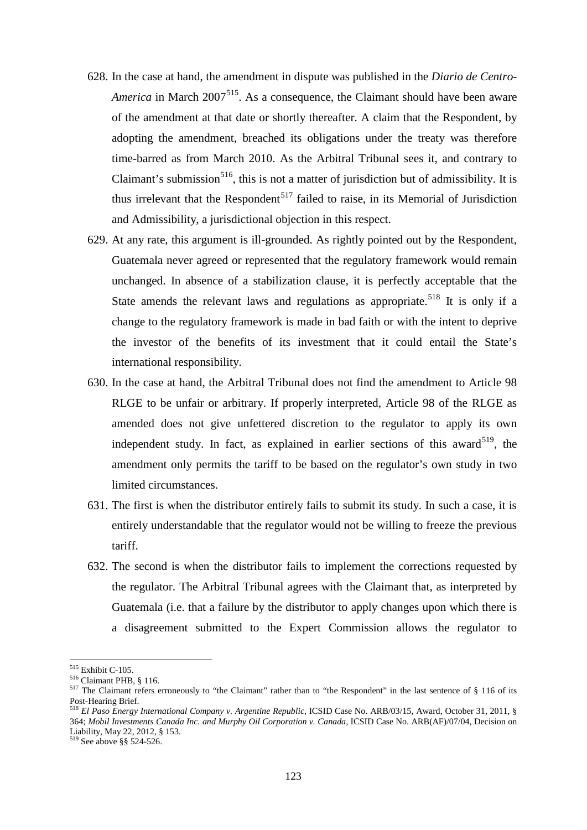- 628. In the case at hand, the amendment in dispute was published in the *Diario de Centro-America* in March 2007<sup>[515](#page-122-0)</sup>. As a consequence, the Claimant should have been aware of the amendment at that date or shortly thereafter. A claim that the Respondent, by adopting the amendment, breached its obligations under the treaty was therefore time-barred as from March 2010. As the Arbitral Tribunal sees it, and contrary to Claimant's submission<sup>[516](#page-122-1)</sup>, this is not a matter of jurisdiction but of admissibility. It is thus irrelevant that the Respondent<sup>[517](#page-122-2)</sup> failed to raise, in its Memorial of Jurisdiction and Admissibility, a jurisdictional objection in this respect.
- 629. At any rate, this argument is ill-grounded. As rightly pointed out by the Respondent, Guatemala never agreed or represented that the regulatory framework would remain unchanged. In absence of a stabilization clause, it is perfectly acceptable that the State amends the relevant laws and regulations as appropriate.<sup>[518](#page-122-3)</sup> It is only if a change to the regulatory framework is made in bad faith or with the intent to deprive the investor of the benefits of its investment that it could entail the State's international responsibility.
- 630. In the case at hand, the Arbitral Tribunal does not find the amendment to Article 98 RLGE to be unfair or arbitrary. If properly interpreted, Article 98 of the RLGE as amended does not give unfettered discretion to the regulator to apply its own independent study. In fact, as explained in earlier sections of this award<sup>[519](#page-122-4)</sup>, the amendment only permits the tariff to be based on the regulator's own study in two limited circumstances.
- 631. The first is when the distributor entirely fails to submit its study. In such a case, it is entirely understandable that the regulator would not be willing to freeze the previous tariff.
- 632. The second is when the distributor fails to implement the corrections requested by the regulator. The Arbitral Tribunal agrees with the Claimant that, as interpreted by Guatemala (i.e. that a failure by the distributor to apply changes upon which there is a disagreement submitted to the Expert Commission allows the regulator to

<span id="page-122-0"></span><sup>&</sup>lt;sup>515</sup> Exhibit C-105.

<span id="page-122-1"></span><sup>516</sup> Claimant PHB, § 116.<br>517 The Claimant refers erroneously to "the Claimant" rather than to "the Respondent" in the last sentence of § 116 of its<br>Post-Hearing Brief.

<span id="page-122-3"></span><span id="page-122-2"></span>Post-Hearing Brief. <sup>518</sup> *El Paso Energy International Company v. Argentine Republic*, ICSID Case No. ARB/03/15, Award, October 31, 2011, § 364; *Mobil Investments Canada Inc. and Murphy Oil Corporation v. Canada*, ICSID Case No. ARB(AF)/07/04, Decision on Liability, May 22, 2012, § 153.<br><sup>519</sup> See above §§ 524-526.

<span id="page-122-4"></span>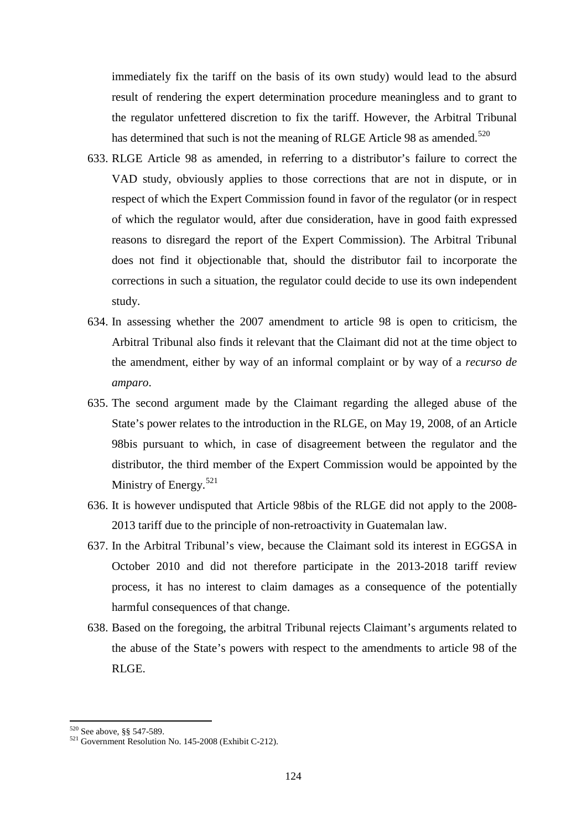immediately fix the tariff on the basis of its own study) would lead to the absurd result of rendering the expert determination procedure meaningless and to grant to the regulator unfettered discretion to fix the tariff. However, the Arbitral Tribunal has determined that such is not the meaning of RLGE Article 98 as amended.<sup>[520](#page-123-0)</sup>

- 633. RLGE Article 98 as amended, in referring to a distributor's failure to correct the VAD study, obviously applies to those corrections that are not in dispute, or in respect of which the Expert Commission found in favor of the regulator (or in respect of which the regulator would, after due consideration, have in good faith expressed reasons to disregard the report of the Expert Commission). The Arbitral Tribunal does not find it objectionable that, should the distributor fail to incorporate the corrections in such a situation, the regulator could decide to use its own independent study.
- 634. In assessing whether the 2007 amendment to article 98 is open to criticism, the Arbitral Tribunal also finds it relevant that the Claimant did not at the time object to the amendment, either by way of an informal complaint or by way of a *recurso de amparo*.
- 635. The second argument made by the Claimant regarding the alleged abuse of the State's power relates to the introduction in the RLGE, on May 19, 2008, of an Article 98bis pursuant to which, in case of disagreement between the regulator and the distributor, the third member of the Expert Commission would be appointed by the Ministry of Energy.<sup>[521](#page-123-1)</sup>
- 636. It is however undisputed that Article 98bis of the RLGE did not apply to the 2008- 2013 tariff due to the principle of non-retroactivity in Guatemalan law.
- 637. In the Arbitral Tribunal's view, because the Claimant sold its interest in EGGSA in October 2010 and did not therefore participate in the 2013-2018 tariff review process, it has no interest to claim damages as a consequence of the potentially harmful consequences of that change.
- 638. Based on the foregoing, the arbitral Tribunal rejects Claimant's arguments related to the abuse of the State's powers with respect to the amendments to article 98 of the RLGE.

<span id="page-123-1"></span><span id="page-123-0"></span>

<sup>&</sup>lt;sup>520</sup> See above, §§ 547-589.<br><sup>521</sup> Government Resolution No. 145-2008 (Exhibit C-212).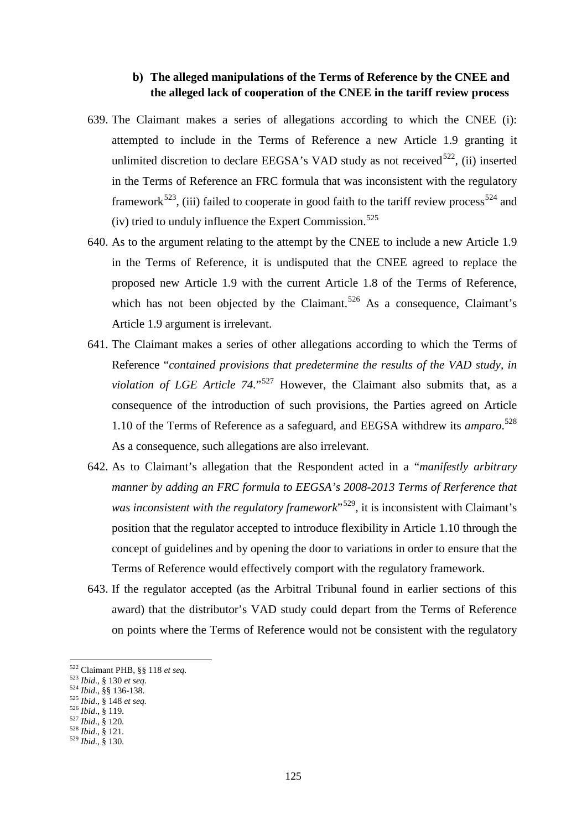# **b) The alleged manipulations of the Terms of Reference by the CNEE and the alleged lack of cooperation of the CNEE in the tariff review process**

- 639. The Claimant makes a series of allegations according to which the CNEE (i): attempted to include in the Terms of Reference a new Article 1.9 granting it unlimited discretion to declare EEGSA's VAD study as not received $522$ , (ii) inserted in the Terms of Reference an FRC formula that was inconsistent with the regulatory framework<sup>523</sup>, (iii) failed to cooperate in good faith to the tariff review process<sup>[524](#page-124-2)</sup> and (iv) tried to unduly influence the Expert Commission. $525$
- 640. As to the argument relating to the attempt by the CNEE to include a new Article 1.9 in the Terms of Reference, it is undisputed that the CNEE agreed to replace the proposed new Article 1.9 with the current Article 1.8 of the Terms of Reference, which has not been objected by the Claimant.<sup>[526](#page-124-4)</sup> As a consequence, Claimant's Article 1.9 argument is irrelevant.
- 641. The Claimant makes a series of other allegations according to which the Terms of Reference "*contained provisions that predetermine the results of the VAD study, in violation of LGE Article 74.*<sup>"[527](#page-124-5)</sup> However, the Claimant also submits that, as a consequence of the introduction of such provisions, the Parties agreed on Article 1.10 of the Terms of Reference as a safeguard, and EEGSA withdrew its *amparo*. [528](#page-124-6) As a consequence, such allegations are also irrelevant.
- 642. As to Claimant's allegation that the Respondent acted in a "*manifestly arbitrary manner by adding an FRC formula to EEGSA's 2008-2013 Terms of Rerference that was inconsistent with the regulatory framework*<sup>529</sup>, it is inconsistent with Claimant's position that the regulator accepted to introduce flexibility in Article 1.10 through the concept of guidelines and by opening the door to variations in order to ensure that the Terms of Reference would effectively comport with the regulatory framework.
- 643. If the regulator accepted (as the Arbitral Tribunal found in earlier sections of this award) that the distributor's VAD study could depart from the Terms of Reference on points where the Terms of Reference would not be consistent with the regulatory

- <span id="page-124-3"></span>
- <span id="page-124-2"></span><span id="page-124-1"></span><span id="page-124-0"></span><sup>523</sup> Ibid., § 130 et seq.<br><sup>524</sup> Ibid., §§ 136-138.<br><sup>525</sup> Ibid., § 148 et seq.<br><sup>525</sup> Ibid., § 119.<br><sup>527</sup> Ibid., § 120.<br><sup>528</sup> Ibid., § 121.<br><sup>528</sup> Ibid., § 121.
- <span id="page-124-4"></span>

<sup>&</sup>lt;sup>522</sup> Claimant PHB, §§ 118 et seq.

<span id="page-124-7"></span><span id="page-124-6"></span><span id="page-124-5"></span>

<sup>125</sup>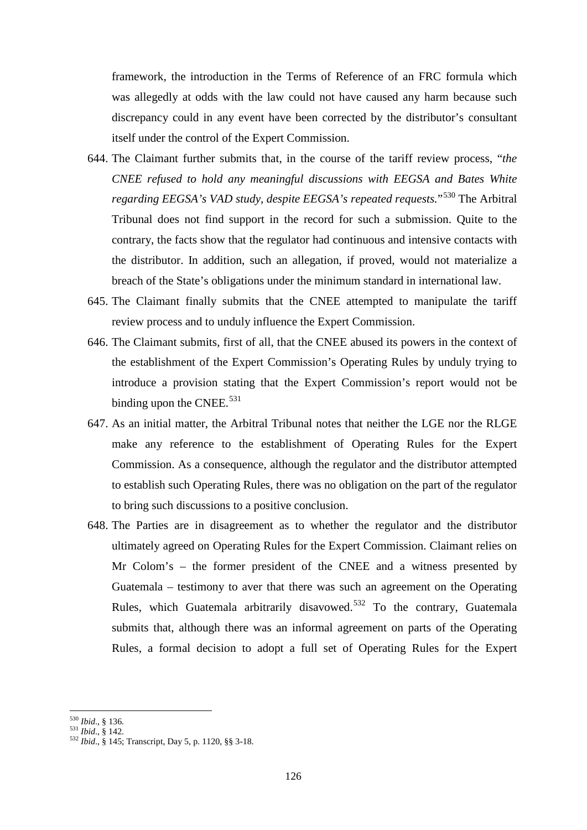framework, the introduction in the Terms of Reference of an FRC formula which was allegedly at odds with the law could not have caused any harm because such discrepancy could in any event have been corrected by the distributor's consultant itself under the control of the Expert Commission.

- 644. The Claimant further submits that, in the course of the tariff review process, "*the CNEE refused to hold any meaningful discussions with EEGSA and Bates White regarding EEGSA's VAD study, despite EEGSA's repeated requests.*"[530](#page-125-0) The Arbitral Tribunal does not find support in the record for such a submission. Quite to the contrary, the facts show that the regulator had continuous and intensive contacts with the distributor. In addition, such an allegation, if proved, would not materialize a breach of the State's obligations under the minimum standard in international law.
- 645. The Claimant finally submits that the CNEE attempted to manipulate the tariff review process and to unduly influence the Expert Commission.
- 646. The Claimant submits, first of all, that the CNEE abused its powers in the context of the establishment of the Expert Commission's Operating Rules by unduly trying to introduce a provision stating that the Expert Commission's report would not be binding upon the CNEE.<sup>[531](#page-125-1)</sup>
- 647. As an initial matter, the Arbitral Tribunal notes that neither the LGE nor the RLGE make any reference to the establishment of Operating Rules for the Expert Commission. As a consequence, although the regulator and the distributor attempted to establish such Operating Rules, there was no obligation on the part of the regulator to bring such discussions to a positive conclusion.
- 648. The Parties are in disagreement as to whether the regulator and the distributor ultimately agreed on Operating Rules for the Expert Commission. Claimant relies on Mr Colom's – the former president of the CNEE and a witness presented by Guatemala – testimony to aver that there was such an agreement on the Operating Rules, which Guatemala arbitrarily disavowed.<sup>[532](#page-125-2)</sup> To the contrary, Guatemala submits that, although there was an informal agreement on parts of the Operating Rules, a formal decision to adopt a full set of Operating Rules for the Expert

<sup>530</sup> Ibid., § 136.

<span id="page-125-2"></span>

<span id="page-125-1"></span><span id="page-125-0"></span><sup>530</sup> *Ibid*., § 136. <sup>531</sup> *Ibid*., § 142. <sup>532</sup> *Ibid*., § 145; Transcript, Day 5, p. 1120, §§ 3-18.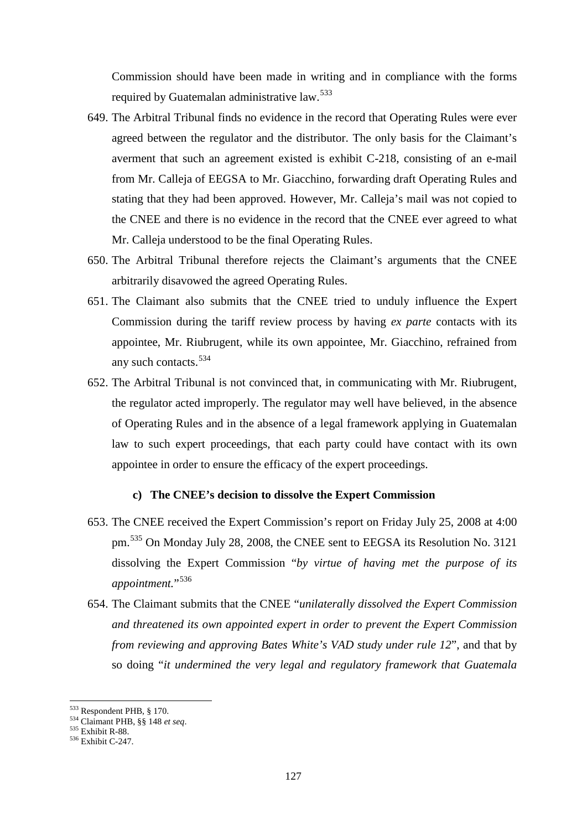Commission should have been made in writing and in compliance with the forms required by Guatemalan administrative law.<sup>[533](#page-126-0)</sup>

- 649. The Arbitral Tribunal finds no evidence in the record that Operating Rules were ever agreed between the regulator and the distributor. The only basis for the Claimant's averment that such an agreement existed is exhibit C-218, consisting of an e-mail from Mr. Calleja of EEGSA to Mr. Giacchino, forwarding draft Operating Rules and stating that they had been approved. However, Mr. Calleja's mail was not copied to the CNEE and there is no evidence in the record that the CNEE ever agreed to what Mr. Calleja understood to be the final Operating Rules.
- 650. The Arbitral Tribunal therefore rejects the Claimant's arguments that the CNEE arbitrarily disavowed the agreed Operating Rules.
- 651. The Claimant also submits that the CNEE tried to unduly influence the Expert Commission during the tariff review process by having *ex parte* contacts with its appointee, Mr. Riubrugent, while its own appointee, Mr. Giacchino, refrained from any such contacts. [534](#page-126-1)
- 652. The Arbitral Tribunal is not convinced that, in communicating with Mr. Riubrugent, the regulator acted improperly. The regulator may well have believed, in the absence of Operating Rules and in the absence of a legal framework applying in Guatemalan law to such expert proceedings, that each party could have contact with its own appointee in order to ensure the efficacy of the expert proceedings.

### **c) The CNEE's decision to dissolve the Expert Commission**

- 653. The CNEE received the Expert Commission's report on Friday July 25, 2008 at 4:00 pm. [535](#page-126-2) On Monday July 28, 2008, the CNEE sent to EEGSA its Resolution No. 3121 dissolving the Expert Commission "*by virtue of having met the purpose of its*  appointment."<sup>[536](#page-126-3)</sup>
- 654. The Claimant submits that the CNEE "*unilaterally dissolved the Expert Commission and threatened its own appointed expert in order to prevent the Expert Commission from reviewing and approving Bates White's VAD study under rule 12*", and that by so doing "*it undermined the very legal and regulatory framework that Guatemala*

<sup>533</sup> Respondent PHB, § 170.

<span id="page-126-2"></span><span id="page-126-1"></span><span id="page-126-0"></span><sup>534</sup> Claimant PHB, §§ 148 *et seq.*<br>535 Exhibit R-88.<br>536 Exhibit C-247.

<span id="page-126-3"></span>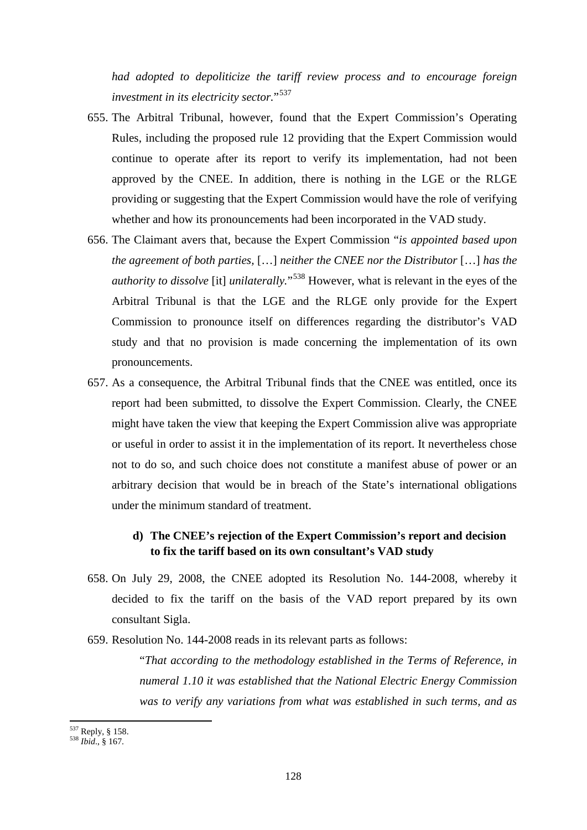*had adopted to depoliticize the tariff review process and to encourage foreign investment in its electricity sector.*"[537](#page-127-0)

- 655. The Arbitral Tribunal, however, found that the Expert Commission's Operating Rules, including the proposed rule 12 providing that the Expert Commission would continue to operate after its report to verify its implementation, had not been approved by the CNEE. In addition, there is nothing in the LGE or the RLGE providing or suggesting that the Expert Commission would have the role of verifying whether and how its pronouncements had been incorporated in the VAD study.
- 656. The Claimant avers that, because the Expert Commission "*is appointed based upon the agreement of both parties,* […] *neither the CNEE nor the Distributor* […] *has the authority to dissolve* [it] *unilaterally.*"[538](#page-127-1) However, what is relevant in the eyes of the Arbitral Tribunal is that the LGE and the RLGE only provide for the Expert Commission to pronounce itself on differences regarding the distributor's VAD study and that no provision is made concerning the implementation of its own pronouncements.
- 657. As a consequence, the Arbitral Tribunal finds that the CNEE was entitled, once its report had been submitted, to dissolve the Expert Commission. Clearly, the CNEE might have taken the view that keeping the Expert Commission alive was appropriate or useful in order to assist it in the implementation of its report. It nevertheless chose not to do so, and such choice does not constitute a manifest abuse of power or an arbitrary decision that would be in breach of the State's international obligations under the minimum standard of treatment.

# **d) The CNEE's rejection of the Expert Commission's report and decision to fix the tariff based on its own consultant's VAD study**

658. On July 29, 2008, the CNEE adopted its Resolution No. 144-2008, whereby it decided to fix the tariff on the basis of the VAD report prepared by its own consultant Sigla.

659. Resolution No. 144-2008 reads in its relevant parts as follows:

"*That according to the methodology established in the Terms of Reference, in numeral 1.10 it was established that the National Electric Energy Commission was to verify any variations from what was established in such terms, and as* 

<span id="page-127-0"></span><sup>537</sup> Reply, § 158. <sup>538</sup> *Ibid*., § 167.

<span id="page-127-1"></span>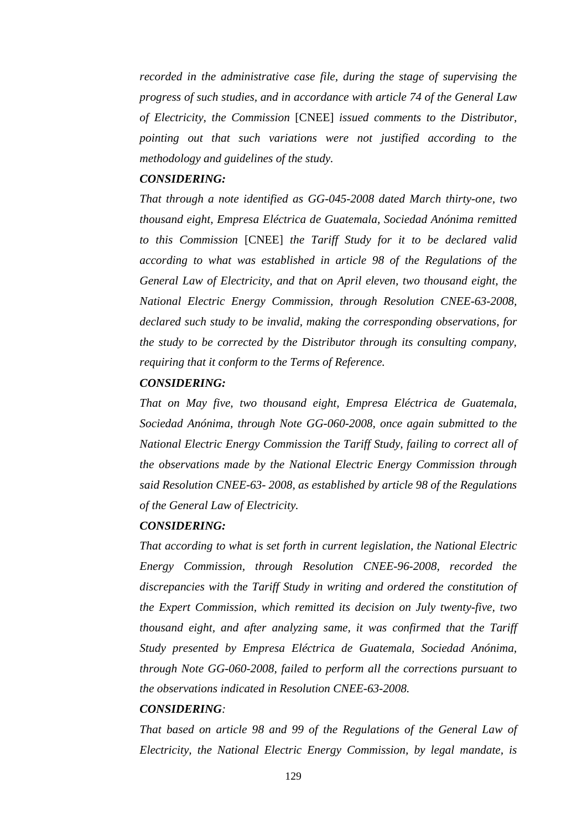*recorded in the administrative case file, during the stage of supervising the progress of such studies, and in accordance with article 74 of the General Law of Electricity, the Commission* [CNEE] *issued comments to the Distributor, pointing out that such variations were not justified according to the methodology and guidelines of the study.*

# *CONSIDERING:*

*That through a note identified as GG-045-2008 dated March thirty-one, two thousand eight, Empresa Eléctrica de Guatemala, Sociedad Anónima remitted to this Commission* [CNEE] *the Tariff Study for it to be declared valid according to what was established in article 98 of the Regulations of the General Law of Electricity, and that on April eleven, two thousand eight, the National Electric Energy Commission, through Resolution CNEE-63-2008, declared such study to be invalid, making the corresponding observations, for the study to be corrected by the Distributor through its consulting company, requiring that it conform to the Terms of Reference.*

### *CONSIDERING:*

*That on May five, two thousand eight, Empresa Eléctrica de Guatemala, Sociedad Anónima, through Note GG-060-2008, once again submitted to the National Electric Energy Commission the Tariff Study, failing to correct all of the observations made by the National Electric Energy Commission through said Resolution CNEE-63- 2008, as established by article 98 of the Regulations of the General Law of Electricity.*

#### *CONSIDERING:*

*That according to what is set forth in current legislation, the National Electric Energy Commission, through Resolution CNEE-96-2008, recorded the discrepancies with the Tariff Study in writing and ordered the constitution of the Expert Commission, which remitted its decision on July twenty-five, two thousand eight, and after analyzing same, it was confirmed that the Tariff Study presented by Empresa Eléctrica de Guatemala, Sociedad Anónima, through Note GG-060-2008, failed to perform all the corrections pursuant to the observations indicated in Resolution CNEE-63-2008.*

# *CONSIDERING:*

*That based on article 98 and 99 of the Regulations of the General Law of Electricity, the National Electric Energy Commission, by legal mandate, is*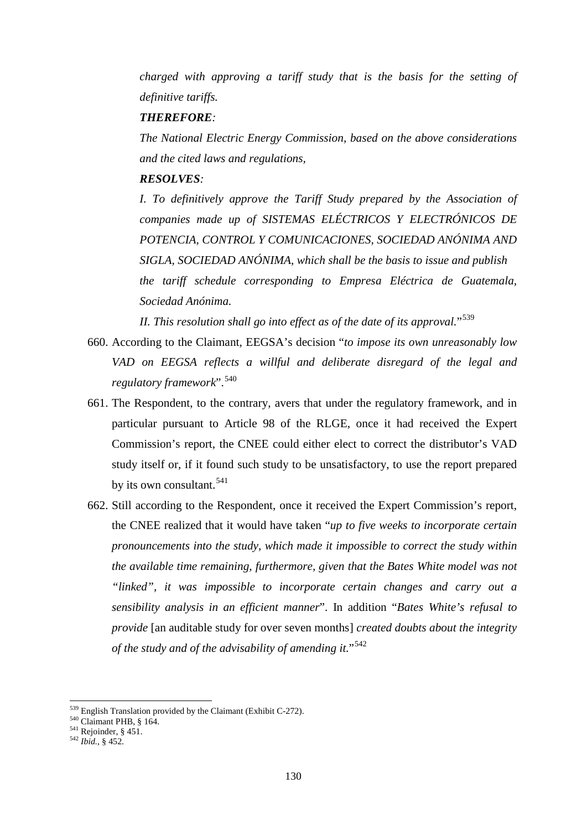*charged with approving a tariff study that is the basis for the setting of definitive tariffs.*

# *THEREFORE:*

*The National Electric Energy Commission, based on the above considerations and the cited laws and regulations,*

# *RESOLVES:*

*I. To definitively approve the Tariff Study prepared by the Association of companies made up of SISTEMAS ELÉCTRICOS Y ELECTRÓNICOS DE POTENCIA, CONTROL Y COMUNICACIONES, SOCIEDAD ANÓNIMA AND SIGLA, SOCIEDAD ANÓNIMA, which shall be the basis to issue and publish the tariff schedule corresponding to Empresa Eléctrica de Guatemala, Sociedad Anónima.*

*II. This resolution shall go into effect as of the date of its approval.*"[539](#page-129-0)

- 660. According to the Claimant, EEGSA's decision "*to impose its own unreasonably low VAD on EEGSA reflects a willful and deliberate disregard of the legal and regulatory framework*". [540](#page-129-1)
- 661. The Respondent, to the contrary, avers that under the regulatory framework, and in particular pursuant to Article 98 of the RLGE, once it had received the Expert Commission's report, the CNEE could either elect to correct the distributor's VAD study itself or, if it found such study to be unsatisfactory, to use the report prepared by its own consultant. [541](#page-129-2)
- 662. Still according to the Respondent, once it received the Expert Commission's report, the CNEE realized that it would have taken "*up to five weeks to incorporate certain pronouncements into the study, which made it impossible to correct the study within the available time remaining, furthermore, given that the Bates White model was not "linked", it was impossible to incorporate certain changes and carry out a sensibility analysis in an efficient manner*". In addition "*Bates White's refusal to provide* [an auditable study for over seven months] *created doubts about the integrity of the study and of the advisability of amending it.*"[542](#page-129-3)

<span id="page-129-1"></span><span id="page-129-0"></span><sup>539</sup> English Translation provided by the Claimant (Exhibit C-272). <sup>540</sup> Claimant PHB, § 164. <sup>541</sup> Rejoinder, § 451. <sup>542</sup> *Ibid.*, § 452.

<span id="page-129-2"></span>

<span id="page-129-3"></span>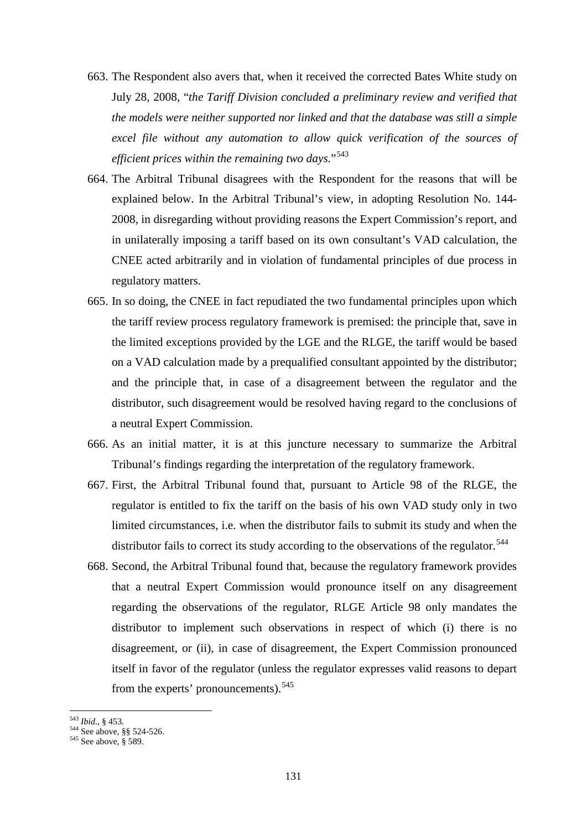- 663. The Respondent also avers that, when it received the corrected Bates White study on July 28, 2008, "*the Tariff Division concluded a preliminary review and verified that the models were neither supported nor linked and that the database was still a simple excel file without any automation to allow quick verification of the sources of efficient prices within the remaining two days.*"[543](#page-130-0)
- 664. The Arbitral Tribunal disagrees with the Respondent for the reasons that will be explained below. In the Arbitral Tribunal's view, in adopting Resolution No. 144- 2008, in disregarding without providing reasons the Expert Commission's report, and in unilaterally imposing a tariff based on its own consultant's VAD calculation, the CNEE acted arbitrarily and in violation of fundamental principles of due process in regulatory matters.
- 665. In so doing, the CNEE in fact repudiated the two fundamental principles upon which the tariff review process regulatory framework is premised: the principle that, save in the limited exceptions provided by the LGE and the RLGE, the tariff would be based on a VAD calculation made by a prequalified consultant appointed by the distributor; and the principle that, in case of a disagreement between the regulator and the distributor, such disagreement would be resolved having regard to the conclusions of a neutral Expert Commission.
- 666. As an initial matter, it is at this juncture necessary to summarize the Arbitral Tribunal's findings regarding the interpretation of the regulatory framework.
- 667. First, the Arbitral Tribunal found that, pursuant to Article 98 of the RLGE, the regulator is entitled to fix the tariff on the basis of his own VAD study only in two limited circumstances, i.e. when the distributor fails to submit its study and when the distributor fails to correct its study according to the observations of the regulator.<sup>[544](#page-130-1)</sup>
- 668. Second, the Arbitral Tribunal found that, because the regulatory framework provides that a neutral Expert Commission would pronounce itself on any disagreement regarding the observations of the regulator, RLGE Article 98 only mandates the distributor to implement such observations in respect of which (i) there is no disagreement, or (ii), in case of disagreement, the Expert Commission pronounced itself in favor of the regulator (unless the regulator expresses valid reasons to depart from the experts' pronouncements).<sup>[545](#page-130-2)</sup>

<span id="page-130-0"></span><sup>543</sup> Ibid., § 453.

<span id="page-130-1"></span><sup>&</sup>lt;sup>1*bid</sup>.*,  $\frac{1}{5}$  -155.<br>
544 See above, §§ 524-526.<br>
<sup>545</sup> See above, § 589.</sup>

<span id="page-130-2"></span>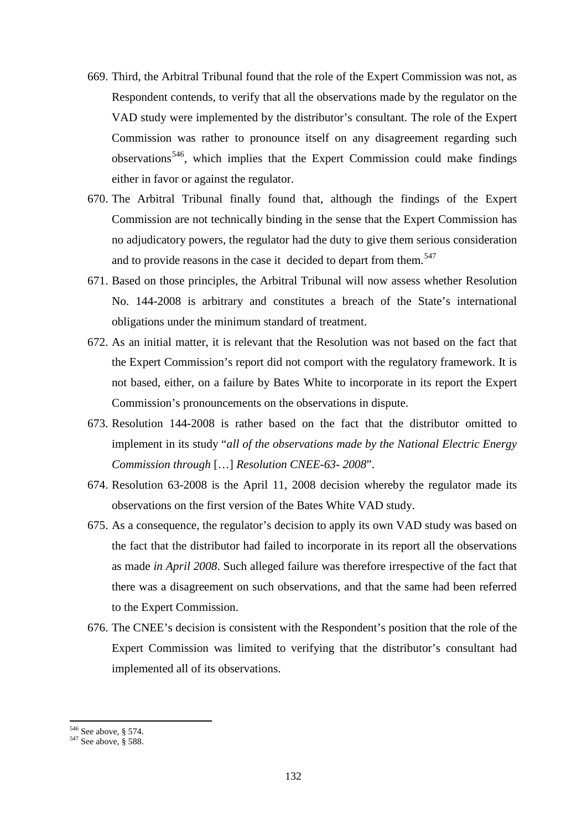- 669. Third, the Arbitral Tribunal found that the role of the Expert Commission was not, as Respondent contends, to verify that all the observations made by the regulator on the VAD study were implemented by the distributor's consultant. The role of the Expert Commission was rather to pronounce itself on any disagreement regarding such observations<sup>546</sup>, which implies that the Expert Commission could make findings either in favor or against the regulator.
- 670. The Arbitral Tribunal finally found that, although the findings of the Expert Commission are not technically binding in the sense that the Expert Commission has no adjudicatory powers, the regulator had the duty to give them serious consideration and to provide reasons in the case it decided to depart from them.<sup>[547](#page-131-1)</sup>
- 671. Based on those principles, the Arbitral Tribunal will now assess whether Resolution No. 144-2008 is arbitrary and constitutes a breach of the State's international obligations under the minimum standard of treatment.
- 672. As an initial matter, it is relevant that the Resolution was not based on the fact that the Expert Commission's report did not comport with the regulatory framework. It is not based, either, on a failure by Bates White to incorporate in its report the Expert Commission's pronouncements on the observations in dispute.
- 673. Resolution 144-2008 is rather based on the fact that the distributor omitted to implement in its study "*all of the observations made by the National Electric Energy Commission through* […] *Resolution CNEE-63- 2008*".
- 674. Resolution 63-2008 is the April 11, 2008 decision whereby the regulator made its observations on the first version of the Bates White VAD study.
- 675. As a consequence, the regulator's decision to apply its own VAD study was based on the fact that the distributor had failed to incorporate in its report all the observations as made *in April 2008*. Such alleged failure was therefore irrespective of the fact that there was a disagreement on such observations, and that the same had been referred to the Expert Commission.
- 676. The CNEE's decision is consistent with the Respondent's position that the role of the Expert Commission was limited to verifying that the distributor's consultant had implemented all of its observations.

<span id="page-131-1"></span><span id="page-131-0"></span>

 $546$  See above, § 574.<br> $547$  See above, § 588.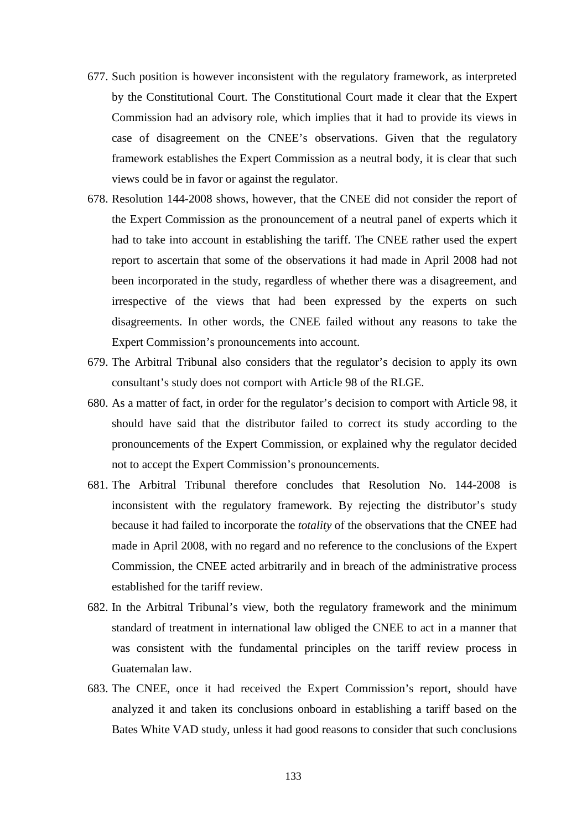- 677. Such position is however inconsistent with the regulatory framework, as interpreted by the Constitutional Court. The Constitutional Court made it clear that the Expert Commission had an advisory role, which implies that it had to provide its views in case of disagreement on the CNEE's observations. Given that the regulatory framework establishes the Expert Commission as a neutral body, it is clear that such views could be in favor or against the regulator.
- 678. Resolution 144-2008 shows, however, that the CNEE did not consider the report of the Expert Commission as the pronouncement of a neutral panel of experts which it had to take into account in establishing the tariff. The CNEE rather used the expert report to ascertain that some of the observations it had made in April 2008 had not been incorporated in the study, regardless of whether there was a disagreement, and irrespective of the views that had been expressed by the experts on such disagreements. In other words, the CNEE failed without any reasons to take the Expert Commission's pronouncements into account.
- 679. The Arbitral Tribunal also considers that the regulator's decision to apply its own consultant's study does not comport with Article 98 of the RLGE.
- 680. As a matter of fact, in order for the regulator's decision to comport with Article 98, it should have said that the distributor failed to correct its study according to the pronouncements of the Expert Commission, or explained why the regulator decided not to accept the Expert Commission's pronouncements.
- 681. The Arbitral Tribunal therefore concludes that Resolution No. 144-2008 is inconsistent with the regulatory framework. By rejecting the distributor's study because it had failed to incorporate the *totality* of the observations that the CNEE had made in April 2008, with no regard and no reference to the conclusions of the Expert Commission, the CNEE acted arbitrarily and in breach of the administrative process established for the tariff review.
- 682. In the Arbitral Tribunal's view, both the regulatory framework and the minimum standard of treatment in international law obliged the CNEE to act in a manner that was consistent with the fundamental principles on the tariff review process in Guatemalan law.
- 683. The CNEE, once it had received the Expert Commission's report, should have analyzed it and taken its conclusions onboard in establishing a tariff based on the Bates White VAD study, unless it had good reasons to consider that such conclusions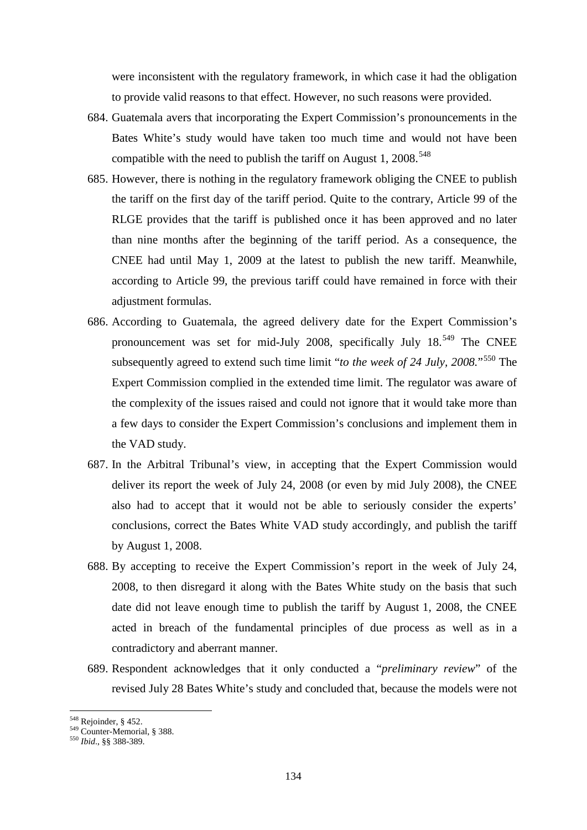were inconsistent with the regulatory framework, in which case it had the obligation to provide valid reasons to that effect. However, no such reasons were provided.

- 684. Guatemala avers that incorporating the Expert Commission's pronouncements in the Bates White's study would have taken too much time and would not have been compatible with the need to publish the tariff on August 1, 2008.<sup>[548](#page-133-0)</sup>
- 685. However, there is nothing in the regulatory framework obliging the CNEE to publish the tariff on the first day of the tariff period. Quite to the contrary, Article 99 of the RLGE provides that the tariff is published once it has been approved and no later than nine months after the beginning of the tariff period. As a consequence, the CNEE had until May 1, 2009 at the latest to publish the new tariff. Meanwhile, according to Article 99, the previous tariff could have remained in force with their adjustment formulas.
- 686. According to Guatemala, the agreed delivery date for the Expert Commission's pronouncement was set for mid-July 2008, specifically July 18.<sup>[549](#page-133-1)</sup> The CNEE subsequently agreed to extend such time limit "*to the week of 24 July, 2008.*"[550](#page-133-2) The Expert Commission complied in the extended time limit. The regulator was aware of the complexity of the issues raised and could not ignore that it would take more than a few days to consider the Expert Commission's conclusions and implement them in the VAD study.
- 687. In the Arbitral Tribunal's view, in accepting that the Expert Commission would deliver its report the week of July 24, 2008 (or even by mid July 2008), the CNEE also had to accept that it would not be able to seriously consider the experts' conclusions, correct the Bates White VAD study accordingly, and publish the tariff by August 1, 2008.
- 688. By accepting to receive the Expert Commission's report in the week of July 24, 2008, to then disregard it along with the Bates White study on the basis that such date did not leave enough time to publish the tariff by August 1, 2008, the CNEE acted in breach of the fundamental principles of due process as well as in a contradictory and aberrant manner.
- 689. Respondent acknowledges that it only conducted a "*preliminary review*" of the revised July 28 Bates White's study and concluded that, because the models were not

<sup>548</sup> Rejoinder, § 452.

<span id="page-133-2"></span><span id="page-133-1"></span><span id="page-133-0"></span><sup>548</sup> Rejoinder, § 452. <sup>549</sup> Counter-Memorial, § 388. <sup>550</sup> *Ibid*., §§ 388-389.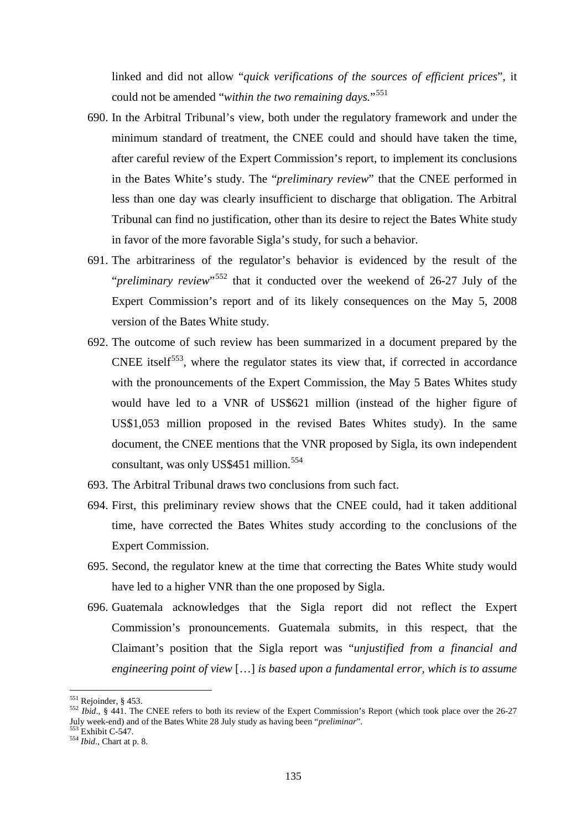linked and did not allow "*quick verifications of the sources of efficient prices*", it could not be amended "*within the two remaining days.*"[551](#page-134-0) 

- 690. In the Arbitral Tribunal's view, both under the regulatory framework and under the minimum standard of treatment, the CNEE could and should have taken the time, after careful review of the Expert Commission's report, to implement its conclusions in the Bates White's study. The "*preliminary review*" that the CNEE performed in less than one day was clearly insufficient to discharge that obligation. The Arbitral Tribunal can find no justification, other than its desire to reject the Bates White study in favor of the more favorable Sigla's study, for such a behavior.
- 691. The arbitrariness of the regulator's behavior is evidenced by the result of the "*preliminary review*"[552](#page-134-1) that it conducted over the weekend of 26-27 July of the Expert Commission's report and of its likely consequences on the May 5, 2008 version of the Bates White study.
- 692. The outcome of such review has been summarized in a document prepared by the CNEE itself<sup>[553](#page-134-2)</sup>, where the regulator states its view that, if corrected in accordance with the pronouncements of the Expert Commission, the May 5 Bates Whites study would have led to a VNR of US\$621 million (instead of the higher figure of US\$1,053 million proposed in the revised Bates Whites study). In the same document, the CNEE mentions that the VNR proposed by Sigla, its own independent consultant, was only US\$451 million.<sup>[554](#page-134-3)</sup>
- 693. The Arbitral Tribunal draws two conclusions from such fact.
- 694. First, this preliminary review shows that the CNEE could, had it taken additional time, have corrected the Bates Whites study according to the conclusions of the Expert Commission.
- 695. Second, the regulator knew at the time that correcting the Bates White study would have led to a higher VNR than the one proposed by Sigla.
- 696. Guatemala acknowledges that the Sigla report did not reflect the Expert Commission's pronouncements. Guatemala submits, in this respect, that the Claimant's position that the Sigla report was "*unjustified from a financial and engineering point of view* […] *is based upon a fundamental error, which is to assume*

 $551$  Reioinder, § 453.

<span id="page-134-1"></span><span id="page-134-0"></span><sup>551</sup> Rejoinder, § 453. <sup>552</sup> *Ibid*., § 441. The CNEE refers to both its review of the Expert Commission's Report (which took place over the 26-27 July week-end) and of the Bates White 28 July study as having been "*preliminar*". <sup>553</sup> Exhibit C-547. <sup>554</sup> *Ibid*., Chart at p. 8.

<span id="page-134-2"></span>

<span id="page-134-3"></span>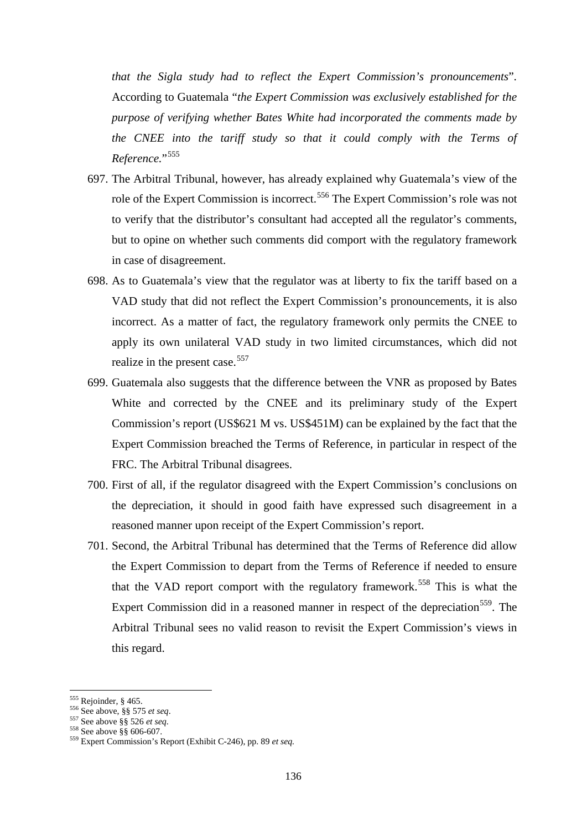*that the Sigla study had to reflect the Expert Commission's pronouncements*". According to Guatemala "*the Expert Commission was exclusively established for the purpose of verifying whether Bates White had incorporated the comments made by the CNEE into the tariff study so that it could comply with the Terms of Reference.*"[555](#page-135-0)

- 697. The Arbitral Tribunal, however, has already explained why Guatemala's view of the role of the Expert Commission is incorrect. [556](#page-135-1) The Expert Commission's role was not to verify that the distributor's consultant had accepted all the regulator's comments, but to opine on whether such comments did comport with the regulatory framework in case of disagreement.
- 698. As to Guatemala's view that the regulator was at liberty to fix the tariff based on a VAD study that did not reflect the Expert Commission's pronouncements, it is also incorrect. As a matter of fact, the regulatory framework only permits the CNEE to apply its own unilateral VAD study in two limited circumstances, which did not realize in the present case.<sup>[557](#page-135-2)</sup>
- 699. Guatemala also suggests that the difference between the VNR as proposed by Bates White and corrected by the CNEE and its preliminary study of the Expert Commission's report (US\$621 M vs. US\$451M) can be explained by the fact that the Expert Commission breached the Terms of Reference, in particular in respect of the FRC. The Arbitral Tribunal disagrees.
- 700. First of all, if the regulator disagreed with the Expert Commission's conclusions on the depreciation, it should in good faith have expressed such disagreement in a reasoned manner upon receipt of the Expert Commission's report.
- 701. Second, the Arbitral Tribunal has determined that the Terms of Reference did allow the Expert Commission to depart from the Terms of Reference if needed to ensure that the VAD report comport with the regulatory framework.<sup>[558](#page-135-3)</sup> This is what the Expert Commission did in a reasoned manner in respect of the depreciation<sup>[559](#page-135-4)</sup>. The Arbitral Tribunal sees no valid reason to revisit the Expert Commission's views in this regard.

<span id="page-135-0"></span> $555$  Rejoinder, § 465.

<span id="page-135-2"></span>

<span id="page-135-4"></span><span id="page-135-3"></span>

<span id="page-135-1"></span><sup>556</sup> See above, §§ 575 *et seq.*<br>
557 See above §§ 526 *et seq.*<br>
558 See above §§ 606-607.<br>
559 Expert Commission's Report (Exhibit C-246), pp. 89 *et seq.*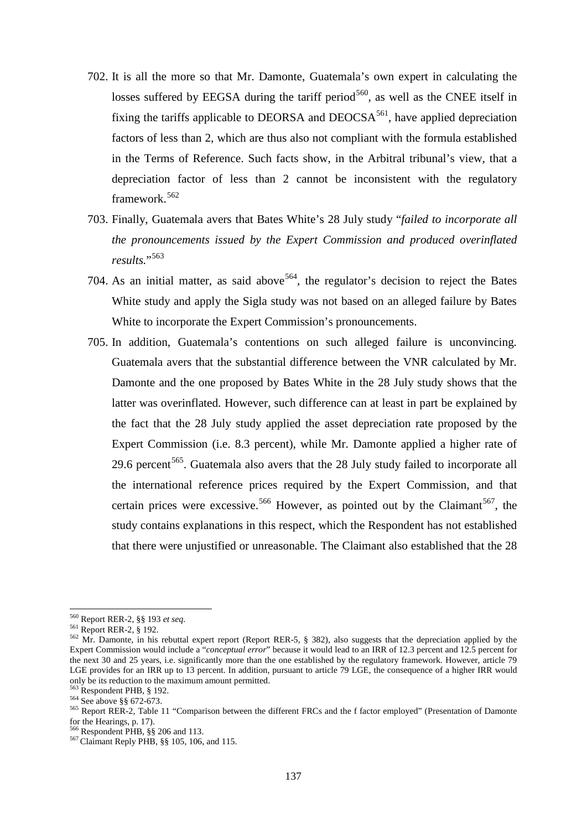- 702. It is all the more so that Mr. Damonte, Guatemala's own expert in calculating the losses suffered by EEGSA during the tariff period<sup>560</sup>, as well as the CNEE itself in fixing the tariffs applicable to DEORSA and  $DEOCSA<sup>561</sup>$  $DEOCSA<sup>561</sup>$  $DEOCSA<sup>561</sup>$ , have applied depreciation factors of less than 2, which are thus also not compliant with the formula established in the Terms of Reference. Such facts show, in the Arbitral tribunal's view, that a depreciation factor of less than 2 cannot be inconsistent with the regulatory framework. [562](#page-136-2)
- 703. Finally, Guatemala avers that Bates White's 28 July study "*failed to incorporate all the pronouncements issued by the Expert Commission and produced overinflated results.*"[563](#page-136-3)
- 704. As an initial matter, as said above  $564$ , the regulator's decision to reject the Bates White study and apply the Sigla study was not based on an alleged failure by Bates White to incorporate the Expert Commission's pronouncements.
- 705. In addition, Guatemala's contentions on such alleged failure is unconvincing. Guatemala avers that the substantial difference between the VNR calculated by Mr. Damonte and the one proposed by Bates White in the 28 July study shows that the latter was overinflated. However, such difference can at least in part be explained by the fact that the 28 July study applied the asset depreciation rate proposed by the Expert Commission (i.e. 8.3 percent), while Mr. Damonte applied a higher rate of 29.6 percent<sup>[565](#page-136-5)</sup>. Guatemala also avers that the 28 July study failed to incorporate all the international reference prices required by the Expert Commission, and that certain prices were excessive.<sup>[566](#page-136-6)</sup> However, as pointed out by the Claimant<sup>[567](#page-136-7)</sup>, the study contains explanations in this respect, which the Respondent has not established that there were unjustified or unreasonable. The Claimant also established that the 28

<sup>560</sup> Report RER-2, §§ 193 et seq.

<span id="page-136-2"></span><span id="page-136-1"></span><span id="page-136-0"></span><sup>&</sup>lt;sup>561</sup> Report RER-2, § 192.<br><sup>562</sup> Mr. Damonte, in his rebuttal expert report (Report RER-5, § 382), also suggests that the depreciation applied by the Expert Commission would include a "*conceptual error*" because it would lead to an IRR of 12.3 percent and 12.5 percent for the next 30 and 25 years, i.e. significantly more than the one established by the regulatory framework. However, article 79 LGE provides for an IRR up to 13 percent. In addition, pursuant to article 79 LGE, the consequence of a higher IRR would only be its reduction to the maximum amount permitted.<br><sup>563</sup> Respondent PHB, § 192.

<span id="page-136-5"></span>

<span id="page-136-4"></span><span id="page-136-3"></span><sup>564</sup> See above §§ 672-673.<br>
<sup>564</sup> See above §§ 672-673.<br>
<sup>565</sup> Report RER-2, Table 11 "Comparison between the different FRCs and the f factor employed" (Presentation of Damonte for the Hearings, p. 17).<br><sup>566</sup> Respondent PHB, §§ 206 and 113.

<span id="page-136-7"></span><span id="page-136-6"></span><sup>566</sup> Respondent PHB, §§ 206 and 113. <sup>567</sup> Claimant Reply PHB, §§ 105, 106, and 115.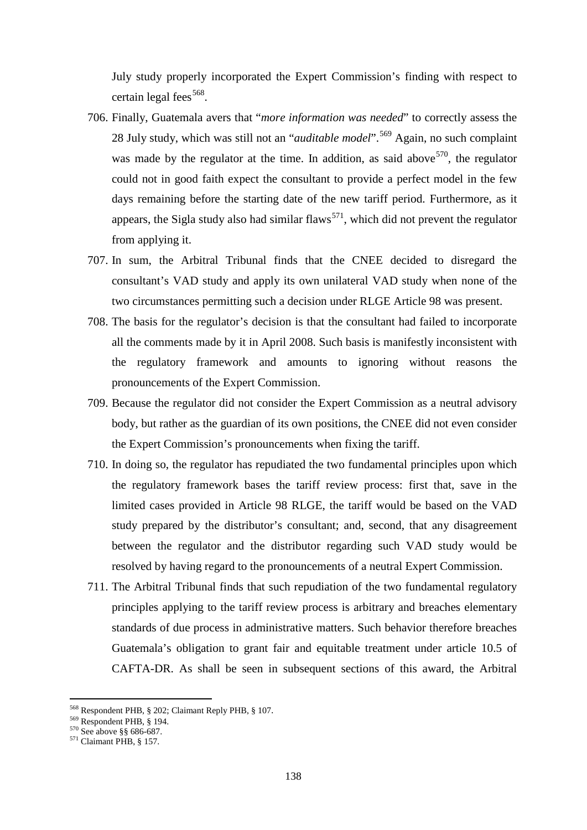July study properly incorporated the Expert Commission's finding with respect to certain legal fees<sup>[568](#page-137-0)</sup>.

- 706. Finally, Guatemala avers that "*more information was needed*" to correctly assess the 28 July study, which was still not an "*auditable model*". [569](#page-137-1) Again, no such complaint was made by the regulator at the time. In addition, as said above  $570$ , the regulator could not in good faith expect the consultant to provide a perfect model in the few days remaining before the starting date of the new tariff period. Furthermore, as it appears, the Sigla study also had similar flaws<sup>571</sup>, which did not prevent the regulator from applying it.
- 707. In sum, the Arbitral Tribunal finds that the CNEE decided to disregard the consultant's VAD study and apply its own unilateral VAD study when none of the two circumstances permitting such a decision under RLGE Article 98 was present.
- 708. The basis for the regulator's decision is that the consultant had failed to incorporate all the comments made by it in April 2008. Such basis is manifestly inconsistent with the regulatory framework and amounts to ignoring without reasons the pronouncements of the Expert Commission.
- 709. Because the regulator did not consider the Expert Commission as a neutral advisory body, but rather as the guardian of its own positions, the CNEE did not even consider the Expert Commission's pronouncements when fixing the tariff.
- 710. In doing so, the regulator has repudiated the two fundamental principles upon which the regulatory framework bases the tariff review process: first that, save in the limited cases provided in Article 98 RLGE, the tariff would be based on the VAD study prepared by the distributor's consultant; and, second, that any disagreement between the regulator and the distributor regarding such VAD study would be resolved by having regard to the pronouncements of a neutral Expert Commission.
- 711. The Arbitral Tribunal finds that such repudiation of the two fundamental regulatory principles applying to the tariff review process is arbitrary and breaches elementary standards of due process in administrative matters. Such behavior therefore breaches Guatemala's obligation to grant fair and equitable treatment under article 10.5 of CAFTA-DR. As shall be seen in subsequent sections of this award, the Arbitral

<span id="page-137-1"></span><span id="page-137-0"></span><sup>&</sup>lt;sup>568</sup> Respondent PHB, § 202; Claimant Reply PHB, § 107.<br><sup>569</sup> Respondent PHB, § 194.<br><sup>570</sup> See above §§ 686-687.<br><sup>571</sup> Claimant PHB, § 157.

<span id="page-137-2"></span>

<span id="page-137-3"></span>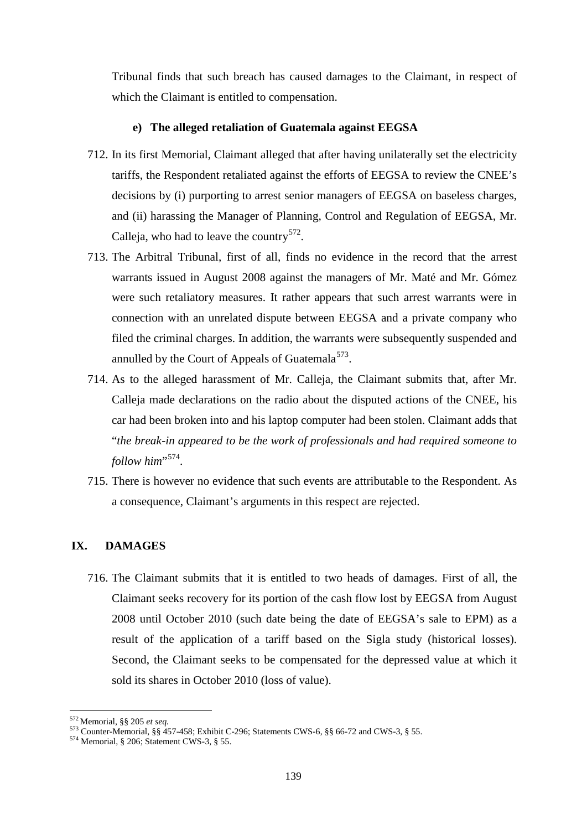Tribunal finds that such breach has caused damages to the Claimant, in respect of which the Claimant is entitled to compensation.

### **e) The alleged retaliation of Guatemala against EEGSA**

- 712. In its first Memorial, Claimant alleged that after having unilaterally set the electricity tariffs, the Respondent retaliated against the efforts of EEGSA to review the CNEE's decisions by (i) purporting to arrest senior managers of EEGSA on baseless charges, and (ii) harassing the Manager of Planning, Control and Regulation of EEGSA, Mr. Calleja, who had to leave the country<sup>[572](#page-138-0)</sup>.
- 713. The Arbitral Tribunal, first of all, finds no evidence in the record that the arrest warrants issued in August 2008 against the managers of Mr. Maté and Mr. Gómez were such retaliatory measures. It rather appears that such arrest warrants were in connection with an unrelated dispute between EEGSA and a private company who filed the criminal charges. In addition, the warrants were subsequently suspended and annulled by the Court of Appeals of Guatemala<sup>573</sup>.
- 714. As to the alleged harassment of Mr. Calleja, the Claimant submits that, after Mr. Calleja made declarations on the radio about the disputed actions of the CNEE, his car had been broken into and his laptop computer had been stolen. Claimant adds that "*the break-in appeared to be the work of professionals and had required someone to follow him*"<sup>574</sup>.
- 715. There is however no evidence that such events are attributable to the Respondent. As a consequence, Claimant's arguments in this respect are rejected.

# **IX. DAMAGES**

716. The Claimant submits that it is entitled to two heads of damages. First of all, the Claimant seeks recovery for its portion of the cash flow lost by EEGSA from August 2008 until October 2010 (such date being the date of EEGSA's sale to EPM) as a result of the application of a tariff based on the Sigla study (historical losses). Second, the Claimant seeks to be compensated for the depressed value at which it sold its shares in October 2010 (loss of value).

<span id="page-138-0"></span> $572$  Memorial, §§ 205 et seq.

<span id="page-138-2"></span><span id="page-138-1"></span><sup>573</sup> Counter-Memorial, §§ 457-458; Exhibit C-296; Statements CWS-6, §§ 66-72 and CWS-3, § 55.<br><sup>574</sup> Memorial, § 206; Statement CWS-3, § 55.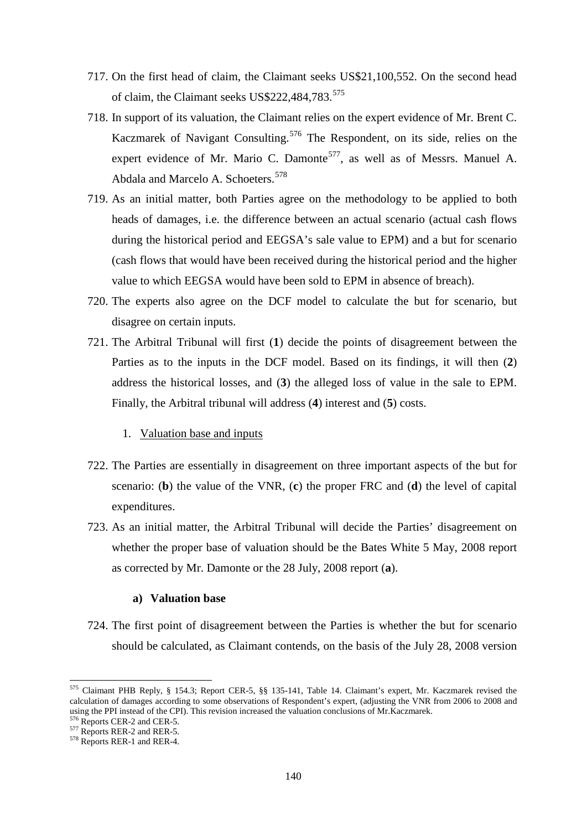- 717. On the first head of claim, the Claimant seeks US\$21,100,552. On the second head of claim, the Claimant seeks US\$222,484,783.<sup>[575](#page-139-0)</sup>
- 718. In support of its valuation, the Claimant relies on the expert evidence of Mr. Brent C. Kaczmarek of Navigant Consulting.[576](#page-139-1) The Respondent, on its side, relies on the expert evidence of Mr. Mario C. Damonte<sup>[577](#page-139-2)</sup>, as well as of Messrs. Manuel A. Abdala and Marcelo A. Schoeters.<sup>[578](#page-139-3)</sup>
- 719. As an initial matter, both Parties agree on the methodology to be applied to both heads of damages, i.e. the difference between an actual scenario (actual cash flows during the historical period and EEGSA's sale value to EPM) and a but for scenario (cash flows that would have been received during the historical period and the higher value to which EEGSA would have been sold to EPM in absence of breach).
- 720. The experts also agree on the DCF model to calculate the but for scenario, but disagree on certain inputs.
- 721. The Arbitral Tribunal will first (**1**) decide the points of disagreement between the Parties as to the inputs in the DCF model. Based on its findings, it will then (**2**) address the historical losses, and (**3**) the alleged loss of value in the sale to EPM. Finally, the Arbitral tribunal will address (**4**) interest and (**5**) costs.
	- 1. Valuation base and inputs
- 722. The Parties are essentially in disagreement on three important aspects of the but for scenario: (**b**) the value of the VNR, (**c**) the proper FRC and (**d**) the level of capital expenditures.
- 723. As an initial matter, the Arbitral Tribunal will decide the Parties' disagreement on whether the proper base of valuation should be the Bates White 5 May, 2008 report as corrected by Mr. Damonte or the 28 July, 2008 report (**a**).

# **a) Valuation base**

724. The first point of disagreement between the Parties is whether the but for scenario should be calculated, as Claimant contends, on the basis of the July 28, 2008 version

<span id="page-139-0"></span><sup>575</sup> Claimant PHB Reply, § 154.3; Report CER-5, §§ 135-141, Table 14. Claimant's expert, Mr. Kaczmarek revised the calculation of damages according to some observations of Respondent's expert, (adjusting the VNR from 2006 to 2008 and using the PPI instead of the CPI). This revision increased the valuation conclusions of Mr.Kaczmarek. 576 Reports CER-2 and RER-5. 577 Reports RER-1 and RER-4.

<span id="page-139-1"></span>

<span id="page-139-2"></span>

<span id="page-139-3"></span>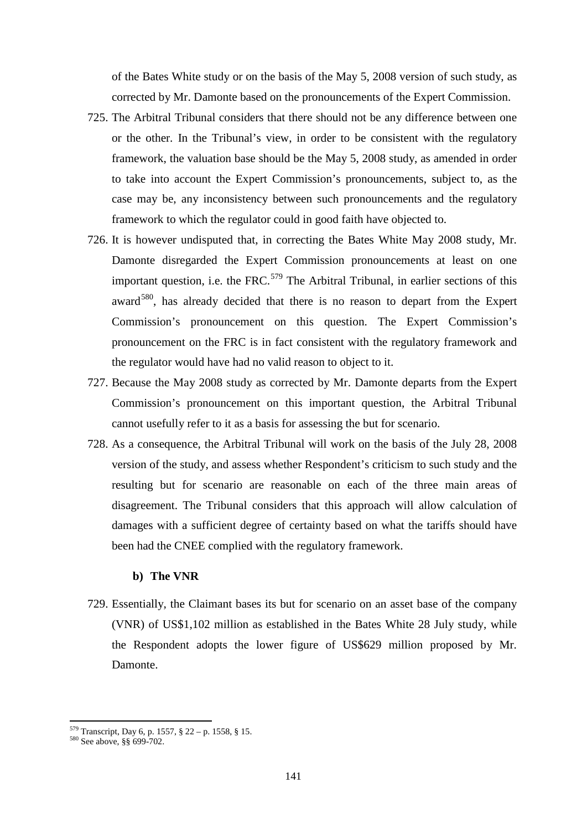of the Bates White study or on the basis of the May 5, 2008 version of such study, as corrected by Mr. Damonte based on the pronouncements of the Expert Commission.

- 725. The Arbitral Tribunal considers that there should not be any difference between one or the other. In the Tribunal's view, in order to be consistent with the regulatory framework, the valuation base should be the May 5, 2008 study, as amended in order to take into account the Expert Commission's pronouncements, subject to, as the case may be, any inconsistency between such pronouncements and the regulatory framework to which the regulator could in good faith have objected to.
- 726. It is however undisputed that, in correcting the Bates White May 2008 study, Mr. Damonte disregarded the Expert Commission pronouncements at least on one important question, i.e. the FRC.<sup>[579](#page-140-0)</sup> The Arbitral Tribunal, in earlier sections of this award<sup>580</sup>, has already decided that there is no reason to depart from the Expert Commission's pronouncement on this question. The Expert Commission's pronouncement on the FRC is in fact consistent with the regulatory framework and the regulator would have had no valid reason to object to it.
- 727. Because the May 2008 study as corrected by Mr. Damonte departs from the Expert Commission's pronouncement on this important question, the Arbitral Tribunal cannot usefully refer to it as a basis for assessing the but for scenario.
- 728. As a consequence, the Arbitral Tribunal will work on the basis of the July 28, 2008 version of the study, and assess whether Respondent's criticism to such study and the resulting but for scenario are reasonable on each of the three main areas of disagreement. The Tribunal considers that this approach will allow calculation of damages with a sufficient degree of certainty based on what the tariffs should have been had the CNEE complied with the regulatory framework.

### **b) The VNR**

729. Essentially, the Claimant bases its but for scenario on an asset base of the company (VNR) of US\$1,102 million as established in the Bates White 28 July study, while the Respondent adopts the lower figure of US\$629 million proposed by Mr. Damonte.

<span id="page-140-0"></span><sup>&</sup>lt;sup>579</sup> Transcript, Day 6, p. 1557, § 22 – p. 1558, § 15.<br><sup>580</sup> See above, §§ 699-702.

<span id="page-140-1"></span>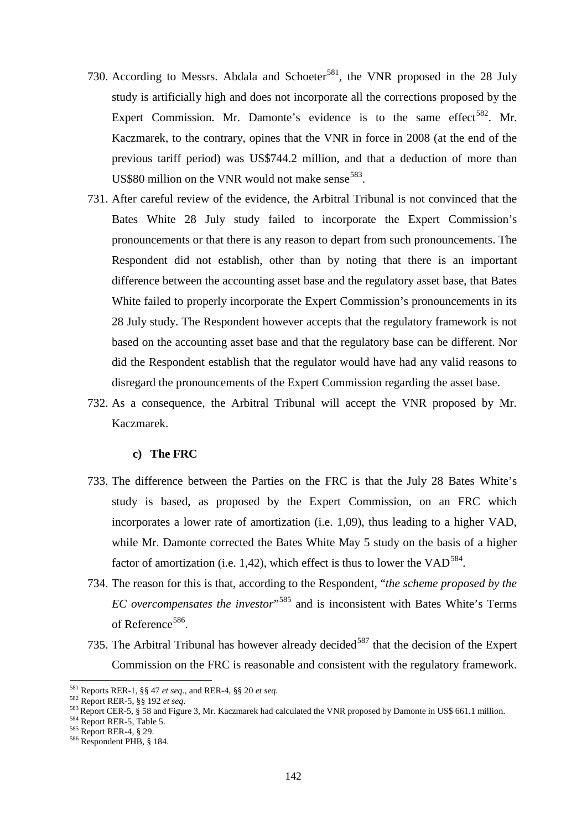- 730. According to Messrs. Abdala and Schoeter<sup>[581](#page-141-0)</sup>, the VNR proposed in the 28 July study is artificially high and does not incorporate all the corrections proposed by the Expert Commission. Mr. Damonte's evidence is to the same effect<sup>[582](#page-141-1)</sup>. Mr. Kaczmarek, to the contrary, opines that the VNR in force in 2008 (at the end of the previous tariff period) was US\$744.2 million, and that a deduction of more than US\$80 million on the VNR would not make sense<sup>583</sup>.
- 731. After careful review of the evidence, the Arbitral Tribunal is not convinced that the Bates White 28 July study failed to incorporate the Expert Commission's pronouncements or that there is any reason to depart from such pronouncements. The Respondent did not establish, other than by noting that there is an important difference between the accounting asset base and the regulatory asset base, that Bates White failed to properly incorporate the Expert Commission's pronouncements in its 28 July study. The Respondent however accepts that the regulatory framework is not based on the accounting asset base and that the regulatory base can be different. Nor did the Respondent establish that the regulator would have had any valid reasons to disregard the pronouncements of the Expert Commission regarding the asset base.
- 732. As a consequence, the Arbitral Tribunal will accept the VNR proposed by Mr. Kaczmarek.

#### **c) The FRC**

- 733. The difference between the Parties on the FRC is that the July 28 Bates White's study is based, as proposed by the Expert Commission, on an FRC which incorporates a lower rate of amortization (i.e. 1,09), thus leading to a higher VAD, while Mr. Damonte corrected the Bates White May 5 study on the basis of a higher factor of amortization (i.e. 1,42), which effect is thus to lower the  $VAD<sup>584</sup>$  $VAD<sup>584</sup>$  $VAD<sup>584</sup>$ .
- 734. The reason for this is that, according to the Respondent, "*the scheme proposed by the EC overcompensates the investor*"[585](#page-141-4) and is inconsistent with Bates White's Terms of Reference<sup>586</sup>.
- 735. The Arbitral Tribunal has however already decided<sup>[587](#page-141-6)</sup> that the decision of the Expert Commission on the FRC is reasonable and consistent with the regulatory framework.

<span id="page-141-6"></span><span id="page-141-0"></span><sup>&</sup>lt;sup>581</sup> Reports RER-1, §§ 47 *et seq.*, and RER-4, §§ 20 *et seq.*<br><sup>582</sup> Report RER-5, §§ 192 *et seq.* 

<span id="page-141-3"></span><span id="page-141-2"></span><span id="page-141-1"></span> $584$  Report CER-5, § 58 and Figure 3, Mr. Kaczmarek had calculated the VNR proposed by Damonte in US\$ 661.1 million.<br>  $584$  Report RER-5, Table 5.<br>  $585$  Report RER-4, § 29.<br>  $585$  Report RER-4, § 29.

<span id="page-141-5"></span><span id="page-141-4"></span>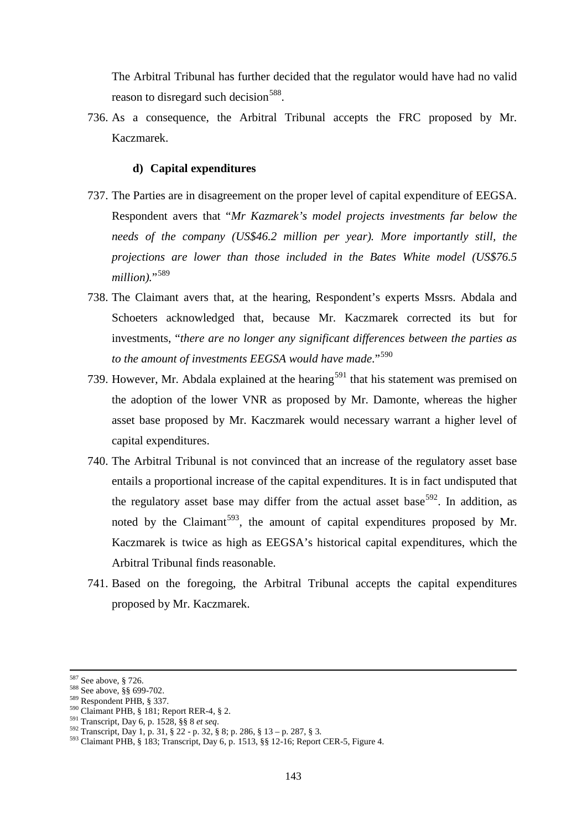The Arbitral Tribunal has further decided that the regulator would have had no valid reason to disregard such decision<sup>[588](#page-142-0)</sup>.

736. As a consequence, the Arbitral Tribunal accepts the FRC proposed by Mr. Kaczmarek.

#### **d) Capital expenditures**

- 737. The Parties are in disagreement on the proper level of capital expenditure of EEGSA. Respondent avers that "*Mr Kazmarek's model projects investments far below the needs of the company (US\$46.2 million per year). More importantly still, the projections are lower than those included in the Bates White model (US\$76.5*  million)."<sup>[589](#page-142-1)</sup>
- 738. The Claimant avers that, at the hearing, Respondent's experts Mssrs. Abdala and Schoeters acknowledged that, because Mr. Kaczmarek corrected its but for investments, "*there are no longer any significant differences between the parties as*  to the amount of investments EEGSA would have made."<sup>[590](#page-142-2)</sup>
- 739. However, Mr. Abdala explained at the hearing<sup>[591](#page-142-3)</sup> that his statement was premised on the adoption of the lower VNR as proposed by Mr. Damonte, whereas the higher asset base proposed by Mr. Kaczmarek would necessary warrant a higher level of capital expenditures.
- 740. The Arbitral Tribunal is not convinced that an increase of the regulatory asset base entails a proportional increase of the capital expenditures. It is in fact undisputed that the regulatory asset base may differ from the actual asset base<sup>[592](#page-142-4)</sup>. In addition, as noted by the Claimant<sup>593</sup>, the amount of capital expenditures proposed by Mr. Kaczmarek is twice as high as EEGSA's historical capital expenditures, which the Arbitral Tribunal finds reasonable.
- 741. Based on the foregoing, the Arbitral Tribunal accepts the capital expenditures proposed by Mr. Kaczmarek.

<sup>&</sup>lt;sup>587</sup> See above, § 726.

<span id="page-142-2"></span>

<span id="page-142-3"></span>

<span id="page-142-5"></span><span id="page-142-4"></span>

<span id="page-142-1"></span><span id="page-142-0"></span><sup>&</sup>lt;sup>588</sup> See above, §§ 699-702.<br>
<sup>589</sup> Respondent PHB, § 337.<br>
<sup>590</sup> Claimant PHB, § 181; Report RER-4, § 2.<br>
<sup>591</sup> Transcript, Day 6, p. 1528, §§ 8 *et seq.*<br>
<sup>592</sup> Transcript, Day 1, p. 31, § 22 - p. 32, § 8; p. 286, § 13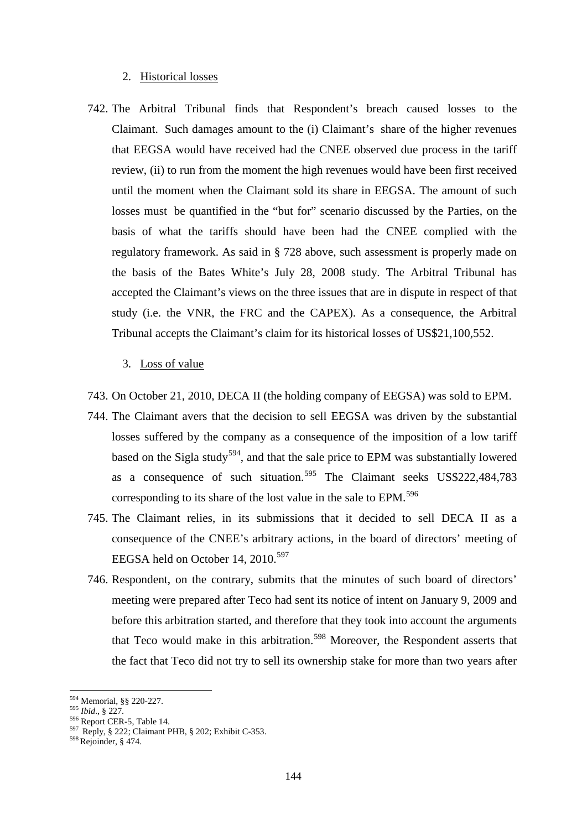### 2. Historical losses

- 742. The Arbitral Tribunal finds that Respondent's breach caused losses to the Claimant. Such damages amount to the (i) Claimant's share of the higher revenues that EEGSA would have received had the CNEE observed due process in the tariff review, (ii) to run from the moment the high revenues would have been first received until the moment when the Claimant sold its share in EEGSA. The amount of such losses must be quantified in the "but for" scenario discussed by the Parties, on the basis of what the tariffs should have been had the CNEE complied with the regulatory framework. As said in § 728 above, such assessment is properly made on the basis of the Bates White's July 28, 2008 study. The Arbitral Tribunal has accepted the Claimant's views on the three issues that are in dispute in respect of that study (i.e. the VNR, the FRC and the CAPEX). As a consequence, the Arbitral Tribunal accepts the Claimant's claim for its historical losses of US\$21,100,552.
	- 3. Loss of value
- 743. On October 21, 2010, DECA II (the holding company of EEGSA) was sold to EPM.
- 744. The Claimant avers that the decision to sell EEGSA was driven by the substantial losses suffered by the company as a consequence of the imposition of a low tariff based on the Sigla study<sup>[594](#page-143-0)</sup>, and that the sale price to EPM was substantially lowered as a consequence of such situation.<sup>[595](#page-143-1)</sup> The Claimant seeks US\$222,484,783 corresponding to its share of the lost value in the sale to EPM.<sup>[596](#page-143-2)</sup>
- 745. The Claimant relies, in its submissions that it decided to sell DECA II as a consequence of the CNEE's arbitrary actions, in the board of directors' meeting of EEGSA held on October 14, 2010.<sup>[597](#page-143-3)</sup>
- 746. Respondent, on the contrary, submits that the minutes of such board of directors' meeting were prepared after Teco had sent its notice of intent on January 9, 2009 and before this arbitration started, and therefore that they took into account the arguments that Teco would make in this arbitration.<sup>[598](#page-143-4)</sup> Moreover, the Respondent asserts that the fact that Teco did not try to sell its ownership stake for more than two years after

<span id="page-143-0"></span><sup>594</sup> Memorial, §§ 220-227.

<span id="page-143-3"></span>

<span id="page-143-2"></span><span id="page-143-1"></span><sup>595</sup> *Ibid.*, § 227.<br><sup>596</sup> Report CER-5, Table 14.<br><sup>597</sup> Reply, § 222; Claimant PHB, § 202; Exhibit C-353.<br><sup>598</sup> Rejoinder, § 474.

<span id="page-143-4"></span>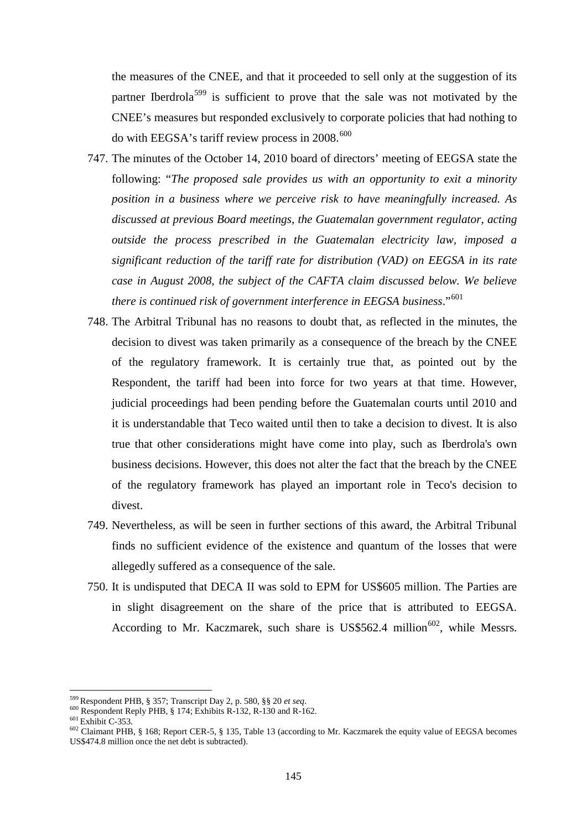the measures of the CNEE, and that it proceeded to sell only at the suggestion of its partner Iberdrola<sup>[599](#page-144-0)</sup> is sufficient to prove that the sale was not motivated by the CNEE's measures but responded exclusively to corporate policies that had nothing to do with EEGSA's tariff review process in  $2008$ .<sup>[600](#page-144-1)</sup>

- 747. The minutes of the October 14, 2010 board of directors' meeting of EEGSA state the following: "*The proposed sale provides us with an opportunity to exit a minority position in a business where we perceive risk to have meaningfully increased. As discussed at previous Board meetings, the Guatemalan government regulator, acting outside the process prescribed in the Guatemalan electricity law, imposed a significant reduction of the tariff rate for distribution (VAD) on EEGSA in its rate case in August 2008, the subject of the CAFTA claim discussed below. We believe there is continued risk of government interference in EEGSA business*."[601](#page-144-2)
- 748. The Arbitral Tribunal has no reasons to doubt that, as reflected in the minutes, the decision to divest was taken primarily as a consequence of the breach by the CNEE of the regulatory framework. It is certainly true that, as pointed out by the Respondent, the tariff had been into force for two years at that time. However, judicial proceedings had been pending before the Guatemalan courts until 2010 and it is understandable that Teco waited until then to take a decision to divest. It is also true that other considerations might have come into play, such as Iberdrola's own business decisions. However, this does not alter the fact that the breach by the CNEE of the regulatory framework has played an important role in Teco's decision to divest.
- 749. Nevertheless, as will be seen in further sections of this award, the Arbitral Tribunal finds no sufficient evidence of the existence and quantum of the losses that were allegedly suffered as a consequence of the sale.
- 750. It is undisputed that DECA II was sold to EPM for US\$605 million. The Parties are in slight disagreement on the share of the price that is attributed to EEGSA. According to Mr. Kaczmarek, such share is US\$562.4 million<sup>[602](#page-144-3)</sup>, while Messrs.

 $\overline{a}$ 

<span id="page-144-3"></span><span id="page-144-2"></span>

<span id="page-144-1"></span><span id="page-144-0"></span><sup>&</sup>lt;sup>599</sup> Respondent PHB, § 357; Transcript Day 2, p. 580, §§ 20 *et seq.*<br><sup>600</sup> Respondent Reply PHB, § 174; Exhibits R-132, R-130 and R-162.<br><sup>601</sup> Exhibit C-353.<br><sup>602</sup> Claimant PHB, § 168; Report CER-5, § 135, Table 13 (acc US\$474.8 million once the net debt is subtracted).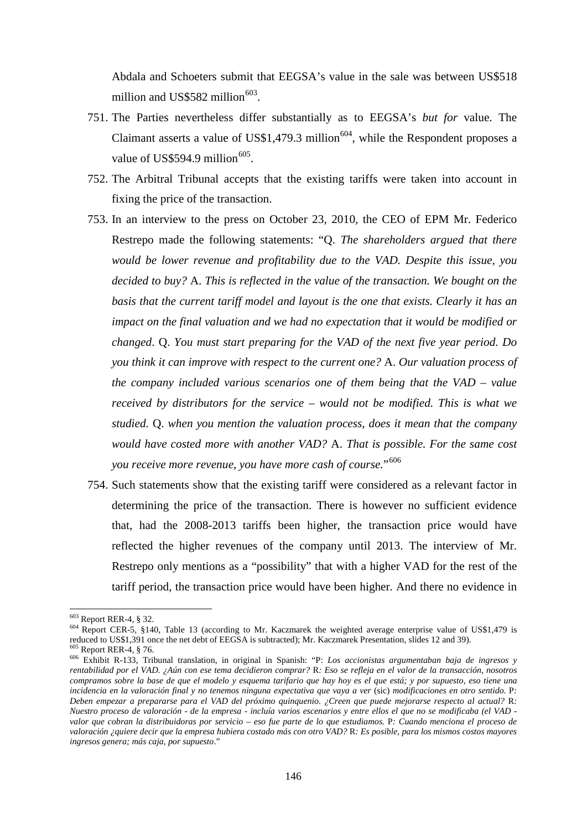Abdala and Schoeters submit that EEGSA's value in the sale was between US\$518 million and US\$582 million $603$ .

- 751. The Parties nevertheless differ substantially as to EEGSA's *but for* value. The Claimant asserts a value of US\$1,479.3 million<sup>[604](#page-145-1)</sup>, while the Respondent proposes a value of US\$594.9 million $605$ .
- 752. The Arbitral Tribunal accepts that the existing tariffs were taken into account in fixing the price of the transaction.
- 753. In an interview to the press on October 23, 2010, the CEO of EPM Mr. Federico Restrepo made the following statements: "Q. *The shareholders argued that there would be lower revenue and profitability due to the VAD. Despite this issue, you decided to buy?* A. *This is reflected in the value of the transaction. We bought on the basis that the current tariff model and layout is the one that exists. Clearly it has an impact on the final valuation and we had no expectation that it would be modified or changed*. Q. *You must start preparing for the VAD of the next five year period. Do you think it can improve with respect to the current one?* A. *Our valuation process of the company included various scenarios one of them being that the VAD – value received by distributors for the service – would not be modified. This is what we studied.* Q. *when you mention the valuation process, does it mean that the company would have costed more with another VAD?* A. *That is possible. For the same cost you receive more revenue, you have more cash of course.*"[606](#page-145-3)
- 754. Such statements show that the existing tariff were considered as a relevant factor in determining the price of the transaction. There is however no sufficient evidence that, had the 2008-2013 tariffs been higher, the transaction price would have reflected the higher revenues of the company until 2013. The interview of Mr. Restrepo only mentions as a "possibility" that with a higher VAD for the rest of the tariff period, the transaction price would have been higher. And there no evidence in

<span id="page-145-0"></span><sup>&</sup>lt;sup>603</sup> Report RER-4, § 32.

<span id="page-145-1"></span><sup>&</sup>lt;sup>604</sup> Report CER-5, §140, Table 13 (according to Mr. Kaczmarek the weighted average enterprise value of US\$1,479 is reduced to US\$1,391 once the net debt of EEGSA is subtracted); Mr. Kaczmarek Presentation, slides 12 and 39).<br><sup>605</sup> Report RER-4, § 76.<br><sup>606</sup> Exhibit R-133, Tribunal translation, in original in Spanish: "P: *Los accionista* 

<span id="page-145-3"></span><span id="page-145-2"></span>*rentabilidad por el VAD. ¿Aún con ese tema decidieron comprar?* R*: Eso se refleja en el valor de la transacción, nosotros compramos sobre la base de que el modelo y esquema tarifario que hay hoy es el que está; y por supuesto, eso tiene una incidencia en la valoración final y no tenemos ninguna expectativa que vaya a ver* (sic) *modificaciones en otro sentido.* P*: Deben empezar a prepararse para el VAD del próximo quinquenio. ¿Creen que puede mejorarse respecto al actual?* R*: Nuestro proceso de valoración - de la empresa - incluía varios escenarios y entre ellos el que no se modificaba (el VAD valor que cobran la distribuidoras por servicio – eso fue parte de lo que estudiamos.* P*: Cuando menciona el proceso de valoración ¿quiere decir que la empresa hubiera costado más con otro VAD?* R*: Es posible, para los mismos costos mayores ingresos genera; más caja, por supuesto*."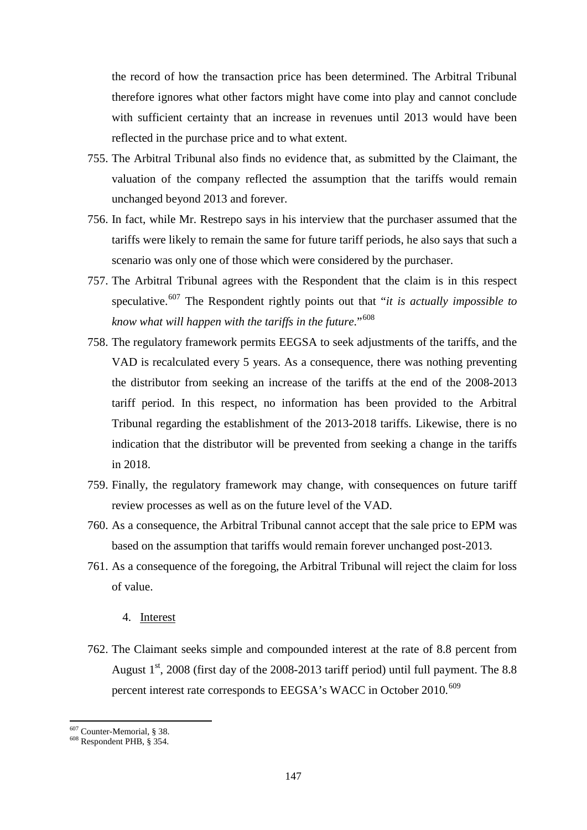the record of how the transaction price has been determined. The Arbitral Tribunal therefore ignores what other factors might have come into play and cannot conclude with sufficient certainty that an increase in revenues until 2013 would have been reflected in the purchase price and to what extent.

- 755. The Arbitral Tribunal also finds no evidence that, as submitted by the Claimant, the valuation of the company reflected the assumption that the tariffs would remain unchanged beyond 2013 and forever.
- 756. In fact, while Mr. Restrepo says in his interview that the purchaser assumed that the tariffs were likely to remain the same for future tariff periods, he also says that such a scenario was only one of those which were considered by the purchaser.
- 757. The Arbitral Tribunal agrees with the Respondent that the claim is in this respect speculative.[607](#page-146-0) The Respondent rightly points out that "*it is actually impossible to know what will happen with the tariffs in the future*."[608](#page-146-1)
- 758. The regulatory framework permits EEGSA to seek adjustments of the tariffs, and the VAD is recalculated every 5 years. As a consequence, there was nothing preventing the distributor from seeking an increase of the tariffs at the end of the 2008-2013 tariff period. In this respect, no information has been provided to the Arbitral Tribunal regarding the establishment of the 2013-2018 tariffs. Likewise, there is no indication that the distributor will be prevented from seeking a change in the tariffs in 2018.
- 759. Finally, the regulatory framework may change, with consequences on future tariff review processes as well as on the future level of the VAD.
- 760. As a consequence, the Arbitral Tribunal cannot accept that the sale price to EPM was based on the assumption that tariffs would remain forever unchanged post-2013.
- 761. As a consequence of the foregoing, the Arbitral Tribunal will reject the claim for loss of value.
	- 4. Interest
- 762. The Claimant seeks simple and compounded interest at the rate of 8.8 percent from August  $1<sup>st</sup>$ , 2008 (first day of the 2008-2013 tariff period) until full payment. The 8.8 percent interest rate corresponds to EEGSA's WACC in October 2010.<sup>[609](#page-146-2)</sup>

<span id="page-146-2"></span> $\overline{a}$ 

<span id="page-146-0"></span> $^{607}$  Counter-Memorial, § 38.<br> $^{608}$  Respondent PHB, § 354.

<span id="page-146-1"></span>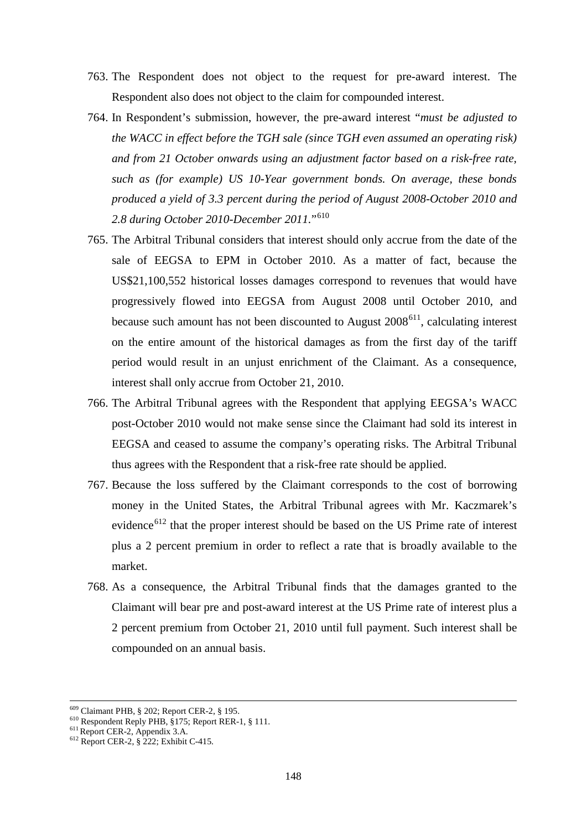- 763. The Respondent does not object to the request for pre-award interest. The Respondent also does not object to the claim for compounded interest.
- 764. In Respondent's submission, however, the pre-award interest "*must be adjusted to the WACC in effect before the TGH sale (since TGH even assumed an operating risk) and from 21 October onwards using an adjustment factor based on a risk-free rate, such as (for example) US 10-Year government bonds. On average, these bonds produced a yield of 3.3 percent during the period of August 2008-October 2010 and 2.8 during October 2010-December 2011.*"[610](#page-147-0)
- 765. The Arbitral Tribunal considers that interest should only accrue from the date of the sale of EEGSA to EPM in October 2010. As a matter of fact, because the US\$21,100,552 historical losses damages correspond to revenues that would have progressively flowed into EEGSA from August 2008 until October 2010, and because such amount has not been discounted to August  $2008<sup>611</sup>$ , calculating interest on the entire amount of the historical damages as from the first day of the tariff period would result in an unjust enrichment of the Claimant. As a consequence, interest shall only accrue from October 21, 2010.
- 766. The Arbitral Tribunal agrees with the Respondent that applying EEGSA's WACC post-October 2010 would not make sense since the Claimant had sold its interest in EEGSA and ceased to assume the company's operating risks. The Arbitral Tribunal thus agrees with the Respondent that a risk-free rate should be applied.
- 767. Because the loss suffered by the Claimant corresponds to the cost of borrowing money in the United States, the Arbitral Tribunal agrees with Mr. Kaczmarek's evidence<sup>[612](#page-147-2)</sup> that the proper interest should be based on the US Prime rate of interest plus a 2 percent premium in order to reflect a rate that is broadly available to the market.
- 768. As a consequence, the Arbitral Tribunal finds that the damages granted to the Claimant will bear pre and post-award interest at the US Prime rate of interest plus a 2 percent premium from October 21, 2010 until full payment. Such interest shall be compounded on an annual basis.

**.** 

<span id="page-147-0"></span><sup>&</sup>lt;sup>609</sup> Claimant PHB, § 202; Report CER-2, § 195.<br><sup>610</sup> Respondent Reply PHB, §175; Report RER-1, § 111.<br><sup>611</sup> Report CER-2, § 222; Exhibit C-415.

<span id="page-147-1"></span>

<span id="page-147-2"></span>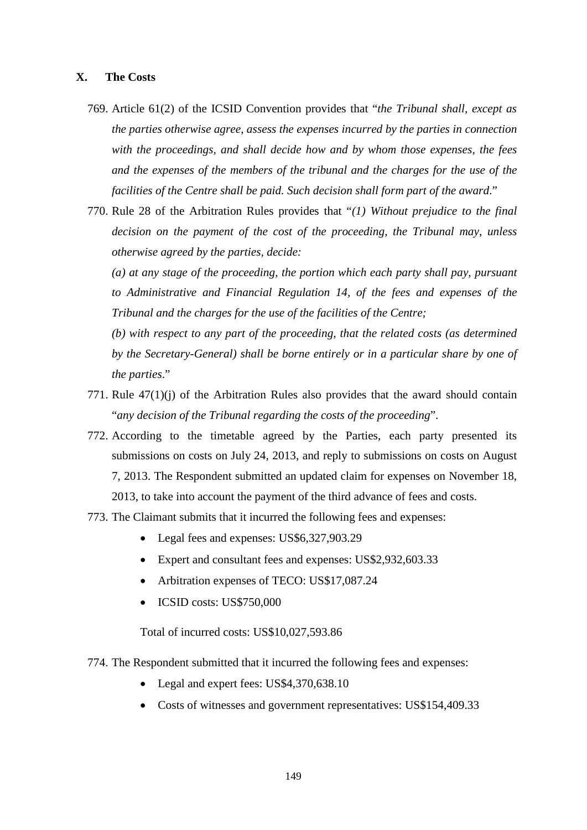## **X. The Costs**

- 769. Article 61(2) of the ICSID Convention provides that "*the Tribunal shall, except as the parties otherwise agree, assess the expenses incurred by the parties in connection with the proceedings, and shall decide how and by whom those expenses, the fees and the expenses of the members of the tribunal and the charges for the use of the facilities of the Centre shall be paid. Such decision shall form part of the award*."
- 770. Rule 28 of the Arbitration Rules provides that "*(1) Without prejudice to the final decision on the payment of the cost of the proceeding, the Tribunal may, unless otherwise agreed by the parties, decide:*

*(a) at any stage of the proceeding, the portion which each party shall pay, pursuant to Administrative and Financial Regulation 14, of the fees and expenses of the Tribunal and the charges for the use of the facilities of the Centre;*

*(b) with respect to any part of the proceeding, that the related costs (as determined by the Secretary-General) shall be borne entirely or in a particular share by one of the parties*."

- 771. Rule 47(1)(j) of the Arbitration Rules also provides that the award should contain "*any decision of the Tribunal regarding the costs of the proceeding*".
- 772. According to the timetable agreed by the Parties, each party presented its submissions on costs on July 24, 2013, and reply to submissions on costs on August 7, 2013. The Respondent submitted an updated claim for expenses on November 18, 2013, to take into account the payment of the third advance of fees and costs.
- 773. The Claimant submits that it incurred the following fees and expenses:
	- Legal fees and expenses: US\$6,327,903.29
	- Expert and consultant fees and expenses: US\$2,932,603.33
	- Arbitration expenses of TECO: US\$17,087.24
	- ICSID costs: US\$750,000

Total of incurred costs: US\$10,027,593.86

- 774. The Respondent submitted that it incurred the following fees and expenses:
	- Legal and expert fees: US\$4,370,638.10
	- Costs of witnesses and government representatives: US\$154,409.33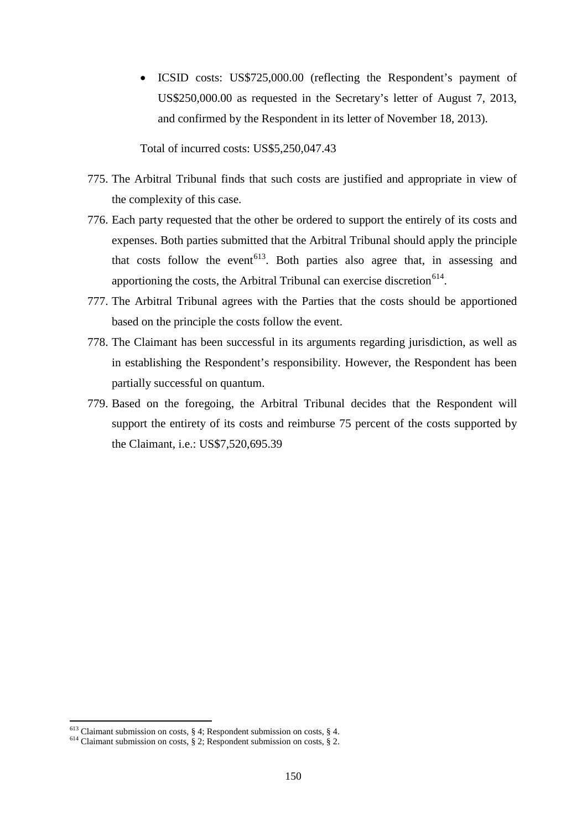• ICSID costs: US\$725,000.00 (reflecting the Respondent's payment of US\$250,000.00 as requested in the Secretary's letter of August 7, 2013, and confirmed by the Respondent in its letter of November 18, 2013).

Total of incurred costs: US\$5,250,047.43

- 775. The Arbitral Tribunal finds that such costs are justified and appropriate in view of the complexity of this case.
- 776. Each party requested that the other be ordered to support the entirely of its costs and expenses. Both parties submitted that the Arbitral Tribunal should apply the principle that costs follow the event<sup>613</sup>. Both parties also agree that, in assessing and apportioning the costs, the Arbitral Tribunal can exercise discretion<sup>[614](#page-149-1)</sup>.
- 777. The Arbitral Tribunal agrees with the Parties that the costs should be apportioned based on the principle the costs follow the event.
- 778. The Claimant has been successful in its arguments regarding jurisdiction, as well as in establishing the Respondent's responsibility. However, the Respondent has been partially successful on quantum.
- 779. Based on the foregoing, the Arbitral Tribunal decides that the Respondent will support the entirety of its costs and reimburse 75 percent of the costs supported by the Claimant, i.e.: US\$7,520,695.39

 $\overline{a}$ 

<span id="page-149-0"></span><sup>&</sup>lt;sup>613</sup> Claimant submission on costs, § 4; Respondent submission on costs, § 4.  $614$  Claimant submission on costs, § 2; Respondent submission on costs, § 2.

<span id="page-149-1"></span>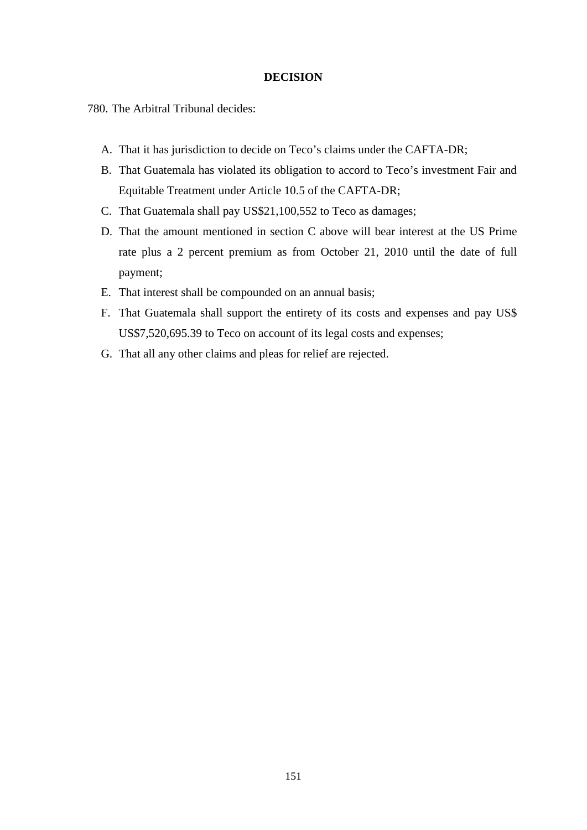## **DECISION**

780. The Arbitral Tribunal decides:

- A. That it has jurisdiction to decide on Teco's claims under the CAFTA-DR;
- B. That Guatemala has violated its obligation to accord to Teco's investment Fair and Equitable Treatment under Article 10.5 of the CAFTA-DR;
- C. That Guatemala shall pay US\$21,100,552 to Teco as damages;
- D. That the amount mentioned in section C above will bear interest at the US Prime rate plus a 2 percent premium as from October 21, 2010 until the date of full payment;
- E. That interest shall be compounded on an annual basis;
- F. That Guatemala shall support the entirety of its costs and expenses and pay US\$ US\$7,520,695.39 to Teco on account of its legal costs and expenses;
- G. That all any other claims and pleas for relief are rejected.